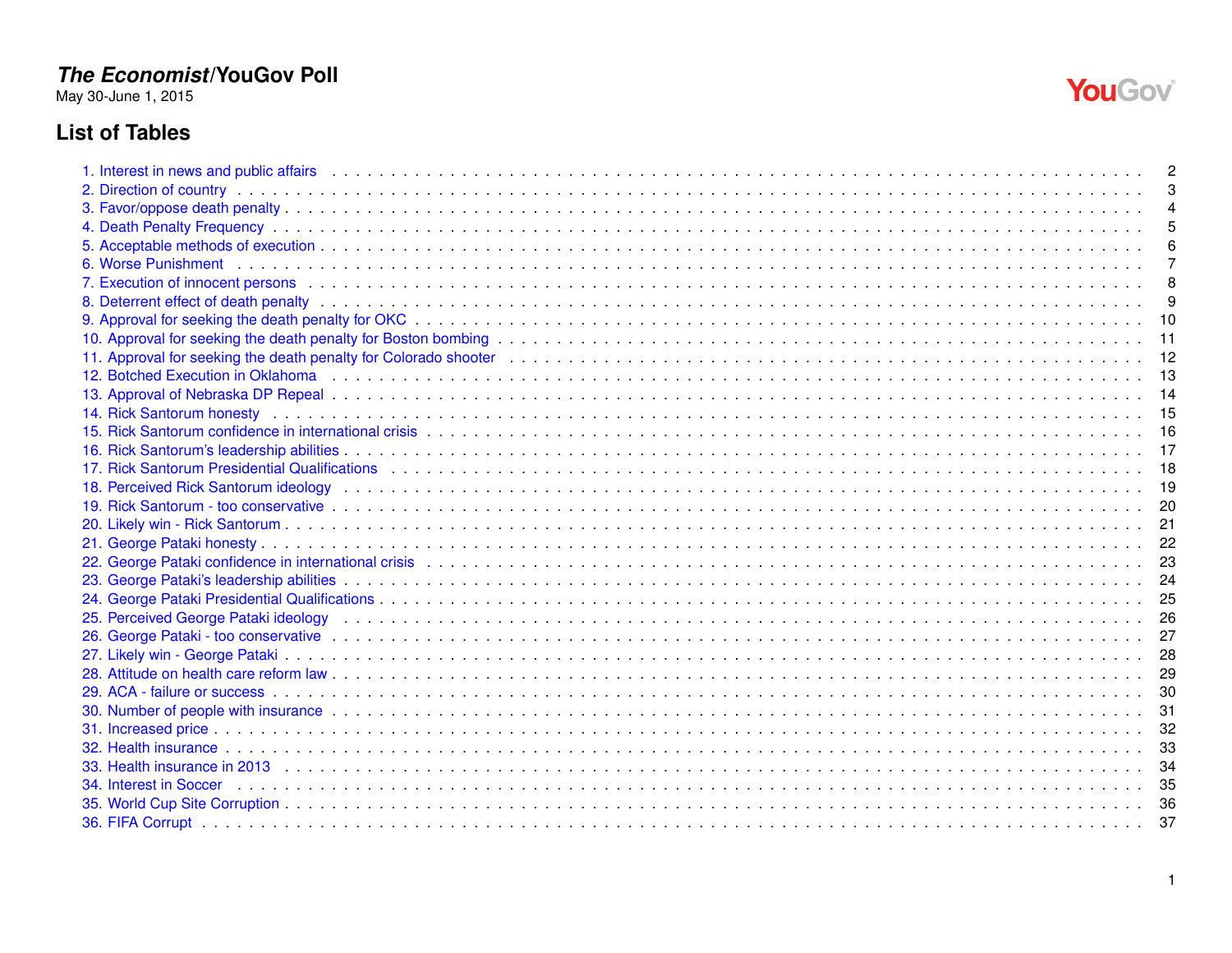May 30-June 1, 2015

# **List of Tables**

|                                                                                                                                                                                                                                | З  |
|--------------------------------------------------------------------------------------------------------------------------------------------------------------------------------------------------------------------------------|----|
|                                                                                                                                                                                                                                |    |
|                                                                                                                                                                                                                                |    |
|                                                                                                                                                                                                                                |    |
|                                                                                                                                                                                                                                |    |
|                                                                                                                                                                                                                                |    |
|                                                                                                                                                                                                                                |    |
|                                                                                                                                                                                                                                | 10 |
|                                                                                                                                                                                                                                |    |
|                                                                                                                                                                                                                                |    |
| 12. Botched Execution in Oklahoma (and a serve as a server and a server and a server and a server and a server and a server and a server and a server and a server and a server and a server and a server and a server and a s |    |
|                                                                                                                                                                                                                                |    |
|                                                                                                                                                                                                                                |    |
|                                                                                                                                                                                                                                |    |
|                                                                                                                                                                                                                                |    |
| 17. Rick Santorum Presidential Qualifications <b>et al. Accepted Accepted Accepted Accepted</b> 2014 and 2014 and 201                                                                                                          |    |
| 18. Perceived Rick Santorum ideology (and a same as a same as a series and a series areas areas as a series and survey are a series and series are a series and the series are a series and the series are a series and the se |    |
|                                                                                                                                                                                                                                |    |
|                                                                                                                                                                                                                                |    |
|                                                                                                                                                                                                                                | 22 |
|                                                                                                                                                                                                                                | 23 |
|                                                                                                                                                                                                                                | 24 |
|                                                                                                                                                                                                                                | 25 |
| 25. Perceived George Pataki ideology (and a contract of a contract of a contract of a contract of a contract of a contract of a contract of a contract of a contract of a contract of a contract of a contract of a contract o | 26 |
|                                                                                                                                                                                                                                |    |
|                                                                                                                                                                                                                                |    |
|                                                                                                                                                                                                                                |    |
|                                                                                                                                                                                                                                |    |
|                                                                                                                                                                                                                                | 31 |
|                                                                                                                                                                                                                                | 32 |
|                                                                                                                                                                                                                                | 33 |
|                                                                                                                                                                                                                                | 34 |
|                                                                                                                                                                                                                                | 35 |
|                                                                                                                                                                                                                                | 36 |
|                                                                                                                                                                                                                                | 37 |

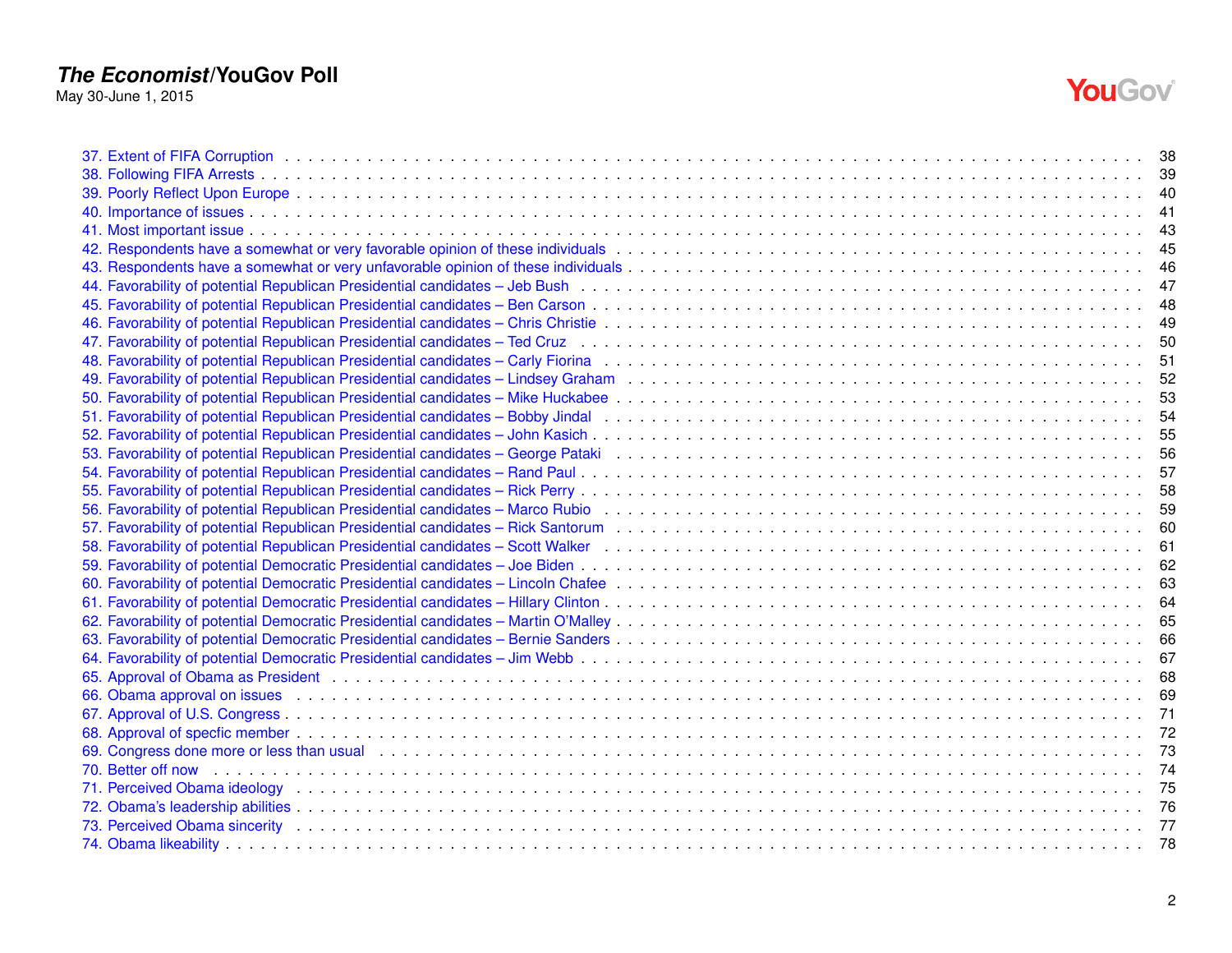May 30-June 1, 2015



| 69. Congress done more or less than usual enterpreneus and contact the control of the control of the control of the control of the control of the control of the control of the control of the control of the control of the c |  |
|--------------------------------------------------------------------------------------------------------------------------------------------------------------------------------------------------------------------------------|--|
| 70. Better off now edsergences are conserved to the control of the control of the control of the control of the conserved to the control of the control of the control of the control of the control of the control of the con |  |
|                                                                                                                                                                                                                                |  |
|                                                                                                                                                                                                                                |  |
|                                                                                                                                                                                                                                |  |
|                                                                                                                                                                                                                                |  |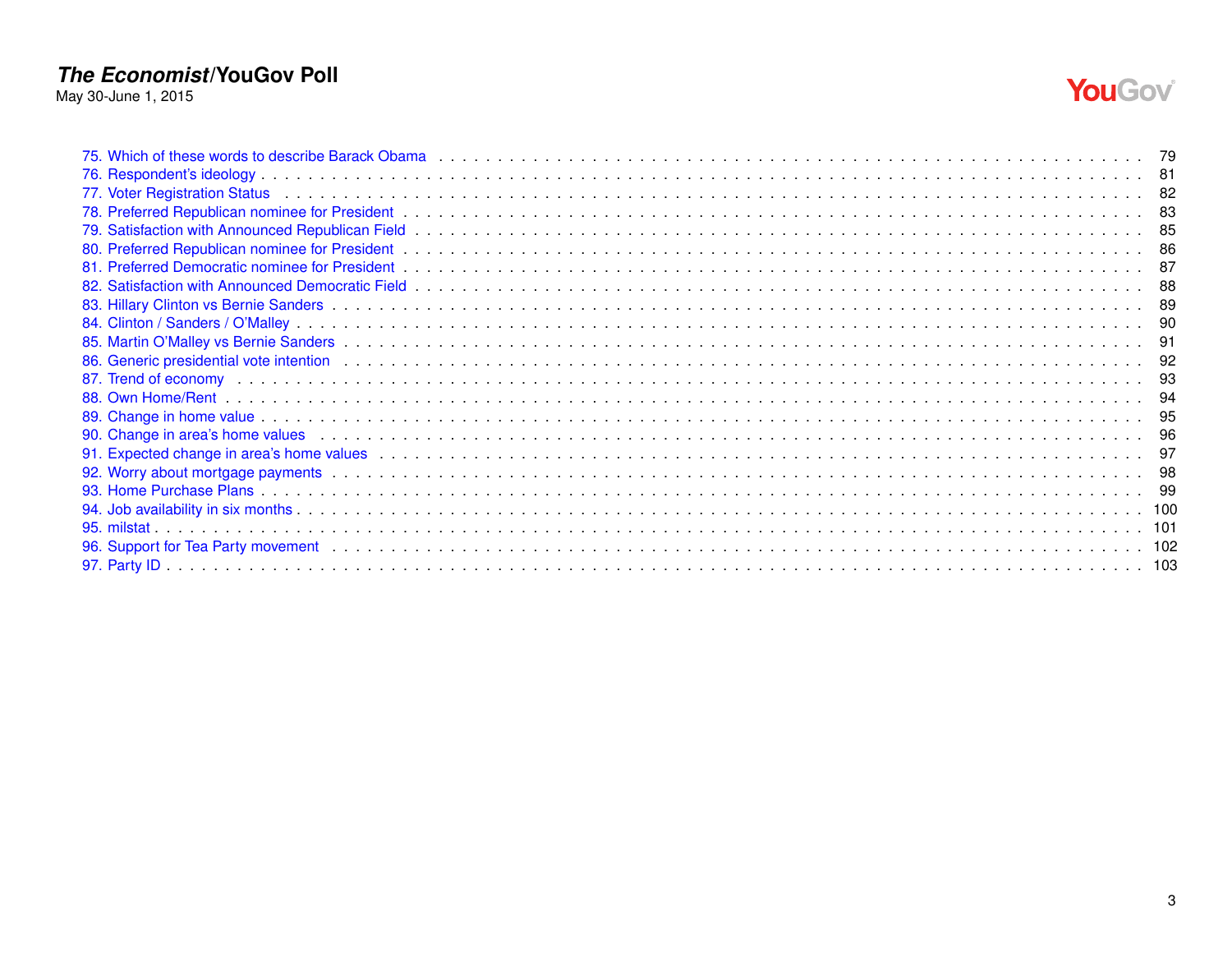May 30-June 1, 2015



| 90. Change in area's home values entitled as a series of the control of the control of the control of the control of the control of the control of the control of the control of the control of the control of the control of |  |
|-------------------------------------------------------------------------------------------------------------------------------------------------------------------------------------------------------------------------------|--|
|                                                                                                                                                                                                                               |  |
|                                                                                                                                                                                                                               |  |
|                                                                                                                                                                                                                               |  |
|                                                                                                                                                                                                                               |  |
|                                                                                                                                                                                                                               |  |
|                                                                                                                                                                                                                               |  |
|                                                                                                                                                                                                                               |  |
|                                                                                                                                                                                                                               |  |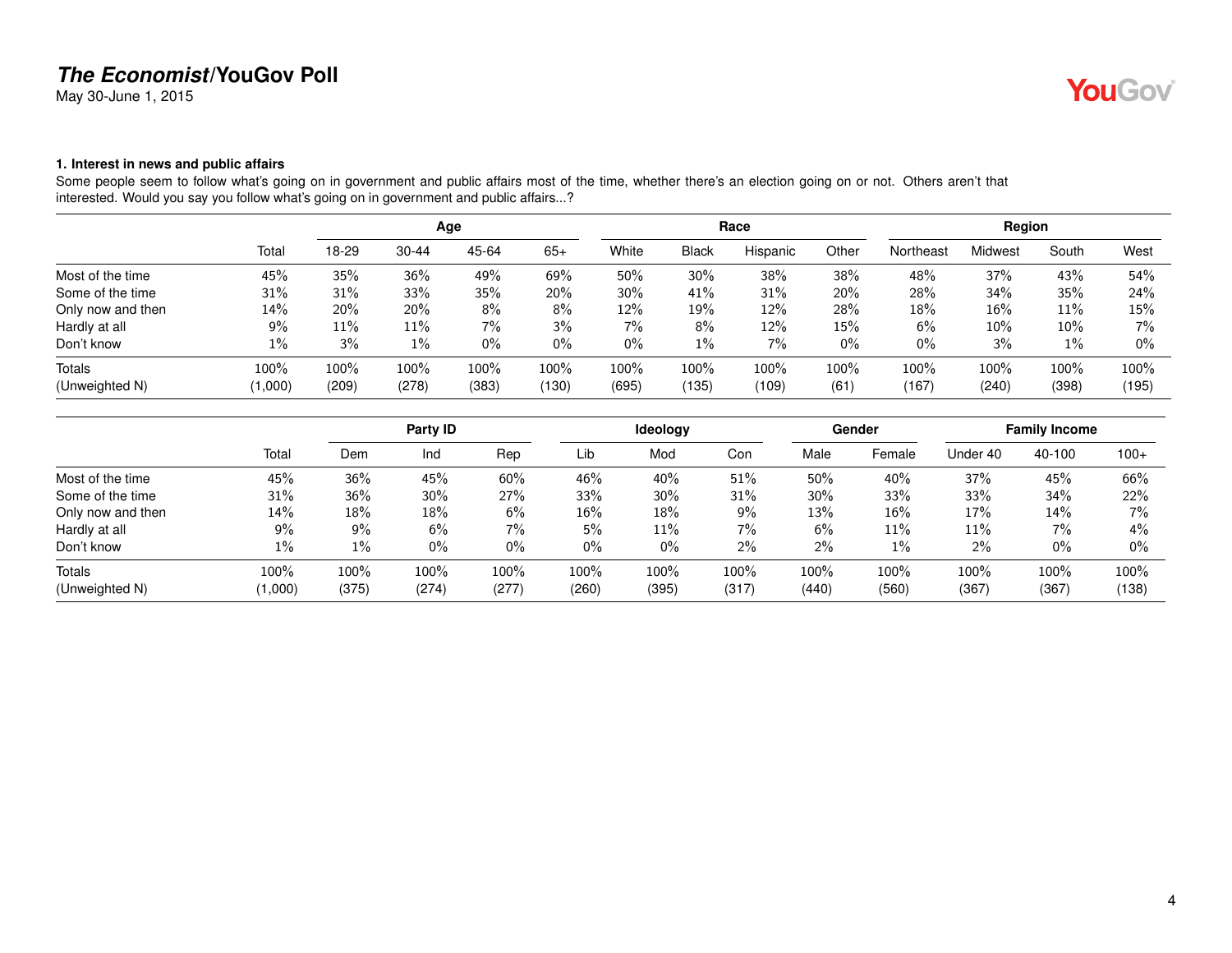May 30-June 1, 2015

#### <span id="page-3-0"></span>**1. Interest in news and public affairs**

Some people seem to follow what's going on in government and public affairs most of the time, whether there's an election going on or not. Others aren't that interested. Would you say you follow what's going on in government and public affairs...?

|                   |         |       |           | Age   |       |       |         | Race     |       | Region    |         |        |       |
|-------------------|---------|-------|-----------|-------|-------|-------|---------|----------|-------|-----------|---------|--------|-------|
|                   | Total   | 18-29 | $30 - 44$ | 45-64 | $65+$ | White | Black   | Hispanic | Other | Northeast | Midwest | South  | West  |
| Most of the time  | 45%     | 35%   | 36%       | 49%   | 69%   | 50%   | 30%     | 38%      | 38%   | 48%       | 37%     | 43%    | 54%   |
| Some of the time  | 31%     | 31%   | 33%       | 35%   | 20%   | 30%   | 41%     | 31%      | 20%   | 28%       | 34%     | 35%    | 24%   |
| Only now and then | 14%     | 20%   | 20%       | 8%    | 8%    | 12%   | 19%     | 12%      | 28%   | 18%       | 16%     | 11%    | 15%   |
| Hardly at all     | 9%      | 11%   | 11%       | $7\%$ | 3%    | $7\%$ | 8%      | 12%      | 15%   | 6%        | 10%     | $10\%$ | 7%    |
| Don't know        | $1\%$   | 3%    | $1\%$     | $0\%$ | $0\%$ | $0\%$ | $1\%$   | 7%       | 0%    | 0%        | 3%      | $1\%$  | $0\%$ |
| Totals            | 100%    | 100%  | 100%      | 100%  | 100%  | 100%  | $100\%$ | 100%     | 100%  | 100%      | 100%    | 100%   | 100%  |
| (Unweighted N)    | (1,000) | (209) | (278)     | (383) | (130) | (695) | (135)   | (109)    | (61)  | (167)     | (240)   | (398)  | (195) |

|                   |         |       | Party ID |       |       | <b>Ideology</b> |         |        | Gender |          | <b>Family Income</b> |        |
|-------------------|---------|-------|----------|-------|-------|-----------------|---------|--------|--------|----------|----------------------|--------|
|                   | Total   | Dem   | Ind      | Rep   | Lib   | Mod             | Con     | Male   | Female | Under 40 | 40-100               | $100+$ |
| Most of the time  | 45%     | 36%   | 45%      | 60%   | 46%   | 40%             | 51%     | 50%    | 40%    | 37%      | 45%                  | 66%    |
| Some of the time  | 31%     | 36%   | 30%      | 27%   | 33%   | 30%             | 31%     | $30\%$ | 33%    | 33%      | 34%                  | 22%    |
| Only now and then | 14%     | 18%   | $18\%$   | 6%    | 16%   | 18%             | $9\%$   | 13%    | 16%    | 17%      | 14%                  | $7\%$  |
| Hardly at all     | 9%      | 9%    | 6%       | $7\%$ | 5%    | 11%             | 7%      | 6%     | 11%    | 11%      | 7%                   | 4%     |
| Don't know        | 1%      | $1\%$ | $0\%$    | $0\%$ | 0%    | $0\%$           | $2\%$   | 2%     | 1%     | $2\%$    | $0\%$                | $0\%$  |
| Totals            | 100%    | 100%  | 100%     | 100%  | 100%  | 100%            | $100\%$ | 100%   | 100%   | 100%     | 100%                 | 100%   |
| (Unweighted N)    | (1,000) | (375) | (274)    | (277) | (260) | (395)           | (317)   | (440)  | (560)  | (367)    | (367)                | (138)  |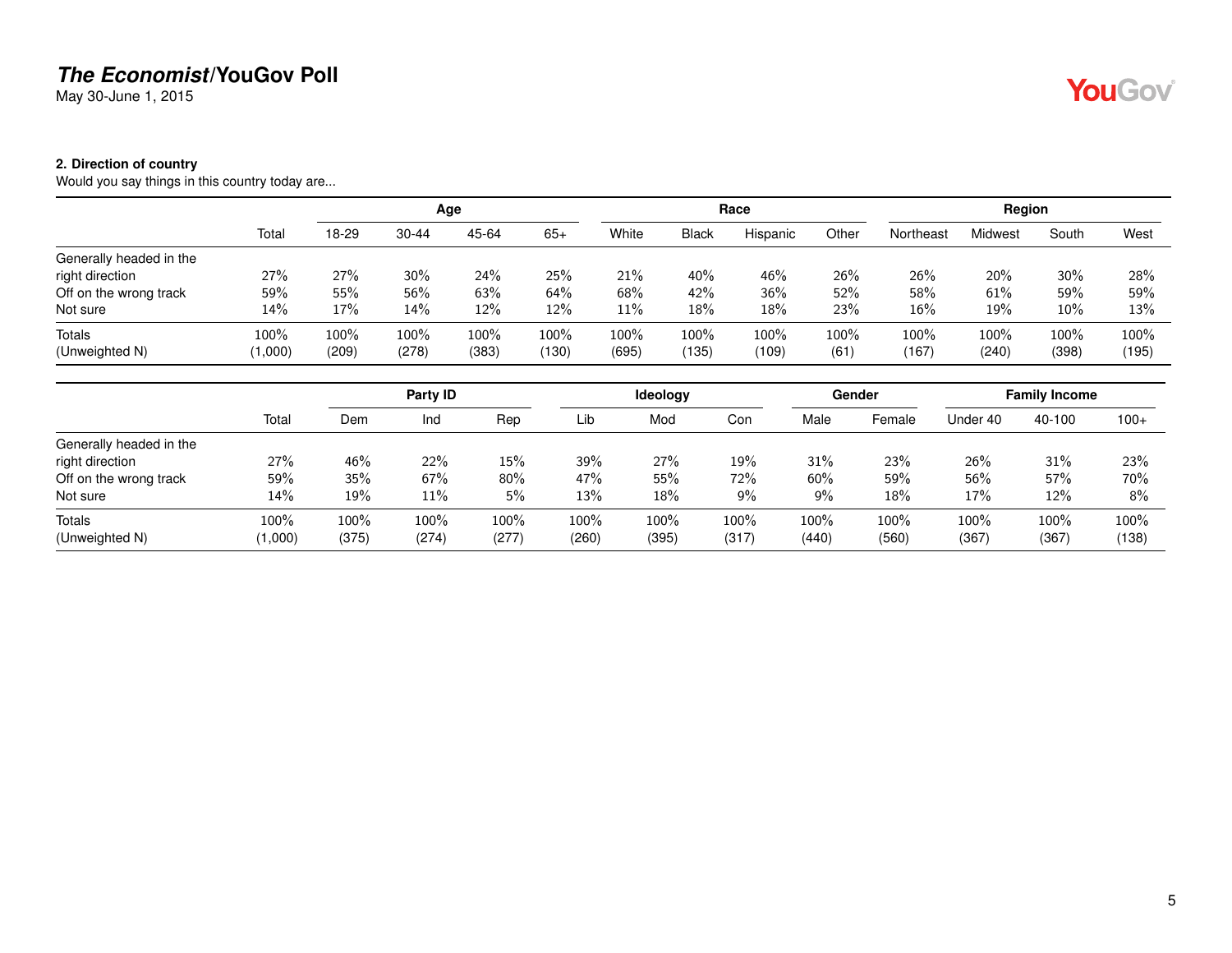May 30-June 1, 2015

#### <span id="page-4-0"></span>**2. Direction of country**

Would you say things in this country today are...

|                         |         |       |           | Age   |       |       |              | Race     |       |           | Region         |        |       |
|-------------------------|---------|-------|-----------|-------|-------|-------|--------------|----------|-------|-----------|----------------|--------|-------|
|                         | Total   | 18-29 | $30 - 44$ | 45-64 | $65+$ | White | <b>Black</b> | Hispanic | Other | Northeast | <b>Midwest</b> | South  | West  |
| Generally headed in the |         |       |           |       |       |       |              |          |       |           |                |        |       |
| right direction         | 27%     | 27%   | $30\%$    | 24%   | 25%   | 21%   | 40%          | 46%      | 26%   | 26%       | 20%            | 30%    | 28%   |
| Off on the wrong track  | 59%     | 55%   | 56%       | 63%   | 64%   | 68%   | 42%          | 36%      | 52%   | 58%       | 61%            | 59%    | 59%   |
| Not sure                | 14%     | 17%   | 14%       | 12%   | 12%   | 11%   | 18%          | 18%      | 23%   | 16%       | 19%            | $10\%$ | 13%   |
| <b>Totals</b>           | 100%    | 100%  | 100%      | 100%  | 100%  | 100%  | 100%         | 100%     | 100%  | 100%      | 100%           | 100%   | 100%  |
| (Unweighted N)          | (1,000) | (209) | (278)     | (383) | (130) | (695) | (135)        | (109)    | (61)  | (167)     | (240)          | (398)  | (195) |

|                         |         | Party ID |        |       |       | Ideology |       |       | Gender | <b>Family Income</b> |        |        |
|-------------------------|---------|----------|--------|-------|-------|----------|-------|-------|--------|----------------------|--------|--------|
|                         | Total   | Dem      | Ind    | Rep   | Lib   | Mod      | Con   | Male  | Female | Under 40             | 40-100 | $100+$ |
| Generally headed in the |         |          |        |       |       |          |       |       |        |                      |        |        |
| right direction         | 27%     | 46%      | 22%    | 15%   | 39%   | 27%      | 19%   | 31%   | 23%    | 26%                  | 31%    | 23%    |
| Off on the wrong track  | 59%     | 35%      | 67%    | 80%   | 47%   | 55%      | 72%   | 60%   | 59%    | 56%                  | 57%    | 70%    |
| Not sure                | 14%     | 19%      | $11\%$ | 5%    | 13%   | 18%      | 9%    | 9%    | 18%    | 17%                  | 12%    | 8%     |
| Totals                  | 100%    | 100%     | 100%   | 100%  | 100%  | 100%     | 100%  | 100%  | 100%   | 100%                 | 100%   | 100%   |
| (Unweighted N)          | (1,000) | (375)    | (274)  | (277) | (260) | (395)    | (317) | (440) | (560)  | (367)                | (367)  | (138)  |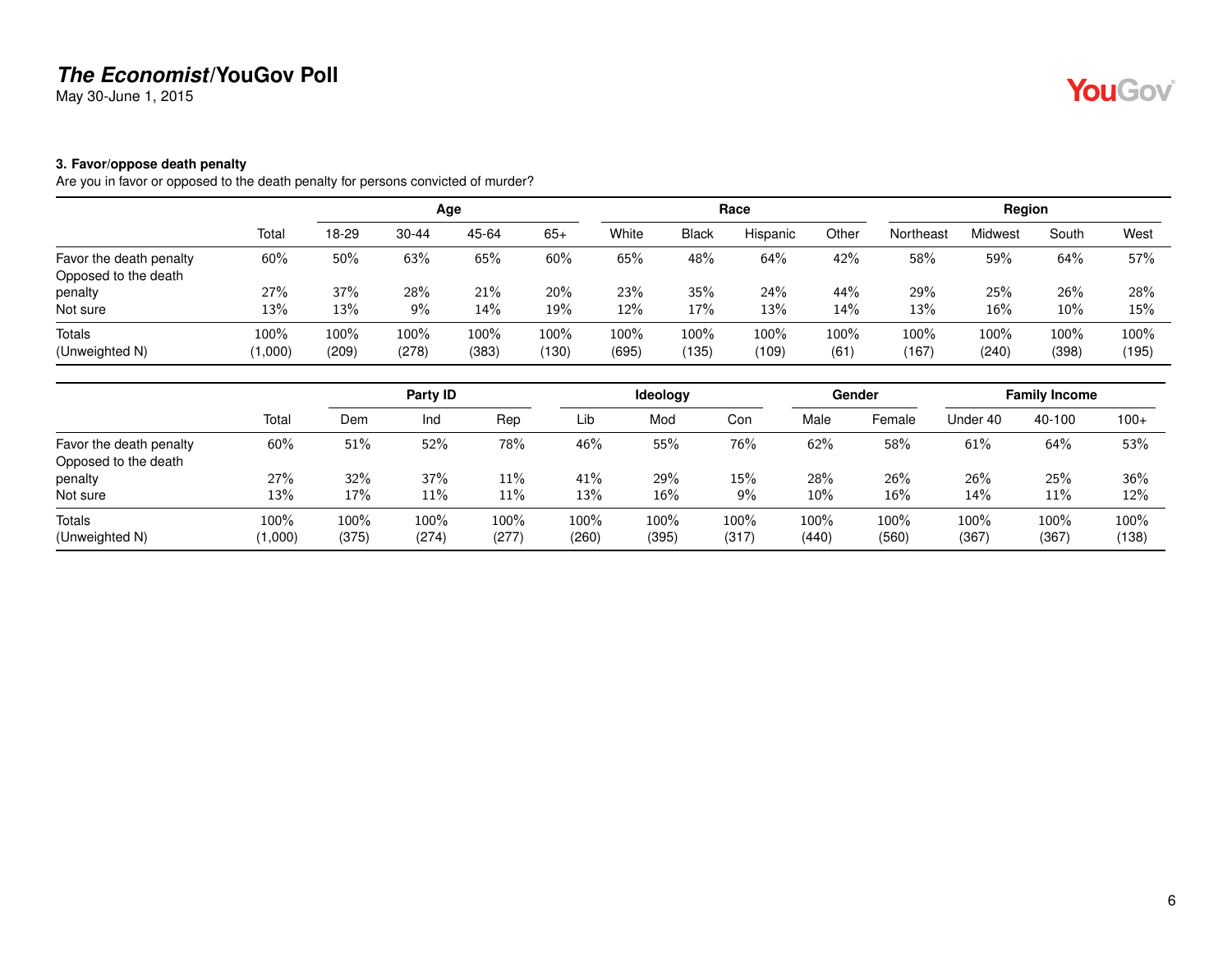May 30-June 1, 2015

#### <span id="page-5-0"></span>**3. Favor/oppose death penalty**

Are you in favor or opposed to the death penalty for persons convicted of murder?

|                         |         |       |           | Age   |       |       |              | Race     |       |           | Region  |       |       |
|-------------------------|---------|-------|-----------|-------|-------|-------|--------------|----------|-------|-----------|---------|-------|-------|
|                         | Total   | 18-29 | $30 - 44$ | 45-64 | $65+$ | White | <b>Black</b> | Hispanic | Other | Northeast | Midwest | South | West  |
| Favor the death penalty | 60%     | 50%   | 63%       | 65%   | 60%   | 65%   | 48%          | 64%      | 42%   | 58%       | 59%     | 64%   | 57%   |
| Opposed to the death    |         |       |           |       |       |       |              |          |       |           |         |       |       |
| penalty                 | 27%     | 37%   | 28%       | 21%   | 20%   | 23%   | 35%          | 24%      | 44%   | 29%       | 25%     | 26%   | 28%   |
| Not sure                | 13%     | 13%   | 9%        | 14%   | 19%   | 12%   | 17%          | 13%      | 14%   | 13%       | 16%     | 10%   | 15%   |
| Totals                  | 100%    | 100%  | 100%      | 100%  | 100%  | 100%  | 100%         | 100%     | 100%  | 100%      | 100%    | 100%  | 100%  |
| (Unweighted N)          | (1,000) | (209) | (278)     | (383) | (130) | (695) | (135)        | (109)    | (61)  | (167)     | (240)   | (398) | (195) |

|                                 |                 | Party ID      |               |               |               | ldeology      |               |               | Gender        | <b>Family Income</b> |               |               |
|---------------------------------|-----------------|---------------|---------------|---------------|---------------|---------------|---------------|---------------|---------------|----------------------|---------------|---------------|
|                                 | Total           | Dem           | Ind           | Rep           | Lib           | Mod           | Con           | Male          | Female        | Under 40             | 40-100        | $100+$        |
| Favor the death penalty         | 60%             | 51%           | 52%           | 78%           | 46%           | 55%           | 76%           | 62%           | 58%           | 61%                  | 64%           | 53%           |
| Opposed to the death<br>penalty | 27%             | 32%           | 37%           | 11%           | 41%           | 29%           | 15%           | 28%           | 26%           | 26%                  | 25%           | 36%           |
| Not sure                        | 13%             | 17%           | 11%           | 11%           | 13%           | 16%           | 9%            | 10%           | 16%           | 14%                  | 11%           | 12%           |
| Totals<br>(Unweighted N)        | 100%<br>(1,000) | 100%<br>(375) | 100%<br>(274) | 100%<br>(277) | 100%<br>(260) | 100%<br>(395) | 100%<br>(317) | 100%<br>(440) | 100%<br>(560) | 100%<br>(367)        | 100%<br>(367) | 100%<br>(138) |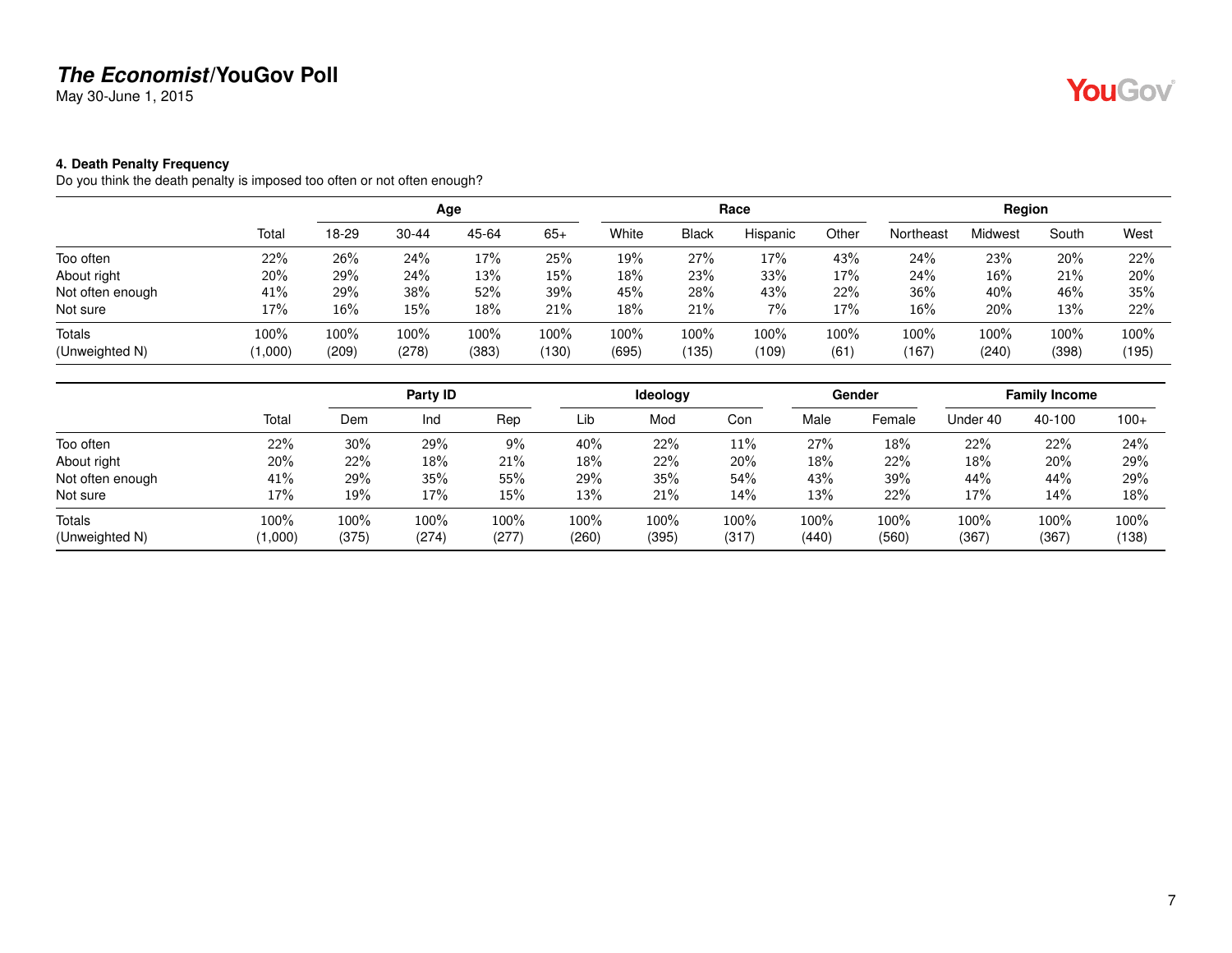May 30-June 1, 2015

### <span id="page-6-0"></span>**4. Death Penalty Frequency**

Do you think the death penalty is imposed too often or not often enough?

|                                 |                 | Age           |               |               |               |               |               | Race          |             | Region        |               |               |               |
|---------------------------------|-----------------|---------------|---------------|---------------|---------------|---------------|---------------|---------------|-------------|---------------|---------------|---------------|---------------|
|                                 | Total           | 18-29         | $30 - 44$     | 45-64         | $65+$         | White         | <b>Black</b>  | Hispanic      | Other       | Northeast     | Midwest       | South         | West          |
| Too often                       | 22%             | 26%           | 24%           | 17%           | 25%           | 19%           | 27%           | 17%           | 43%         | 24%           | 23%           | 20%           | 22%           |
| About right                     | 20%             | 29%           | 24%           | 13%           | 15%           | 18%           | 23%           | 33%           | 17%         | 24%           | 16%           | 21%           | 20%           |
| Not often enough                | 41%             | 29%           | 38%           | 52%           | 39%           | 45%           | 28%           | 43%           | 22%         | 36%           | 40%           | 46%           | 35%           |
| Not sure                        | 17%             | 16%           | 15%           | 18%           | 21%           | 18%           | 21%           | 7%            | 17%         | 16%           | 20%           | 13%           | 22%           |
| <b>Totals</b><br>(Unweighted N) | 100%<br>(1,000) | 100%<br>(209) | 100%<br>(278) | 100%<br>(383) | 100%<br>(130) | 100%<br>(695) | 100%<br>(135) | 100%<br>(109) | 100%<br>(61 | 100%<br>(167) | 100%<br>(240) | 100%<br>(398) | 100%<br>(195) |

|                  |         | Party ID |         |         |       | <b>Ideology</b> |       |       | Gender | <b>Family Income</b> |        |        |
|------------------|---------|----------|---------|---------|-------|-----------------|-------|-------|--------|----------------------|--------|--------|
|                  | Total   | Dem      | Ind     | Rep     | Lib   | Mod             | Con   | Male  | Female | Under 40             | 40-100 | $100+$ |
| Too often        | 22%     | 30%      | 29%     | 9%      | 40%   | 22%             | 11%   | 27%   | 18%    | 22%                  | 22%    | 24%    |
| About right      | 20%     | 22%      | 18%     | 21%     | 18%   | 22%             | 20%   | 18%   | 22%    | 18%                  | 20%    | 29%    |
| Not often enough | 41%     | 29%      | 35%     | 55%     | 29%   | 35%             | 54%   | 43%   | 39%    | 44%                  | 44%    | 29%    |
| Not sure         | 17%     | 19%      | 17%     | 15%     | 13%   | 21%             | 14%   | 13%   | 22%    | 17%                  | 14%    | 18%    |
| <b>Totals</b>    | 100%    | 100%     | $100\%$ | $100\%$ | 100%  | 100%            | 100%  | 100%  | 100%   | 100%                 | 100%   | 100%   |
| (Unweighted N)   | (1,000) | (375)    | (274)   | (277)   | (260) | (395)           | (317) | (440) | (560)  | (367)                | (367)  | (138)  |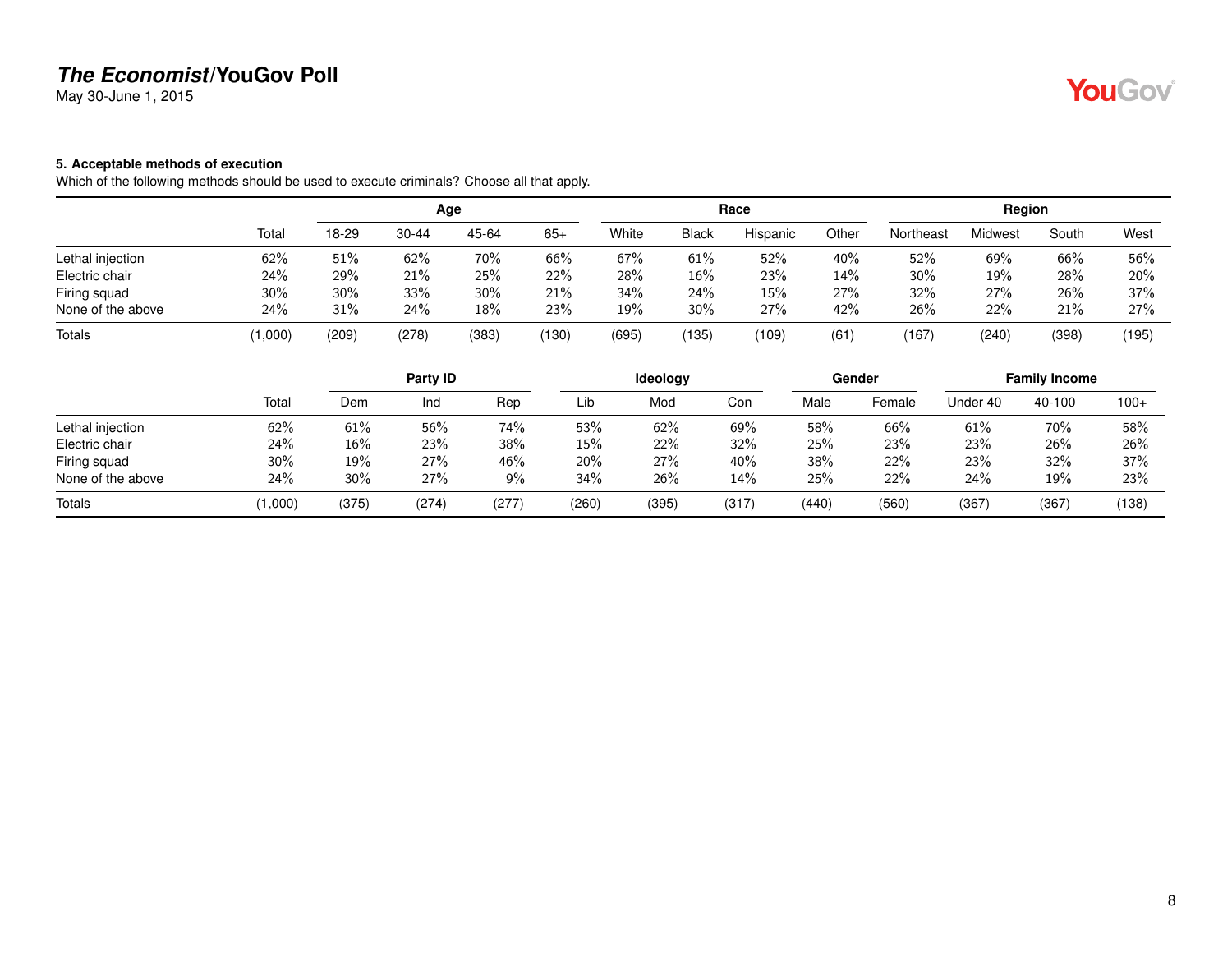May 30-June 1, 2015

#### <span id="page-7-0"></span>**5. Acceptable methods of execution**

Which of the following methods should be used to execute criminals? Choose all that apply.

|                   |        |       |           | Age   |       |       |              | Race     |       |           | Region  |       |       |
|-------------------|--------|-------|-----------|-------|-------|-------|--------------|----------|-------|-----------|---------|-------|-------|
|                   | Total  | 18-29 | $30 - 44$ | 45-64 | $65+$ | White | <b>Black</b> | Hispanic | Other | Northeast | Midwest | South | West  |
| Lethal injection  | 62%    | 51%   | 62%       | 70%   | 66%   | 67%   | 61%          | 52%      | 40%   | 52%       | 69%     | 66%   | 56%   |
| Electric chair    | 24%    | 29%   | 21%       | 25%   | 22%   | 28%   | 16%          | 23%      | 14%   | 30%       | 19%     | 28%   | 20%   |
| Firing squad      | 30%    | 30%   | 33%       | 30%   | 21%   | 34%   | 24%          | 15%      | 27%   | 32%       | 27%     | 26%   | 37%   |
| None of the above | 24%    | 31%   | 24%       | 18%   | 23%   | 19%   | $30\%$       | 27%      | 42%   | 26%       | 22%     | 21%   | 27%   |
| Totals            | 1,000) | (209) | (278)     | (383) | (130) | (695) | 135          | (109)    | (61)  | (167)     | (240)   | (398) | (195) |

|                   |         |       | Party ID |      |       | <b>Ideology</b> |       |       | Gender |          | <b>Family Income</b> |        |
|-------------------|---------|-------|----------|------|-------|-----------------|-------|-------|--------|----------|----------------------|--------|
|                   | Total   | Dem   | Ind      | Rep  | Lib   | Mod             | Con   | Male  | Female | Under 40 | 40-100               | $100+$ |
| Lethal injection  | 62%     | 61%   | 56%      | 74%  | 53%   | 62%             | 69%   | 58%   | 66%    | 61%      | 70%                  | 58%    |
| Electric chair    | 24%     | 16%   | 23%      | 38%  | 15%   | 22%             | 32%   | 25%   | 23%    | 23%      | 26%                  | 26%    |
| Firing squad      | 30%     | 19%   | 27%      | 46%  | 20%   | 27%             | 40%   | 38%   | 22%    | 23%      | 32%                  | 37%    |
| None of the above | 24%     | 30%   | 27%      | 9%   | 34%   | 26%             | 14%   | 25%   | 22%    | 24%      | 19%                  | 23%    |
| Totals            | (1,000) | (375) | (274)    | (277 | (260) | (395)           | (317) | (440) | (560)  | (367)    | (367)                | (138)  |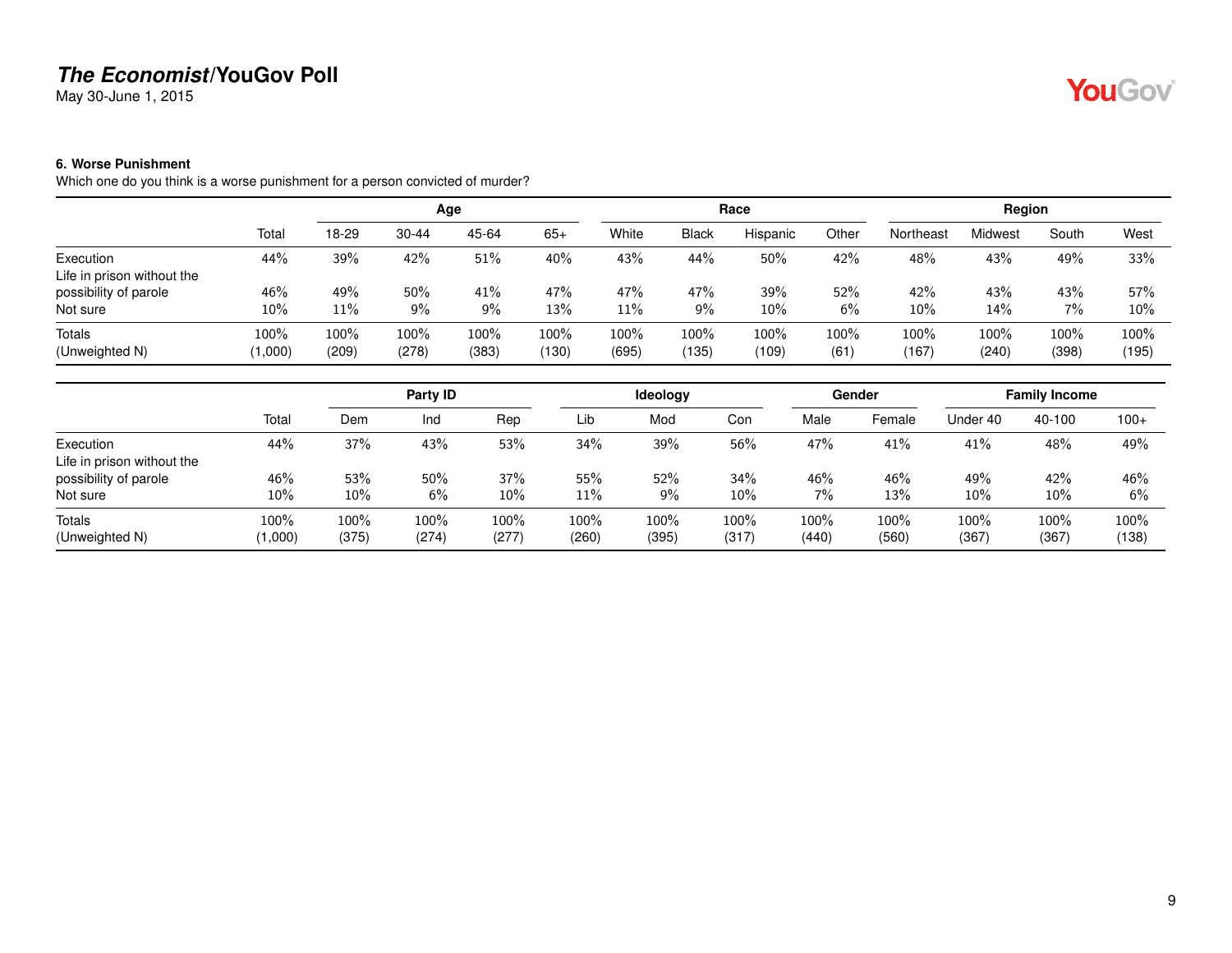May 30-June 1, 2015

#### <span id="page-8-0"></span>**6. Worse Punishment**

Which one do you think is a worse punishment for a person convicted of murder?

|                            |         |       |           | Age   |       |       |              | Race     |       |           | Region  |       |       |
|----------------------------|---------|-------|-----------|-------|-------|-------|--------------|----------|-------|-----------|---------|-------|-------|
|                            | Total   | 18-29 | $30 - 44$ | 45-64 | $65+$ | White | <b>Black</b> | Hispanic | Other | Northeast | Midwest | South | West  |
| Execution                  | 44%     | 39%   | 42%       | 51%   | 40%   | 43%   | 44%          | 50%      | 42%   | 48%       | 43%     | 49%   | 33%   |
| Life in prison without the |         |       |           |       |       |       |              |          |       |           |         |       |       |
| possibility of parole      | 46%     | 49%   | 50%       | 41%   | 47%   | 47%   | 47%          | 39%      | 52%   | 42%       | 43%     | 43%   | 57%   |
| Not sure                   | 10%     | 11%   | 9%        | 9%    | 13%   | 11%   | $9\%$        | $10\%$   | 6%    | $10\%$    | 14%     | 7%    | 10%   |
| Totals                     | $100\%$ | 100%  | 100%      | 100%  | 100%  | 100%  | $100\%$      | 100%     | 100%  | 100%      | 100%    | 100%  | 100%  |
| (Unweighted N)             | (1,000) | (209) | (278)     | (383) | (130) | (695) | (135)        | (109)    | (61)  | (167)     | (240)   | (398) | (195) |

|                                         |               |               | Party ID      |               |               | Ideology      |               |               | Gender        |               | <b>Family Income</b> |               |
|-----------------------------------------|---------------|---------------|---------------|---------------|---------------|---------------|---------------|---------------|---------------|---------------|----------------------|---------------|
|                                         | Total         | Dem           | Ind           | Rep           | Lib           | Mod           | Con           | Male          | Female        | Under 40      | 40-100               | $100+$        |
| Execution<br>Life in prison without the | 44%           | 37%           | 43%           | 53%           | 34%           | 39%           | 56%           | 47%           | 41%           | 41%           | 48%                  | 49%           |
| possibility of parole<br>Not sure       | 46%<br>10%    | 53%<br>$10\%$ | 50%<br>6%     | 37%<br>10%    | 55%<br>11%    | 52%<br>9%     | 34%<br>10%    | 46%<br>7%     | 46%<br>13%    | 49%<br>10%    | 42%<br>10%           | 46%<br>6%     |
| Totals<br>(Unweighted N)                | 100%<br>1,000 | 100%<br>(375) | 100%<br>(274) | 100%<br>(277) | 100%<br>(260) | 100%<br>(395) | 100%<br>(317) | 100%<br>(440) | 100%<br>(560) | 100%<br>(367) | 100%<br>(367)        | 100%<br>(138) |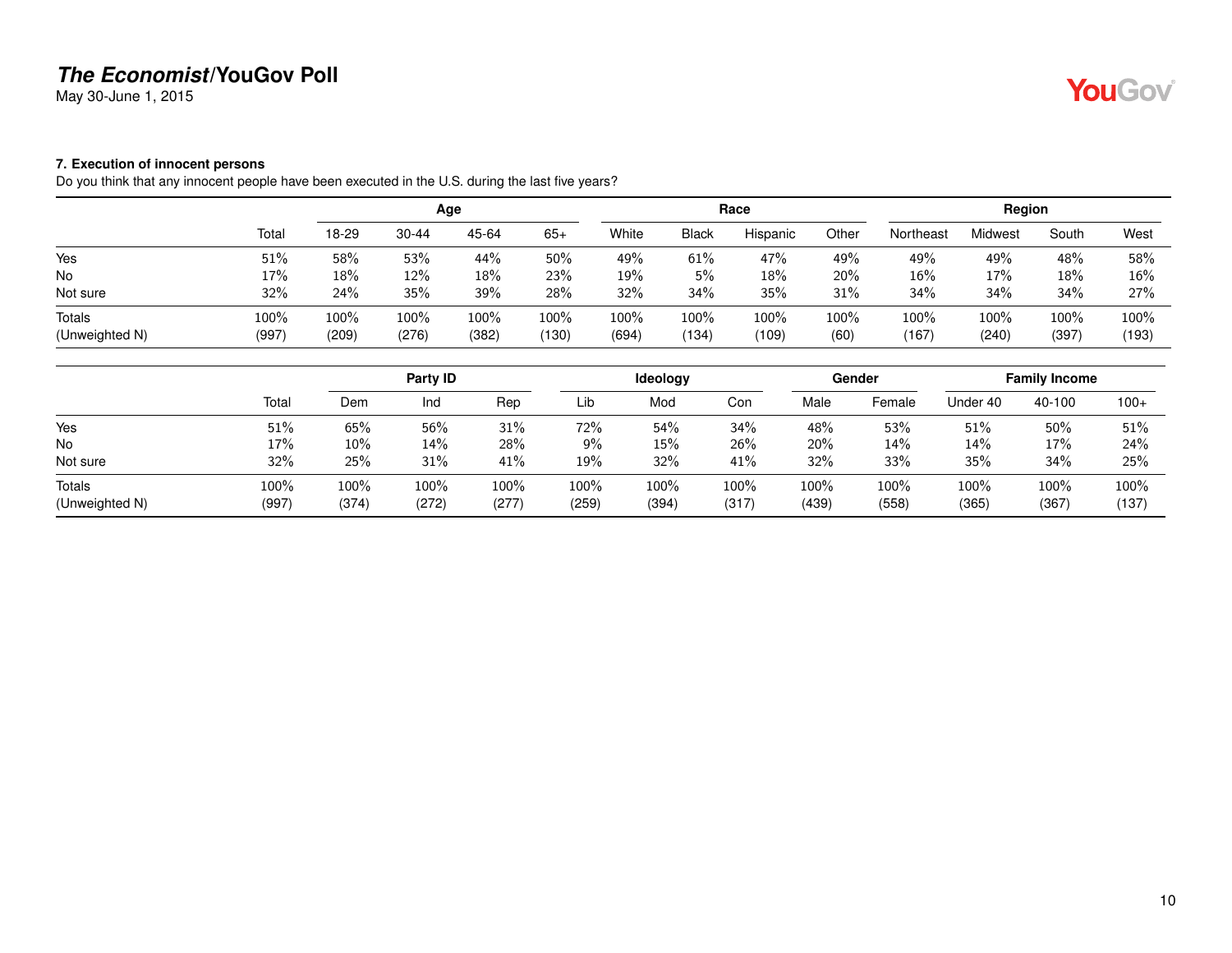May 30-June 1, 2015

# YouGov®

#### <span id="page-9-0"></span>**7. Execution of innocent persons**

Do you think that any innocent people have been executed in the U.S. during the last five years?

| Total | 18-29 | $30 - 44$ | 45-64 | $65+$        | White | <b>Black</b> | Hispanic | Other         | Northeast | Midwest | South | West            |
|-------|-------|-----------|-------|--------------|-------|--------------|----------|---------------|-----------|---------|-------|-----------------|
| 51%   | 58%   | 53%       | 44%   | 50%          | 49%   | 61%          | 47%      | 49%           | 49%       | 49%     | 48%   | 58%             |
| 17%   | 18%   | 12%       | 18%   | 23%          | 19%   | 5%           | 18%      | 20%           | 16%       | 17%     | 18%   | 16%             |
| 32%   | 24%   | 35%       | 39%   | 28%          | 32%   | 34%          | 35%      | 31%           | 34%       | 34%     | 34%   | 27%             |
| 100%  | 100%  | 100%      | 100%  | 100%         | 100%  | 100%         | 100%     | 100%          | 100%      | 100%    | 100%  | 100%<br>(193)   |
|       | (997) | (209)     | (276) | Age<br>(382) | (130) | (694)        | (134)    | Race<br>(109) | (60)      | (167)   | (240) | Region<br>(397) |

|                          |               |               | Party ID      |               |                  | Ideology      |               |               | Gender           |               | <b>Family Income</b> |               |
|--------------------------|---------------|---------------|---------------|---------------|------------------|---------------|---------------|---------------|------------------|---------------|----------------------|---------------|
|                          | Total         | Dem           | Ind           | Rep           | Lib              | Mod           | Con           | Male          | Female           | Under 40      | 40-100               | $100+$        |
| Yes                      | 51%           | 65%           | 56%           | 31%           | 72%              | 54%           | 34%           | 48%           | 53%              | 51%           | 50%                  | 51%           |
| <b>No</b>                | 17%           | $10\%$        | 14%           | 28%           | 9%               | 15%           | 26%           | 20%           | 14%              | 14%           | 17%                  | 24%           |
| Not sure                 | 32%           | 25%           | 31%           | 41%           | 19%              | 32%           | 41%           | 32%           | 33%              | 35%           | 34%                  | 25%           |
| Totals<br>(Unweighted N) | 100%<br>(997) | 100%<br>(374) | 100%<br>(272) | 100%<br>(277) | $100\%$<br>(259) | 100%<br>(394) | 100%<br>(317) | 100%<br>(439) | $100\%$<br>(558) | 100%<br>(365) | 100%<br>(367)        | 100%<br>(137) |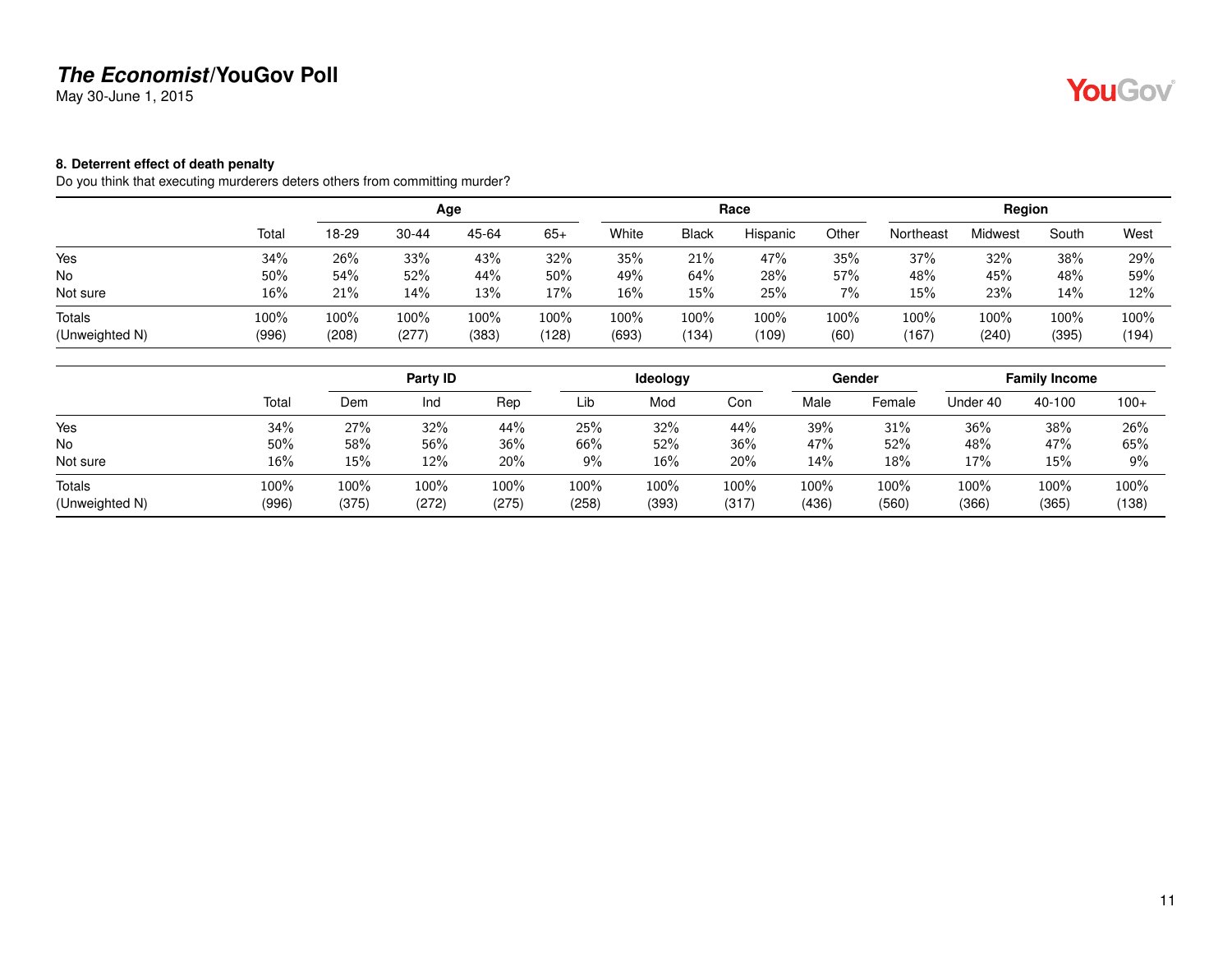May 30-June 1, 2015

#### <span id="page-10-0"></span>**8. Deterrent effect of death penalty**

Do you think that executing murderers deters others from committing murder?

|                |       |       |           | Age   |       |       |              | Race     |       |           | Region  |       |       |
|----------------|-------|-------|-----------|-------|-------|-------|--------------|----------|-------|-----------|---------|-------|-------|
|                | Total | 18-29 | $30 - 44$ | 45-64 | $65+$ | White | <b>Black</b> | Hispanic | Other | Northeast | Midwest | South | West  |
| Yes            | 34%   | 26%   | 33%       | 43%   | 32%   | 35%   | 21%          | 47%      | 35%   | 37%       | 32%     | 38%   | 29%   |
| No             | 50%   | 54%   | 52%       | 44%   | 50%   | 49%   | 64%          | 28%      | 57%   | 48%       | 45%     | 48%   | 59%   |
| Not sure       | 16%   | 21%   | 14%       | 13%   | 17%   | 16%   | 15%          | 25%      | 7%    | 15%       | 23%     | 14%   | 12%   |
| <b>Totals</b>  | 100%  | 100%  | 100%      | 100%  | 100%  | 100%  | 100%         | 100%     | 100%  | 100%      | 100%    | 100%  | 100%  |
| (Unweighted N) | (996) | (208) | (277)     | (383) | (128) | (693) | (134         | (109)    | (60)  | (167)     | (240)   | (395) | (194) |

|                          |               |               | Party ID      |               |               | Ideology      |               |               | Gender        |               | <b>Family Income</b> |               |
|--------------------------|---------------|---------------|---------------|---------------|---------------|---------------|---------------|---------------|---------------|---------------|----------------------|---------------|
|                          | Total         | Dem           | Ind           | Rep           | Lib           | Mod           | Con           | Male          | Female        | Under 40      | 40-100               | $100+$        |
| Yes                      | 34%           | 27%           | 32%           | 44%           | 25%           | 32%           | 44%           | 39%           | 31%           | 36%           | 38%                  | 26%           |
| No                       | 50%           | 58%           | 56%           | 36%           | 66%           | 52%           | 36%           | 47%           | 52%           | 48%           | 47%                  | 65%           |
| Not sure                 | 16%           | 15%           | 12%           | 20%           | 9%            | 16%           | 20%           | 14%           | 18%           | 17%           | 15%                  | 9%            |
| Totals<br>(Unweighted N) | 100%<br>(996) | 100%<br>(375) | 100%<br>(272) | 100%<br>(275) | 100%<br>(258) | 100%<br>(393) | 100%<br>(317) | 100%<br>(436) | 100%<br>(560) | 100%<br>(366) | 100%<br>(365)        | 100%<br>(138) |

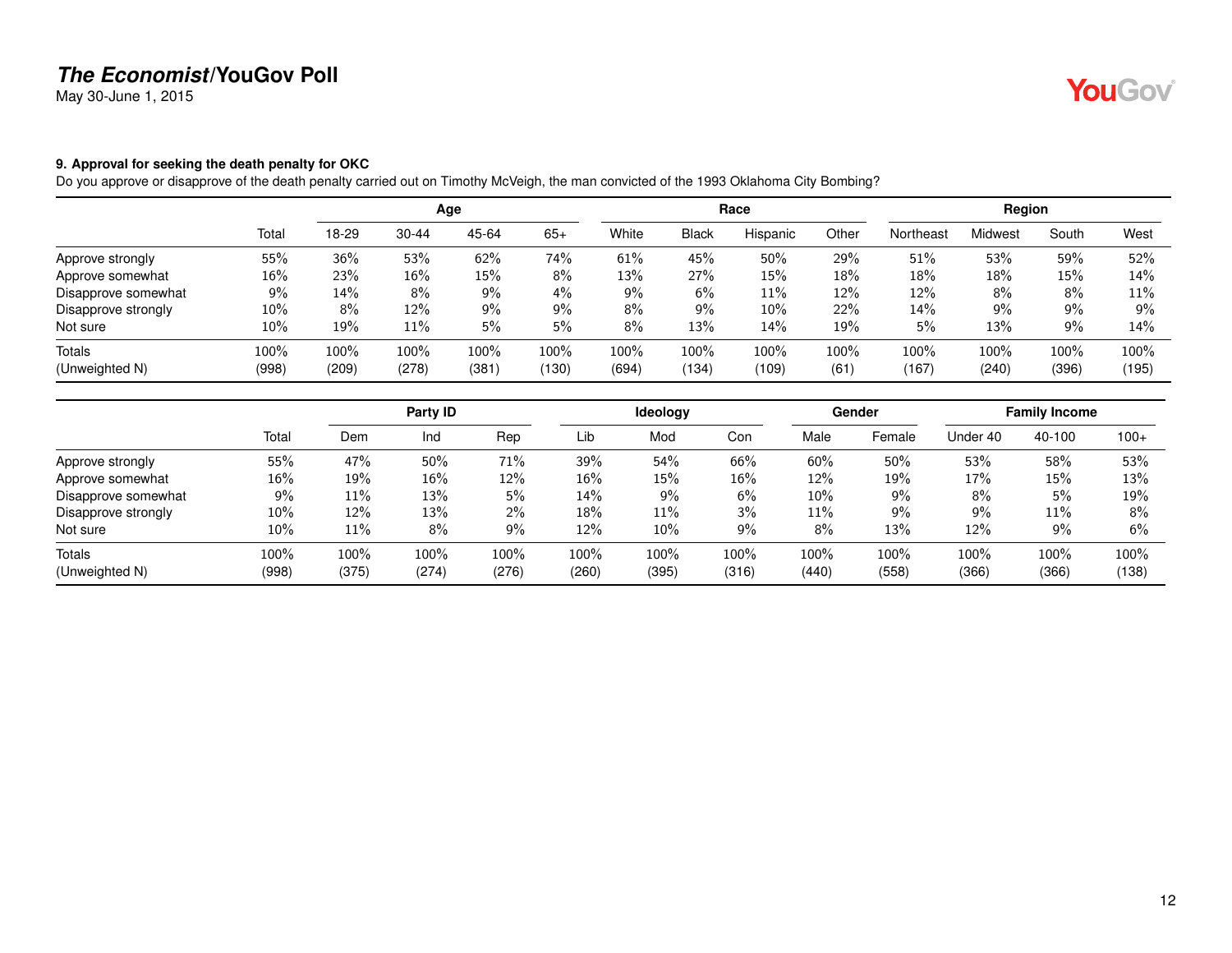May 30-June 1, 2015

#### <span id="page-11-0"></span>**9. Approval for seeking the death penalty for OKC**

Do you approve or disapprove of the death penalty carried out on Timothy McVeigh, the man convicted of the 1993 Oklahoma City Bombing?

|                     |       |       |           | Age   |       |       |              | Race     |       |           | Region  |       |       |
|---------------------|-------|-------|-----------|-------|-------|-------|--------------|----------|-------|-----------|---------|-------|-------|
|                     | Total | 18-29 | $30 - 44$ | 45-64 | $65+$ | White | <b>Black</b> | Hispanic | Other | Northeast | Midwest | South | West  |
| Approve strongly    | 55%   | 36%   | 53%       | 62%   | 74%   | 61%   | 45%          | 50%      | 29%   | 51%       | 53%     | 59%   | 52%   |
| Approve somewhat    | 16%   | 23%   | $16\%$    | 15%   | 8%    | 13%   | 27%          | 15%      | 18%   | 18%       | 18%     | 15%   | 14%   |
| Disapprove somewhat | 9%    | 14%   | 8%        | $9\%$ | 4%    | 9%    | 6%           | $11\%$   | 12%   | 12%       | 8%      | 8%    | 11%   |
| Disapprove strongly | 10%   | 8%    | 12%       | $9\%$ | 9%    | $8\%$ | 9%           | 10%      | 22%   | 14%       | 9%      | 9%    | 9%    |
| Not sure            | 10%   | 19%   | $11\%$    | 5%    | 5%    | $8\%$ | 13%          | 14%      | 19%   | 5%        | 13%     | 9%    | 14%   |
| Totals              | 100%  | 100%  | 100%      | 100%  | 100%  | 100%  | 100%         | 100%     | 100%  | 100%      | 100%    | 100%  | 100%  |
| (Unweighted N)      | (998) | (209) | (278)     | (381) | (130) | (694) | (134)        | (109)    | (61)  | (167)     | (240)   | (396) | (195) |

|                     |       |       | Party ID |       |        | <b>Ideology</b> |        |        | Gender |          | <b>Family Income</b> |        |
|---------------------|-------|-------|----------|-------|--------|-----------------|--------|--------|--------|----------|----------------------|--------|
|                     | Total | Dem   | Ind      | Rep   | Lib    | Mod             | Con    | Male   | Female | Under 40 | 40-100               | $100+$ |
| Approve strongly    | 55%   | 47%   | 50%      | 71%   | 39%    | 54%             | 66%    | 60%    | 50%    | 53%      | 58%                  | 53%    |
| Approve somewhat    | 16%   | 19%   | $16\%$   | 12%   | $16\%$ | 15%             | $16\%$ | 12%    | 19%    | 17%      | 15%                  | 13%    |
| Disapprove somewhat | 9%    | 11%   | 13%      | 5%    | 14%    | 9%              | 6%     | $10\%$ | 9%     | 8%       | 5%                   | 19%    |
| Disapprove strongly | 10%   | 12%   | 13%      | $2\%$ | 18%    | 11%             | 3%     | 11%    | 9%     | 9%       | 11%                  | 8%     |
| Not sure            | 10%   | 11%   | 8%       | $9\%$ | 12%    | 10%             | 9%     | 8%     | 13%    | 12%      | $9\%$                | 6%     |
| Totals              | 100%  | 100%  | 100%     | 100%  | 100%   | 100%            | 100%   | 100%   | 100%   | 100%     | 100%                 | 100%   |
| (Unweighted N)      | (998) | (375) | (274)    | (276) | (260)  | (395)           | (316)  | (440)  | (558)  | (366)    | (366)                | (138)  |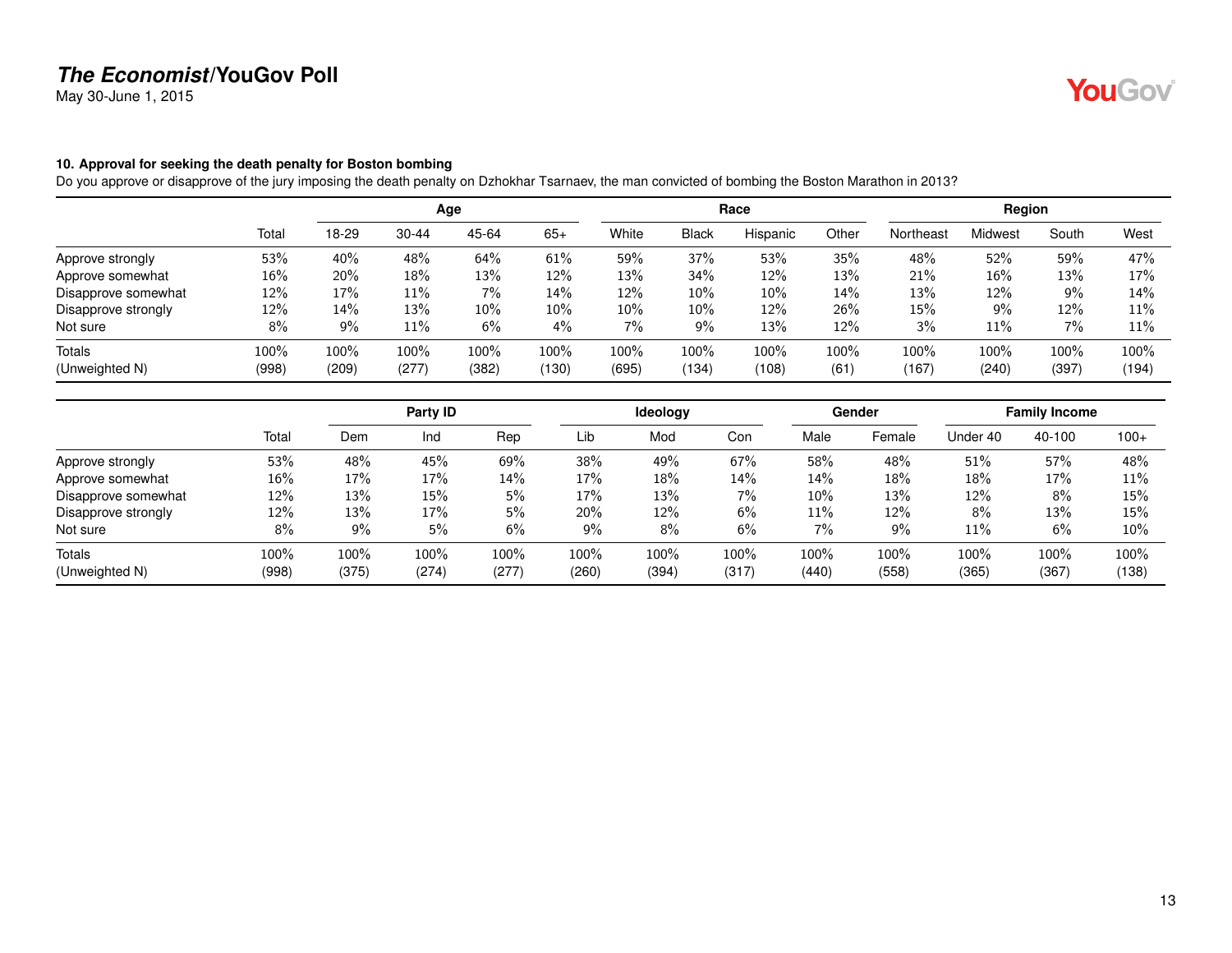May 30-June 1, 2015

#### <span id="page-12-0"></span>**10. Approval for seeking the death penalty for Boston bombing**

Do you approve or disapprove of the jury imposing the death penalty on Dzhokhar Tsarnaev, the man convicted of bombing the Boston Marathon in 2013?

|                     |       |       |           | Age   |       |       |              | Race     |       |           | Region  |       |       |
|---------------------|-------|-------|-----------|-------|-------|-------|--------------|----------|-------|-----------|---------|-------|-------|
|                     | Total | 18-29 | $30 - 44$ | 45-64 | $65+$ | White | <b>Black</b> | Hispanic | Other | Northeast | Midwest | South | West  |
| Approve strongly    | 53%   | 40%   | 48%       | 64%   | 61%   | 59%   | 37%          | 53%      | 35%   | 48%       | 52%     | 59%   | 47%   |
| Approve somewhat    | 16%   | 20%   | 18%       | 13%   | 12%   | 13%   | 34%          | 12%      | 13%   | 21%       | 16%     | 13%   | 17%   |
| Disapprove somewhat | 12%   | 17%   | $11\%$    | 7%    | 14%   | 12%   | 10%          | 10%      | 14%   | 13%       | 12%     | 9%    | 14%   |
| Disapprove strongly | 12%   | 14%   | 13%       | 10%   | 10%   | 10%   | $10\%$       | 12%      | 26%   | 15%       | 9%      | 12%   | 11%   |
| Not sure            | 8%    | 9%    | 11%       | 6%    | $4\%$ | $7\%$ | 9%           | 13%      | 12%   | 3%        | 11%     | 7%    | 11%   |
| <b>Totals</b>       | 100%  | 100%  | 100%      | 100%  | 100%  | 100%  | 100%         | 100%     | 100%  | 100%      | 100%    | 100%  | 100%  |
| (Unweighted N)      | (998) | (209) | (277)     | (382) | (130) | (695) | (134)        | (108)    | (61)  | (167)     | (240)   | (397) | (194) |

|                     |       |       | Party ID |       |       | Ideology |       |       | Gender |          | <b>Family Income</b> |        |
|---------------------|-------|-------|----------|-------|-------|----------|-------|-------|--------|----------|----------------------|--------|
|                     | Total | Dem   | Ind      | Rep   | Lib   | Mod      | Con   | Male  | Female | Under 40 | 40-100               | $100+$ |
| Approve strongly    | 53%   | 48%   | 45%      | 69%   | 38%   | 49%      | 67%   | 58%   | 48%    | 51%      | 57%                  | 48%    |
| Approve somewhat    | 16%   | 17%   | 17%      | 14%   | 17%   | 18%      | 14%   | 14%   | 18%    | 18%      | 17%                  | 11%    |
| Disapprove somewhat | 12%   | 13%   | 15%      | 5%    | 17%   | 13%      | 7%    | 10%   | 13%    | 12%      | 8%                   | 15%    |
| Disapprove strongly | 12%   | 13%   | 17%      | 5%    | 20%   | 12%      | 6%    | 11%   | 12%    | 8%       | 13%                  | 15%    |
| Not sure            | 8%    | 9%    | 5%       | 6%    | 9%    | 8%       | 6%    | 7%    | 9%     | 11%      | 6%                   | 10%    |
| <b>Totals</b>       | 100%  | 100%  | 100%     | 100%  | 100%  | 100%     | 100%  | 100%  | 100%   | 100%     | 100%                 | 100%   |
| (Unweighted N)      | (998) | (375) | (274)    | (277) | (260) | (394)    | (317) | (440) | (558)  | (365)    | (367)                | (138)  |

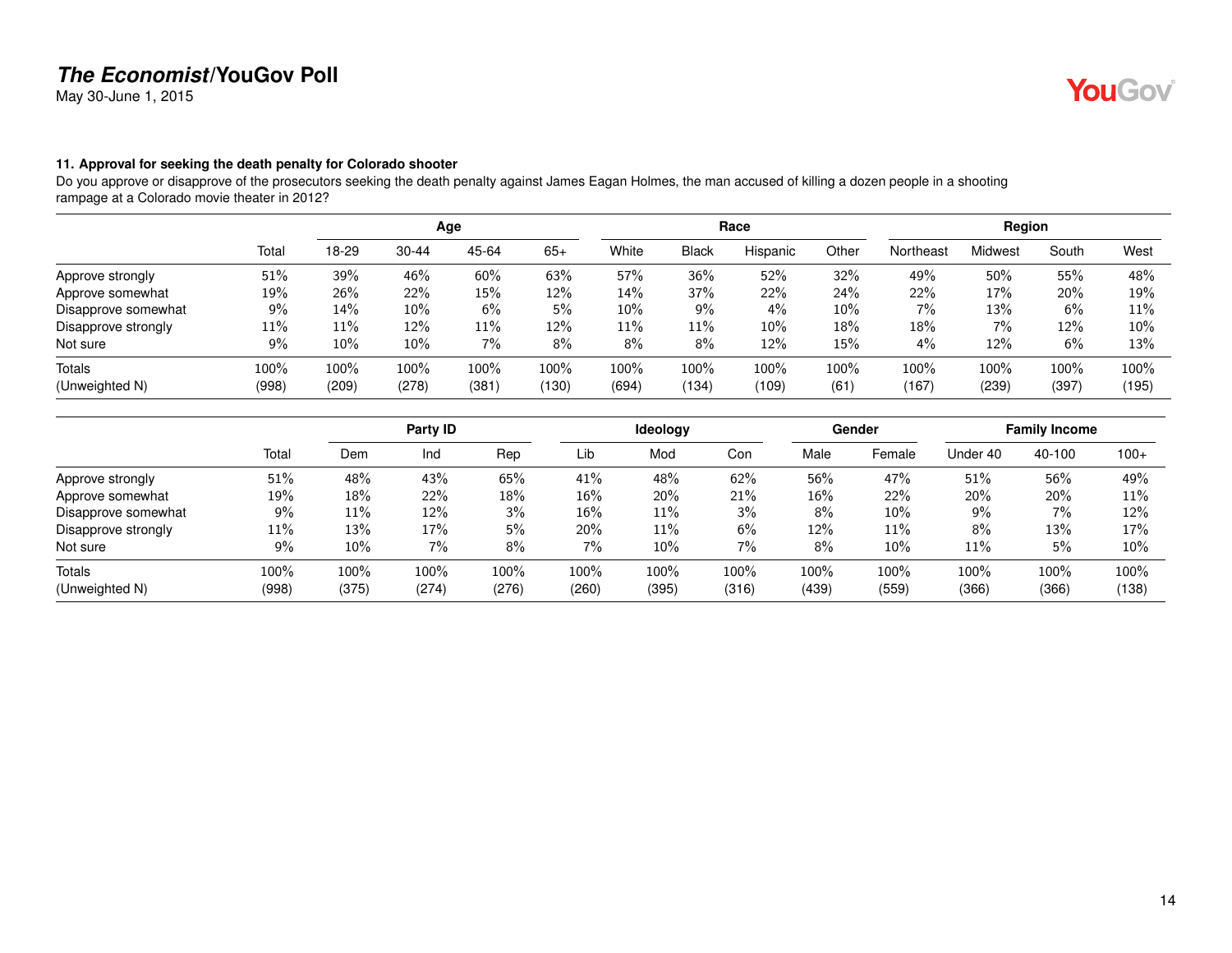May 30-June 1, 2015

#### <span id="page-13-0"></span>**11. Approval for seeking the death penalty for Colorado shooter**

Do you approve or disapprove of the prosecutors seeking the death penalty against James Eagan Holmes, the man accused of killing a dozen people in a shooting rampage at a Colorado movie theater in 2012?

|                     |       |        |           | Age   |       |       |       | Race     |       |           | Region  |       |       |
|---------------------|-------|--------|-----------|-------|-------|-------|-------|----------|-------|-----------|---------|-------|-------|
|                     | Total | 18-29  | $30 - 44$ | 45-64 | $65+$ | White | Black | Hispanic | Other | Northeast | Midwest | South | West  |
| Approve strongly    | 51%   | 39%    | 46%       | 60%   | 63%   | 57%   | 36%   | 52%      | 32%   | 49%       | 50%     | 55%   | 48%   |
| Approve somewhat    | 19%   | 26%    | 22%       | 15%   | 12%   | 14%   | 37%   | 22%      | 24%   | 22%       | 17%     | 20%   | 19%   |
| Disapprove somewhat | 9%    | 14%    | $10\%$    | 6%    | 5%    | 10%   | 9%    | $4\%$    | 10%   | 7%        | 13%     | 6%    | 11%   |
| Disapprove strongly | 11%   | 11%    | 12%       | 11%   | 12%   | 11%   | 11%   | 10%      | 18%   | 18%       | 7%      | 12%   | 10%   |
| Not sure            | 9%    | $10\%$ | $10\%$    | 7%    | 8%    | 8%    | 8%    | 12%      | 15%   | 4%        | 12%     | 6%    | 13%   |
| Totals              | 100%  | 100%   | 100%      | 100%  | 100%  | 100%  | 100%  | 100%     | 100%  | 100%      | 100%    | 100%  | 100%  |
| (Unweighted N)      | (998) | (209)  | (278)     | (381) | (130) | (694) | (134) | (109)    | (61)  | (167)     | (239)   | (397) | (195) |

|                     |       |       | Party ID |       |       | Ideology |       |       | Gender |          | <b>Family Income</b> |        |
|---------------------|-------|-------|----------|-------|-------|----------|-------|-------|--------|----------|----------------------|--------|
|                     | Total | Dem   | Ind      | Rep   | Lib   | Mod      | Con   | Male  | Female | Under 40 | 40-100               | $100+$ |
| Approve strongly    | 51%   | 48%   | 43%      | 65%   | 41%   | 48%      | 62%   | 56%   | 47%    | 51%      | 56%                  | 49%    |
| Approve somewhat    | 19%   | 18%   | 22%      | 18%   | 16%   | 20%      | 21%   | 16%   | 22%    | 20%      | 20%                  | 11%    |
| Disapprove somewhat | 9%    | 11%   | 12%      | $3\%$ | 16%   | 11%      | 3%    | 8%    | 10%    | 9%       | 7%                   | 12%    |
| Disapprove strongly | 11%   | 13%   | 17%      | 5%    | 20%   | 11%      | 6%    | 12%   | 11%    | 8%       | 13%                  | 17%    |
| Not sure            | 9%    | 10%   | 7%       | 8%    | 7%    | 10%      | 7%    | 8%    | 10%    | 11%      | 5%                   | 10%    |
| <b>Totals</b>       | 100%  | 100%  | $100\%$  | 100%  | 100%  | 100%     | 100%  | 100%  | 100%   | 100%     | $100\%$              | 100%   |
| (Unweighted N)      | (998) | (375) | (274)    | (276) | (260) | (395)    | (316) | (439) | (559)  | (366)    | (366)                | (138)  |

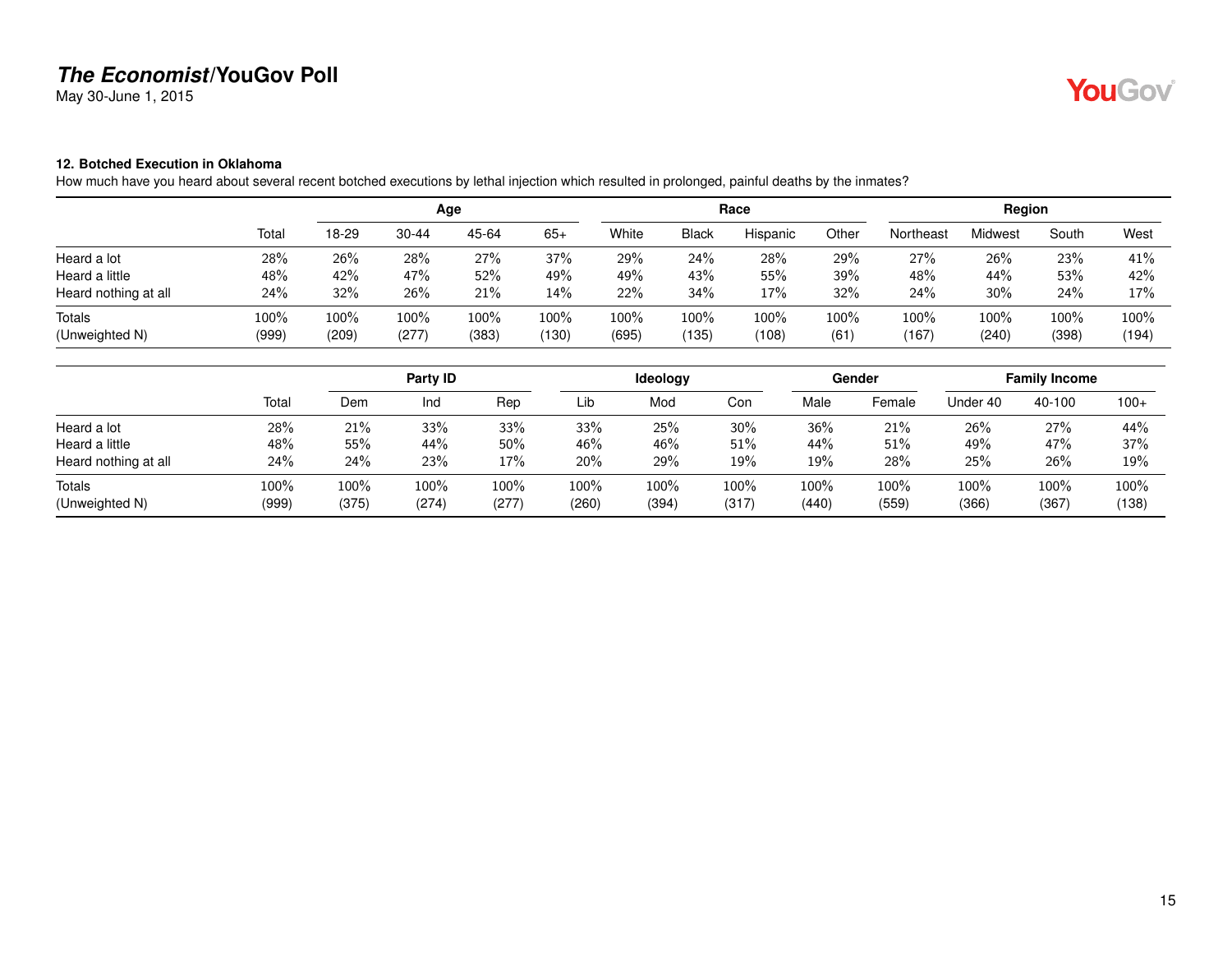May 30-June 1, 2015

# YouGov®

#### <span id="page-14-0"></span>**12. Botched Execution in Oklahoma**

How much have you heard about several recent botched executions by lethal injection which resulted in prolonged, painful deaths by the inmates?

|                                 |               |               |               | Age           |               |               |               | Race          |              |               | Region        |               |               |
|---------------------------------|---------------|---------------|---------------|---------------|---------------|---------------|---------------|---------------|--------------|---------------|---------------|---------------|---------------|
|                                 | Total         | 18-29         | $30 - 44$     | 45-64         | $65+$         | White         | <b>Black</b>  | Hispanic      | Other        | Northeast     | Midwest       | South         | West          |
| Heard a lot                     | 28%           | 26%           | 28%           | 27%           | 37%           | 29%           | 24%           | 28%           | 29%          | 27%           | 26%           | 23%           | 41%           |
| Heard a little                  | 48%           | 42%           | 47%           | 52%           | 49%           | 49%           | 43%           | 55%           | 39%          | 48%           | 44%           | 53%           | 42%           |
| Heard nothing at all            | 24%           | 32%           | 26%           | 21%           | 14%           | 22%           | 34%           | 17%           | 32%          | 24%           | 30%           | 24%           | 17%           |
| <b>Totals</b><br>(Unweighted N) | 100%<br>(999) | 100%<br>(209) | 100%<br>(277) | 100%<br>(383) | 100%<br>(130) | 100%<br>(695) | 100%<br>(135) | 100%<br>(108) | 100%<br>(61) | 100%<br>(167) | 100%<br>(240) | 100%<br>(398) | 100%<br>(194) |

|                                 |               |               | Party ID      |                  |                  | <b>Ideology</b> |                  |               | Gender        |               | <b>Family Income</b> |               |
|---------------------------------|---------------|---------------|---------------|------------------|------------------|-----------------|------------------|---------------|---------------|---------------|----------------------|---------------|
|                                 | Total         | Dem           | Ind           | Rep              | Lib              | Mod             | Con              | Male          | Female        | Under 40      | 40-100               | $100+$        |
| Heard a lot                     | 28%           | 21%           | 33%           | 33%              | 33%              | 25%             | 30%              | 36%           | 21%           | 26%           | 27%                  | 44%           |
| Heard a little                  | 48%           | 55%           | 44%           | 50%              | 46%              | 46%             | $51\%$           | 44%           | 51%           | 49%           | 47%                  | 37%           |
| Heard nothing at all            | 24%           | 24%           | 23%           | 17%              | 20%              | 29%             | 19%              | 19%           | 28%           | 25%           | 26%                  | 19%           |
| <b>Totals</b><br>(Unweighted N) | 100%<br>(999) | 100%<br>(375) | 100%<br>(274) | $100\%$<br>(277) | $100\%$<br>(260) | 100%<br>(394)   | $100\%$<br>(317) | 100%<br>(440) | 100%<br>(559) | 100%<br>(366) | 100%<br>(367)        | 100%<br>(138) |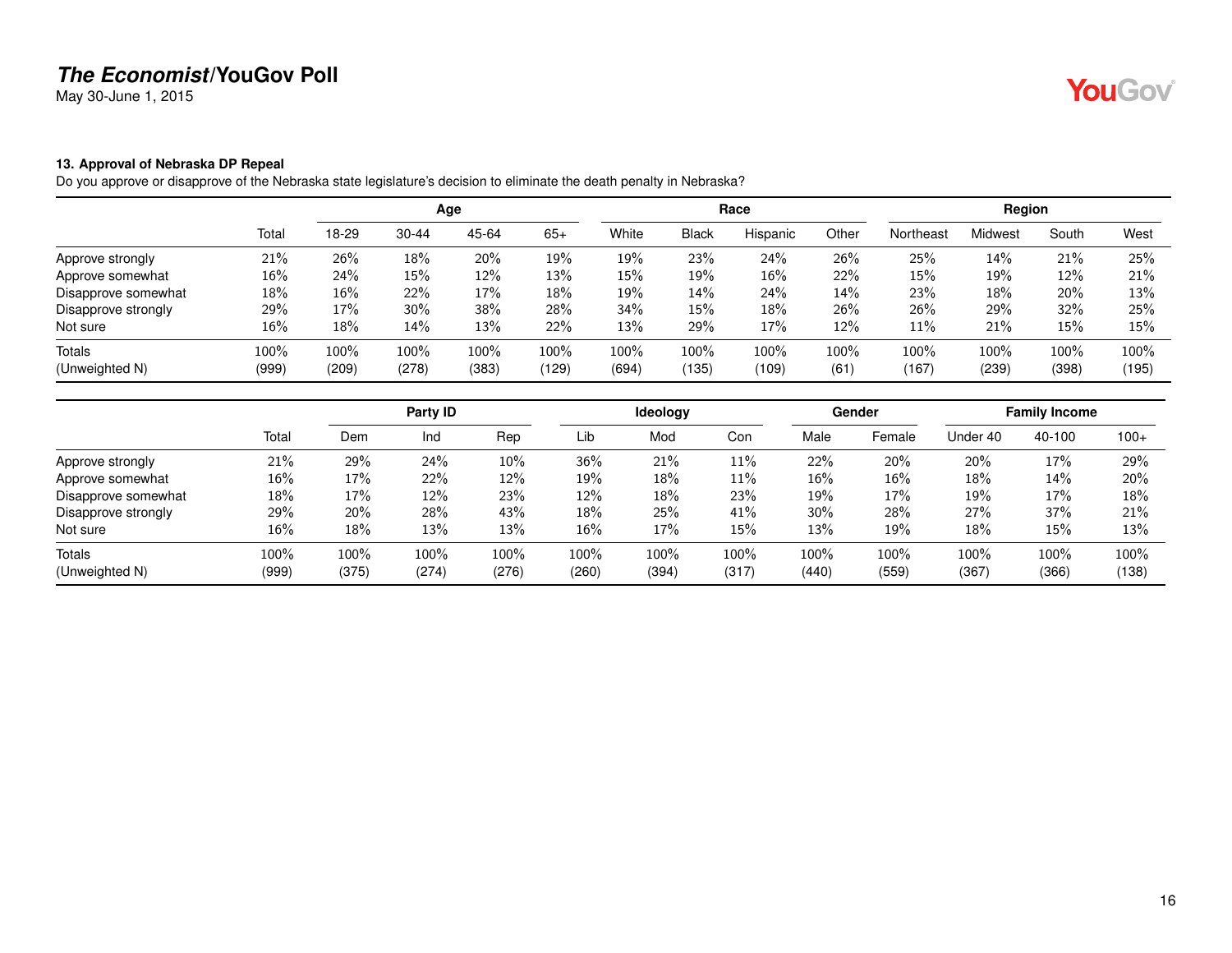May 30-June 1, 2015

#### <span id="page-15-0"></span>**13. Approval of Nebraska DP Repeal**

Do you approve or disapprove of the Nebraska state legislature's decision to eliminate the death penalty in Nebraska?

|                     |       |       |           | Age   |       |       |              | Race     |       |           | Region  |       |       |
|---------------------|-------|-------|-----------|-------|-------|-------|--------------|----------|-------|-----------|---------|-------|-------|
|                     | Total | 18-29 | $30 - 44$ | 45-64 | $65+$ | White | <b>Black</b> | Hispanic | Other | Northeast | Midwest | South | West  |
| Approve strongly    | 21%   | 26%   | 18%       | 20%   | 19%   | 19%   | 23%          | 24%      | 26%   | 25%       | 14%     | 21%   | 25%   |
| Approve somewhat    | 16%   | 24%   | 15%       | 12%   | 13%   | 15%   | 19%          | 16%      | 22%   | 15%       | 19%     | 12%   | 21%   |
| Disapprove somewhat | 18%   | 16%   | 22%       | 17%   | 18%   | 19%   | 14%          | 24%      | 14%   | 23%       | 18%     | 20%   | 13%   |
| Disapprove strongly | 29%   | 17%   | 30%       | 38%   | 28%   | 34%   | 15%          | 18%      | 26%   | 26%       | 29%     | 32%   | 25%   |
| Not sure            | 16%   | 18%   | 14%       | 13%   | 22%   | 13%   | 29%          | 17%      | 12%   | 11%       | 21%     | 15%   | 15%   |
| Totals              | 100%  | 100%  | 100%      | 100%  | 100%  | 100%  | 100%         | 100%     | 100%  | 100%      | 100%    | 100%  | 100%  |
| (Unweighted N)      | (999) | (209) | (278)     | (383) | (129) | (694) | (135)        | (109)    | (61)  | (167)     | (239)   | (398) | (195) |

|                     |        |       | Party ID |       |        | <b>Ideology</b> |       |        | Gender |          | <b>Family Income</b> |        |
|---------------------|--------|-------|----------|-------|--------|-----------------|-------|--------|--------|----------|----------------------|--------|
|                     | Total  | Dem   | Ind      | Rep   | Lib    | Mod             | Con   | Male   | Female | Under 40 | 40-100               | $100+$ |
| Approve strongly    | 21%    | 29%   | 24%      | 10%   | 36%    | 21%             | 11%   | 22%    | 20%    | 20%      | 17%                  | 29%    |
| Approve somewhat    | $16\%$ | 17%   | 22%      | 12%   | 19%    | 18%             | 11%   | $16\%$ | 16%    | 18%      | 14%                  | 20%    |
| Disapprove somewhat | 18%    | 17%   | 12%      | 23%   | 12%    | 18%             | 23%   | 19%    | 17%    | 19%      | 17%                  | 18%    |
| Disapprove strongly | 29%    | 20%   | 28%      | 43%   | 18%    | 25%             | 41%   | 30%    | 28%    | 27%      | 37%                  | 21%    |
| Not sure            | 16%    | 18%   | 13%      | 13%   | $16\%$ | 17%             | 15%   | 13%    | 19%    | 18%      | 15%                  | 13%    |
| Totals              | 100%   | 100%  | 100%     | 100%  | 100%   | 100%            | 100%  | 100%   | 100%   | 100%     | 100%                 | 100%   |
| (Unweighted N)      | (999)  | (375) | (274)    | (276) | (260)  | (394)           | (317) | (440)  | (559)  | (367)    | (366)                | (138)  |

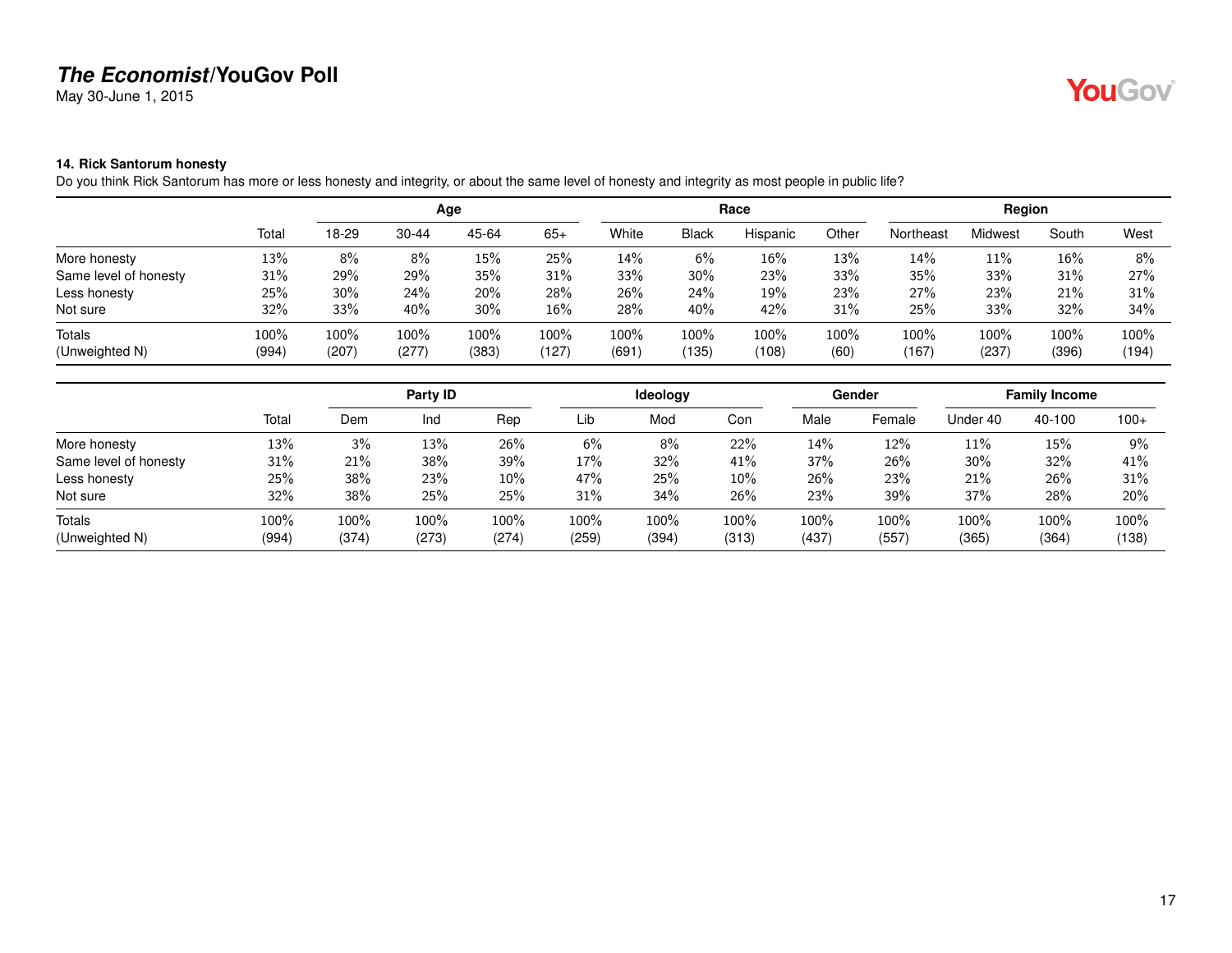May 30-June 1, 2015

# YouGov®

#### <span id="page-16-0"></span>**14. Rick Santorum honesty**

Do you think Rick Santorum has more or less honesty and integrity, or about the same level of honesty and integrity as most people in public life?

|                          |               |               |               | Age           |               |               |                                     | Race          |              |               | Region        |               |               |
|--------------------------|---------------|---------------|---------------|---------------|---------------|---------------|-------------------------------------|---------------|--------------|---------------|---------------|---------------|---------------|
|                          | Total         | 18-29         | $30 - 44$     | 45-64         | $65+$         | White         | <b>Black</b>                        | Hispanic      | Other        | Northeast     | Midwest       | South         | West          |
| More honesty             | 13%           | 8%            | 8%            | 15%           | 25%           | 14%           | $6\%$                               | 16%           | 13%          | 14%           | $11\%$        | 16%           | 8%            |
| Same level of honesty    | 31%           | 29%           | 29%           | 35%           | 31%           | 33%           | 30%                                 | 23%           | 33%          | 35%           | 33%           | 31%           | 27%           |
| Less honesty             | 25%           | 30%           | 24%           | 20%           | 28%           | 26%           | 24%                                 | 19%           | 23%          | 27%           | 23%           | 21%           | 31%           |
| Not sure                 | 32%           | 33%           | 40%           | 30%           | 16%           | 28%           | 40%                                 | 42%           | 31%          | 25%           | 33%           | 32%           | 34%           |
| Totals<br>(Unweighted N) | 100%<br>(994) | 100%<br>(207) | 100%<br>(277) | 100%<br>(383) | 100%<br>(127) | 100%<br>(691) | 100%<br>$^{\prime}$ 135 $^{\prime}$ | 100%<br>(108) | 100%<br>(60) | 100%<br>(167) | 100%<br>(237) | 100%<br>(396) | 100%<br>(194) |

|                       |       |       | Party <b>ID</b> |       |       | <b>Ideology</b> |        |       | Gender |          | <b>Family Income</b> |        |
|-----------------------|-------|-------|-----------------|-------|-------|-----------------|--------|-------|--------|----------|----------------------|--------|
|                       | Total | Dem   | Ind             | Rep   | Lib   | Mod             | Con    | Male  | Female | Under 40 | 40-100               | $100+$ |
| More honesty          | 13%   | 3%    | 13%             | 26%   | 6%    | 8%              | 22%    | 14%   | 12%    | 11%      | 15%                  | 9%     |
| Same level of honesty | 31%   | 21%   | 38%             | 39%   | 17%   | 32%             | 41%    | 37%   | 26%    | 30%      | 32%                  | 41%    |
| Less honesty          | 25%   | 38%   | 23%             | 10%   | 47%   | 25%             | $10\%$ | 26%   | 23%    | 21%      | 26%                  | 31%    |
| Not sure              | 32%   | 38%   | 25%             | 25%   | 31%   | 34%             | 26%    | 23%   | 39%    | 37%      | 28%                  | 20%    |
| Totals                | 100%  | 100%  | 100%            | 100%  | 100%  | 100%            | 100%   | 100%  | 100%   | 100%     | 100%                 | 100%   |
| (Unweighted N)        | (994) | (374) | (273)           | (274) | (259) | (394)           | (313)  | (437) | (557)  | (365)    | (364)                | (138)  |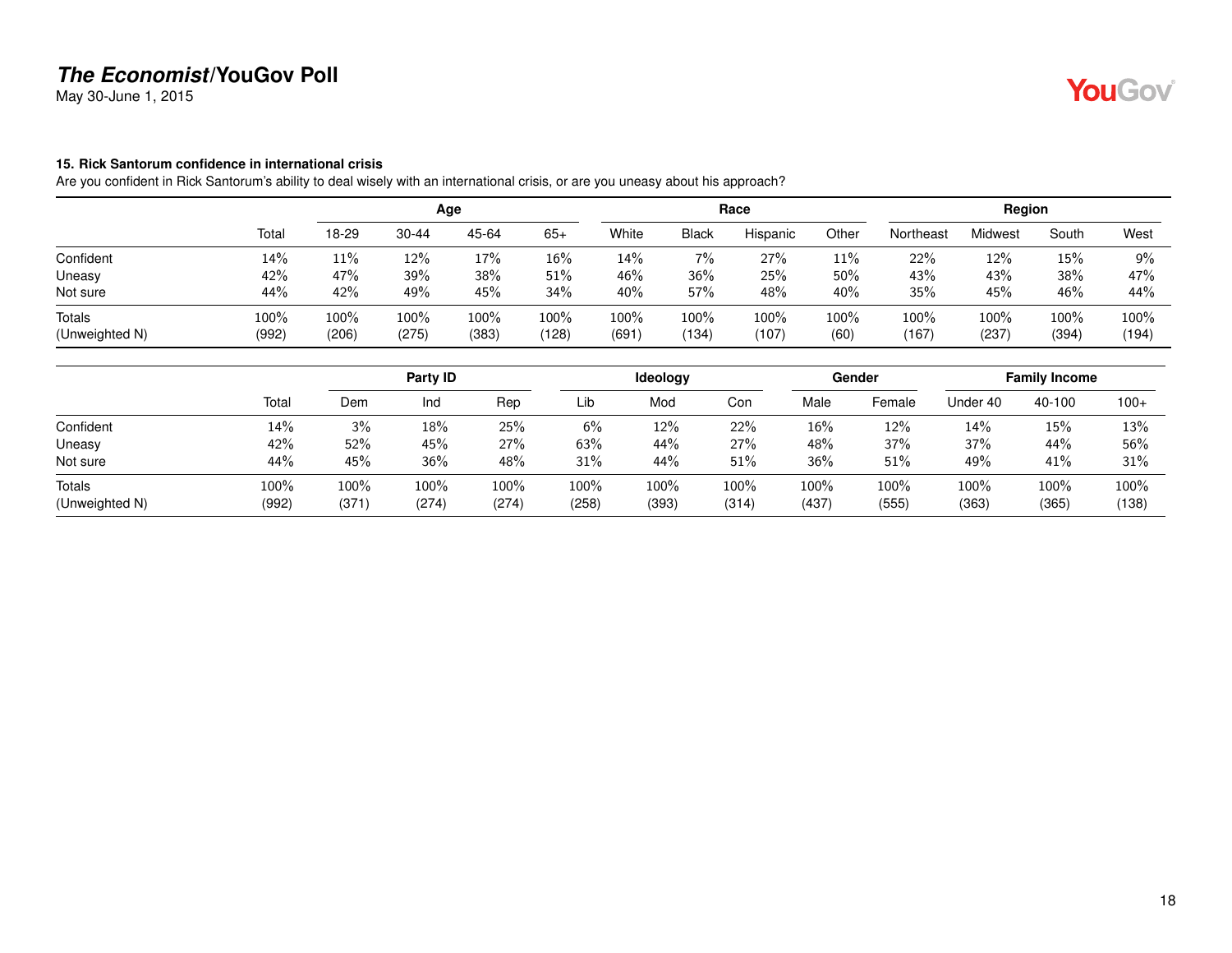May 30-June 1, 2015

#### <span id="page-17-0"></span>**15. Rick Santorum confidence in international crisis**

Are you confident in Rick Santorum's ability to deal wisely with an international crisis, or are you uneasy about his approach?

|                          |               |               |               | Age           |               |              |               | Race          |              |               | Region        |               |               |
|--------------------------|---------------|---------------|---------------|---------------|---------------|--------------|---------------|---------------|--------------|---------------|---------------|---------------|---------------|
|                          | Total         | 18-29         | $30 - 44$     | 45-64         | $65+$         | White        | <b>Black</b>  | Hispanic      | Other        | Northeast     | Midwest       | South         | West          |
| Confident                | 14%           | 11%           | 12%           | 17%           | 16%           | 14%          | 7%            | 27%           | $11\%$       | 22%           | 12%           | 15%           | 9%            |
| Uneasy                   | 42%           | 47%           | 39%           | 38%           | 51%           | 46%          | 36%           | 25%           | $50\%$       | 43%           | 43%           | 38%           | 47%           |
| Not sure                 | 44%           | 42%           | 49%           | 45%           | 34%           | 40%          | 57%           | 48%           | 40%          | 35%           | 45%           | 46%           | 44%           |
| Totals<br>(Unweighted N) | 100%<br>(992) | 100%<br>(206) | 100%<br>(275) | 100%<br>(383) | 100%<br>(128) | 100%<br>(691 | 100%<br>(134) | 100%<br>(107) | 100%<br>(60) | 100%<br>(167) | 100%<br>(237) | 100%<br>(394) | 100%<br>(194) |

|                |       |      | Party ID |       |       | Ideology |       |       | Gender |          | <b>Family Income</b> |        |
|----------------|-------|------|----------|-------|-------|----------|-------|-------|--------|----------|----------------------|--------|
|                | Total | Dem  | Ind      | Rep   | Lib   | Mod      | Con   | Male  | Female | Under 40 | 40-100               | $100+$ |
| Confident      | 14%   | 3%   | 18%      | 25%   | 6%    | 12%      | 22%   | 16%   | 12%    | 14%      | 15%                  | 13%    |
| Uneasy         | 42%   | 52%  | 45%      | 27%   | 63%   | 44%      | 27%   | 48%   | 37%    | 37%      | 44%                  | 56%    |
| Not sure       | 44%   | 45%  | 36%      | 48%   | 31%   | 44%      | 51%   | 36%   | 51%    | 49%      | 41%                  | 31%    |
| <b>Totals</b>  | 100%  | 100% | 100%     | 100%  | 100%  | $100\%$  | 100%  | 100%  | 100%   | 100%     | 100%                 | 100%   |
| (Unweighted N) | (992) | (371 | (274)    | (274) | (258) | (393)    | (314) | (437) | (555)  | (363)    | (365)                | (138)  |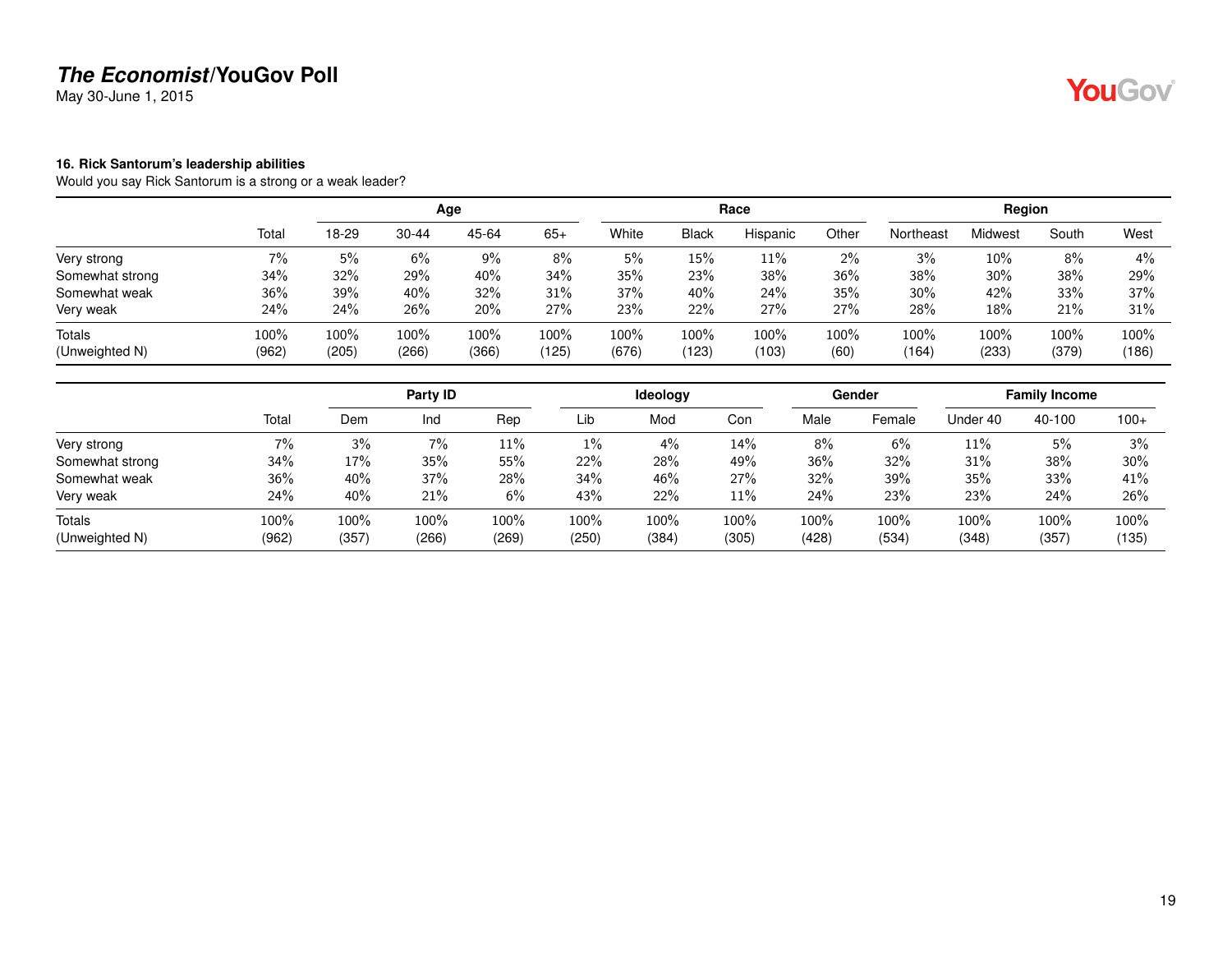May 30-June 1, 2015

#### <span id="page-18-0"></span>**16. Rick Santorum's leadership abilities**

Would you say Rick Santorum is a strong or a weak leader?

|                          |               |               |               | Age           |               |               |               | Race          |              |               | Region        |               |               |
|--------------------------|---------------|---------------|---------------|---------------|---------------|---------------|---------------|---------------|--------------|---------------|---------------|---------------|---------------|
|                          | Total         | 18-29         | $30 - 44$     | 45-64         | $65+$         | White         | <b>Black</b>  | Hispanic      | Other        | Northeast     | Midwest       | South         | West          |
| Very strong              | $7\%$         | 5%            | 6%            | 9%            | 8%            | 5%            | 15%           | 11%           | 2%           | 3%            | 10%           | 8%            | 4%            |
| Somewhat strong          | 34%           | 32%           | 29%           | 40%           | 34%           | 35%           | 23%           | 38%           | 36%          | 38%           | 30%           | 38%           | 29%           |
| Somewhat weak            | 36%           | 39%           | 40%           | 32%           | 31%           | 37%           | 40%           | 24%           | 35%          | 30%           | 42%           | 33%           | 37%           |
| Very weak                | 24%           | 24%           | 26%           | 20%           | 27%           | 23%           | 22%           | 27%           | 27%          | 28%           | 18%           | 21%           | 31%           |
| Totals<br>(Unweighted N) | 100%<br>(962) | 100%<br>(205) | 100%<br>(266) | 100%<br>(366) | 100%<br>(125) | 100%<br>(676) | 100%<br>(123) | 100%<br>(103) | 100%<br>(60) | 100%<br>(164) | 100%<br>(233) | 100%<br>(379) | 100%<br>(186) |

|                 |       |      | Party ID |       |       | Ideology |       |       | Gender |          | <b>Family Income</b> |        |
|-----------------|-------|------|----------|-------|-------|----------|-------|-------|--------|----------|----------------------|--------|
|                 | Total | Dem  | Ind      | Rep   | Lib   | Mod      | Con   | Male  | Female | Under 40 | 40-100               | $100+$ |
| Very strong     | 7%    | 3%   | 7%       | 11%   | 1%    | 4%       | 14%   | 8%    | 6%     | 11%      | 5%                   | 3%     |
| Somewhat strong | 34%   | 17%  | 35%      | 55%   | 22%   | 28%      | 49%   | 36%   | 32%    | 31%      | 38%                  | 30%    |
| Somewhat weak   | 36%   | 40%  | 37%      | 28%   | 34%   | 46%      | 27%   | 32%   | 39%    | 35%      | 33%                  | 41%    |
| Very weak       | 24%   | 40%  | 21%      | 6%    | 43%   | 22%      | 11%   | 24%   | 23%    | 23%      | 24%                  | 26%    |
| <b>Totals</b>   | 100%  | 100% | 100%     | 100%  | 100%  | 100%     | 100%  | 100%  | 100%   | 100%     | 100%                 | 100%   |
| (Unweighted N)  | (962) | (357 | (266)    | (269) | (250) | (384)    | (305) | (428) | (534)  | (348)    | (357)                | (135)  |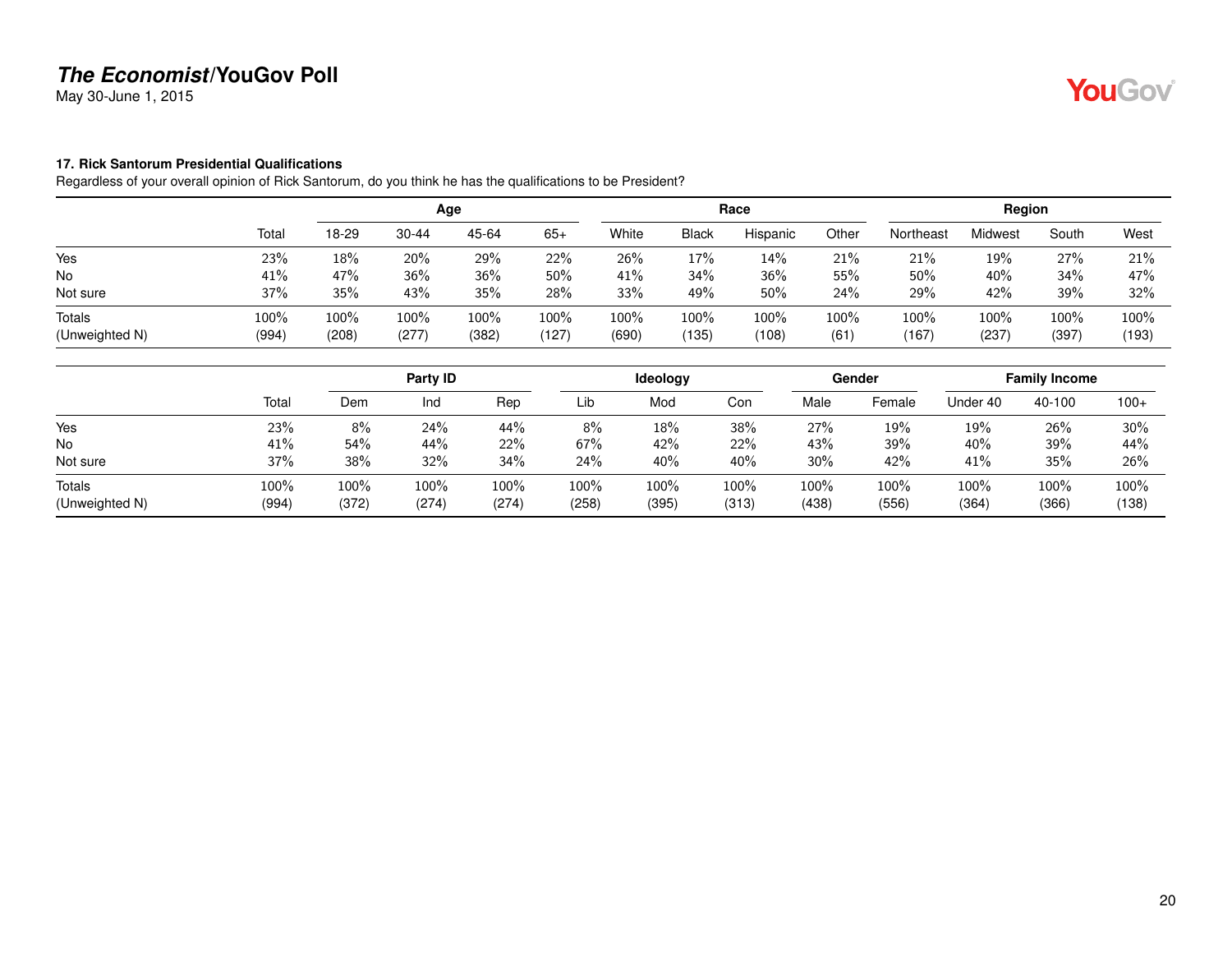May 30-June 1, 2015

#### <span id="page-19-0"></span>**17. Rick Santorum Presidential Qualifications**

Regardless of your overall opinion of Rick Santorum, do you think he has the qualifications to be President?

|                |       |       |       | Age   |       |       |              | Race     |       |           | Region  |       |       |
|----------------|-------|-------|-------|-------|-------|-------|--------------|----------|-------|-----------|---------|-------|-------|
|                | Total | 18-29 | 30-44 | 45-64 | $65+$ | White | <b>Black</b> | Hispanic | Other | Northeast | Midwest | South | West  |
| Yes            | 23%   | 18%   | 20%   | 29%   | 22%   | 26%   | 17%          | 14%      | 21%   | 21%       | 19%     | 27%   | 21%   |
| <b>No</b>      | 41%   | 47%   | 36%   | 36%   | 50%   | 41%   | 34%          | 36%      | 55%   | 50%       | 40%     | 34%   | 47%   |
| Not sure       | 37%   | 35%   | 43%   | 35%   | 28%   | 33%   | 49%          | 50%      | 24%   | 29%       | 42%     | 39%   | 32%   |
| Totals         | 100%  | 100%  | 100%  | 100%  | 100%  | 100%  | 100%         | 100%     | 100%  | 100%      | 100%    | 100%  | 100%  |
| (Unweighted N) | (994) | (208) | (277) | (382) | (127) | (690) | 135)         | (108)    | (61)  | (167)     | (237)   | (397) | (193) |

|                          |               |               | Party ID      |               |               | Ideology      |               |               | Gender        |               | <b>Family Income</b> |               |
|--------------------------|---------------|---------------|---------------|---------------|---------------|---------------|---------------|---------------|---------------|---------------|----------------------|---------------|
|                          | Total         | Dem           | Ind           | Rep           | Lib           | Mod           | Con           | Male          | Female        | Under 40      | 40-100               | $100+$        |
| Yes                      | 23%           | 8%            | 24%           | 44%           | 8%            | 18%           | 38%           | 27%           | 19%           | 19%           | 26%                  | 30%           |
| <b>No</b>                | 41%           | 54%           | 44%           | 22%           | 67%           | 42%           | 22%           | 43%           | 39%           | 40%           | 39%                  | 44%           |
| Not sure                 | 37%           | 38%           | 32%           | 34%           | 24%           | 40%           | 40%           | 30%           | 42%           | 41%           | 35%                  | 26%           |
| Totals<br>(Unweighted N) | 100%<br>(994) | 100%<br>(372) | 100%<br>(274) | 100%<br>(274) | 100%<br>(258) | 100%<br>(395) | 100%<br>(313) | 100%<br>(438) | 100%<br>(556) | 100%<br>(364) | 100%<br>(366)        | 100%<br>(138) |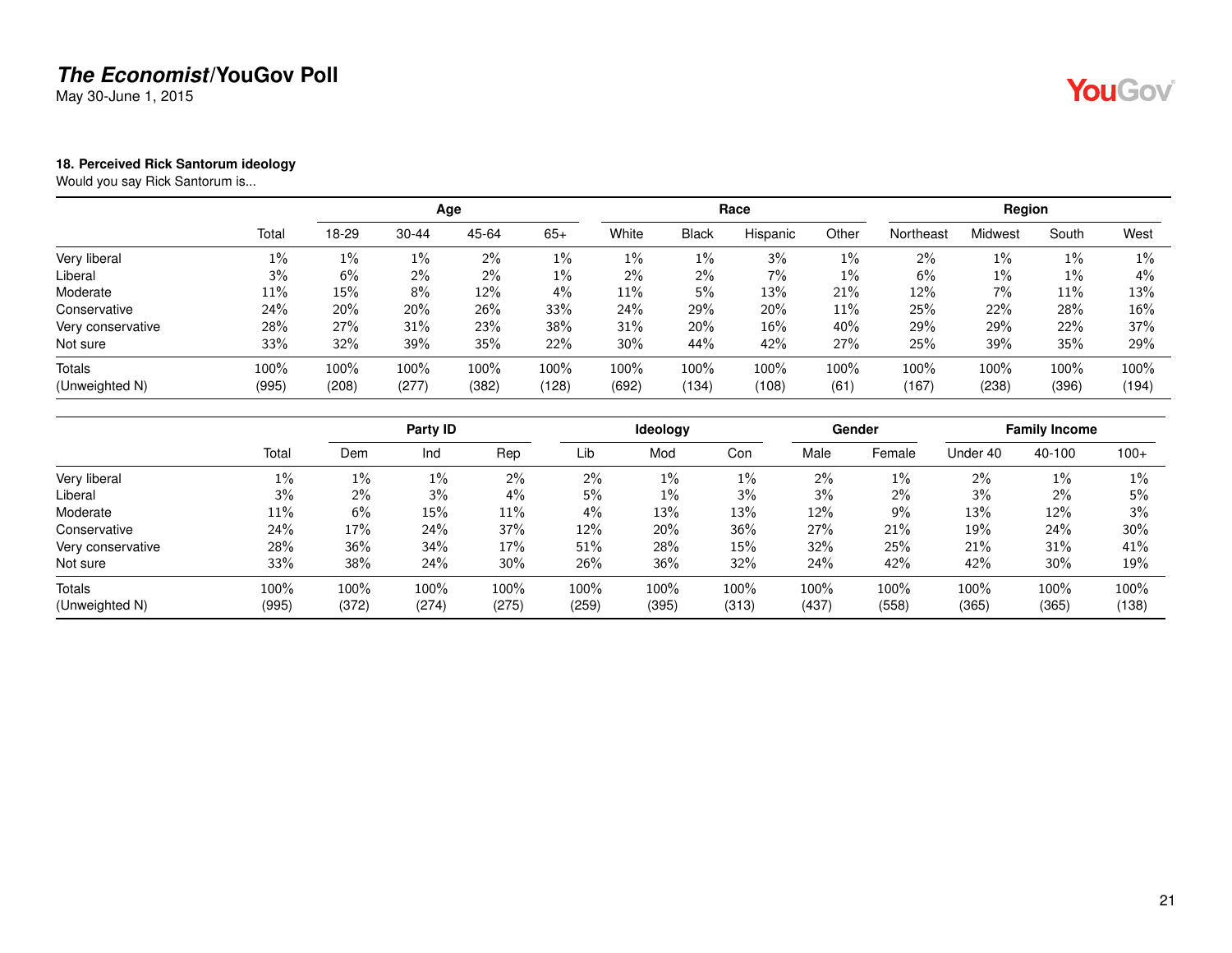May 30-June 1, 2015

#### <span id="page-20-0"></span>**18. Perceived Rick Santorum ideology**

Would you say Rick Santorum is...

|                   |       |       |           | Age   |       |       |              | Race     |       |           | Region  |       |       |
|-------------------|-------|-------|-----------|-------|-------|-------|--------------|----------|-------|-----------|---------|-------|-------|
|                   | Total | 18-29 | $30 - 44$ | 45-64 | $65+$ | White | <b>Black</b> | Hispanic | Other | Northeast | Midwest | South | West  |
| Very liberal      | $1\%$ | $1\%$ | $1\%$     | 2%    | $1\%$ | 1%    | 1%           | 3%       | 1%    | 2%        | 1%      | 1%    | $1\%$ |
| Liberal           | 3%    | 6%    | $2\%$     | $2\%$ | 1%    | 2%    | 2%           | 7%       | 1%    | 6%        | 1%      | 1%    | 4%    |
| Moderate          | 11%   | 15%   | 8%        | 12%   | 4%    | 11%   | 5%           | 13%      | 21%   | 12%       | 7%      | 11%   | 13%   |
| Conservative      | 24%   | 20%   | 20%       | 26%   | 33%   | 24%   | 29%          | 20%      | 11%   | 25%       | 22%     | 28%   | 16%   |
| Very conservative | 28%   | 27%   | 31%       | 23%   | 38%   | 31%   | 20%          | 16%      | 40%   | 29%       | 29%     | 22%   | 37%   |
| Not sure          | 33%   | 32%   | 39%       | 35%   | 22%   | 30%   | 44%          | 42%      | 27%   | 25%       | 39%     | 35%   | 29%   |
| Totals            | 100%  | 100%  | 100%      | 100%  | 100%  | 100%  | 100%         | 100%     | 100%  | 100%      | 100%    | 100%  | 100%  |
| (Unweighted N)    | (995) | (208) | (277)     | (382) | (128) | (692) | (134)        | (108)    | (61)  | (167)     | (238)   | (396) | (194) |

|                   |       |       | Party ID |       |       | <b>Ideology</b> |       |       | Gender |          | <b>Family Income</b> |        |
|-------------------|-------|-------|----------|-------|-------|-----------------|-------|-------|--------|----------|----------------------|--------|
|                   | Total | Dem   | Ind      | Rep   | Lib   | Mod             | Con   | Male  | Female | Under 40 | 40-100               | $100+$ |
| Very liberal      | $1\%$ | 1%    | $1\%$    | 2%    | 2%    | $1\%$           | 1%    | 2%    | $1\%$  | 2%       | $1\%$                | 1%     |
| Liberal           | 3%    | $2\%$ | 3%       | $4\%$ | 5%    | $1\%$           | 3%    | 3%    | 2%     | 3%       | $2\%$                | 5%     |
| Moderate          | 11%   | 6%    | 15%      | 11%   | 4%    | 13%             | 13%   | 12%   | 9%     | 13%      | 12%                  | 3%     |
| Conservative      | 24%   | 17%   | 24%      | 37%   | 12%   | 20%             | 36%   | 27%   | 21%    | 19%      | 24%                  | 30%    |
| Very conservative | 28%   | 36%   | 34%      | 17%   | 51%   | 28%             | 15%   | 32%   | 25%    | 21%      | 31%                  | 41%    |
| Not sure          | 33%   | 38%   | 24%      | 30%   | 26%   | 36%             | 32%   | 24%   | 42%    | 42%      | 30%                  | 19%    |
| Totals            | 100%  | 100%  | 100%     | 100%  | 100%  | 100%            | 100%  | 100%  | 100%   | 100%     | 100%                 | 100%   |
| (Unweighted N)    | (995) | (372) | (274)    | (275) | (259) | (395)           | (313) | (437) | (558)  | (365)    | (365)                | (138)  |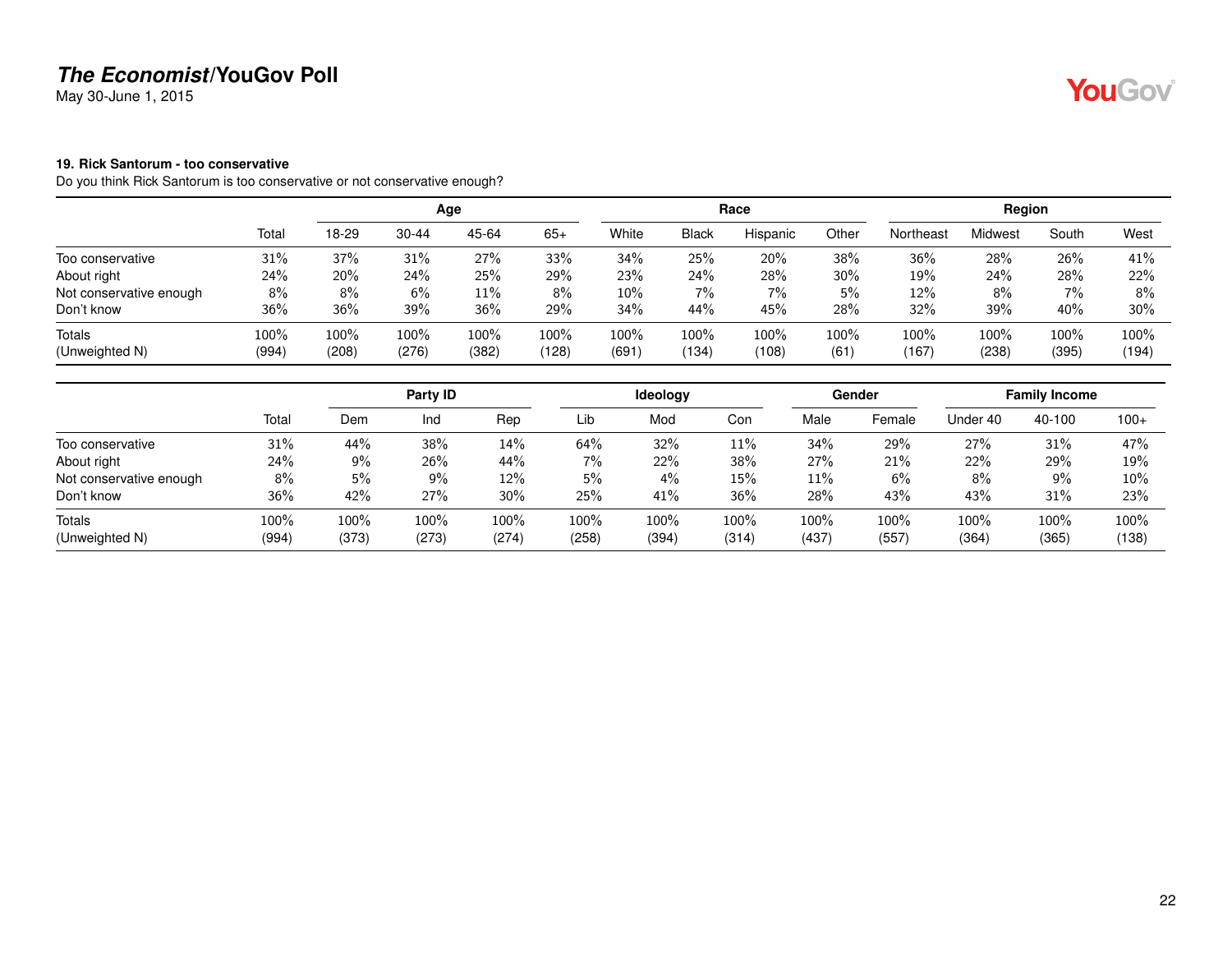May 30-June 1, 2015

#### <span id="page-21-0"></span>**19. Rick Santorum - too conservative**

Do you think Rick Santorum is too conservative or not conservative enough?

|                          |               |               |               | Age           |               |               |              | Race          |                 |               | Region        |               |               |
|--------------------------|---------------|---------------|---------------|---------------|---------------|---------------|--------------|---------------|-----------------|---------------|---------------|---------------|---------------|
|                          | Total         | 18-29         | $30 - 44$     | 45-64         | $65+$         | White         | <b>Black</b> | Hispanic      | Other           | Northeast     | Midwest       | South         | West          |
| Too conservative         | 31%           | 37%           | 31%           | 27%           | 33%           | 34%           | 25%          | 20%           | 38%             | 36%           | 28%           | 26%           | 41%           |
| About right              | 24%           | 20%           | 24%           | 25%           | 29%           | 23%           | 24%          | 28%           | 30%             | 19%           | 24%           | 28%           | 22%           |
| Not conservative enough  | 8%            | 8%            | 6%            | $11\%$        | 8%            | $10\%$        | 7%           | 7%            | 5%              | 12%           | 8%            | $7\%$         | 8%            |
| Don't know               | 36%           | 36%           | 39%           | 36%           | 29%           | 34%           | 44%          | 45%           | 28%             | 32%           | 39%           | 40%           | $30\%$        |
| Totals<br>(Unweighted N) | 100%<br>(994) | 100%<br>(208) | 100%<br>(276) | 100%<br>(382) | 100%<br>(128) | 100%<br>(691) | 100%<br>134  | 100%<br>(108) | $100\%$<br>(61) | 100%<br>(167) | 100%<br>(238) | 100%<br>(395) | 100%<br>(194) |

|                         |       |       | Party ID |       |       | Ideology |       |       | Gender |          | <b>Family Income</b> |        |
|-------------------------|-------|-------|----------|-------|-------|----------|-------|-------|--------|----------|----------------------|--------|
|                         | Total | Dem   | Ind      | Rep   | Lib   | Mod      | Con   | Male  | Female | Under 40 | 40-100               | $100+$ |
| Too conservative        | 31%   | 44%   | 38%      | 14%   | 64%   | 32%      | 11%   | 34%   | 29%    | 27%      | 31%                  | 47%    |
| About right             | 24%   | $9\%$ | 26%      | 44%   | $7\%$ | 22%      | 38%   | 27%   | 21%    | 22%      | 29%                  | 19%    |
| Not conservative enough | 8%    | 5%    | 9%       | 12%   | 5%    | $4\%$    | 15%   | 11%   | 6%     | 8%       | 9%                   | $10\%$ |
| Don't know              | 36%   | 42%   | 27%      | 30%   | 25%   | 41%      | 36%   | 28%   | 43%    | 43%      | 31%                  | 23%    |
| Totals                  | 100%  | 100%  | 100%     | 100%  | 100%  | 100%     | 100%  | 100%  | 100%   | 100%     | 100%                 | 100%   |
| (Unweighted N)          | (994) | (373) | (273)    | (274) | (258) | (394)    | (314) | (437) | (557)  | (364)    | (365)                | (138)  |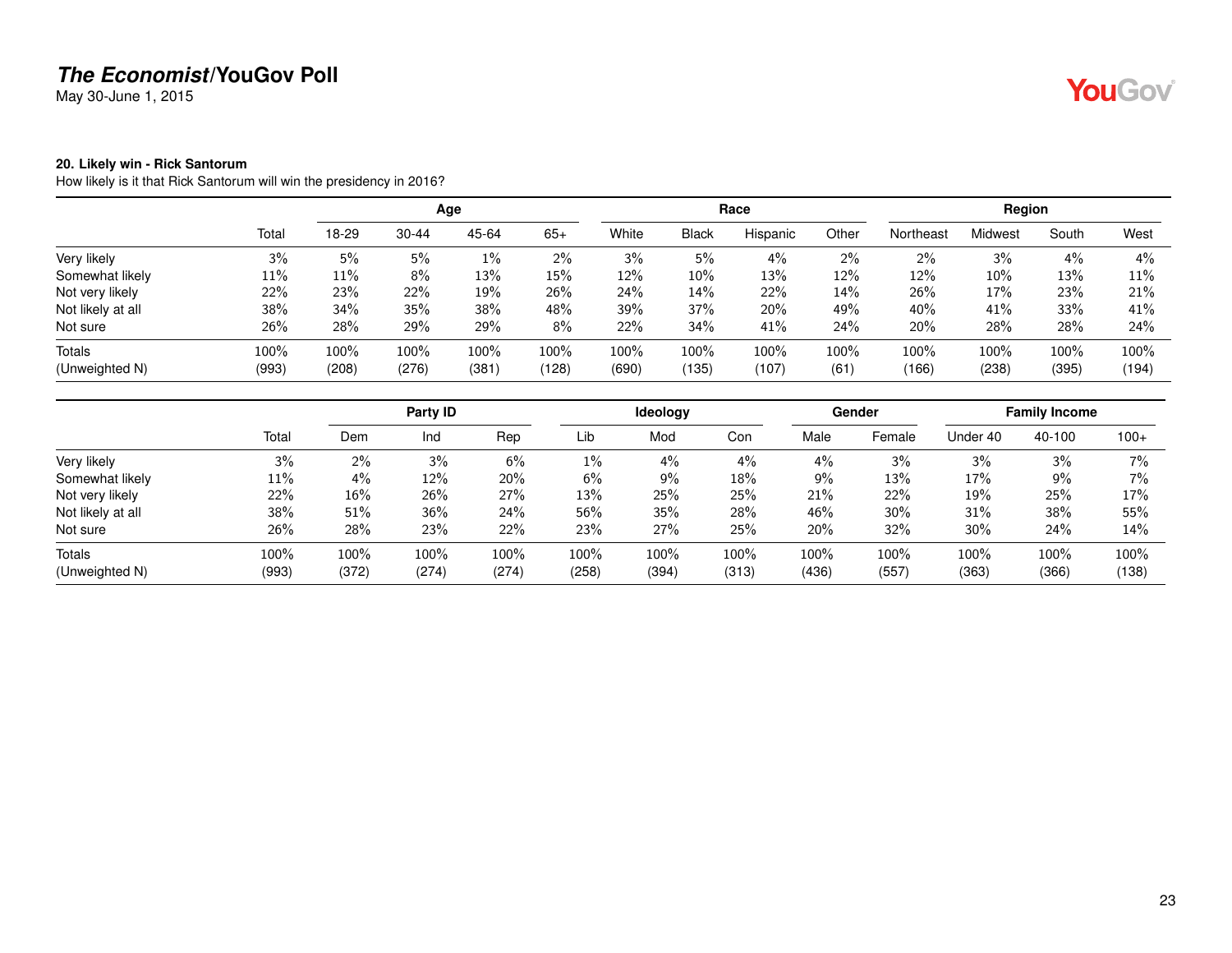May 30-June 1, 2015

#### <span id="page-22-0"></span>**20. Likely win - Rick Santorum**

How likely is it that Rick Santorum will win the presidency in 2016?

|                   |       |       |           | Age   |       |       |              | Race     |       |           | Region  |       |       |
|-------------------|-------|-------|-----------|-------|-------|-------|--------------|----------|-------|-----------|---------|-------|-------|
|                   | Total | 18-29 | $30 - 44$ | 45-64 | $65+$ | White | <b>Black</b> | Hispanic | Other | Northeast | Midwest | South | West  |
| Very likely       | 3%    | 5%    | 5%        | 1%    | 2%    | 3%    | 5%           | 4%       | 2%    | 2%        | 3%      | 4%    | 4%    |
| Somewhat likely   | 11%   | 11%   | 8%        | 13%   | 15%   | 12%   | $10\%$       | 13%      | 12%   | 12%       | 10%     | 13%   | 11%   |
| Not very likely   | 22%   | 23%   | 22%       | 19%   | 26%   | 24%   | 14%          | 22%      | 14%   | 26%       | 17%     | 23%   | 21%   |
| Not likely at all | 38%   | 34%   | 35%       | 38%   | 48%   | 39%   | 37%          | 20%      | 49%   | 40%       | 41%     | 33%   | 41%   |
| Not sure          | 26%   | 28%   | 29%       | 29%   | 8%    | 22%   | 34%          | 41%      | 24%   | 20%       | 28%     | 28%   | 24%   |
| <b>Totals</b>     | 100%  | 100%  | 100%      | 100%  | 100%  | 100%  | 100%         | 100%     | 100%  | 100%      | 100%    | 100%  | 100%  |
| (Unweighted N)    | (993) | (208) | (276)     | (381) | (128) | (690) | (135)        | (107)    | (61)  | (166)     | (238)   | (395) | (194) |

|                   |       |       | Party ID |       |       | <b>Ideology</b> |       |       | <b>Gender</b> |          | <b>Family Income</b> |        |
|-------------------|-------|-------|----------|-------|-------|-----------------|-------|-------|---------------|----------|----------------------|--------|
|                   | Total | Dem   | Ind      | Rep   | Lib   | Mod             | Con   | Male  | Female        | Under 40 | 40-100               | $100+$ |
| Very likely       | 3%    | $2\%$ | 3%       | 6%    | $1\%$ | $4\%$           | $4\%$ | 4%    | 3%            | 3%       | 3%                   | 7%     |
| Somewhat likely   | 11%   | 4%    | 12%      | 20%   | 6%    | 9%              | 18%   | 9%    | 13%           | 17%      | 9%                   | 7%     |
| Not very likely   | 22%   | 16%   | 26%      | 27%   | 13%   | 25%             | 25%   | 21%   | 22%           | 19%      | 25%                  | 17%    |
| Not likely at all | 38%   | 51%   | 36%      | 24%   | 56%   | 35%             | 28%   | 46%   | 30%           | 31%      | 38%                  | 55%    |
| Not sure          | 26%   | 28%   | 23%      | 22%   | 23%   | 27%             | 25%   | 20%   | 32%           | 30%      | 24%                  | 14%    |
| Totals            | 100%  | 100%  | 100%     | 100%  | 100%  | 100%            | 100%  | 100%  | 100%          | 100%     | 100%                 | 100%   |
| (Unweighted N)    | (993) | (372) | (274)    | (274) | (258) | (394)           | (313) | (436) | (557)         | (363)    | (366)                | (138)  |

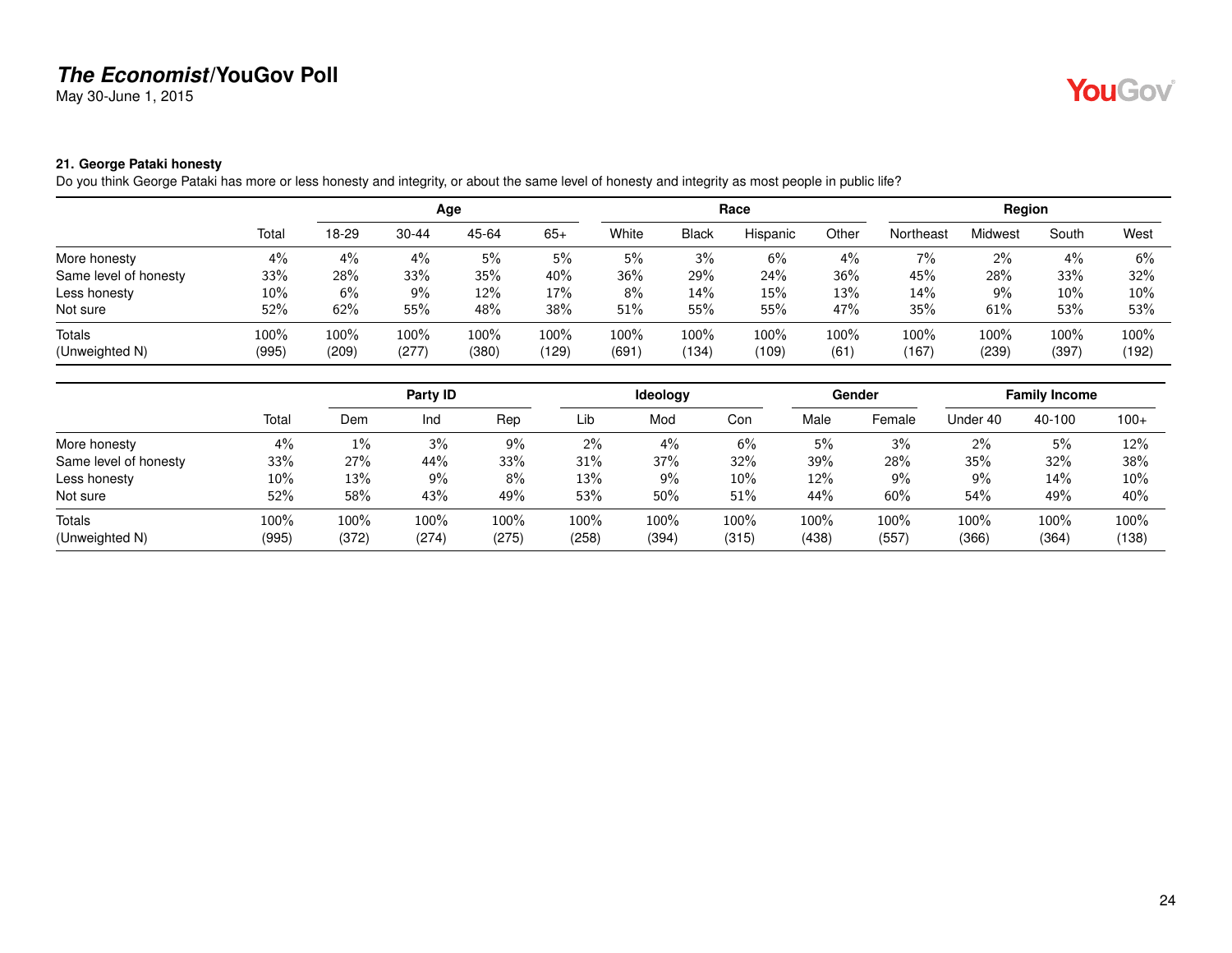May 30-June 1, 2015

# YouGov®

#### <span id="page-23-0"></span>**21. George Pataki honesty**

Do you think George Pataki has more or less honesty and integrity, or about the same level of honesty and integrity as most people in public life?

|                       |       |       |           | Age   |       |       |              | Race     |       |           | Region  |       |        |
|-----------------------|-------|-------|-----------|-------|-------|-------|--------------|----------|-------|-----------|---------|-------|--------|
|                       | Total | 18-29 | $30 - 44$ | 45-64 | $65+$ | White | <b>Black</b> | Hispanic | Other | Northeast | Midwest | South | West   |
| More honesty          | 4%    | 4%    | 4%        | 5%    | 5%    | 5%    | 3%           | 6%       | 4%    | 7%        | 2%      | 4%    | 6%     |
| Same level of honesty | 33%   | 28%   | 33%       | 35%   | 40%   | 36%   | 29%          | 24%      | 36%   | 45%       | 28%     | 33%   | 32%    |
| Less honesty          | 10%   | 6%    | 9%        | 12%   | 17%   | 8%    | 14%          | 15%      | 13%   | 14%       | 9%      | 10%   | $10\%$ |
| Not sure              | 52%   | 62%   | 55%       | 48%   | 38%   | 51%   | 55%          | 55%      | 47%   | 35%       | 61%     | 53%   | 53%    |
| Totals                | 100%  | 100%  | 100%      | 100%  | 100%  | 100%  | 100%         | 100%     | 100%  | 100%      | 100%    | 100%  | 100%   |
| (Unweighted N)        | (995) | (209) | (277)     | (380) | (129) | (691) | (134)        | (109)    | (61)  | (167)     | (239)   | (397) | (192)  |

|                       |       |       | Party <b>ID</b> |       |       | Ideology |        |       | Gender |          | <b>Family Income</b> |        |
|-----------------------|-------|-------|-----------------|-------|-------|----------|--------|-------|--------|----------|----------------------|--------|
|                       | Total | Dem   | Ind             | Rep   | Lib   | Mod      | Con    | Male  | Female | Under 40 | 40-100               | $100+$ |
| More honesty          | 4%    | $1\%$ | 3%              | 9%    | 2%    | 4%       | $6\%$  | 5%    | 3%     | $2\%$    | 5%                   | 12%    |
| Same level of honesty | 33%   | 27%   | 44%             | 33%   | 31%   | 37%      | 32%    | 39%   | 28%    | 35%      | 32%                  | 38%    |
| Less honesty          | 10%   | 13%   | $9\%$           | 8%    | 13%   | 9%       | $10\%$ | 12%   | 9%     | 9%       | 14%                  | $10\%$ |
| Not sure              | 52%   | 58%   | 43%             | 49%   | 53%   | 50%      | 51%    | 44%   | 60%    | 54%      | 49%                  | 40%    |
| Totals                | 100%  | 100%  | 100%            | 100%  | 100%  | 100%     | 100%   | 100%  | 100%   | 100%     | 100%                 | 100%   |
| (Unweighted N)        | (995) | (372) | (274)           | (275) | (258) | (394)    | (315)  | (438) | (557)  | (366)    | (364)                | (138)  |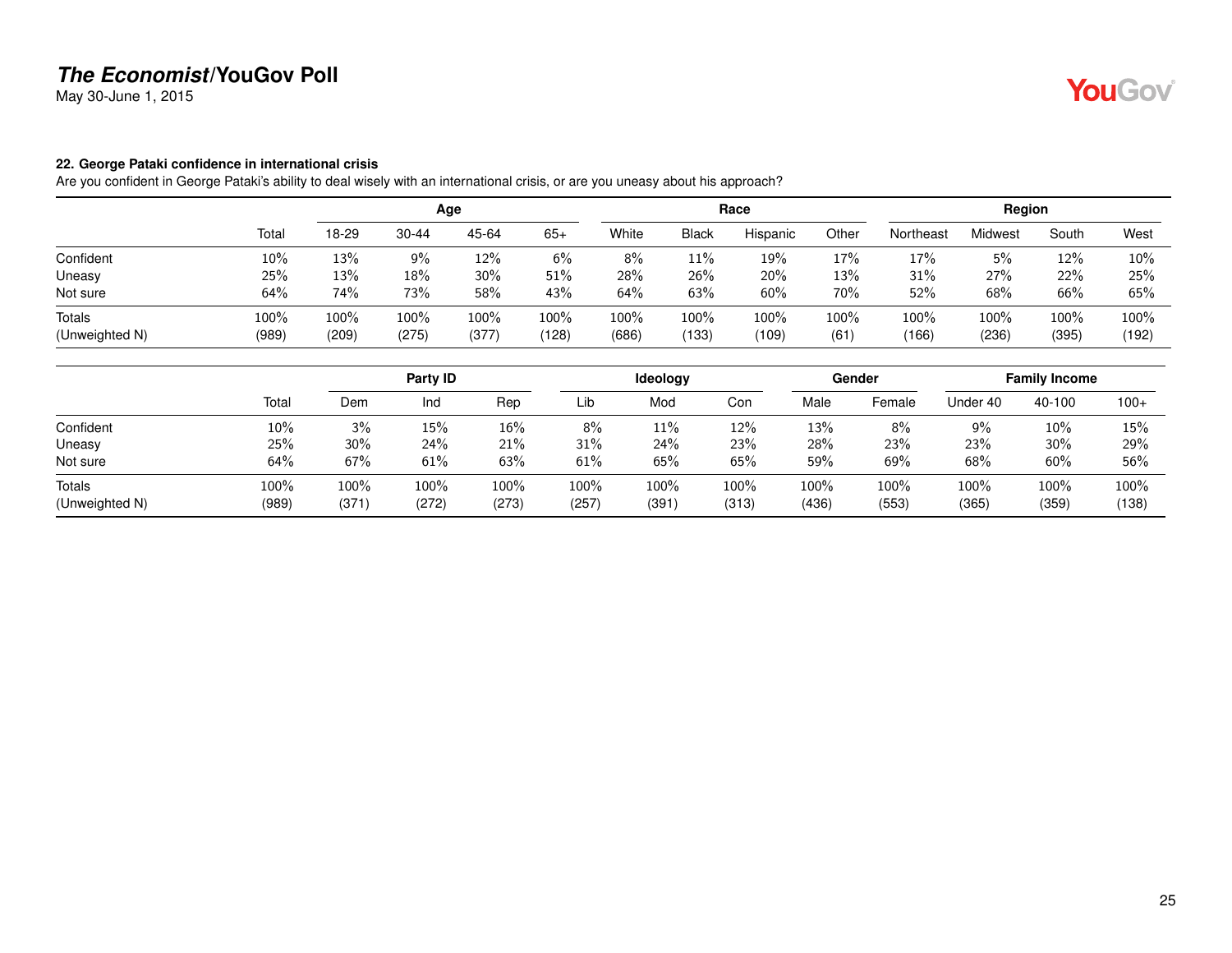May 30-June 1, 2015

#### <span id="page-24-0"></span>**22. George Pataki confidence in international crisis**

Are you confident in George Pataki's ability to deal wisely with an international crisis, or are you uneasy about his approach?

|                |       |       |           | Age   |       |       |              | Race     |       |           | Region  |       |       |
|----------------|-------|-------|-----------|-------|-------|-------|--------------|----------|-------|-----------|---------|-------|-------|
|                | Total | 18-29 | $30 - 44$ | 45-64 | $65+$ | White | <b>Black</b> | Hispanic | Other | Northeast | Midwest | South | West  |
| Confident      | 10%   | 13%   | 9%        | 12%   | 6%    | 8%    | 11%          | 19%      | 17%   | 17%       | 5%      | 12%   | 10%   |
| Uneasy         | 25%   | 13%   | 18%       | 30%   | 51%   | 28%   | 26%          | 20%      | 13%   | 31%       | 27%     | 22%   | 25%   |
| Not sure       | 64%   | 74%   | 73%       | 58%   | 43%   | 64%   | 63%          | 60%      | 70%   | 52%       | 68%     | 66%   | 65%   |
| <b>Totals</b>  | 100%  | 100%  | 100%      | 100%  | 100%  | 100%  | 100%         | 100%     | 100%  | 100%      | 100%    | 100%  | 100%  |
| (Unweighted N) | (989) | (209) | (275)     | (377) | (128) | (686) | (133)        | (109)    | (61)  | (166)     | (236)   | (395) | (192) |

|                          |               |              | Party ID      |               |               | Ideology     |               |               | Gender        |               | <b>Family Income</b> |               |
|--------------------------|---------------|--------------|---------------|---------------|---------------|--------------|---------------|---------------|---------------|---------------|----------------------|---------------|
|                          | Total         | Dem          | Ind           | Rep           | Lib           | Mod          | Con           | Male          | Female        | Under 40      | 40-100               | $100+$        |
| Confident                | 10%           | 3%           | 15%           | 16%           | 8%            | 11%          | 12%           | 13%           | 8%            | 9%            | 10%                  | 15%           |
| Uneasy                   | 25%           | 30%          | 24%           | 21%           | 31%           | 24%          | 23%           | 28%           | 23%           | 23%           | 30%                  | 29%           |
| Not sure                 | 64%           | 67%          | 61%           | 63%           | 61%           | 65%          | 65%           | 59%           | 69%           | 68%           | 60%                  | 56%           |
| Totals<br>(Unweighted N) | 100%<br>(989) | 100%<br>(371 | 100%<br>(272) | 100%<br>(273) | 100%<br>(257) | 100%<br>(391 | 100%<br>(313) | 100%<br>(436) | 100%<br>(553) | 100%<br>(365) | 100%<br>(359)        | 100%<br>(138) |

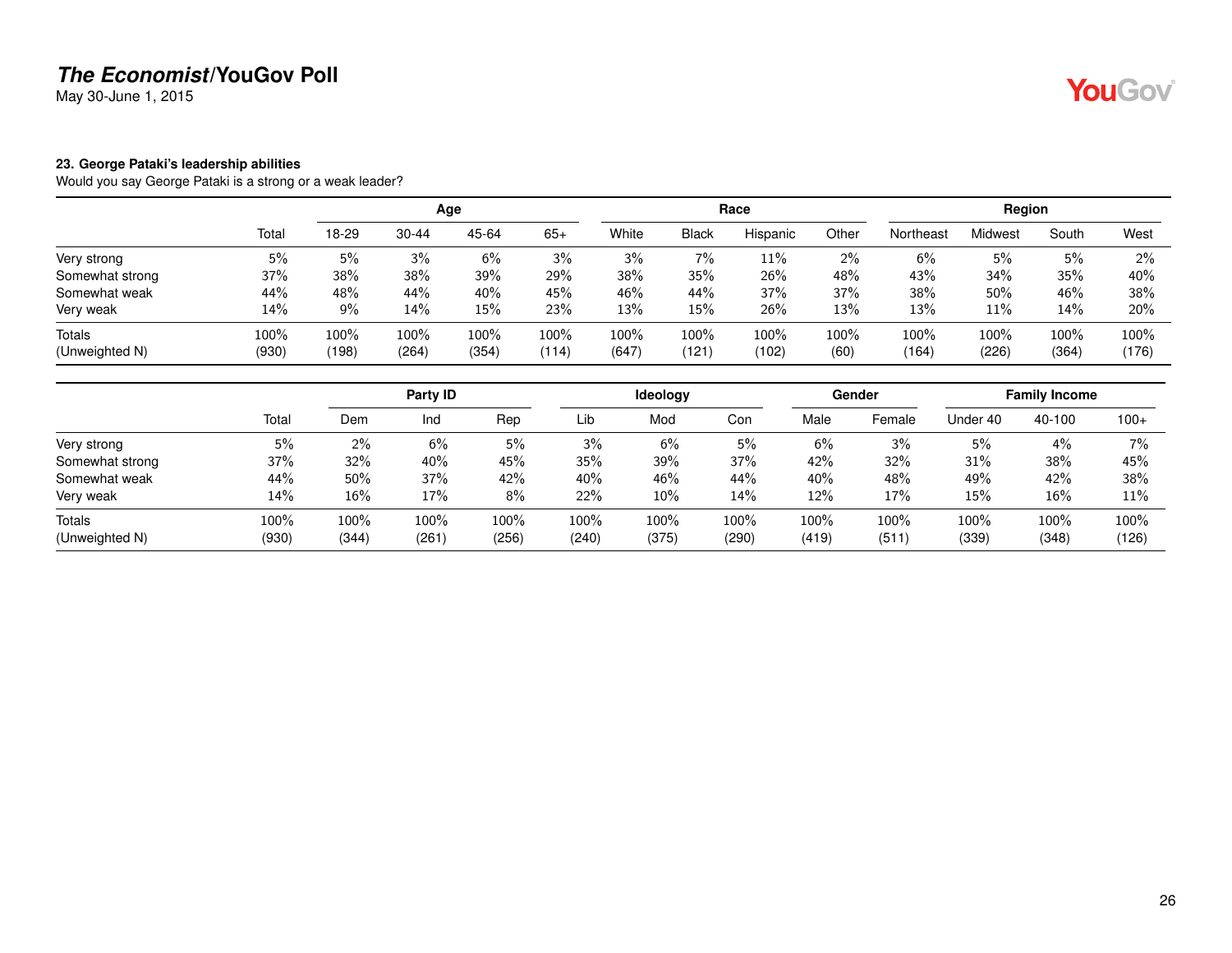May 30-June 1, 2015

#### <span id="page-25-0"></span>**23. George Pataki's leadership abilities**

Would you say George Pataki is a strong or a weak leader?

|                          |                  |               |               | Age           |               |               |               | Race          |              |               | Region        |               |               |
|--------------------------|------------------|---------------|---------------|---------------|---------------|---------------|---------------|---------------|--------------|---------------|---------------|---------------|---------------|
|                          | Total            | 18-29         | $30 - 44$     | 45-64         | $65+$         | White         | <b>Black</b>  | Hispanic      | Other        | Northeast     | Midwest       | South         | West          |
| Very strong              | 5%               | 5%            | 3%            | 6%            | 3%            | 3%            | 7%            | 11%           | 2%           | 6%            | 5%            | 5%            | 2%            |
| Somewhat strong          | 37%              | 38%           | 38%           | 39%           | 29%           | 38%           | 35%           | 26%           | 48%          | 43%           | 34%           | 35%           | 40%           |
| Somewhat weak            | 44%              | 48%           | 44%           | 40%           | 45%           | 46%           | 44%           | 37%           | 37%          | 38%           | 50%           | 46%           | 38%           |
| Very weak                | 14%              | $9\%$         | 14%           | 15%           | 23%           | 13%           | 15%           | 26%           | 13%          | 13%           | 11%           | 14%           | 20%           |
| Totals<br>(Unweighted N) | $100\%$<br>(930) | 100%<br>(198) | 100%<br>(264) | 100%<br>(354) | 100%<br>(114) | 100%<br>(647) | 100%<br>(121) | 100%<br>(102) | 100%<br>(60) | 100%<br>(164) | 100%<br>(226) | 100%<br>(364) | 100%<br>(176) |

|                 |       |        | Party ID |       |       | Ideology |       |       | Gender |          | <b>Family Income</b> |        |
|-----------------|-------|--------|----------|-------|-------|----------|-------|-------|--------|----------|----------------------|--------|
|                 | Total | Dem    | Ind      | Rep   | Lib   | Mod      | Con   | Male  | Female | Under 40 | 40-100               | $100+$ |
| Very strong     | 5%    | $2\%$  | 6%       | 5%    | 3%    | 6%       | 5%    | 6%    | 3%     | 5%       | 4%                   | 7%     |
| Somewhat strong | 37%   | 32%    | 40%      | 45%   | 35%   | 39%      | 37%   | 42%   | 32%    | 31%      | 38%                  | 45%    |
| Somewhat weak   | 44%   | $50\%$ | 37%      | 42%   | 40%   | 46%      | 44%   | 40%   | 48%    | 49%      | 42%                  | 38%    |
| Very weak       | 14%   | 16%    | 17%      | 8%    | 22%   | 10%      | 14%   | 12%   | 17%    | 15%      | 16%                  | 11%    |
| Totals          | 100%  | 100%   | 100%     | 100%  | 100%  | 100%     | 100%  | 100%  | 100%   | 100%     | 100%                 | 100%   |
| (Unweighted N)  | (930) | (344)  | (261)    | (256) | (240) | (375)    | (290) | (419) | (511)  | (339)    | (348)                | (126)  |

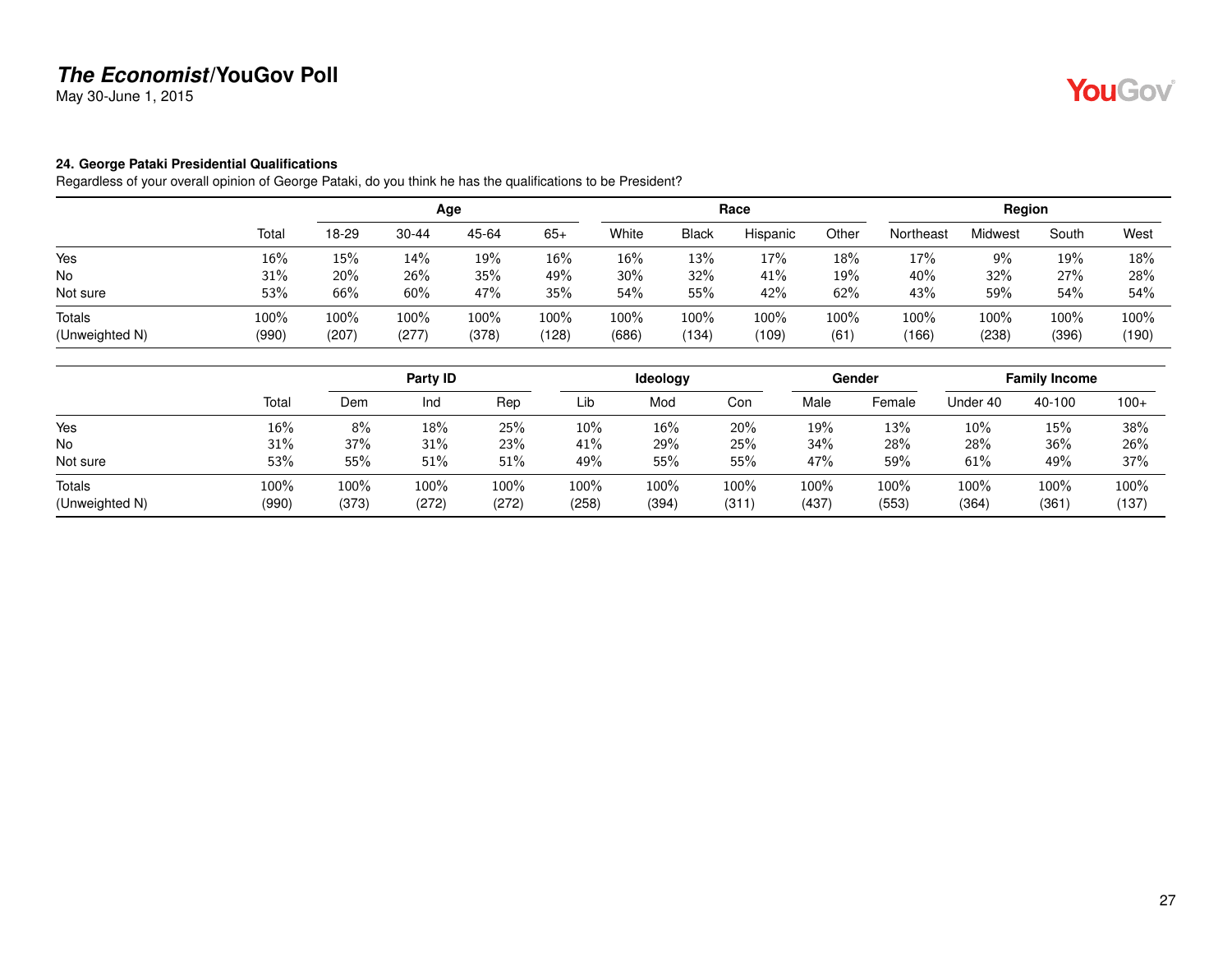May 30-June 1, 2015

#### <span id="page-26-0"></span>**24. George Pataki Presidential Qualifications**

Regardless of your overall opinion of George Pataki, do you think he has the qualifications to be President?

|                |       |       |           | Age   |       |       |              | Race     |       |           | Region  |       |       |
|----------------|-------|-------|-----------|-------|-------|-------|--------------|----------|-------|-----------|---------|-------|-------|
|                | Total | 18-29 | $30 - 44$ | 45-64 | $65+$ | White | <b>Black</b> | Hispanic | Other | Northeast | Midwest | South | West  |
| Yes            | 16%   | 15%   | 14%       | 19%   | 16%   | 16%   | 13%          | 17%      | 18%   | 17%       | 9%      | 19%   | 18%   |
| <b>No</b>      | 31%   | 20%   | 26%       | 35%   | 49%   | 30%   | 32%          | 41%      | 19%   | 40%       | 32%     | 27%   | 28%   |
| Not sure       | 53%   | 66%   | 60%       | 47%   | 35%   | 54%   | 55%          | 42%      | 62%   | 43%       | 59%     | 54%   | 54%   |
| Totals         | 100%  | 100%  | 100%      | 100%  | 100%  | 100%  | 100%         | 100%     | 100%  | 100%      | 100%    | 100%  | 100%  |
| (Unweighted N) | (990) | (207) | (277)     | (378) | (128) | (686) | (134)        | (109)    | (61)  | (166)     | (238)   | (396) | (190) |

|                          |               |               | Party ID      |               |               | ldeology      |               |               | Gender        |               | <b>Family Income</b> |               |
|--------------------------|---------------|---------------|---------------|---------------|---------------|---------------|---------------|---------------|---------------|---------------|----------------------|---------------|
|                          | Total         | Dem           | Ind           | Rep           | Lib           | Mod           | Con           | Male          | Female        | Under 40      | 40-100               | $100+$        |
| Yes                      | 16%           | 8%            | 18%           | 25%           | $10\%$        | 16%           | 20%           | 19%           | 13%           | 10%           | 15%                  | 38%           |
| <b>No</b>                | 31%           | 37%           | 31%           | 23%           | 41%           | 29%           | 25%           | 34%           | 28%           | 28%           | 36%                  | 26%           |
| Not sure                 | 53%           | 55%           | 51%           | 51%           | 49%           | 55%           | 55%           | 47%           | 59%           | 61%           | 49%                  | 37%           |
| Totals<br>(Unweighted N) | 100%<br>(990) | 100%<br>(373) | 100%<br>(272) | 100%<br>(272) | 100%<br>(258) | 100%<br>(394) | 100%<br>(311) | 100%<br>(437) | 100%<br>(553) | 100%<br>(364) | 100%<br>(361)        | 100%<br>(137) |

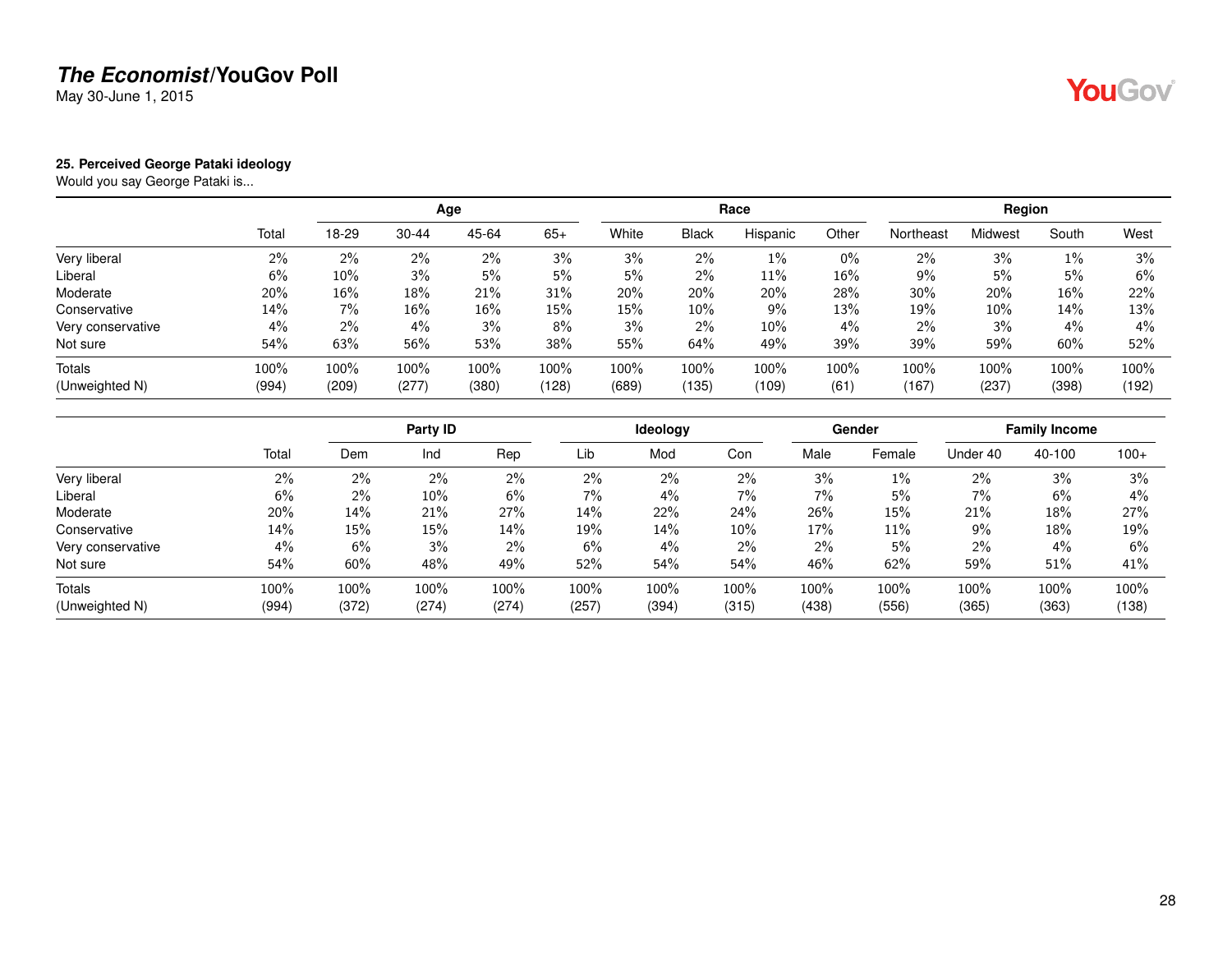May 30-June 1, 2015

#### <span id="page-27-0"></span>**25. Perceived George Pataki ideology**

Would you say George Pataki is...

|                   |       |       |           | Age    |       |       |              | Race     |        |           | Region  |       |       |
|-------------------|-------|-------|-----------|--------|-------|-------|--------------|----------|--------|-----------|---------|-------|-------|
|                   | Total | 18-29 | $30 - 44$ | 45-64  | $65+$ | White | <b>Black</b> | Hispanic | Other  | Northeast | Midwest | South | West  |
| Very liberal      | 2%    | 2%    | $2\%$     | 2%     | 3%    | 3%    | 2%           | 1%       | 0%     | $2\%$     | 3%      | 1%    | 3%    |
| Liberal           | 6%    | 10%   | 3%        | 5%     | 5%    | 5%    | 2%           | 11%      | $16\%$ | $9\%$     | 5%      | 5%    | 6%    |
| Moderate          | 20%   | 16%   | 18%       | 21%    | 31%   | 20%   | 20%          | 20%      | 28%    | 30%       | 20%     | 16%   | 22%   |
| Conservative      | 14%   | $7\%$ | $16\%$    | $16\%$ | 15%   | 15%   | 10%          | $9\%$    | 13%    | 19%       | $10\%$  | 14%   | 13%   |
| Very conservative | $4\%$ | 2%    | 4%        | 3%     | 8%    | 3%    | 2%           | $10\%$   | 4%     | $2\%$     | 3%      | $4\%$ | $4\%$ |
| Not sure          | 54%   | 63%   | 56%       | 53%    | 38%   | 55%   | 64%          | 49%      | 39%    | 39%       | 59%     | 60%   | 52%   |
| Totals            | 100%  | 100%  | 100%      | 100%   | 100%  | 100%  | 100%         | 100%     | 100%   | 100%      | 100%    | 100%  | 100%  |
| (Unweighted N)    | (994) | (209) | (277)     | (380)  | (128) | (689) | (135)        | (109)    | (61)   | (167)     | (237)   | (398) | (192) |

|                   |       |       | Party ID |       |       | <b>Ideology</b> |       |       | Gender |          | <b>Family Income</b> |        |
|-------------------|-------|-------|----------|-------|-------|-----------------|-------|-------|--------|----------|----------------------|--------|
|                   | Total | Dem   | Ind      | Rep   | Lib   | Mod             | Con   | Male  | Female | Under 40 | 40-100               | $100+$ |
| Very liberal      | 2%    | $2\%$ | 2%       | 2%    | 2%    | 2%              | 2%    | 3%    | $1\%$  | 2%       | 3%                   | 3%     |
| Liberal           | 6%    | $2\%$ | 10%      | 6%    | 7%    | 4%              | 7%    | 7%    | 5%     | 7%       | 6%                   | 4%     |
| Moderate          | 20%   | 14%   | 21%      | 27%   | 14%   | 22%             | 24%   | 26%   | 15%    | 21%      | 18%                  | 27%    |
| Conservative      | 14%   | 15%   | 15%      | 14%   | 19%   | 14%             | 10%   | 17%   | 11%    | 9%       | 18%                  | 19%    |
| Very conservative | 4%    | 6%    | 3%       | $2\%$ | 6%    | 4%              | $2\%$ | $2\%$ | 5%     | 2%       | 4%                   | 6%     |
| Not sure          | 54%   | 60%   | 48%      | 49%   | 52%   | 54%             | 54%   | 46%   | 62%    | 59%      | 51%                  | 41%    |
| Totals            | 100%  | 100%  | 100%     | 100%  | 100%  | 100%            | 100%  | 100%  | 100%   | 100%     | 100%                 | 100%   |
| (Unweighted N)    | (994) | (372) | (274)    | (274) | (257) | (394)           | (315) | (438) | (556)  | (365)    | (363)                | (138)  |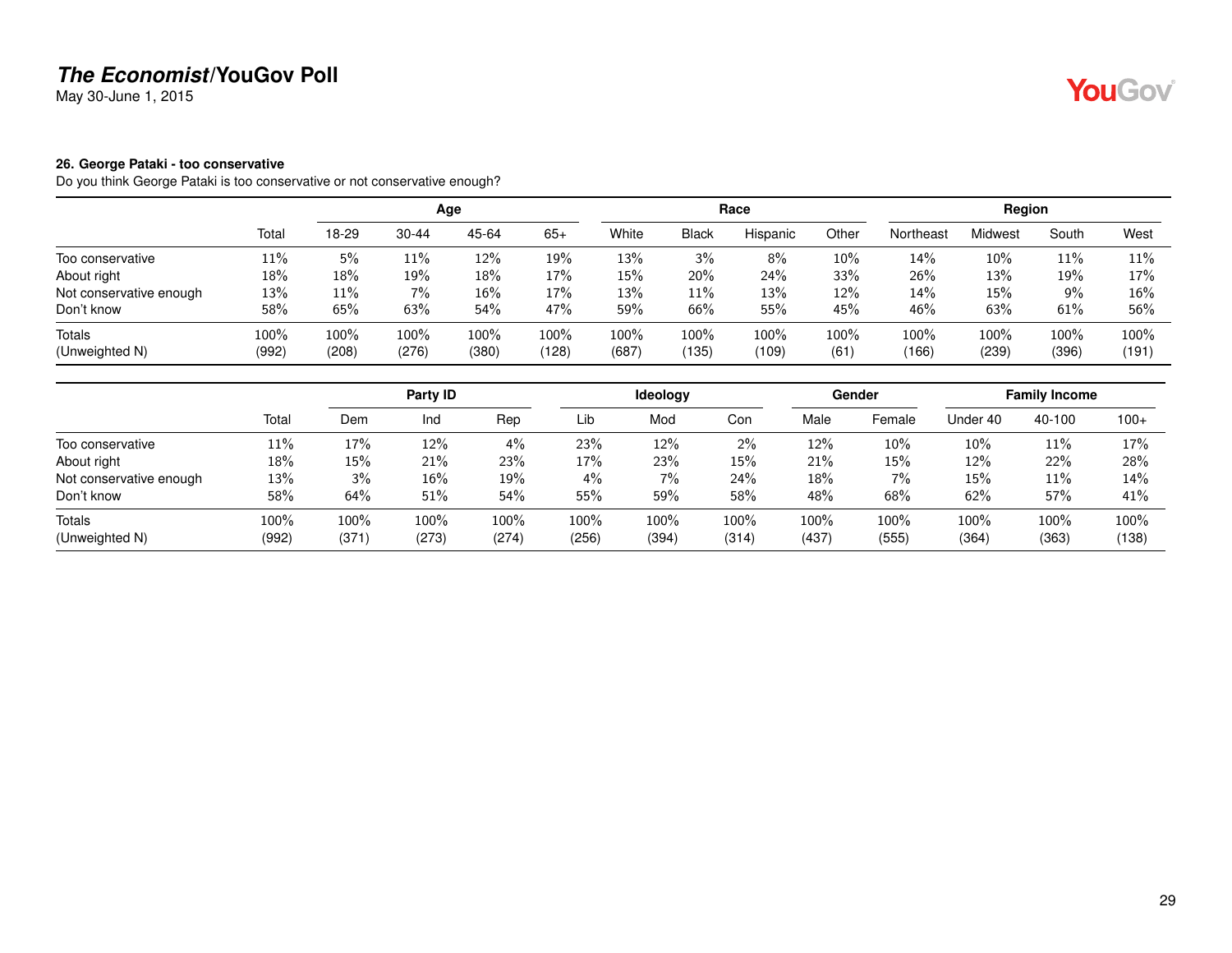May 30-June 1, 2015

#### <span id="page-28-0"></span>**26. George Pataki - too conservative**

Do you think George Pataki is too conservative or not conservative enough?

|                          |               |               |               | Age           |               |               |               | Race             |                 |               | Region        |               |               |
|--------------------------|---------------|---------------|---------------|---------------|---------------|---------------|---------------|------------------|-----------------|---------------|---------------|---------------|---------------|
|                          | Total         | 18-29         | $30 - 44$     | 45-64         | $65+$         | White         | <b>Black</b>  | Hispanic         | Other           | Northeast     | Midwest       | South         | West          |
| Too conservative         | 11%           | 5%            | 11%           | $12\%$        | 19%           | 13%           | 3%            | 8%               | 10%             | 14%           | 10%           | 11%           | 11%           |
| About right              | 18%           | 18%           | 19%           | 18%           | 17%           | 15%           | 20%           | 24%              | 33%             | 26%           | 13%           | 19%           | 17%           |
| Not conservative enough  | 13%           | 11%           | 7%            | 16%           | 17%           | 13%           | $11\%$        | 13%              | 12%             | 14%           | 15%           | $9\%$         | 16%           |
| Don't know               | 58%           | 65%           | 63%           | 54%           | 47%           | 59%           | 66%           | 55%              | 45%             | 46%           | 63%           | 61%           | 56%           |
| Totals<br>(Unweighted N) | 100%<br>(992) | 100%<br>(208) | 100%<br>(276) | 100%<br>(380) | 100%<br>(128) | 100%<br>(687) | 100%<br>(135) | $100\%$<br>(109) | $100\%$<br>(61) | 100%<br>(166) | 100%<br>(239) | 100%<br>(396) | 100%<br>(191) |

|                         |       |        | Party ID |       |       | Ideology |       |       | Gender |          | <b>Family Income</b> |        |
|-------------------------|-------|--------|----------|-------|-------|----------|-------|-------|--------|----------|----------------------|--------|
|                         | Total | Dem    | Ind      | Rep   | Lib   | Mod      | Con   | Male  | Female | Under 40 | 40-100               | $100+$ |
| Too conservative        | 11%   | 17%    | 12%      | 4%    | 23%   | 12%      | 2%    | 12%   | 10%    | $10\%$   | 11%                  | 17%    |
| About right             | 18%   | $15\%$ | 21%      | 23%   | 17%   | 23%      | 15%   | 21%   | 15%    | 12%      | 22%                  | 28%    |
| Not conservative enough | 13%   | 3%     | 16%      | 19%   | 4%    | 7%       | 24%   | 18%   | $7\%$  | 15%      | 11%                  | 14%    |
| Don't know              | 58%   | 64%    | 51%      | 54%   | 55%   | 59%      | 58%   | 48%   | 68%    | 62%      | 57%                  | 41%    |
| <b>Totals</b>           | 100%  | 100%   | 100%     | 100%  | 100%  | 100%     | 100%  | 100%  | 100%   | 100%     | 100%                 | 100%   |
| (Unweighted N)          | (992) | (371)  | (273)    | (274) | (256) | (394)    | (314) | (437) | (555)  | (364)    | (363)                | (138)  |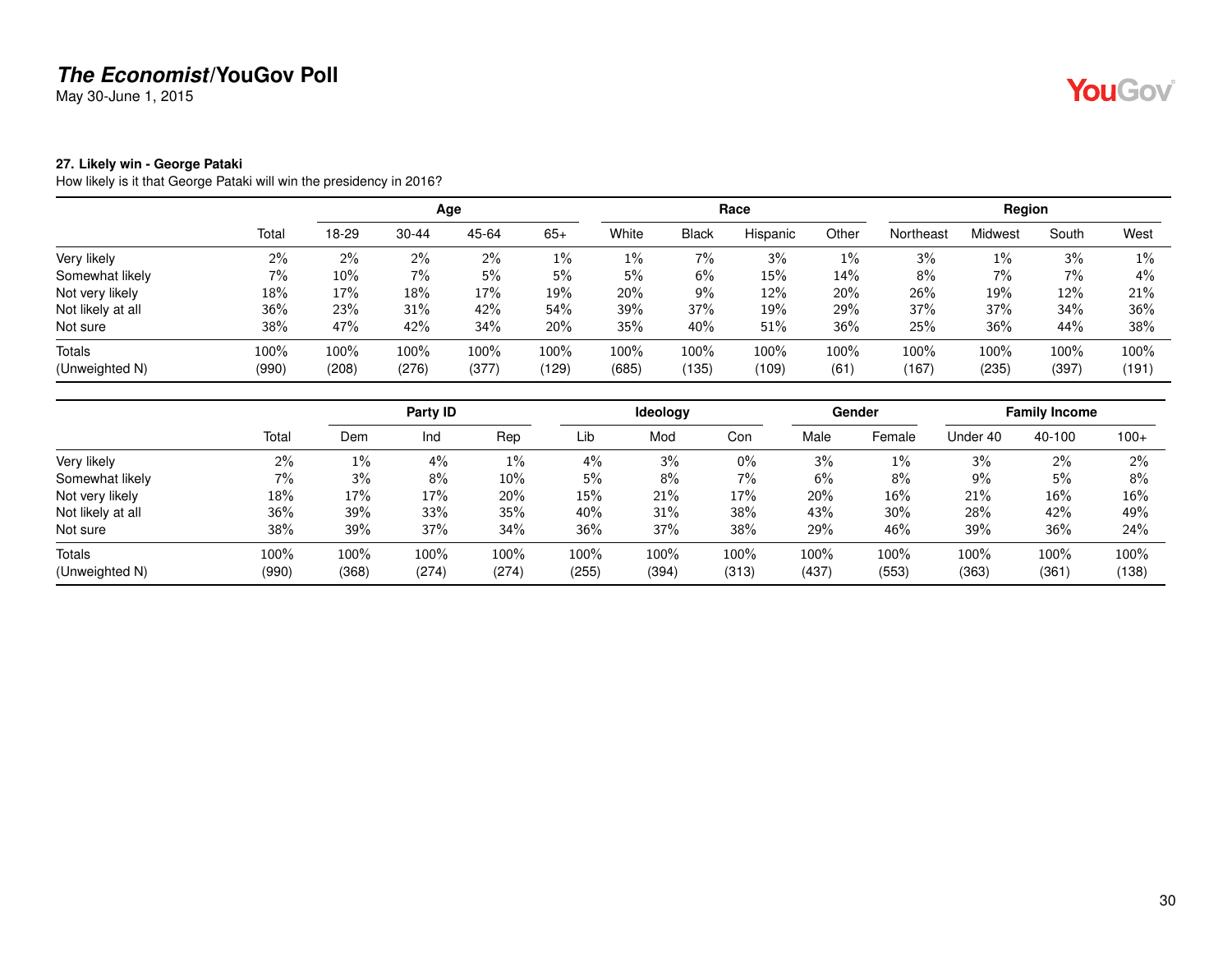May 30-June 1, 2015

#### <span id="page-29-0"></span>**27. Likely win - George Pataki**

How likely is it that George Pataki will win the presidency in 2016?

|                   |       |       |           | Age   |       |       |              | Race     |       |           | Region  |       |       |
|-------------------|-------|-------|-----------|-------|-------|-------|--------------|----------|-------|-----------|---------|-------|-------|
|                   | Total | 18-29 | $30 - 44$ | 45-64 | $65+$ | White | <b>Black</b> | Hispanic | Other | Northeast | Midwest | South | West  |
| Very likely       | 2%    | 2%    | 2%        | 2%    | $1\%$ | $1\%$ | 7%           | 3%       | 1%    | 3%        | $1\%$   | 3%    | $1\%$ |
| Somewhat likely   | 7%    | 10%   | 7%        | 5%    | 5%    | 5%    | 6%           | 15%      | 14%   | 8%        | 7%      | 7%    | 4%    |
| Not very likely   | 18%   | 17%   | 18%       | 17%   | 19%   | 20%   | 9%           | 12%      | 20%   | 26%       | 19%     | 12%   | 21%   |
| Not likely at all | 36%   | 23%   | 31%       | 42%   | 54%   | 39%   | 37%          | 19%      | 29%   | 37%       | 37%     | 34%   | 36%   |
| Not sure          | 38%   | 47%   | 42%       | 34%   | 20%   | 35%   | 40%          | 51%      | 36%   | 25%       | 36%     | 44%   | 38%   |
| <b>Totals</b>     | 100%  | 100%  | 100%      | 100%  | 100%  | 100%  | 100%         | 100%     | 100%  | 100%      | 100%    | 100%  | 100%  |
| (Unweighted N)    | (990) | (208) | (276)     | (377) | (129) | (685) | (135)        | (109)    | (61)  | (167)     | (235)   | (397) | (191) |

|                   |       |       | Party ID |       |       | Ideology |       |       | <b>Gender</b> |          | <b>Family Income</b> |        |
|-------------------|-------|-------|----------|-------|-------|----------|-------|-------|---------------|----------|----------------------|--------|
|                   | Total | Dem   | Ind      | Rep   | Lib   | Mod      | Con   | Male  | Female        | Under 40 | 40-100               | $100+$ |
| Very likely       | 2%    | $1\%$ | $4\%$    | $1\%$ | 4%    | 3%       | $0\%$ | 3%    | $1\%$         | 3%       | 2%                   | $2\%$  |
| Somewhat likely   | 7%    | 3%    | 8%       | 10%   | 5%    | 8%       | 7%    | 6%    | 8%            | 9%       | 5%                   | 8%     |
| Not very likely   | 18%   | 17%   | 17%      | 20%   | 15%   | 21%      | 17%   | 20%   | 16%           | 21%      | 16%                  | 16%    |
| Not likely at all | 36%   | 39%   | 33%      | 35%   | 40%   | 31%      | 38%   | 43%   | 30%           | 28%      | 42%                  | 49%    |
| Not sure          | 38%   | 39%   | 37%      | 34%   | 36%   | 37%      | 38%   | 29%   | 46%           | 39%      | 36%                  | 24%    |
| <b>Totals</b>     | 100%  | 100%  | 100%     | 100%  | 100%  | 100%     | 100%  | 100%  | 100%          | 100%     | 100%                 | 100%   |
| (Unweighted N)    | (990) | (368) | (274)    | (274) | (255) | (394)    | (313) | (437) | (553)         | (363)    | (361)                | (138)  |

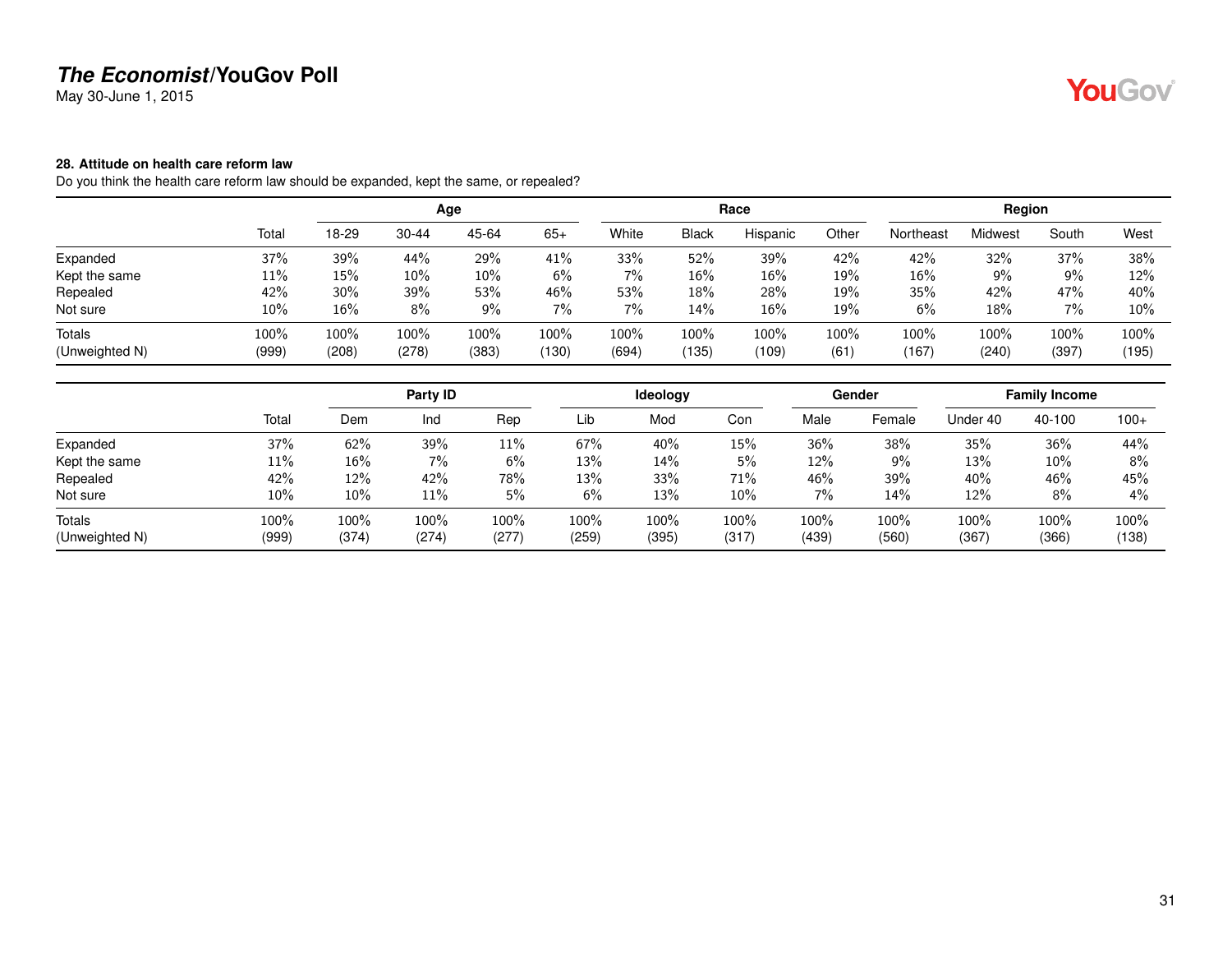May 30-June 1, 2015

#### <span id="page-30-0"></span>**28. Attitude on health care reform law**

Do you think the health care reform law should be expanded, kept the same, or repealed?

|                |       |       |           | Age   |       |       |              | Race     |       |           | Region  |       |       |
|----------------|-------|-------|-----------|-------|-------|-------|--------------|----------|-------|-----------|---------|-------|-------|
|                | Total | 18-29 | $30 - 44$ | 45-64 | $65+$ | White | <b>Black</b> | Hispanic | Other | Northeast | Midwest | South | West  |
| Expanded       | 37%   | 39%   | 44%       | 29%   | 41%   | 33%   | 52%          | 39%      | 42%   | 42%       | 32%     | 37%   | 38%   |
| Kept the same  | 11%   | 15%   | 10%       | 10%   | 6%    | 7%    | $16\%$       | 16%      | 19%   | 16%       | $9\%$   | 9%    | 12%   |
| Repealed       | 42%   | 30%   | 39%       | 53%   | 46%   | 53%   | 18%          | 28%      | 19%   | 35%       | 42%     | 47%   | 40%   |
| Not sure       | 10%   | 16%   | 8%        | 9%    | 7%    | 7%    | 14%          | 16%      | 19%   | 6%        | 18%     | 7%    | 10%   |
| <b>Totals</b>  | 100%  | 100%  | 100%      | 100%  | 100%  | 100%  | $100\%$      | 100%     | 100%  | 100%      | 100%    | 100%  | 100%  |
| (Unweighted N) | (999) | (208) | (278)     | (383) | (130) | (694) | (135)        | (109)    | (61)  | (167)     | (240)   | (397) | (195) |

|                |       |       | Party ID |       |       | Ideology |       |       | Gender |          | <b>Family Income</b> |        |
|----------------|-------|-------|----------|-------|-------|----------|-------|-------|--------|----------|----------------------|--------|
|                | Total | Dem   | Ind      | Rep   | Lib   | Mod      | Con   | Male  | Female | Under 40 | 40-100               | $100+$ |
| Expanded       | 37%   | 62%   | 39%      | 11%   | 67%   | 40%      | 15%   | 36%   | 38%    | 35%      | 36%                  | 44%    |
| Kept the same  | 11%   | 16%   | 7%       | 6%    | 13%   | 14%      | 5%    | 12%   | $9\%$  | 13%      | 10%                  | 8%     |
| Repealed       | 42%   | 12%   | 42%      | 78%   | 13%   | 33%      | 71%   | 46%   | 39%    | 40%      | 46%                  | 45%    |
| Not sure       | 10%   | 10%   | 11%      | 5%    | 6%    | 13%      | 10%   | 7%    | 14%    | 12%      | 8%                   | 4%     |
| Totals         | 100%  | 100%  | 100%     | 100%  | 100%  | 100%     | 100%  | 100%  | 100%   | 100%     | 100%                 | 100%   |
| (Unweighted N) | (999) | (374) | (274)    | (277) | (259) | (395)    | (317) | (439) | (560)  | (367)    | (366)                | (138)  |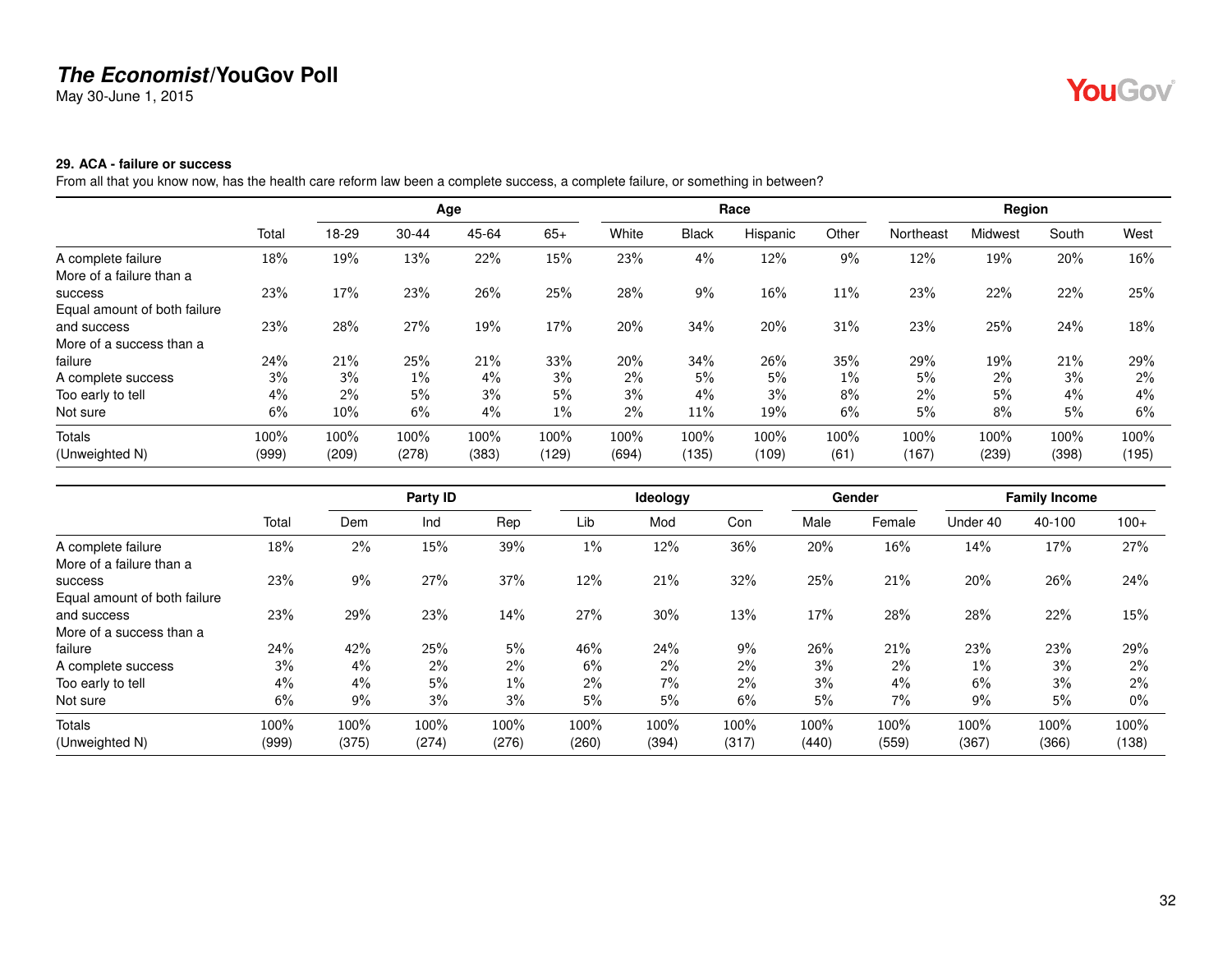May 30-June 1, 2015

# YouGov®

#### <span id="page-31-0"></span>**29. ACA - failure or success**

From all that you know now, has the health care reform law been a complete success, a complete failure, or something in between?

|                              |       |       |           | Age   |       |       |              | Race     |       |           | Region  |       |       |
|------------------------------|-------|-------|-----------|-------|-------|-------|--------------|----------|-------|-----------|---------|-------|-------|
|                              | Total | 18-29 | $30 - 44$ | 45-64 | $65+$ | White | <b>Black</b> | Hispanic | Other | Northeast | Midwest | South | West  |
| A complete failure           | 18%   | 19%   | 13%       | 22%   | 15%   | 23%   | 4%           | 12%      | 9%    | 12%       | 19%     | 20%   | 16%   |
| More of a failure than a     |       |       |           |       |       |       |              |          |       |           |         |       |       |
| <b>SUCCESS</b>               | 23%   | 17%   | 23%       | 26%   | 25%   | 28%   | 9%           | 16%      | 11%   | 23%       | 22%     | 22%   | 25%   |
| Equal amount of both failure |       |       |           |       |       |       |              |          |       |           |         |       |       |
| and success                  | 23%   | 28%   | 27%       | 19%   | 17%   | 20%   | 34%          | 20%      | 31%   | 23%       | 25%     | 24%   | 18%   |
| More of a success than a     |       |       |           |       |       |       |              |          |       |           |         |       |       |
| failure                      | 24%   | 21%   | 25%       | 21%   | 33%   | 20%   | 34%          | 26%      | 35%   | 29%       | 19%     | 21%   | 29%   |
| A complete success           | 3%    | 3%    | $1\%$     | $4\%$ | 3%    | 2%    | 5%           | 5%       | $1\%$ | 5%        | 2%      | 3%    | $2\%$ |
| Too early to tell            | 4%    | 2%    | 5%        | 3%    | 5%    | $3\%$ | $4\%$        | 3%       | 8%    | $2\%$     | 5%      | 4%    | $4\%$ |
| Not sure                     | 6%    | 10%   | 6%        | 4%    | $1\%$ | 2%    | 11%          | 19%      | 6%    | 5%        | 8%      | 5%    | 6%    |
| <b>Totals</b>                | 100%  | 100%  | 100%      | 100%  | 100%  | 100%  | 100%         | 100%     | 100%  | 100%      | 100%    | 100%  | 100%  |
| (Unweighted N)               | (999) | (209) | (278)     | (383) | (129) | (694) | (135)        | (109)    | (61)  | (167)     | (239)   | (398) | (195) |

|                              |       | Party ID |       |       |       | Ideology |       |       | Gender | <b>Family Income</b> |        |        |
|------------------------------|-------|----------|-------|-------|-------|----------|-------|-------|--------|----------------------|--------|--------|
|                              | Total | Dem      | Ind   | Rep   | Lib   | Mod      | Con   | Male  | Female | Under 40             | 40-100 | $100+$ |
| A complete failure           | 18%   | 2%       | 15%   | 39%   | $1\%$ | 12%      | 36%   | 20%   | 16%    | 14%                  | 17%    | 27%    |
| More of a failure than a     |       |          |       |       |       |          |       |       |        |                      |        |        |
| <b>SUCCESS</b>               | 23%   | 9%       | 27%   | 37%   | 12%   | 21%      | 32%   | 25%   | 21%    | 20%                  | 26%    | 24%    |
| Equal amount of both failure |       |          |       |       |       |          |       |       |        |                      |        |        |
| and success                  | 23%   | 29%      | 23%   | 14%   | 27%   | 30%      | 13%   | 17%   | 28%    | 28%                  | 22%    | 15%    |
| More of a success than a     |       |          |       |       |       |          |       |       |        |                      |        |        |
| failure                      | 24%   | 42%      | 25%   | 5%    | 46%   | 24%      | $9\%$ | 26%   | 21%    | 23%                  | 23%    | 29%    |
| A complete success           | 3%    | 4%       | 2%    | 2%    | 6%    | $2\%$    | $2\%$ | 3%    | $2\%$  | $1\%$                | 3%     | 2%     |
| Too early to tell            | 4%    | 4%       | 5%    | $1\%$ | 2%    | 7%       | 2%    | 3%    | 4%     | 6%                   | 3%     | 2%     |
| Not sure                     | 6%    | 9%       | 3%    | 3%    | 5%    | 5%       | 6%    | 5%    | 7%     | 9%                   | 5%     | $0\%$  |
| Totals                       | 100%  | 100%     | 100%  | 100%  | 100%  | 100%     | 100%  | 100%  | 100%   | 100%                 | 100%   | 100%   |
| (Unweighted N)               | (999) | (375)    | (274) | (276) | (260) | (394)    | (317) | (440) | (559)  | (367)                | (366)  | (138)  |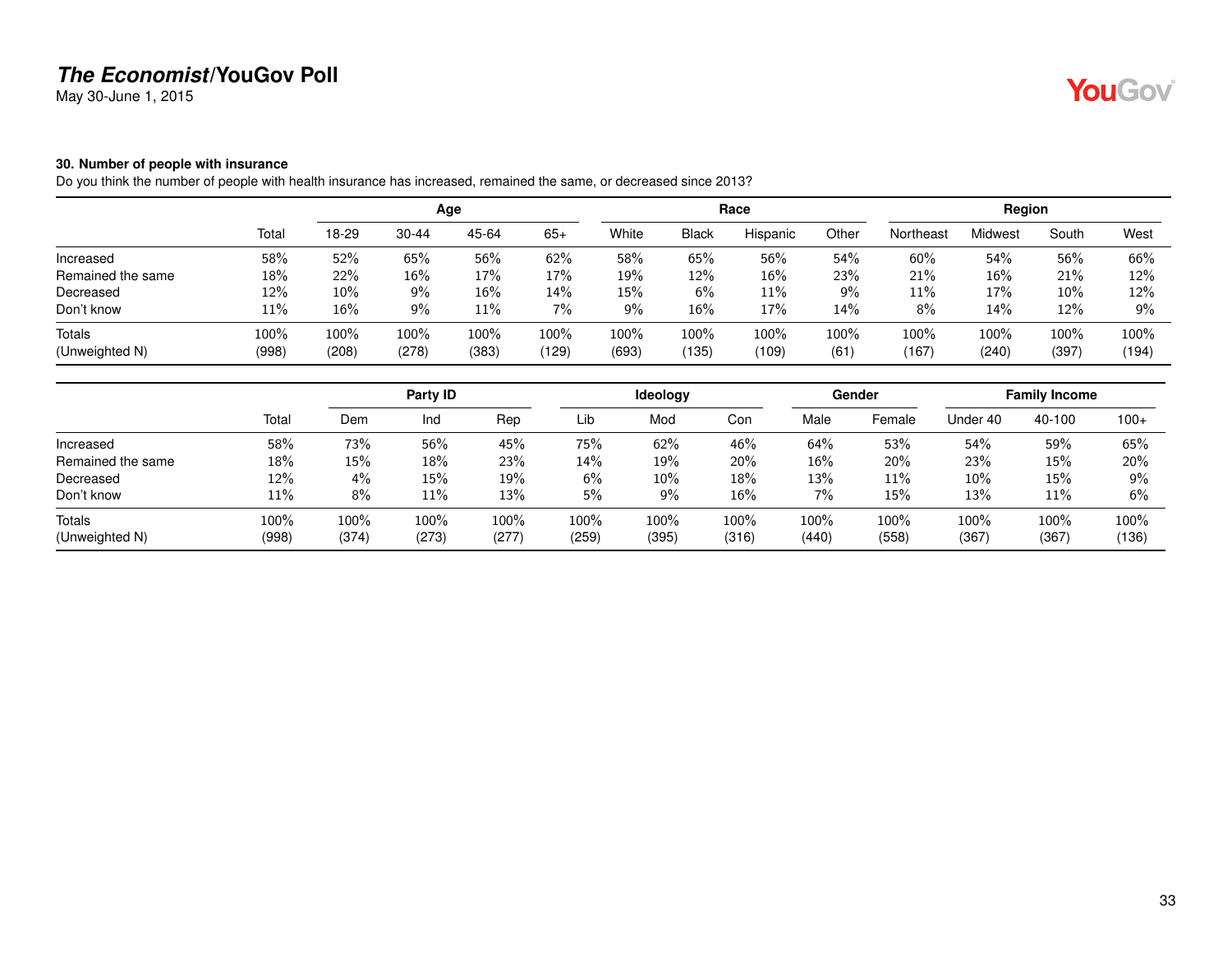May 30-June 1, 2015

# YouGov®

#### <span id="page-32-0"></span>**30. Number of people with insurance**

Do you think the number of people with health insurance has increased, remained the same, or decreased since 2013?

|                   |       | Age   |           |       |       |       |              | Race     |         | Region    |         |       |       |
|-------------------|-------|-------|-----------|-------|-------|-------|--------------|----------|---------|-----------|---------|-------|-------|
|                   | Total | 18-29 | $30 - 44$ | 45-64 | $65+$ | White | <b>Black</b> | Hispanic | Other   | Northeast | Midwest | South | West  |
| Increased         | 58%   | 52%   | 65%       | 56%   | 62%   | 58%   | 65%          | 56%      | 54%     | 60%       | 54%     | 56%   | 66%   |
| Remained the same | 18%   | 22%   | 16%       | 17%   | 17%   | 19%   | 12%          | $16\%$   | 23%     | 21%       | 16%     | 21%   | 12%   |
| Decreased         | 12%   | 10%   | 9%        | 16%   | 14%   | 15%   | 6%           | 11%      | 9%      | 11%       | 17%     | 10%   | 12%   |
| Don't know        | 11%   | 16%   | 9%        | 11%   | 7%    | 9%    | 16%          | 17%      | 14%     | 8%        | 14%     | 12%   | 9%    |
| Totals            | 100%  | 100%  | 100%      | 100%  | 100%  | 100%  | 100%         | 100%     | $100\%$ | 100%      | 100%    | 100%  | 100%  |
| (Unweighted N)    | (998) | (208) | (278)     | (383) | (129) | (693) | (135)        | (109)    | (61)    | (167)     | (240)   | (397) | (194) |

|                   |       | Party ID |       |       |       | Ideology |        |       | Gender | <b>Family Income</b> |        |        |
|-------------------|-------|----------|-------|-------|-------|----------|--------|-------|--------|----------------------|--------|--------|
|                   | Total | Dem      | Ind   | Rep   | Lib   | Mod      | Con    | Male  | Female | Under 40             | 40-100 | $100+$ |
| Increased         | 58%   | 73%      | 56%   | 45%   | 75%   | 62%      | 46%    | 64%   | 53%    | 54%                  | 59%    | 65%    |
| Remained the same | 18%   | 15%      | 18%   | 23%   | 14%   | 19%      | 20%    | 16%   | 20%    | 23%                  | 15%    | 20%    |
| Decreased         | 12%   | 4%       | 15%   | 19%   | 6%    | 10%      | 18%    | 13%   | 11%    | 10%                  | 15%    | 9%     |
| Don't know        | 11%   | 8%       | 11%   | 13%   | 5%    | 9%       | $16\%$ | 7%    | 15%    | 13%                  | 11%    | 6%     |
| <b>Totals</b>     | 100%  | 100%     | 100%  | 100%  | 100%  | 100%     | 100%   | 100%  | 100%   | 100%                 | 100%   | 100%   |
| (Unweighted N)    | (998) | (374)    | (273) | (277) | (259) | (395)    | (316)  | (440) | (558)  | (367)                | (367)  | (136)  |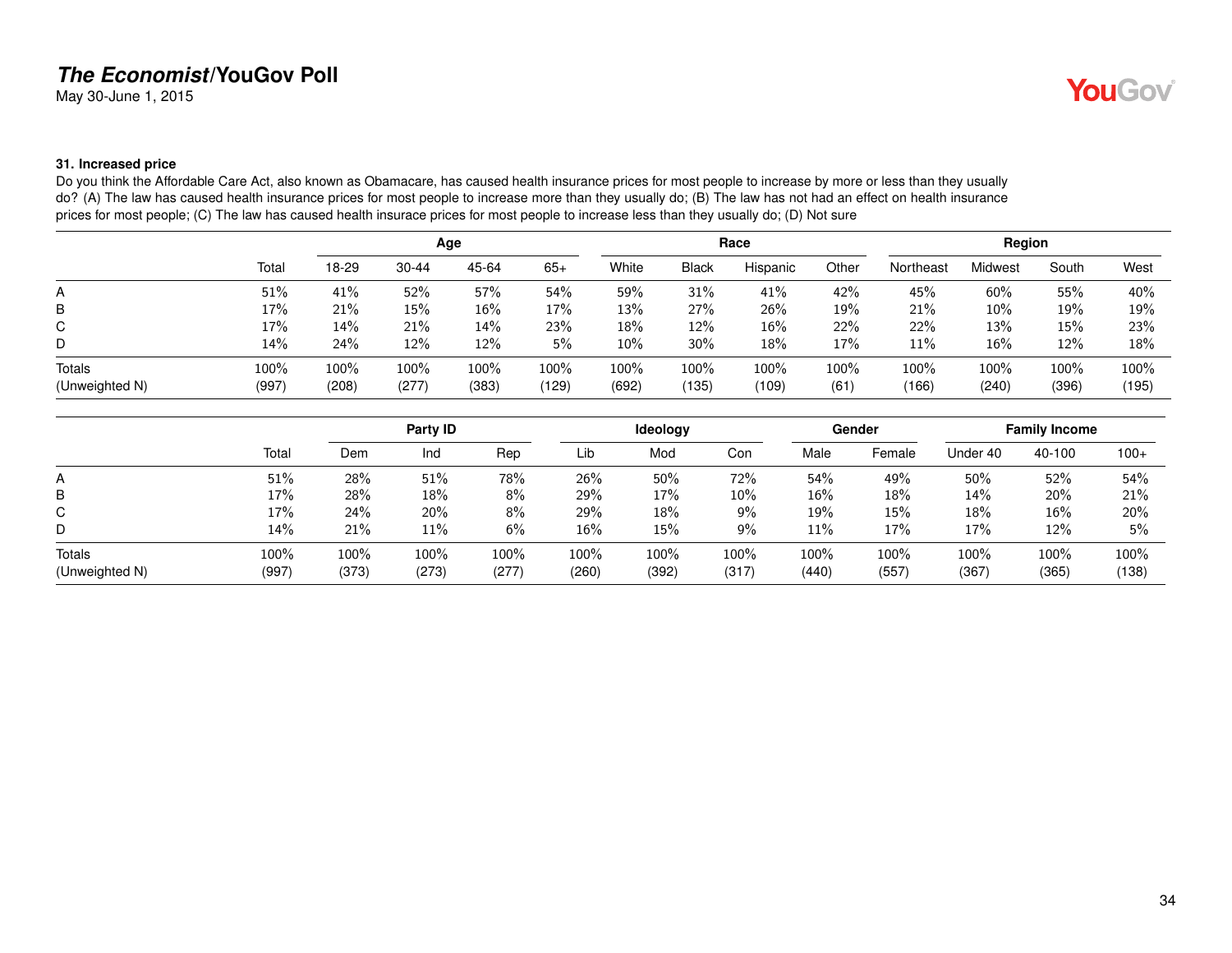May 30-June 1, 2015

#### <span id="page-33-0"></span>**31. Increased price**

Do you think the Affordable Care Act, also known as Obamacare, has caused health insurance prices for most people to increase by more or less than they usually do? (A) The law has caused health insurance prices for most people to increase more than they usually do; (B) The law has not had an effect on health insurance prices for most people; (C) The law has caused health insurace prices for most people to increase less than they usually do; (D) Not sure

|                          |               | Age           |               |               |               |               |               | Race          |              | Region        |               |               |               |
|--------------------------|---------------|---------------|---------------|---------------|---------------|---------------|---------------|---------------|--------------|---------------|---------------|---------------|---------------|
|                          | Total         | 18-29         | $30 - 44$     | 45-64         | $65+$         | White         | <b>Black</b>  | Hispanic      | Other        | Northeast     | Midwest       | South         | West          |
| A                        | 51%           | 41%           | 52%           | 57%           | 54%           | 59%           | 31%           | 41%           | 42%          | 45%           | 60%           | 55%           | 40%           |
| B                        | 17%           | 21%           | 15%           | 16%           | 17%           | 13%           | 27%           | 26%           | 19%          | 21%           | 10%           | 19%           | 19%           |
| C                        | 17%           | 14%           | 21%           | 14%           | 23%           | 18%           | 12%           | 16%           | 22%          | 22%           | 13%           | 15%           | 23%           |
| D                        | 14%           | 24%           | 12%           | 12%           | 5%            | $10\%$        | 30%           | 18%           | 17%          | $11\%$        | 16%           | 12%           | 18%           |
| Totals<br>(Unweighted N) | 100%<br>(997) | 100%<br>(208) | 100%<br>(277) | 100%<br>(383) | 100%<br>(129) | 100%<br>(692) | 100%<br>(135) | 100%<br>(109) | 100%<br>(61) | 100%<br>(166) | 100%<br>(240) | 100%<br>(396) | 100%<br>(195) |

|                |       | Party ID |       |       |       | Ideology |       |       | Gender | <b>Family Income</b> |        |        |
|----------------|-------|----------|-------|-------|-------|----------|-------|-------|--------|----------------------|--------|--------|
|                | Total | Dem      | Ind   | Rep   | Lib   | Mod      | Con   | Male  | Female | Under 40             | 40-100 | $100+$ |
| A              | 51%   | 28%      | 51%   | 78%   | 26%   | 50%      | 72%   | 54%   | 49%    | 50%                  | 52%    | 54%    |
| B              | 17%   | 28%      | 18%   | 8%    | 29%   | 17%      | 10%   | 16%   | 18%    | 14%                  | 20%    | 21%    |
| C              | 17%   | 24%      | 20%   | 8%    | 29%   | 18%      | 9%    | 19%   | 15%    | 18%                  | 16%    | 20%    |
| D              | 14%   | 21%      | 11%   | 6%    | 16%   | 15%      | 9%    | 11%   | 17%    | 17%                  | 12%    | 5%     |
| Totals         | 100%  | 100%     | 100%  | 100%  | 100%  | 100%     | 100%  | 100%  | 100%   | 100%                 | 100%   | 100%   |
| (Unweighted N) | (997) | (373)    | (273) | (277) | (260) | (392)    | (317) | (440) | (557)  | (367)                | (365)  | (138)  |

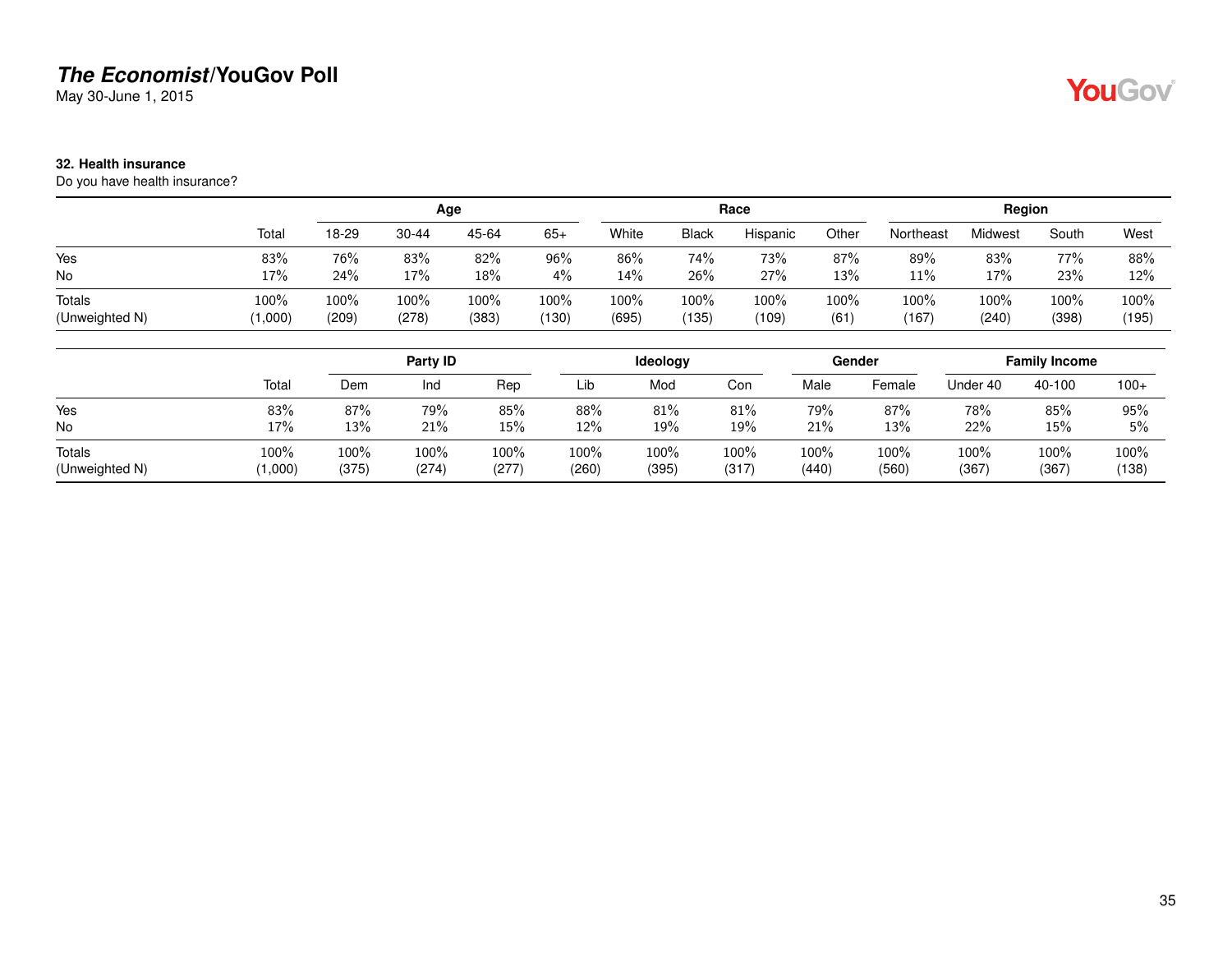May 30-June 1, 2015

#### <span id="page-34-0"></span>**32. Health insurance**

Do you have health insurance?

|                |         | Age   |           |       |       |       |              | Race     |       | Region    |                |       |       |  |
|----------------|---------|-------|-----------|-------|-------|-------|--------------|----------|-------|-----------|----------------|-------|-------|--|
|                | Total   | 18-29 | $30 - 44$ | 45-64 | $65+$ | White | <b>Black</b> | Hispanic | Other | Northeast | <b>Midwest</b> | South | West  |  |
| Yes            | 83%     | 76%   | 83%       | 82%   | 96%   | 86%   | 74%          | 73%      | 87%   | 89%       | 83%            | 77%   | 88%   |  |
| <b>No</b>      | 17%     | 24%   | 17%       | 18%   | 4%    | 14%   | 26%          | 27%      | 13%   | 11%       | 17%            | 23%   | 12%   |  |
| Totals         | 100%    | 100%  | $100\%$   | 100%  | 100%  | 100%  | 100%         | 100%     | 100%  | 100%      | 100%           | 100%  | 100%  |  |
| (Unweighted N) | (000, 1 | (209) | (278)     | (383) | (130) | (695) | (135)        | (109)    | (61)  | (167)     | (240)          | (398) | (195) |  |

|                |         | Party ID |       |       |       | Ideology |       |       | Gender | <b>Family Income</b> |        |        |
|----------------|---------|----------|-------|-------|-------|----------|-------|-------|--------|----------------------|--------|--------|
|                | Total   | Dem      | Ind   | Rep   | Lib   | Mod      | Con   | Male  | Female | Jnder 40             | 40-100 | $100+$ |
| Yes            | 83%     | 87%      | 79%   | 85%   | 88%   | 81%      | 81%   | 79%   | 87%    | 78%                  | 85%    | 95%    |
| No             | 17%     | 13%      | 21%   | 15%   | 12%   | 19%      | 19%   | 21%   | 13%    | 22%                  | 15%    | 5%     |
| Totals         | 100%    | 100%     | 100%  | 100%  | 100%  | 100%     | 100%  | 100%  | 100%   | 100%                 | 100%   | 100%   |
| (Unweighted N) | (1,000) | (375)    | (274) | (277) | (260) | (395)    | (317) | (440) | (560)  | (367)                | (367)  | (138)  |

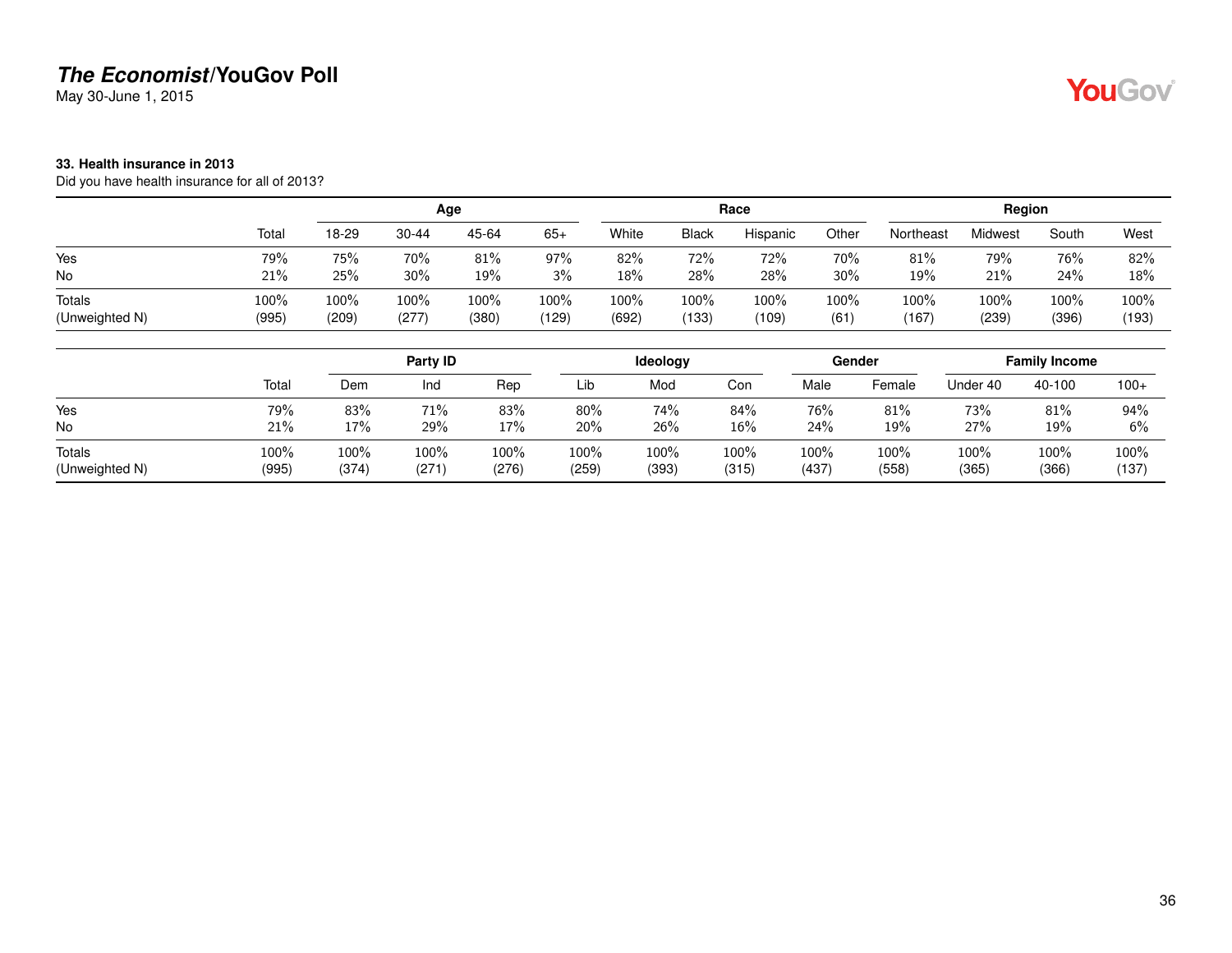May 30-June 1, 2015

#### <span id="page-35-0"></span>**33. Health insurance in 2013**

Did you have health insurance for all of 2013?

|                |       | Age   |           |       |       |       |              | Race     |       | Region    |         |       |       |
|----------------|-------|-------|-----------|-------|-------|-------|--------------|----------|-------|-----------|---------|-------|-------|
|                | Total | 18-29 | $30 - 44$ | 45-64 | $65+$ | White | <b>Black</b> | Hispanic | Other | Northeast | Midwest | South | West  |
| Yes            | 79%   | 75%   | 70%       | 81%   | 97%   | 82%   | 72%          | 72%      | 70%   | 81%       | 79%     | 76%   | 82%   |
| No             | 21%   | 25%   | 30%       | 19%   | 3%    | 18%   | 28%          | 28%      | 30%   | 19%       | 21%     | 24%   | 18%   |
| Totals         | 100%  | 100%  | 100%      | 100%  | 100%  | 100%  | 100%         | 100%     | 100%  | 100%      | 100%    | 100%  | 100%  |
| (Unweighted N) | (995) | (209) | (277)     | (380) | (129) | (692) | (133)        | (109)    | (61)  | (167)     | (239)   | (396) | (193) |

|                |       | Party ID |      |       |        | Ideology |       |       | Gender | <b>Family Income</b> |        |        |
|----------------|-------|----------|------|-------|--------|----------|-------|-------|--------|----------------------|--------|--------|
|                | Total | Dem      | Ind  | Rep   | Lib    | Mod      | Con   | Male  | Female | Under 40             | 40-100 | $100+$ |
| Yes            | 79%   | 83%      | 71%  | 83%   | $80\%$ | 74%      | 84%   | 76%   | 81%    | 73%                  | 81%    | 94%    |
| No             | 21%   | 17%      | 29%  | 17%   | 20%    | 26%      | 16%   | 24%   | 19%    | 27%                  | 19%    | 6%     |
| Totals         | 100%  | 100%     | 100% | 100%  | 100%   | 100%     | 100%  | 100%  | 100%   | 100%                 | 100%   | 100%   |
| (Unweighted N) | (995) | (374)    | (271 | (276) | (259)  | (393)    | (315) | (437) | (558)  | (365)                | (366)  | (137)  |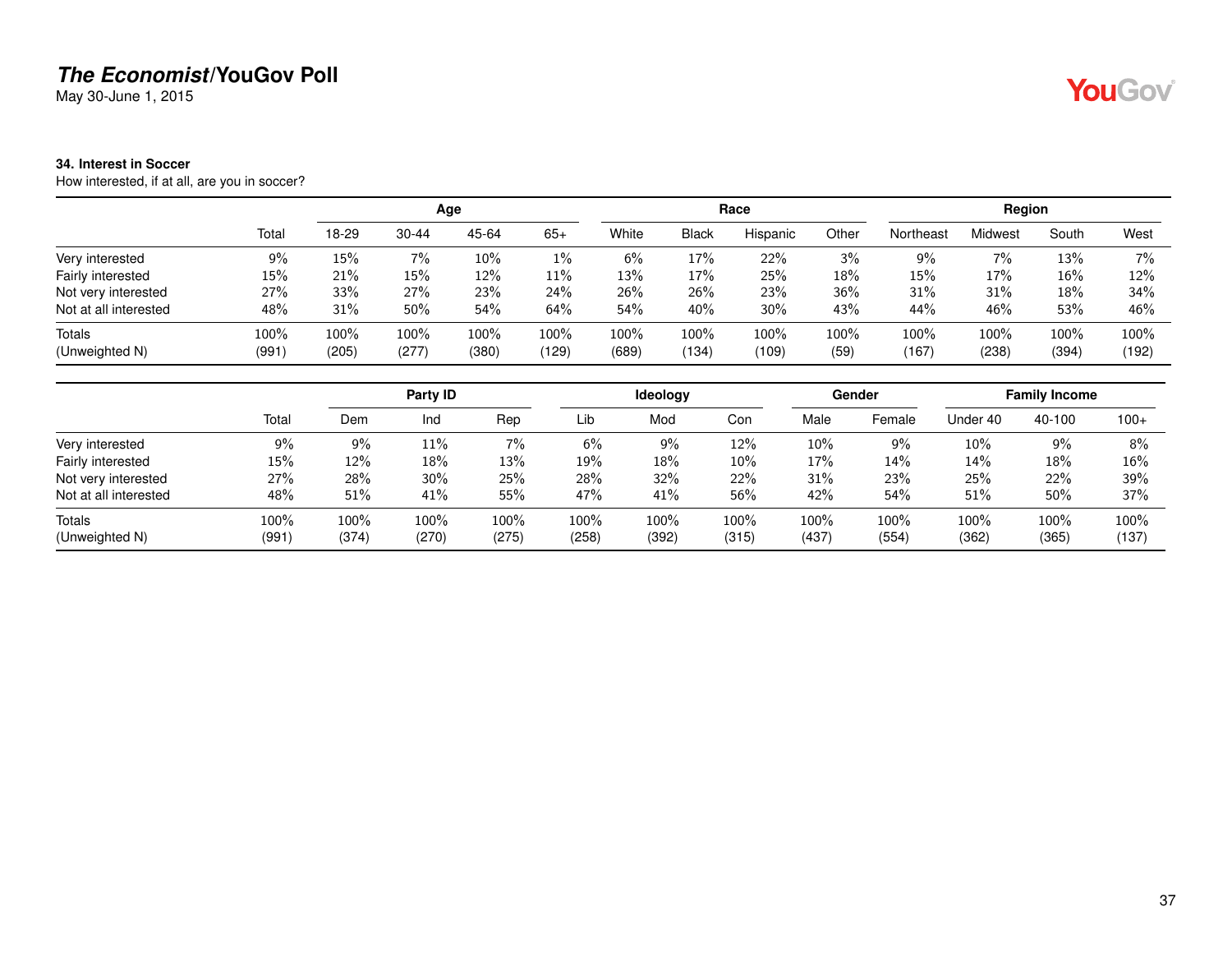May 30-June 1, 2015

#### **34. Interest in Soccer**

How interested, if at all, are you in soccer?

|                       |         |       |           | Age   |       |       |              | Race     |         |           | Region  |         |       |
|-----------------------|---------|-------|-----------|-------|-------|-------|--------------|----------|---------|-----------|---------|---------|-------|
|                       | Total   | 18-29 | $30 - 44$ | 45-64 | $65+$ | White | <b>Black</b> | Hispanic | Other   | Northeast | Midwest | South   | West  |
| Very interested       | 9%      | 15%   | 7%        | 10%   | $1\%$ | 6%    | 17%          | 22%      | 3%      | 9%        | 7%      | 13%     | $7\%$ |
| Fairly interested     | 15%     | 21%   | 15%       | 12%   | 11%   | 13%   | 17%          | 25%      | 18%     | 15%       | 17%     | 16%     | 12%   |
| Not very interested   | 27%     | 33%   | 27%       | 23%   | 24%   | 26%   | 26%          | 23%      | 36%     | 31%       | 31%     | 18%     | 34%   |
| Not at all interested | 48%     | 31%   | 50%       | 54%   | 64%   | 54%   | 40%          | 30%      | 43%     | 44%       | 46%     | 53%     | 46%   |
| Totals                | $100\%$ | 100%  | 100%      | 100%  | 100%  | 100%  | 100%         | 100%     | $100\%$ | 100%      | $100\%$ | $100\%$ | 100%  |
| (Unweighted N)        | (991)   | (205) | (277)     | (380) | (129) | (689) | (134)        | (109)    | (59)    | (167)     | (238)   | (394)   | (192) |

|                       |       |       | Party ID |       |       | ldeology |       |       | Gender |          | <b>Family Income</b> |        |
|-----------------------|-------|-------|----------|-------|-------|----------|-------|-------|--------|----------|----------------------|--------|
|                       | Total | Dem   | Ind      | Rep   | Lib   | Mod      | Con   | Male  | Female | Under 40 | 40-100               | $100+$ |
| Very interested       | 9%    | $9\%$ | 11%      | $7\%$ | 6%    | 9%       | 12%   | 10%   | 9%     | 10%      | $9\%$                | 8%     |
| Fairly interested     | 15%   | 12%   | 18%      | 13%   | 19%   | 18%      | 10%   | 17%   | 14%    | 14%      | 18%                  | 16%    |
| Not very interested   | 27%   | 28%   | 30%      | 25%   | 28%   | 32%      | 22%   | 31%   | 23%    | 25%      | 22%                  | 39%    |
| Not at all interested | 48%   | 51%   | 41%      | 55%   | 47%   | 41%      | 56%   | 42%   | 54%    | 51%      | 50%                  | 37%    |
| <b>Totals</b>         | 100%  | 100%  | 100%     | 100%  | 100%  | 100%     | 100%  | 100%  | 100%   | 100%     | 100%                 | 100%   |
| (Unweighted N)        | (991) | (374) | (270)    | (275) | (258) | (392)    | (315) | (437) | (554)  | (362)    | (365)                | (137)  |

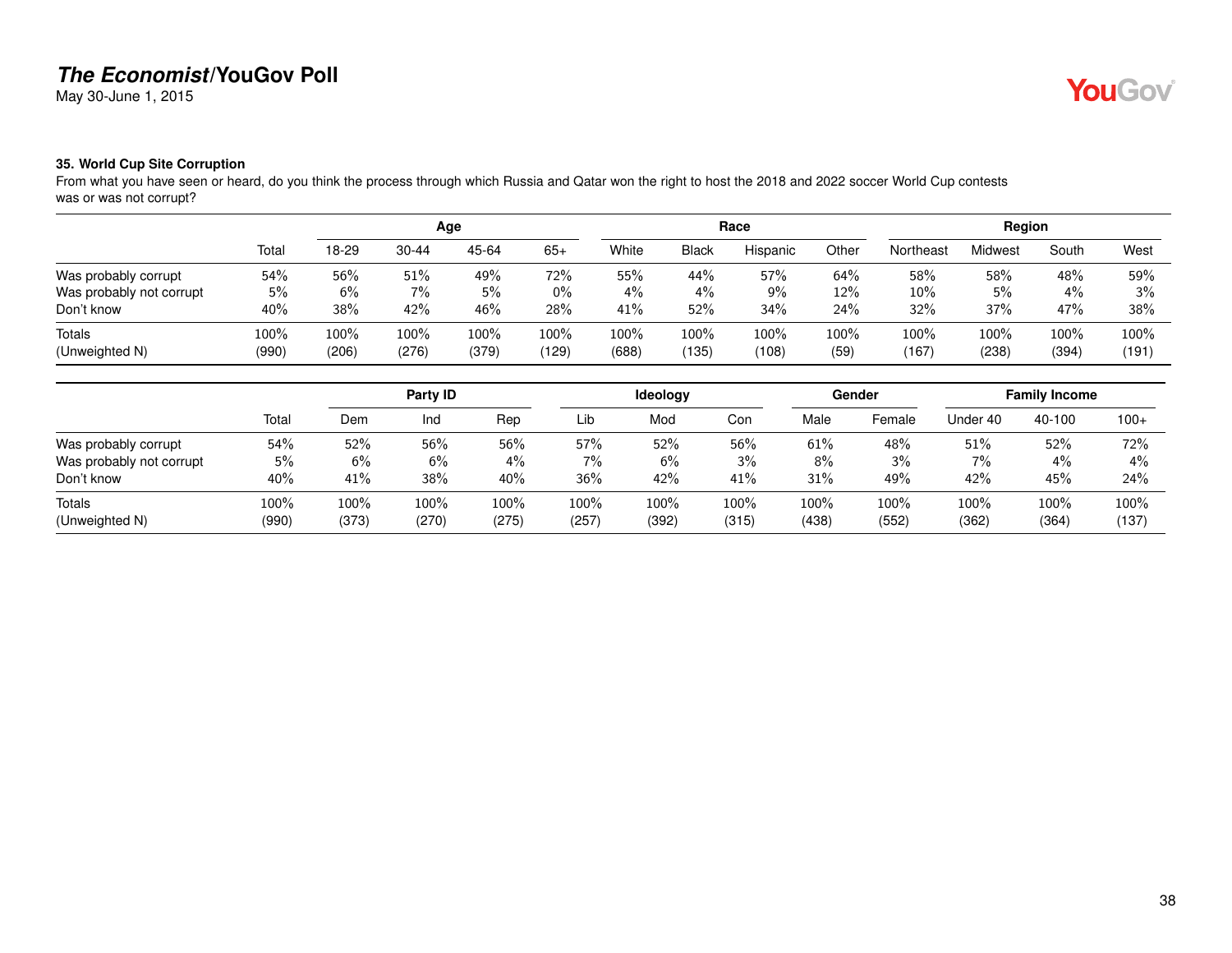May 30-June 1, 2015

# **YouGov**

#### **35. World Cup Site Corruption**

From what you have seen or heard, do you think the process through which Russia and Qatar won the right to host the 2018 and 2022 soccer World Cup contests was or was not corrupt?

|                          |       |       |           | Age   |       |       |              | Race     |       |           | Region  |       |       |
|--------------------------|-------|-------|-----------|-------|-------|-------|--------------|----------|-------|-----------|---------|-------|-------|
|                          | Total | 18-29 | $30 - 44$ | 45-64 | $65+$ | White | <b>Black</b> | Hispanic | Other | Northeast | Midwest | South | West  |
| Was probably corrupt     | 54%   | 56%   | 51%       | 49%   | 72%   | 55%   | 44%          | 57%      | 64%   | 58%       | 58%     | 48%   | 59%   |
| Was probably not corrupt | 5%    | 6%    | 7%        | 5%    | $0\%$ | $4\%$ | $4\%$        | 9%       | 12%   | $10\%$    | 5%      | $4\%$ | 3%    |
| Don't know               | 40%   | 38%   | 42%       | 46%   | 28%   | 41%   | 52%          | 34%      | 24%   | 32%       | 37%     | 47%   | 38%   |
| Totals                   | 100%  | 100%  | 100%      | 100%  | 100%  | 100%  | 100%         | 100%     | 100%  | 100%      | 100%    | 100%  | 100%  |
| (Unweighted N)           | (990) | (206) | (276)     | (379) | (129) | (688) | 135)         | (108)    | (59)  | (167)     | (238)   | (394) | (191) |

|                          |       |       | Party ID |       |         | <b>Ideology</b> |       |       | Gender |          | <b>Family Income</b> |        |
|--------------------------|-------|-------|----------|-------|---------|-----------------|-------|-------|--------|----------|----------------------|--------|
|                          | Total | Dem   | Ind      | Rep   | Lib     | Mod             | Con   | Male  | Female | Under 40 | 40-100               | $100+$ |
| Was probably corrupt     | 54%   | 52%   | 56%      | 56%   | 57%     | 52%             | 56%   | 61%   | 48%    | 51%      | 52%                  | 72%    |
| Was probably not corrupt | 5%    | 6%    | 6%       | 4%    | 7%      | 6%              | 3%    | 8%    | 3%     | 7%       | 4%                   | $4\%$  |
| Don't know               | 40%   | 41%   | 38%      | 40%   | 36%     | 42%             | 41%   | 31%   | 49%    | 42%      | 45%                  | 24%    |
| Totals                   | 100%  | 100%  | 100%     | 100%  | $100\%$ | 100%            | 100%  | 100%  | 100%   | 100%     | 100%                 | 100%   |
| (Unweighted N)           | (990) | (373) | (270)    | (275) | (257)   | (392)           | (315) | (438) | (552)  | (362)    | (364)                | (137)  |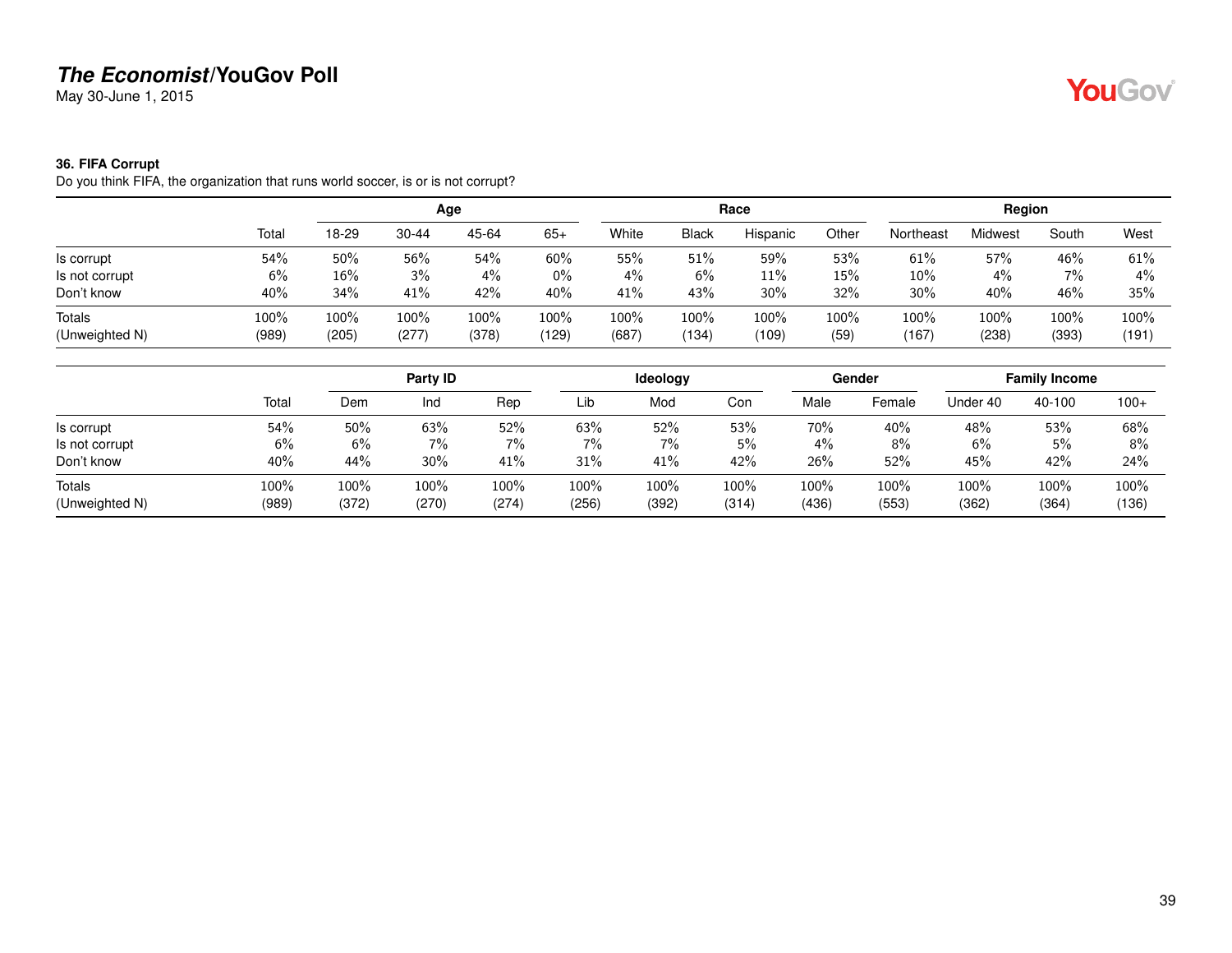May 30-June 1, 2015

#### **36. FIFA Corrupt**

Do you think FIFA, the organization that runs world soccer, is or is not corrupt?

|                |       |       |           | Age   |        |       |              | Race     |       |           | Region  |       |       |
|----------------|-------|-------|-----------|-------|--------|-------|--------------|----------|-------|-----------|---------|-------|-------|
|                | Total | 18-29 | $30 - 44$ | 45-64 | $65+$  | White | <b>Black</b> | Hispanic | Other | Northeast | Midwest | South | West  |
| Is corrupt     | 54%   | 50%   | 56%       | 54%   | $60\%$ | 55%   | 51%          | 59%      | 53%   | 61%       | 57%     | 46%   | 61%   |
| Is not corrupt | 6%    | 16%   | 3%        | 4%    | $0\%$  | $4\%$ | 6%           | 11%      | 15%   | 10%       | 4%      | 7%    | $4\%$ |
| Don't know     | 40%   | 34%   | 41%       | 42%   | 40%    | 41%   | 43%          | 30%      | 32%   | 30%       | 40%     | 46%   | 35%   |
| <b>Totals</b>  | 100%  | 100%  | 100%      | 100%  | 100%   | 100%  | 100%         | 100%     | 100%  | 100%      | 100%    | 100%  | 100%  |
| (Unweighted N) | (989) | (205) | (277)     | (378) | (129)  | (687) | (134)        | (109)    | (59)  | (167)     | (238)   | (393) | (191) |

|                          |               |               | Party ID      |               |               | Ideology      |               |               | Gender        |               | <b>Family Income</b> |               |
|--------------------------|---------------|---------------|---------------|---------------|---------------|---------------|---------------|---------------|---------------|---------------|----------------------|---------------|
|                          | Total         | Dem           | Ind           | Rep           | Lib           | Mod           | Con           | Male          | Female        | Under 40      | 40-100               | $100+$        |
| Is corrupt               | 54%           | 50%           | 63%           | 52%           | 63%           | 52%           | 53%           | 70%           | 40%           | 48%           | 53%                  | 68%           |
| Is not corrupt           | 6%            | $6\%$         | 7%            | $7\%$         | 7%            | 7%            | 5%            | 4%            | 8%            | 6%            | 5%                   | 8%            |
| Don't know               | 40%           | 44%           | 30%           | 41%           | 31%           | 41%           | 42%           | 26%           | 52%           | 45%           | 42%                  | 24%           |
| Totals<br>(Unweighted N) | 100%<br>(989) | 100%<br>(372) | 100%<br>(270) | 100%<br>(274) | 100%<br>(256) | 100%<br>(392) | 100%<br>(314) | 100%<br>(436) | 100%<br>(553) | 100%<br>(362) | 100%<br>(364)        | 100%<br>(136) |

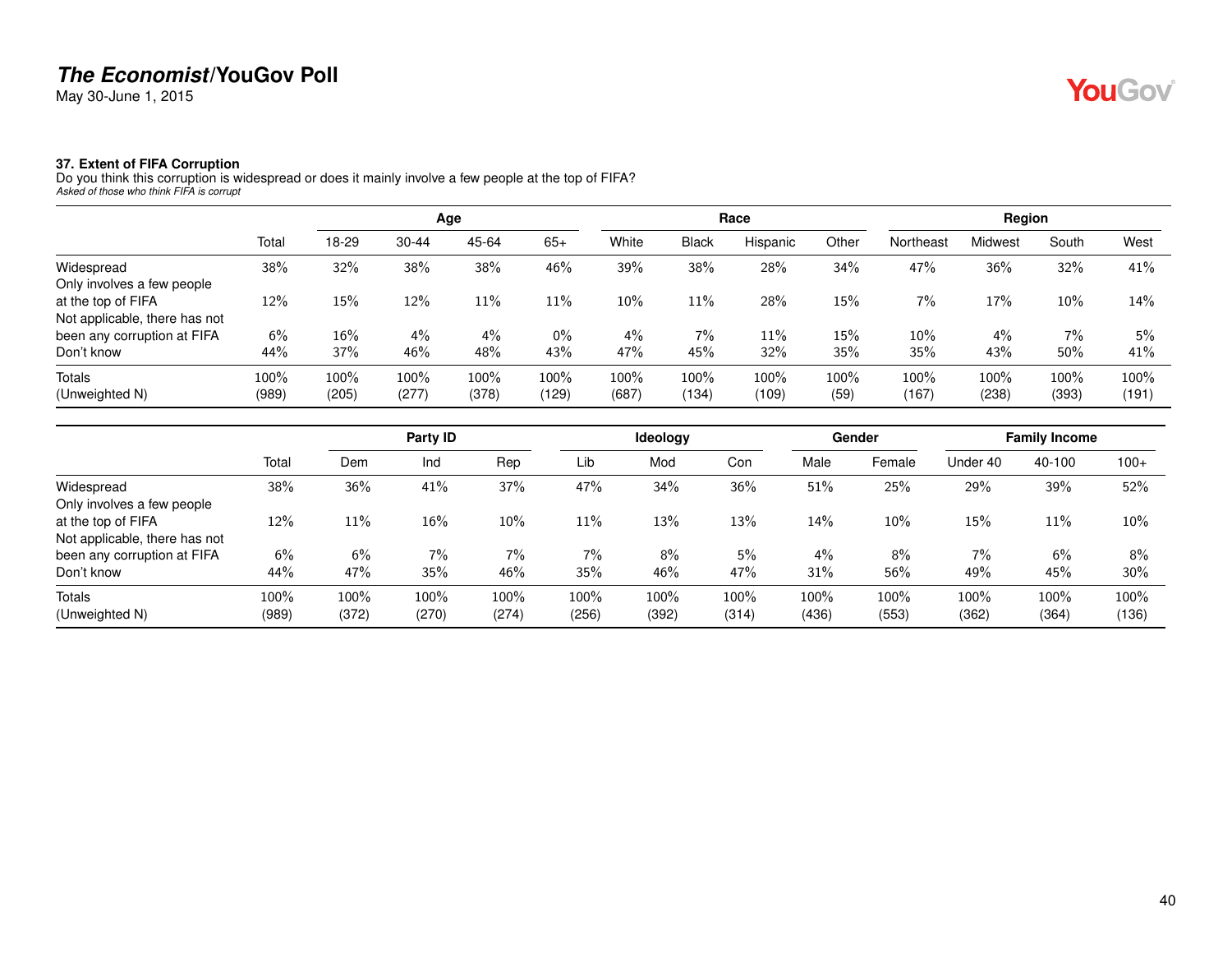May 30-June 1, 2015

# YouGov®

#### **37. Extent of FIFA Corruption**

Do you think this corruption is widespread or does it mainly involve a few people at the top of FIFA? *Asked of those who think FIFA is corrupt*

|                               |       |       |           | Age   |       |       |              | Race     |       |           | Region  |       |       |
|-------------------------------|-------|-------|-----------|-------|-------|-------|--------------|----------|-------|-----------|---------|-------|-------|
|                               | Total | 18-29 | $30 - 44$ | 45-64 | $65+$ | White | <b>Black</b> | Hispanic | Other | Northeast | Midwest | South | West  |
| Widespread                    | 38%   | 32%   | 38%       | 38%   | 46%   | 39%   | 38%          | 28%      | 34%   | 47%       | 36%     | 32%   | 41%   |
| Only involves a few people    |       |       |           |       |       |       |              |          |       |           |         |       |       |
| at the top of FIFA            | 12%   | 15%   | 12%       | 11%   | 11%   | 10%   | 11%          | 28%      | 15%   | 7%        | 17%     | 10%   | 14%   |
| Not applicable, there has not |       |       |           |       |       |       |              |          |       |           |         |       |       |
| been any corruption at FIFA   | 6%    | 16%   | $4\%$     | $4\%$ | $0\%$ | $4\%$ | $7\%$        | 11%      | 15%   | 10%       | 4%      | 7%    | 5%    |
| Don't know                    | 44%   | 37%   | 46%       | 48%   | 43%   | 47%   | 45%          | 32%      | 35%   | 35%       | 43%     | 50%   | 41%   |
| Totals                        | 100%  | 100%  | 100%      | 100%  | 100%  | 100%  | 100%         | 100%     | 100%  | 100%      | 100%    | 100%  | 100%  |
| (Unweighted N)                | (989) | (205) | (277)     | (378) | (129) | (687) | (134)        | (109)    | (59)  | (167)     | (238)   | (393) | (191) |

|                               |       |       | Party ID |       |       | <b>Ideology</b> |       |       | Gender |          | <b>Family Income</b> |        |
|-------------------------------|-------|-------|----------|-------|-------|-----------------|-------|-------|--------|----------|----------------------|--------|
|                               | Total | Dem   | Ind      | Rep   | Lib   | Mod             | Con   | Male  | Female | Under 40 | 40-100               | $100+$ |
| Widespread                    | 38%   | 36%   | 41%      | 37%   | 47%   | 34%             | 36%   | 51%   | 25%    | 29%      | 39%                  | 52%    |
| Only involves a few people    |       |       |          |       |       |                 |       |       |        |          |                      |        |
| at the top of FIFA            | 12%   | 11%   | 16%      | 10%   | 11%   | 13%             | 13%   | 14%   | 10%    | 15%      | 11%                  | 10%    |
| Not applicable, there has not |       |       |          |       |       |                 |       |       |        |          |                      |        |
| been any corruption at FIFA   | 6%    | 6%    | $7\%$    | $7\%$ | 7%    | 8%              | 5%    | 4%    | 8%     | 7%       | 6%                   | 8%     |
| Don't know                    | 44%   | 47%   | 35%      | 46%   | 35%   | 46%             | 47%   | 31%   | 56%    | 49%      | 45%                  | 30%    |
| <b>Totals</b>                 | 100%  | 100%  | 100%     | 100%  | 100%  | 100%            | 100%  | 100%  | 100%   | 100%     | 100%                 | 100%   |
| (Unweighted N)                | (989) | (372) | (270)    | (274) | (256) | (392)           | (314) | (436) | (553)  | (362)    | (364)                | (136)  |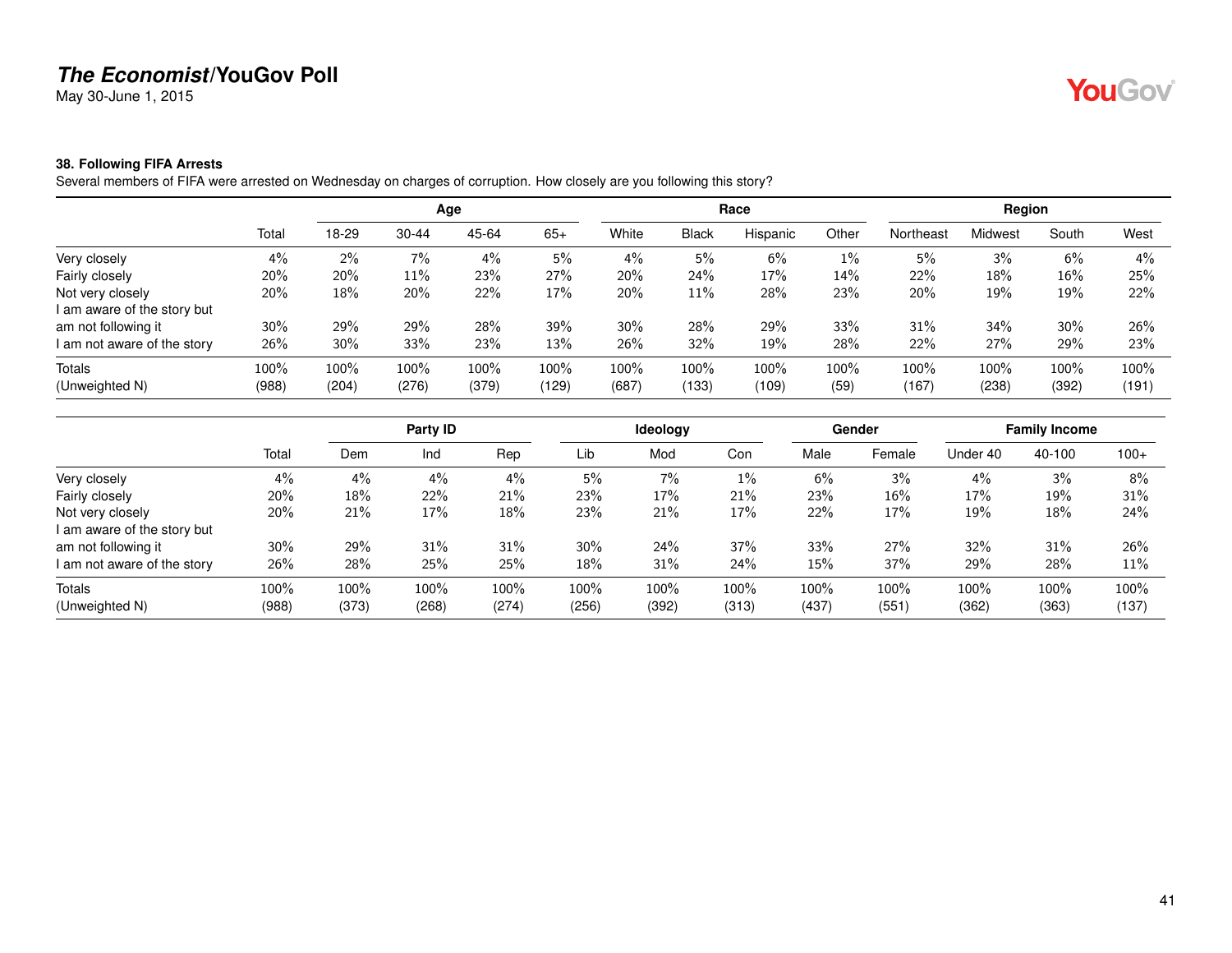May 30-June 1, 2015

# YouGov®

#### **38. Following FIFA Arrests**

Several members of FIFA were arrested on Wednesday on charges of corruption. How closely are you following this story?

|                             |       |       |           | Age   |       |       |              | Race     |       |           | Region         |        |       |
|-----------------------------|-------|-------|-----------|-------|-------|-------|--------------|----------|-------|-----------|----------------|--------|-------|
|                             | Total | 18-29 | $30 - 44$ | 45-64 | $65+$ | White | <b>Black</b> | Hispanic | Other | Northeast | <b>Midwest</b> | South  | West  |
| Very closely                | $4\%$ | 2%    | 7%        | 4%    | 5%    | $4\%$ | 5%           | 6%       | $1\%$ | 5%        | 3%             | 6%     | $4\%$ |
| Fairly closely              | 20%   | 20%   | 11%       | 23%   | 27%   | 20%   | 24%          | 17%      | 14%   | 22%       | 18%            | $16\%$ | 25%   |
| Not very closely            | 20%   | 18%   | 20%       | 22%   | 17%   | 20%   | 11%          | 28%      | 23%   | 20%       | 19%            | 19%    | 22%   |
| I am aware of the story but |       |       |           |       |       |       |              |          |       |           |                |        |       |
| am not following it         | 30%   | 29%   | 29%       | 28%   | 39%   | 30%   | 28%          | 29%      | 33%   | 31%       | 34%            | 30%    | 26%   |
| I am not aware of the story | 26%   | 30%   | 33%       | 23%   | 13%   | 26%   | 32%          | 19%      | 28%   | 22%       | 27%            | 29%    | 23%   |
| <b>Totals</b>               | 100%  | 100%  | 100%      | 100%  | 100%  | 100%  | 100%         | 100%     | 100%  | 100%      | 100%           | 100%   | 100%  |
| (Unweighted N)              | (988) | (204) | (276)     | (379) | (129) | (687) | (133)        | (109)    | (59)  | (167)     | (238)          | (392)  | (191) |

|                             |       |       | Party ID |       |       | <b>Ideology</b> |       |       | Gender |          | <b>Family Income</b> |        |
|-----------------------------|-------|-------|----------|-------|-------|-----------------|-------|-------|--------|----------|----------------------|--------|
|                             | Total | Dem   | Ind      | Rep   | Lib   | Mod             | Con   | Male  | Female | Under 40 | 40-100               | $100+$ |
| Very closely                | 4%    | 4%    | 4%       | $4\%$ | 5%    | 7%              | 1%    | 6%    | 3%     | 4%       | 3%                   | 8%     |
| Fairly closely              | 20%   | 18%   | 22%      | 21%   | 23%   | 17%             | 21%   | 23%   | 16%    | 17%      | 19%                  | 31%    |
| Not very closely            | 20%   | 21%   | 17%      | 18%   | 23%   | 21%             | 17%   | 22%   | 17%    | 19%      | 18%                  | 24%    |
| I am aware of the story but |       |       |          |       |       |                 |       |       |        |          |                      |        |
| am not following it         | 30%   | 29%   | 31%      | 31%   | 30%   | 24%             | 37%   | 33%   | 27%    | 32%      | 31%                  | 26%    |
| I am not aware of the story | 26%   | 28%   | 25%      | 25%   | 18%   | 31%             | 24%   | 15%   | 37%    | 29%      | 28%                  | 11%    |
| Totals                      | 100%  | 100%  | 100%     | 100%  | 100%  | 100%            | 100%  | 100%  | 100%   | 100%     | 100%                 | 100%   |
| (Unweighted N)              | (988) | (373) | (268)    | (274) | (256) | (392)           | (313) | (437) | (551)  | (362)    | (363)                | (137)  |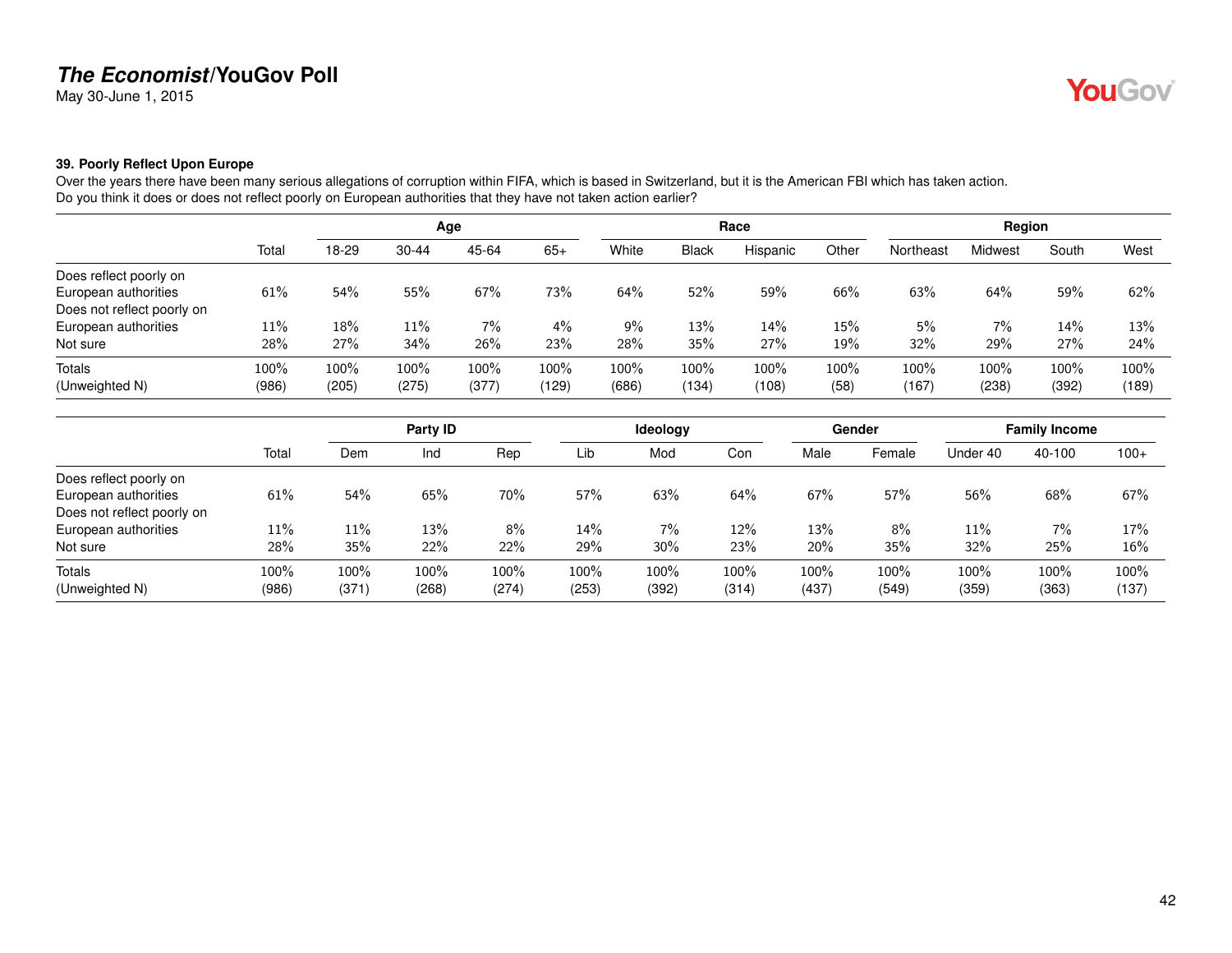May 30-June 1, 2015

#### **39. Poorly Reflect Upon Europe**

Over the years there have been many serious allegations of corruption within FIFA, which is based in Switzerland, but it is the American FBI which has taken action. Do you think it does or does not reflect poorly on European authorities that they have not taken action earlier?

|                            |        |       |           | Age   |       |       |              | Race     |         |           | Region  |       |       |
|----------------------------|--------|-------|-----------|-------|-------|-------|--------------|----------|---------|-----------|---------|-------|-------|
|                            | Total  | 18-29 | $30 - 44$ | 45-64 | $65+$ | White | <b>Black</b> | Hispanic | Other   | Northeast | Midwest | South | West  |
| Does reflect poorly on     |        |       |           |       |       |       |              |          |         |           |         |       |       |
| European authorities       | $61\%$ | 54%   | 55%       | 67%   | 73%   | 64%   | 52%          | 59%      | 66%     | 63%       | 64%     | 59%   | 62%   |
| Does not reflect poorly on |        |       |           |       |       |       |              |          |         |           |         |       |       |
| European authorities       | 11%    | 18%   | 11%       | $7\%$ | $4\%$ | 9%    | 13%          | 14%      | 15%     | 5%        | 7%      | 14%   | 13%   |
| Not sure                   | 28%    | 27%   | 34%       | 26%   | 23%   | 28%   | 35%          | 27%      | 19%     | 32%       | 29%     | 27%   | 24%   |
| <b>Totals</b>              | 100%   | 100%  | 100%      | 100%  | 100%  | 100%  | 100%         | 100%     | $100\%$ | 100%      | 100%    | 100%  | 100%  |
| (Unweighted N)             | (986)  | (205) | (275)     | (377) | (129) | (686) | (134)        | (108)    | (58)    | (167)     | (238)   | (392) | (189) |

|                            |       |       | Party ID |       |       | Ideology |       |       | Gender |          | <b>Family Income</b> |        |
|----------------------------|-------|-------|----------|-------|-------|----------|-------|-------|--------|----------|----------------------|--------|
|                            | Total | Dem   | Ind      | Rep   | Lib   | Mod      | Con   | Male  | Female | Under 40 | 40-100               | $100+$ |
| Does reflect poorly on     |       |       |          |       |       |          |       |       |        |          |                      |        |
| European authorities       | 61%   | 54%   | 65%      | 70%   | 57%   | 63%      | 64%   | 67%   | 57%    | 56%      | 68%                  | 67%    |
| Does not reflect poorly on |       |       |          |       |       |          |       |       |        |          |                      |        |
| European authorities       | 11%   | 11%   | 13%      | 8%    | 14%   | 7%       | 12%   | 13%   | 8%     | 11%      | 7%                   | 17%    |
| Not sure                   | 28%   | 35%   | 22%      | 22%   | 29%   | 30%      | 23%   | 20%   | 35%    | 32%      | 25%                  | 16%    |
| Totals                     | 100%  | 100%  | 100%     | 100%  | 100%  | 100%     | 100%  | 100%  | 100%   | 100%     | 100%                 | 100%   |
| (Unweighted N)             | (986) | (371) | (268)    | (274) | (253) | (392)    | (314) | (437) | (549)  | (359)    | (363)                | (137)  |

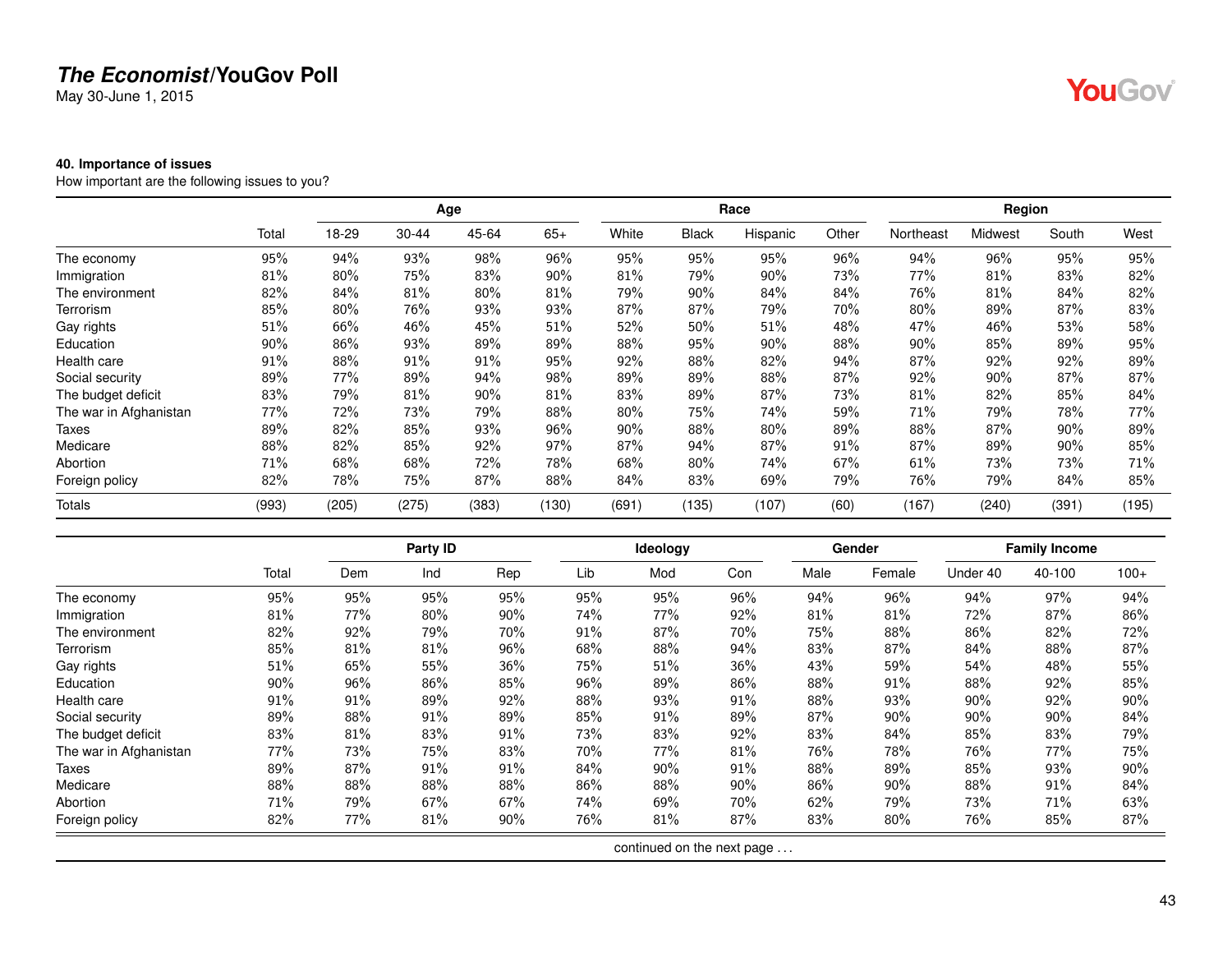May 30-June 1, 2015

#### **40. Importance of issues**

How important are the following issues to you?

|                        |       |       |           | Age   |       |        |              | Race     |       |           | Region  |       |       |
|------------------------|-------|-------|-----------|-------|-------|--------|--------------|----------|-------|-----------|---------|-------|-------|
|                        | Total | 18-29 | $30 - 44$ | 45-64 | $65+$ | White  | <b>Black</b> | Hispanic | Other | Northeast | Midwest | South | West  |
| The economy            | 95%   | 94%   | 93%       | 98%   | 96%   | 95%    | 95%          | 95%      | 96%   | 94%       | 96%     | 95%   | 95%   |
| Immigration            | 81%   | 80%   | 75%       | 83%   | 90%   | 81%    | 79%          | 90%      | 73%   | 77%       | 81%     | 83%   | 82%   |
| The environment        | 82%   | 84%   | 81%       | 80%   | 81%   | 79%    | $90\%$       | 84%      | 84%   | 76%       | 81%     | 84%   | 82%   |
| Terrorism              | 85%   | 80%   | 76%       | 93%   | 93%   | 87%    | 87%          | 79%      | 70%   | 80%       | 89%     | 87%   | 83%   |
| Gay rights             | 51%   | 66%   | 46%       | 45%   | 51%   | 52%    | 50%          | 51%      | 48%   | 47%       | 46%     | 53%   | 58%   |
| Education              | 90%   | 86%   | 93%       | 89%   | 89%   | 88%    | 95%          | 90%      | 88%   | 90%       | 85%     | 89%   | 95%   |
| Health care            | 91%   | 88%   | 91%       | 91%   | 95%   | 92%    | 88%          | 82%      | 94%   | 87%       | 92%     | 92%   | 89%   |
| Social security        | 89%   | 77%   | 89%       | 94%   | 98%   | 89%    | 89%          | 88%      | 87%   | 92%       | 90%     | 87%   | 87%   |
| The budget deficit     | 83%   | 79%   | 81%       | 90%   | 81%   | 83%    | 89%          | 87%      | 73%   | 81%       | 82%     | 85%   | 84%   |
| The war in Afghanistan | 77%   | 72%   | 73%       | 79%   | 88%   | $80\%$ | 75%          | 74%      | 59%   | 71%       | 79%     | 78%   | 77%   |
| Taxes                  | 89%   | 82%   | 85%       | 93%   | 96%   | 90%    | 88%          | 80%      | 89%   | 88%       | 87%     | 90%   | 89%   |
| Medicare               | 88%   | 82%   | 85%       | 92%   | 97%   | 87%    | 94%          | 87%      | 91%   | 87%       | 89%     | 90%   | 85%   |
| Abortion               | 71%   | 68%   | 68%       | 72%   | 78%   | 68%    | 80%          | 74%      | 67%   | 61%       | 73%     | 73%   | 71%   |
| Foreign policy         | 82%   | 78%   | 75%       | 87%   | 88%   | 84%    | 83%          | 69%      | 79%   | 76%       | 79%     | 84%   | 85%   |
| Totals                 | (993) | (205) | (275)     | (383) | (130) | (691)  | (135)        | (107)    | (60)  | (167)     | (240)   | (391) | (195) |

|                        |       |     | Party ID |     |     | Ideology                   |     |      | Gender |          | <b>Family Income</b> |        |
|------------------------|-------|-----|----------|-----|-----|----------------------------|-----|------|--------|----------|----------------------|--------|
|                        | Total | Dem | Ind      | Rep | Lib | Mod                        | Con | Male | Female | Under 40 | 40-100               | $100+$ |
| The economy            | 95%   | 95% | 95%      | 95% | 95% | 95%                        | 96% | 94%  | 96%    | 94%      | 97%                  | 94%    |
| Immigration            | 81%   | 77% | 80%      | 90% | 74% | 77%                        | 92% | 81%  | 81%    | 72%      | 87%                  | 86%    |
| The environment        | 82%   | 92% | 79%      | 70% | 91% | 87%                        | 70% | 75%  | 88%    | 86%      | 82%                  | 72%    |
| Terrorism              | 85%   | 81% | 81%      | 96% | 68% | 88%                        | 94% | 83%  | 87%    | 84%      | 88%                  | 87%    |
| Gay rights             | 51%   | 65% | 55%      | 36% | 75% | 51%                        | 36% | 43%  | 59%    | 54%      | 48%                  | 55%    |
| Education              | 90%   | 96% | 86%      | 85% | 96% | 89%                        | 86% | 88%  | 91%    | 88%      | 92%                  | 85%    |
| Health care            | 91%   | 91% | 89%      | 92% | 88% | 93%                        | 91% | 88%  | 93%    | 90%      | 92%                  | 90%    |
| Social security        | 89%   | 88% | $91\%$   | 89% | 85% | 91%                        | 89% | 87%  | 90%    | 90%      | 90%                  | 84%    |
| The budget deficit     | 83%   | 81% | 83%      | 91% | 73% | 83%                        | 92% | 83%  | 84%    | 85%      | 83%                  | 79%    |
| The war in Afghanistan | 77%   | 73% | 75%      | 83% | 70% | 77%                        | 81% | 76%  | 78%    | 76%      | 77%                  | 75%    |
| Taxes                  | 89%   | 87% | 91%      | 91% | 84% | 90%                        | 91% | 88%  | 89%    | 85%      | 93%                  | 90%    |
| Medicare               | 88%   | 88% | 88%      | 88% | 86% | 88%                        | 90% | 86%  | $90\%$ | 88%      | 91%                  | 84%    |
| Abortion               | 71%   | 79% | 67%      | 67% | 74% | 69%                        | 70% | 62%  | 79%    | 73%      | 71%                  | 63%    |
| Foreign policy         | 82%   | 77% | 81%      | 90% | 76% | 81%                        | 87% | 83%  | 80%    | 76%      | 85%                  | 87%    |
|                        |       |     |          |     |     | continued on the next page |     |      |        |          |                      |        |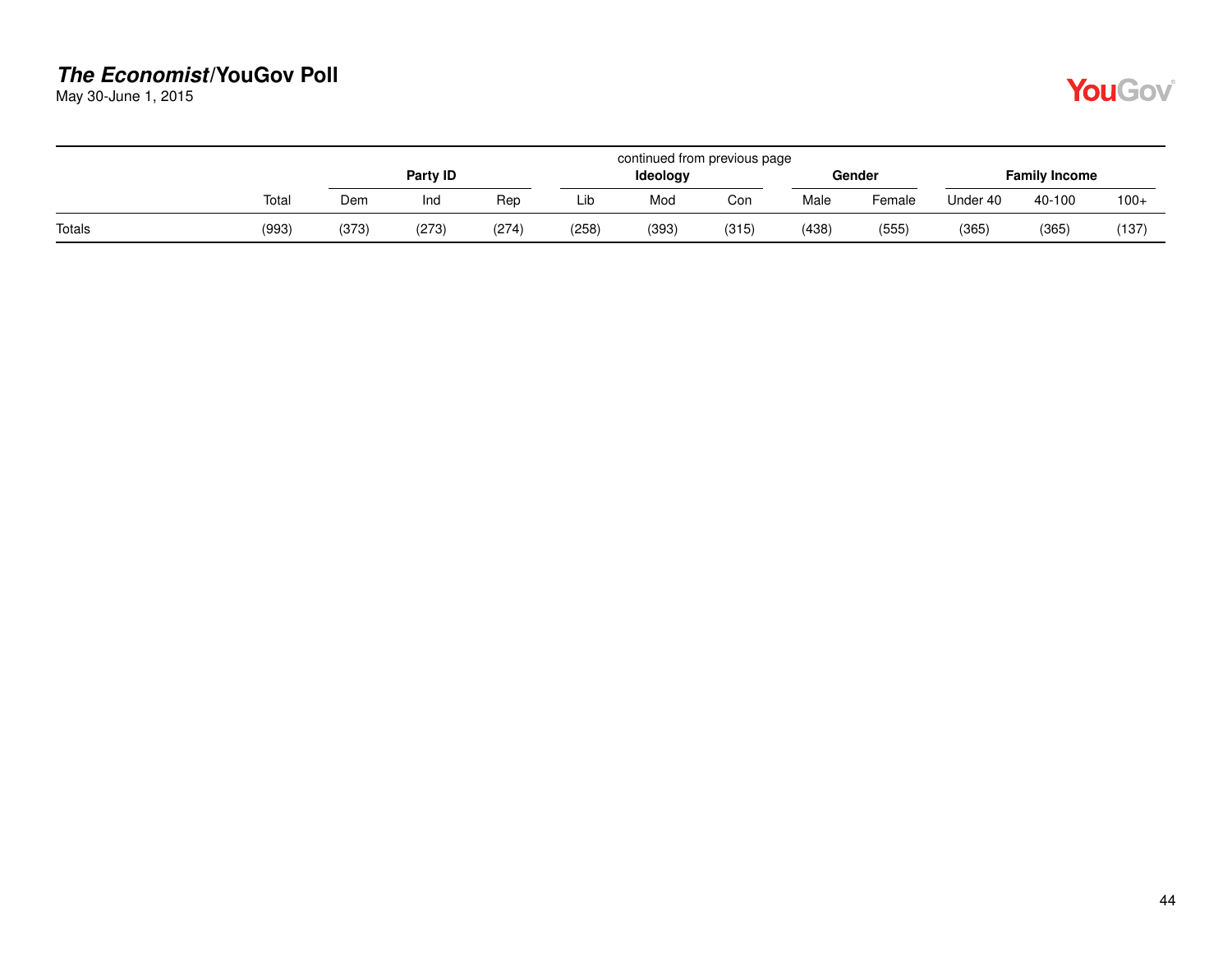May 30-June 1, 2015

|        |       | continued from previous page |          |       |       |          |       |       |        |          |                      |        |  |  |
|--------|-------|------------------------------|----------|-------|-------|----------|-------|-------|--------|----------|----------------------|--------|--|--|
|        |       |                              | Party ID |       |       | Ideology |       |       | Gender |          | <b>Family Income</b> |        |  |  |
|        | Total | Dem                          | Ind      | Rep   | Lib   | Mod      | Con   | Male  | Female | Under 40 | 40-100               | $100+$ |  |  |
| Totals | (993) | (373)                        | (273)    | (274) | (258) | (393)    | (315) | (438) | (555)  | (365)    | (365)                | (137)  |  |  |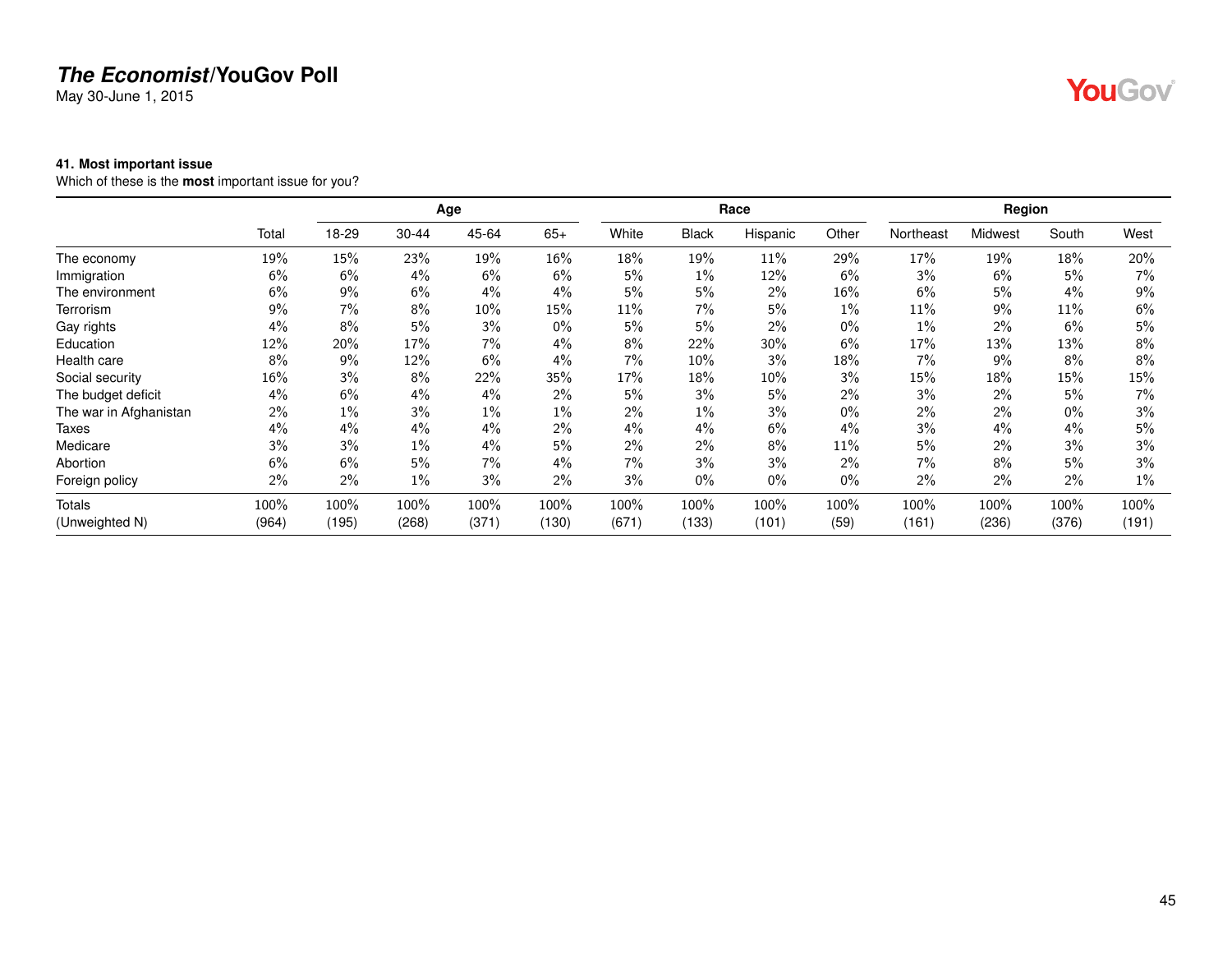May 30-June 1, 2015

#### **41. Most important issue**

Which of these is the **most** important issue for you?

|                        |       |       |           | Age    |       |        |              | Race     |       |           | Region  |       |       |
|------------------------|-------|-------|-----------|--------|-------|--------|--------------|----------|-------|-----------|---------|-------|-------|
|                        | Total | 18-29 | $30 - 44$ | 45-64  | $65+$ | White  | <b>Black</b> | Hispanic | Other | Northeast | Midwest | South | West  |
| The economy            | 19%   | 15%   | 23%       | 19%    | 16%   | 18%    | 19%          | 11%      | 29%   | 17%       | 19%     | 18%   | 20%   |
| Immigration            | 6%    | 6%    | 4%        | 6%     | 6%    | 5%     | $1\%$        | 12%      | 6%    | 3%        | 6%      | 5%    | 7%    |
| The environment        | 6%    | 9%    | 6%        | 4%     | 4%    | 5%     | 5%           | 2%       | 16%   | 6%        | 5%      | 4%    | 9%    |
| Terrorism              | $9\%$ | $7\%$ | 8%        | $10\%$ | 15%   | $11\%$ | 7%           | 5%       | 1%    | 11%       | $9\%$   | 11%   | 6%    |
| Gay rights             | $4\%$ | 8%    | 5%        | 3%     | $0\%$ | 5%     | 5%           | 2%       | $0\%$ | $1\%$     | $2\%$   | 6%    | 5%    |
| Education              | 12%   | 20%   | 17%       | 7%     | 4%    | 8%     | 22%          | 30%      | 6%    | 17%       | 13%     | 13%   | 8%    |
| Health care            | 8%    | 9%    | 12%       | 6%     | 4%    | 7%     | 10%          | 3%       | 18%   | 7%        | 9%      | 8%    | 8%    |
| Social security        | 16%   | 3%    | 8%        | 22%    | 35%   | 17%    | 18%          | 10%      | 3%    | 15%       | 18%     | 15%   | 15%   |
| The budget deficit     | 4%    | 6%    | 4%        | $4\%$  | 2%    | 5%     | 3%           | 5%       | 2%    | 3%        | 2%      | 5%    | 7%    |
| The war in Afghanistan | 2%    | $1\%$ | 3%        | $1\%$  | $1\%$ | 2%     | $1\%$        | 3%       | $0\%$ | 2%        | $2\%$   | $0\%$ | 3%    |
| Taxes                  | $4\%$ | 4%    | 4%        | 4%     | $2\%$ | 4%     | $4\%$        | 6%       | 4%    | 3%        | 4%      | 4%    | 5%    |
| Medicare               | 3%    | 3%    | $1\%$     | 4%     | 5%    | 2%     | $2\%$        | 8%       | 11%   | 5%        | 2%      | 3%    | 3%    |
| Abortion               | 6%    | 6%    | 5%        | 7%     | 4%    | 7%     | 3%           | 3%       | 2%    | 7%        | 8%      | 5%    | 3%    |
| Foreign policy         | 2%    | 2%    | $1\%$     | 3%     | 2%    | 3%     | $0\%$        | $0\%$    | $0\%$ | 2%        | 2%      | 2%    | $1\%$ |
| <b>Totals</b>          | 100%  | 100%  | 100%      | 100%   | 100%  | 100%   | 100%         | 100%     | 100%  | 100%      | 100%    | 100%  | 100%  |
| (Unweighted N)         | (964) | (195) | (268)     | (371)  | (130) | (671)  | (133)        | (101)    | (59)  | (161)     | (236)   | (376) | (191) |

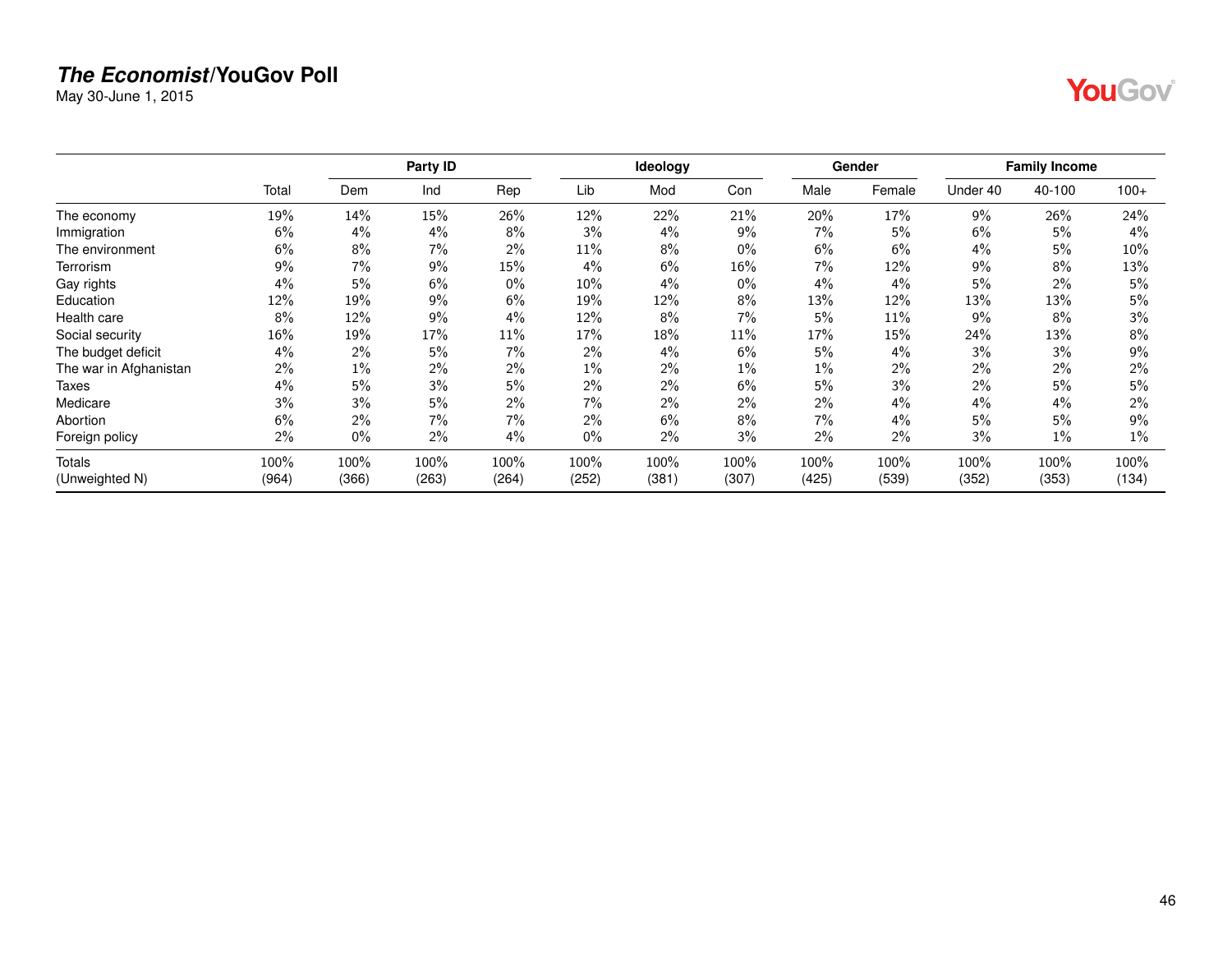May 30-June 1, 2015

|--|

|                        |       |       | Party ID |       |       | Ideology |        |       | Gender |          | <b>Family Income</b> |        |
|------------------------|-------|-------|----------|-------|-------|----------|--------|-------|--------|----------|----------------------|--------|
|                        | Total | Dem   | Ind      | Rep   | Lib   | Mod      | Con    | Male  | Female | Under 40 | 40-100               | $100+$ |
| The economy            | 19%   | 14%   | 15%      | 26%   | 12%   | 22%      | 21%    | 20%   | 17%    | 9%       | 26%                  | 24%    |
| Immigration            | 6%    | 4%    | 4%       | 8%    | 3%    | 4%       | 9%     | 7%    | 5%     | 6%       | 5%                   | 4%     |
| The environment        | 6%    | 8%    | 7%       | 2%    | 11%   | 8%       | $0\%$  | 6%    | 6%     | 4%       | 5%                   | 10%    |
| Terrorism              | 9%    | 7%    | 9%       | 15%   | 4%    | 6%       | 16%    | 7%    | 12%    | 9%       | 8%                   | 13%    |
| Gay rights             | 4%    | 5%    | 6%       | $0\%$ | 10%   | 4%       | $0\%$  | 4%    | 4%     | 5%       | 2%                   | 5%     |
| Education              | 12%   | 19%   | 9%       | 6%    | 19%   | 12%      | 8%     | 13%   | 12%    | 13%      | 13%                  | 5%     |
| Health care            | 8%    | 12%   | 9%       | $4\%$ | 12%   | 8%       | $7\%$  | 5%    | 11%    | 9%       | 8%                   | 3%     |
| Social security        | 16%   | 19%   | 17%      | 11%   | 17%   | 18%      | $11\%$ | 17%   | 15%    | 24%      | 13%                  | 8%     |
| The budget deficit     | 4%    | 2%    | 5%       | 7%    | 2%    | 4%       | 6%     | 5%    | 4%     | 3%       | 3%                   | 9%     |
| The war in Afghanistan | 2%    | $1\%$ | 2%       | 2%    | $1\%$ | 2%       | $1\%$  | $1\%$ | 2%     | 2%       | $2\%$                | 2%     |
| Taxes                  | 4%    | 5%    | 3%       | 5%    | 2%    | 2%       | 6%     | 5%    | 3%     | 2%       | 5%                   | 5%     |
| Medicare               | 3%    | 3%    | 5%       | 2%    | 7%    | 2%       | 2%     | 2%    | 4%     | 4%       | 4%                   | 2%     |
| Abortion               | 6%    | 2%    | 7%       | 7%    | 2%    | 6%       | 8%     | 7%    | 4%     | 5%       | 5%                   | 9%     |
| Foreign policy         | 2%    | 0%    | 2%       | 4%    | $0\%$ | 2%       | 3%     | 2%    | 2%     | 3%       | $1\%$                | $1\%$  |
| Totals                 | 100%  | 100%  | 100%     | 100%  | 100%  | 100%     | 100%   | 100%  | 100%   | 100%     | 100%                 | 100%   |
| (Unweighted N)         | (964) | (366) | (263)    | (264) | (252) | (381)    | (307)  | (425) | (539)  | (352)    | (353)                | (134)  |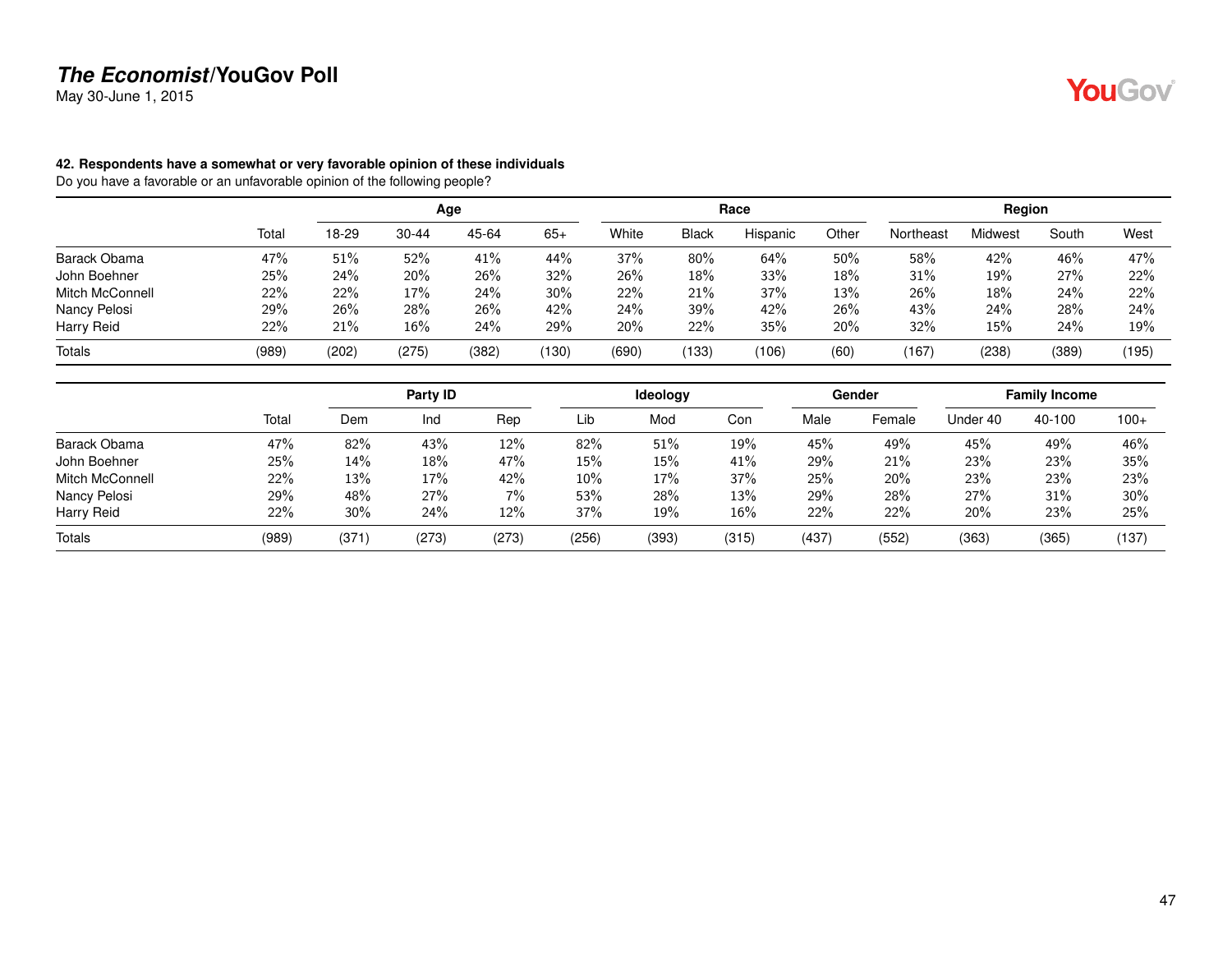May 30-June 1, 2015

#### **42. Respondents have a somewhat or very favorable opinion of these individuals**

|                 |       |       |           | Age   |        |       |              | Race     |        |           | Region  |       |       |
|-----------------|-------|-------|-----------|-------|--------|-------|--------------|----------|--------|-----------|---------|-------|-------|
|                 | Total | 18-29 | $30 - 44$ | 45-64 | $65+$  | White | <b>Black</b> | Hispanic | Other  | Northeast | Midwest | South | West  |
| Barack Obama    | 47%   | 51%   | 52%       | 41%   | 44%    | 37%   | 80%          | 64%      | $50\%$ | 58%       | 42%     | 46%   | 47%   |
| John Boehner    | 25%   | 24%   | 20%       | 26%   | 32%    | 26%   | 18%          | 33%      | 18%    | 31%       | 19%     | 27%   | 22%   |
| Mitch McConnell | 22%   | 22%   | 17%       | 24%   | $30\%$ | 22%   | 21%          | 37%      | 13%    | 26%       | 18%     | 24%   | 22%   |
| Nancy Pelosi    | 29%   | 26%   | 28%       | 26%   | 42%    | 24%   | 39%          | 42%      | 26%    | 43%       | 24%     | 28%   | 24%   |
| Harry Reid      | 22%   | 21%   | 16%       | 24%   | 29%    | 20%   | 22%          | 35%      | 20%    | 32%       | 15%     | 24%   | 19%   |
| Totals          | (989) | (202) | (275)     | (382) | (130)  | (690) | (133)        | (106)    | (60)   | (167)     | (238)   | (389) | (195) |

|                        |       |        | Party <b>ID</b> |       |       | Ideology |       |       | Gender |          | <b>Family Income</b> |        |
|------------------------|-------|--------|-----------------|-------|-------|----------|-------|-------|--------|----------|----------------------|--------|
|                        | Total | Dem    | Ind             | Rep   | Lib   | Mod      | Con   | Male  | Female | Under 40 | 40-100               | $100+$ |
| Barack Obama           | 47%   | 82%    | 43%             | 12%   | 82%   | 51%      | 19%   | 45%   | 49%    | 45%      | 49%                  | 46%    |
| John Boehner           | 25%   | $14\%$ | 18%             | 47%   | 15%   | 15%      | 41%   | 29%   | 21%    | 23%      | 23%                  | 35%    |
| <b>Mitch McConnell</b> | 22%   | 13%    | 17%             | 42%   | 10%   | 17%      | 37%   | 25%   | 20%    | 23%      | 23%                  | 23%    |
| Nancy Pelosi           | 29%   | 48%    | 27%             | $7\%$ | 53%   | 28%      | 13%   | 29%   | 28%    | 27%      | 31%                  | 30%    |
| Harry Reid             | 22%   | 30%    | 24%             | 12%   | 37%   | 19%      | 16%   | 22%   | 22%    | 20%      | 23%                  | 25%    |
| <b>Totals</b>          | (989) | (371)  | (273)           | (273) | (256) | (393)    | (315) | (437) | (552)  | (363)    | (365)                | (137)  |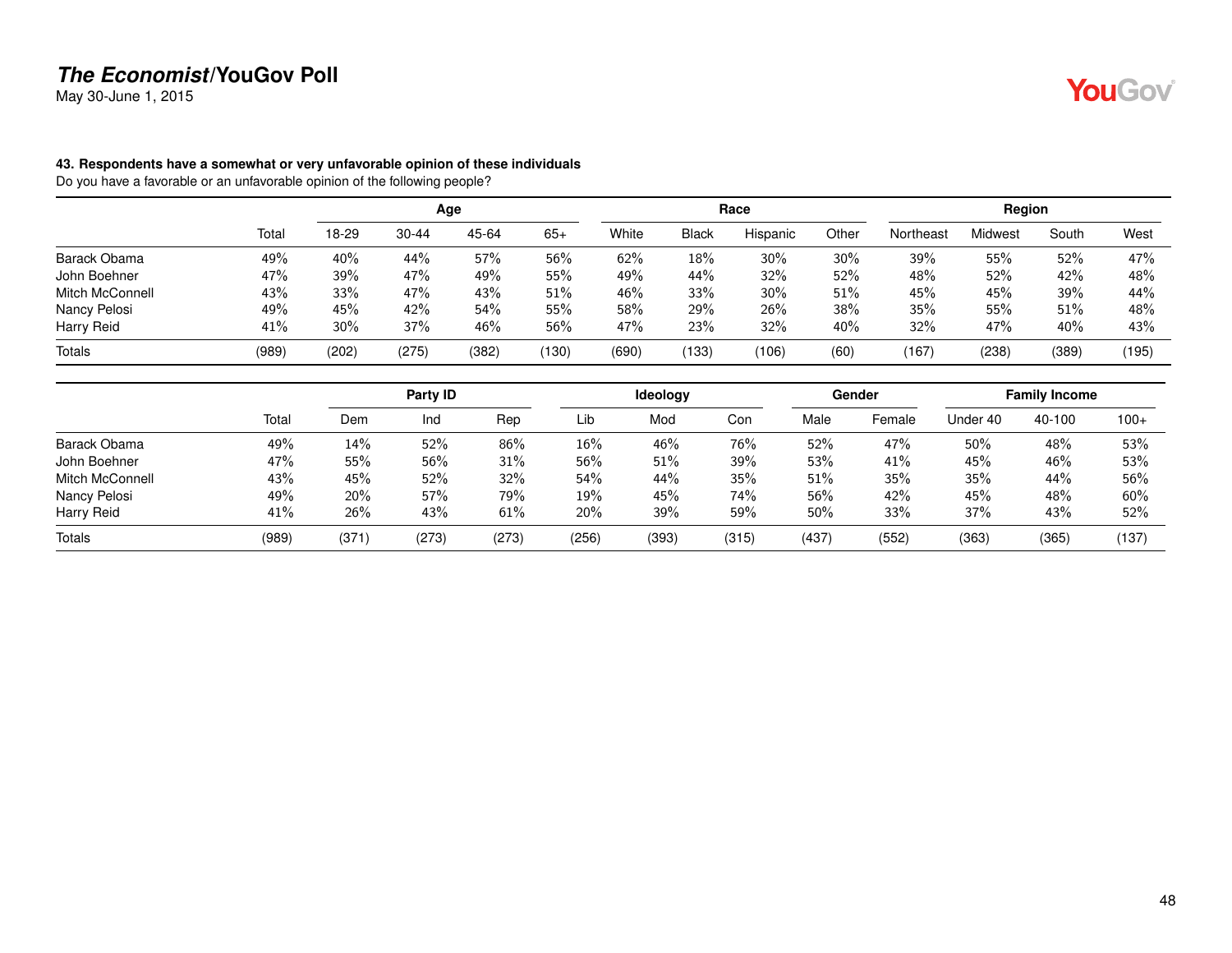May 30-June 1, 2015

#### **43. Respondents have a somewhat or very unfavorable opinion of these individuals**

|                 |       |       |           | Age   |       |       |              | Race     |       |           | Region         |       |       |
|-----------------|-------|-------|-----------|-------|-------|-------|--------------|----------|-------|-----------|----------------|-------|-------|
|                 | Total | 18-29 | $30 - 44$ | 45-64 | $65+$ | White | <b>Black</b> | Hispanic | Other | Northeast | <b>Midwest</b> | South | West  |
| Barack Obama    | 49%   | 40%   | 44%       | 57%   | 56%   | 62%   | 18%          | 30%      | 30%   | 39%       | 55%            | 52%   | 47%   |
| John Boehner    | 47%   | 39%   | 47%       | 49%   | 55%   | 49%   | 44%          | 32%      | 52%   | 48%       | 52%            | 42%   | 48%   |
| Mitch McConnell | 43%   | 33%   | 47%       | 43%   | 51%   | 46%   | 33%          | 30%      | 51%   | 45%       | 45%            | 39%   | 44%   |
| Nancy Pelosi    | 49%   | 45%   | 42%       | 54%   | 55%   | 58%   | 29%          | 26%      | 38%   | 35%       | 55%            | 51%   | 48%   |
| Harry Reid      | 41%   | 30%   | 37%       | 46%   | 56%   | 47%   | 23%          | 32%      | 40%   | 32%       | 47%            | 40%   | 43%   |
| <b>Totals</b>   | (989) | (202) | (275)     | (382) | (130) | (690) | (133)        | (106)    | (60)  | (167)     | (238)          | (389) | (195) |

|                        |       |       | Party ID |       |       | Ideology |       |       | Gender |          | <b>Family Income</b> |        |
|------------------------|-------|-------|----------|-------|-------|----------|-------|-------|--------|----------|----------------------|--------|
|                        | Total | Dem   | Ind      | Rep   | Lib   | Mod      | Con   | Male  | Female | Under 40 | 40-100               | $100+$ |
| Barack Obama           | 49%   | 14%   | 52%      | 86%   | 16%   | 46%      | 76%   | 52%   | 47%    | 50%      | 48%                  | 53%    |
| John Boehner           | 47%   | 55%   | 56%      | 31%   | 56%   | 51%      | 39%   | 53%   | 41%    | 45%      | 46%                  | 53%    |
| <b>Mitch McConnell</b> | 43%   | 45%   | 52%      | 32%   | 54%   | 44%      | 35%   | 51%   | 35%    | 35%      | 44%                  | 56%    |
| Nancy Pelosi           | 49%   | 20%   | 57%      | 79%   | 19%   | 45%      | 74%   | 56%   | 42%    | 45%      | 48%                  | 60%    |
| Harry Reid             | 41%   | 26%   | 43%      | 61%   | 20%   | 39%      | 59%   | 50%   | 33%    | 37%      | 43%                  | 52%    |
| Totals                 | (989) | (371) | (273)    | (273) | (256) | (393)    | (315) | (437) | (552)  | (363)    | (365)                | (137)  |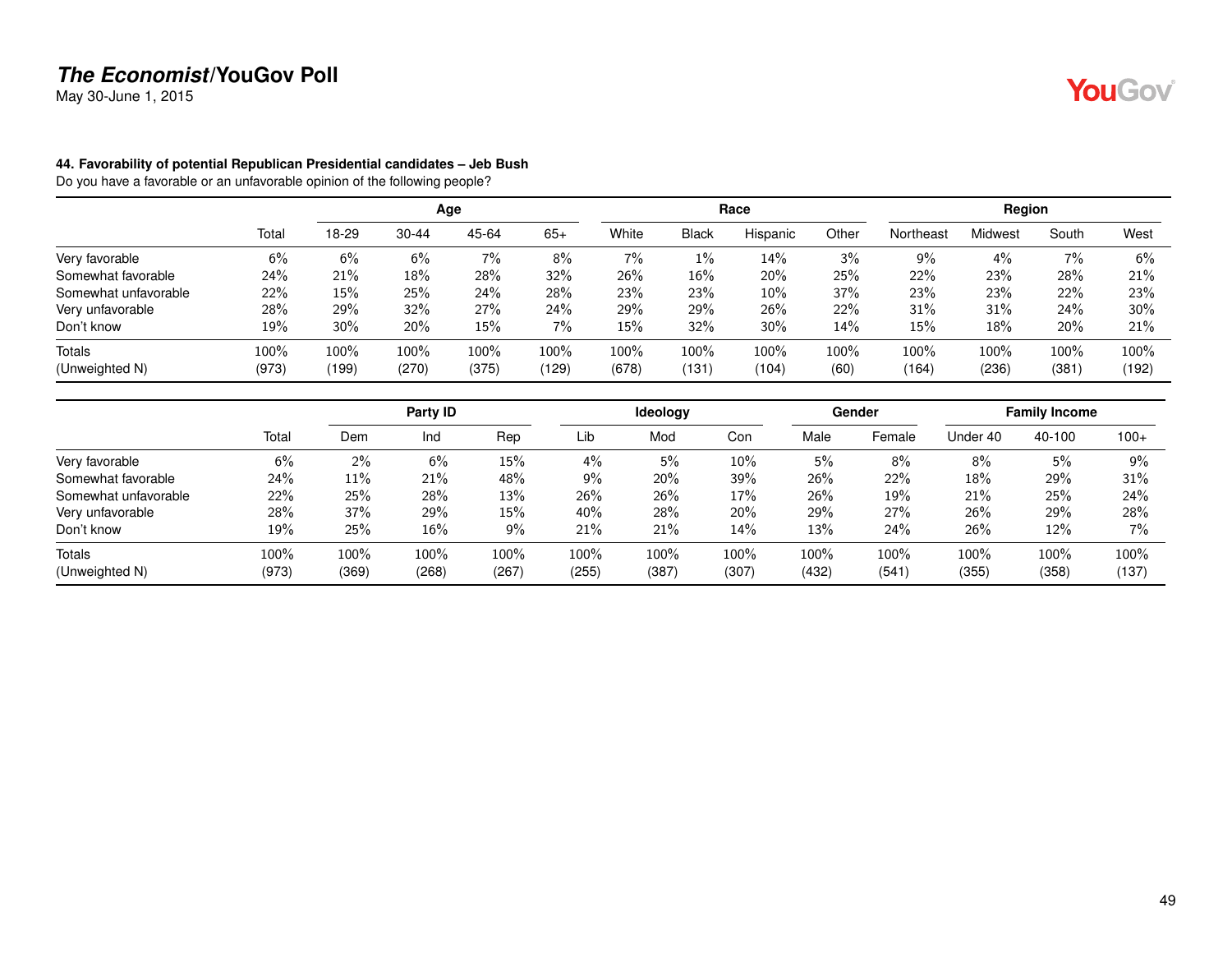May 30-June 1, 2015

#### **44. Favorability of potential Republican Presidential candidates – Jeb Bush**

|                      |       |       |           | Age   |       |       |              | Race     |       |           | Region  |       |        |
|----------------------|-------|-------|-----------|-------|-------|-------|--------------|----------|-------|-----------|---------|-------|--------|
|                      | Total | 18-29 | $30 - 44$ | 45-64 | $65+$ | White | <b>Black</b> | Hispanic | Other | Northeast | Midwest | South | West   |
| Very favorable       | 6%    | 6%    | 6%        | 7%    | 8%    | 7%    | $1\%$        | 14%      | 3%    | 9%        | 4%      | 7%    | 6%     |
| Somewhat favorable   | 24%   | 21%   | 18%       | 28%   | 32%   | 26%   | 16%          | 20%      | 25%   | 22%       | 23%     | 28%   | 21%    |
| Somewhat unfavorable | 22%   | 15%   | 25%       | 24%   | 28%   | 23%   | 23%          | 10%      | 37%   | 23%       | 23%     | 22%   | 23%    |
| Very unfavorable     | 28%   | 29%   | 32%       | 27%   | 24%   | 29%   | 29%          | 26%      | 22%   | 31%       | 31%     | 24%   | $30\%$ |
| Don't know           | 19%   | 30%   | 20%       | 15%   | $7\%$ | 15%   | 32%          | 30%      | 14%   | $15\%$    | 18%     | 20%   | 21%    |
| <b>Totals</b>        | 100%  | 100%  | 100%      | 100%  | 100%  | 100%  | 100%         | 100%     | 100%  | 100%      | 100%    | 100%  | 100%   |
| (Unweighted N)       | (973) | (199) | (270)     | (375) | (129) | (678) | (131)        | (104)    | (60)  | (164)     | (236)   | (381) | (192)  |

|                      |       |       | Party ID |       |       | <b>Ideology</b> |        |       | Gender |          | <b>Family Income</b> |        |
|----------------------|-------|-------|----------|-------|-------|-----------------|--------|-------|--------|----------|----------------------|--------|
|                      | Total | Dem   | Ind      | Rep   | Lib   | Mod             | Con    | Male  | Female | Under 40 | 40-100               | $100+$ |
| Very favorable       | 6%    | $2\%$ | 6%       | 15%   | 4%    | 5%              | $10\%$ | 5%    | 8%     | 8%       | 5%                   | 9%     |
| Somewhat favorable   | 24%   | 11%   | 21%      | 48%   | 9%    | 20%             | 39%    | 26%   | 22%    | 18%      | 29%                  | 31%    |
| Somewhat unfavorable | 22%   | 25%   | 28%      | 13%   | 26%   | 26%             | 17%    | 26%   | 19%    | 21%      | 25%                  | 24%    |
| Very unfavorable     | 28%   | 37%   | 29%      | 15%   | 40%   | 28%             | 20%    | 29%   | 27%    | 26%      | 29%                  | 28%    |
| Don't know           | 19%   | 25%   | 16%      | $9\%$ | 21%   | 21%             | 14%    | 13%   | 24%    | 26%      | 12%                  | 7%     |
| Totals               | 100%  | 100%  | 100%     | 100%  | 100%  | 100%            | 100%   | 100%  | 100%   | 100%     | 100%                 | 100%   |
| (Unweighted N)       | (973) | (369) | (268)    | (267) | (255) | (387)           | (307)  | (432) | (541)  | (355)    | (358)                | (137)  |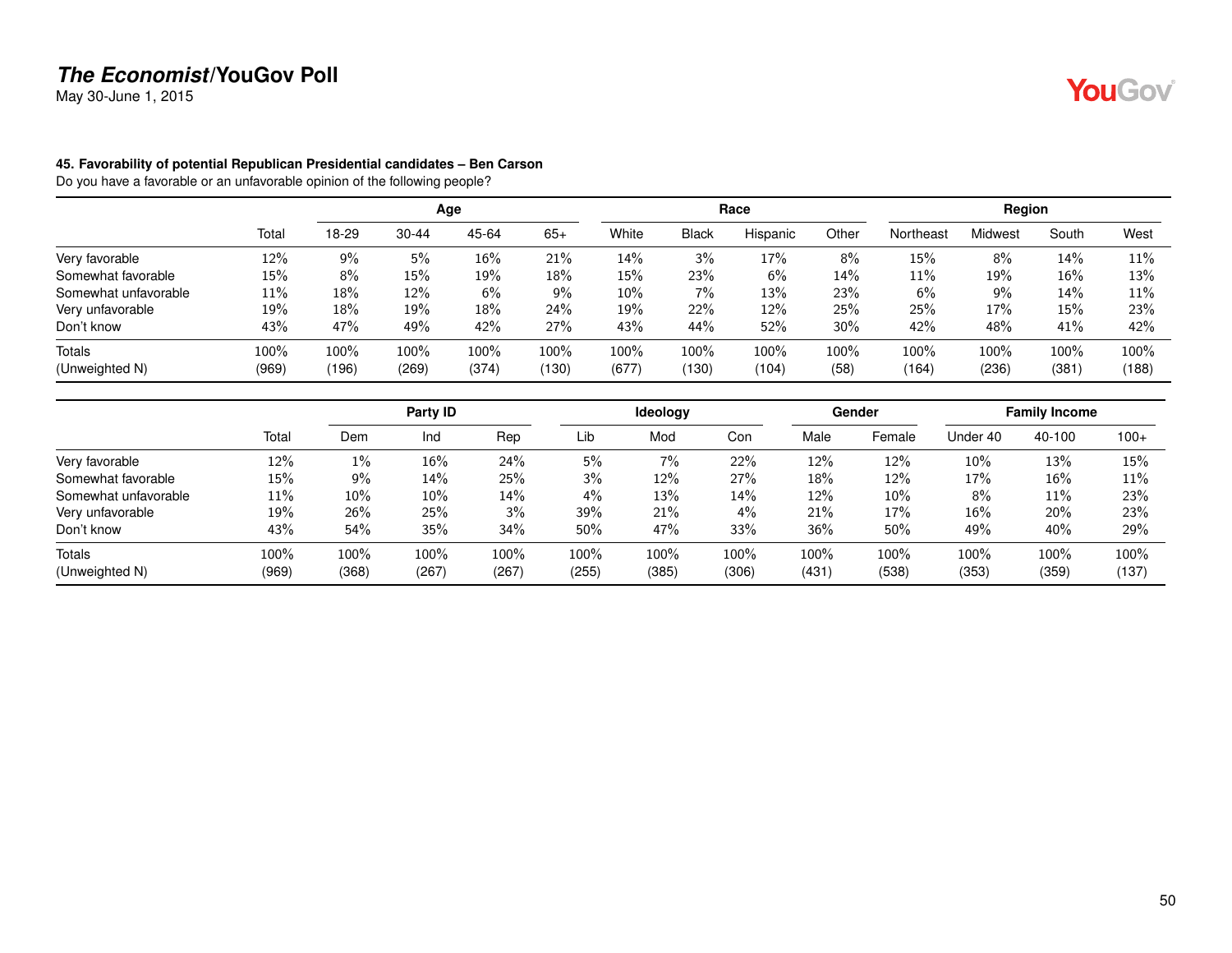May 30-June 1, 2015

#### **45. Favorability of potential Republican Presidential candidates – Ben Carson**

|                      |       |       |           | Age   |       |        |              | Race     |       |           | Region         |        |       |
|----------------------|-------|-------|-----------|-------|-------|--------|--------------|----------|-------|-----------|----------------|--------|-------|
|                      | Total | 18-29 | $30 - 44$ | 45-64 | $65+$ | White  | <b>Black</b> | Hispanic | Other | Northeast | <b>Midwest</b> | South  | West  |
| Very favorable       | 12%   | 9%    | 5%        | 16%   | 21%   | 14%    | 3%           | 17%      | 8%    | 15%       | 8%             | 14%    | 11%   |
| Somewhat favorable   | 15%   | 8%    | 15%       | 19%   | 18%   | 15%    | 23%          | 6%       | 14%   | 11%       | 19%            | $16\%$ | 13%   |
| Somewhat unfavorable | 11%   | 18%   | 12%       | 6%    | 9%    | $10\%$ | $7\%$        | 13%      | 23%   | 6%        | $9\%$          | 14%    | 11%   |
| Very unfavorable     | 19%   | 18%   | 19%       | 18%   | 24%   | 19%    | 22%          | 12%      | 25%   | 25%       | 17%            | 15%    | 23%   |
| Don't know           | 43%   | 47%   | 49%       | 42%   | 27%   | 43%    | 44%          | 52%      | 30%   | 42%       | 48%            | 41%    | 42%   |
| <b>Totals</b>        | 100%  | 100%  | 100%      | 100%  | 100%  | 100%   | $100\%$      | 100%     | 100%  | 100%      | 100%           | 100%   | 100%  |
| (Unweighted N)       | (969) | (196) | (269)     | (374) | (130) | (677)  | (130)        | (104)    | (58)  | (164)     | (236)          | (381)  | (188) |

|                      |       |       | Party ID |       |       | Ideology |       |       | Gender |          | <b>Family Income</b> |        |
|----------------------|-------|-------|----------|-------|-------|----------|-------|-------|--------|----------|----------------------|--------|
|                      | Total | Dem   | Ind      | Rep   | Lib   | Mod      | Con   | Male  | Female | Under 40 | 40-100               | $100+$ |
| Very favorable       | 12%   | 1%    | 16%      | 24%   | 5%    | 7%       | 22%   | 12%   | 12%    | 10%      | 13%                  | 15%    |
| Somewhat favorable   | 15%   | $9\%$ | 14%      | 25%   | 3%    | 12%      | 27%   | 18%   | 12%    | 17%      | 16%                  | 11%    |
| Somewhat unfavorable | 11%   | 10%   | 10%      | 14%   | 4%    | 13%      | 14%   | 12%   | 10%    | 8%       | 11%                  | 23%    |
| Very unfavorable     | 19%   | 26%   | 25%      | 3%    | 39%   | 21%      | 4%    | 21%   | 17%    | 16%      | 20%                  | 23%    |
| Don't know           | 43%   | 54%   | 35%      | 34%   | 50%   | 47%      | 33%   | 36%   | 50%    | 49%      | 40%                  | 29%    |
| Totals               | 100%  | 100%  | 100%     | 100%  | 100%  | 100%     | 100%  | 100%  | 100%   | 100%     | 100%                 | 100%   |
| (Unweighted N)       | (969) | (368) | (267)    | (267) | (255) | (385)    | (306) | (431) | (538)  | (353)    | (359)                | (137)  |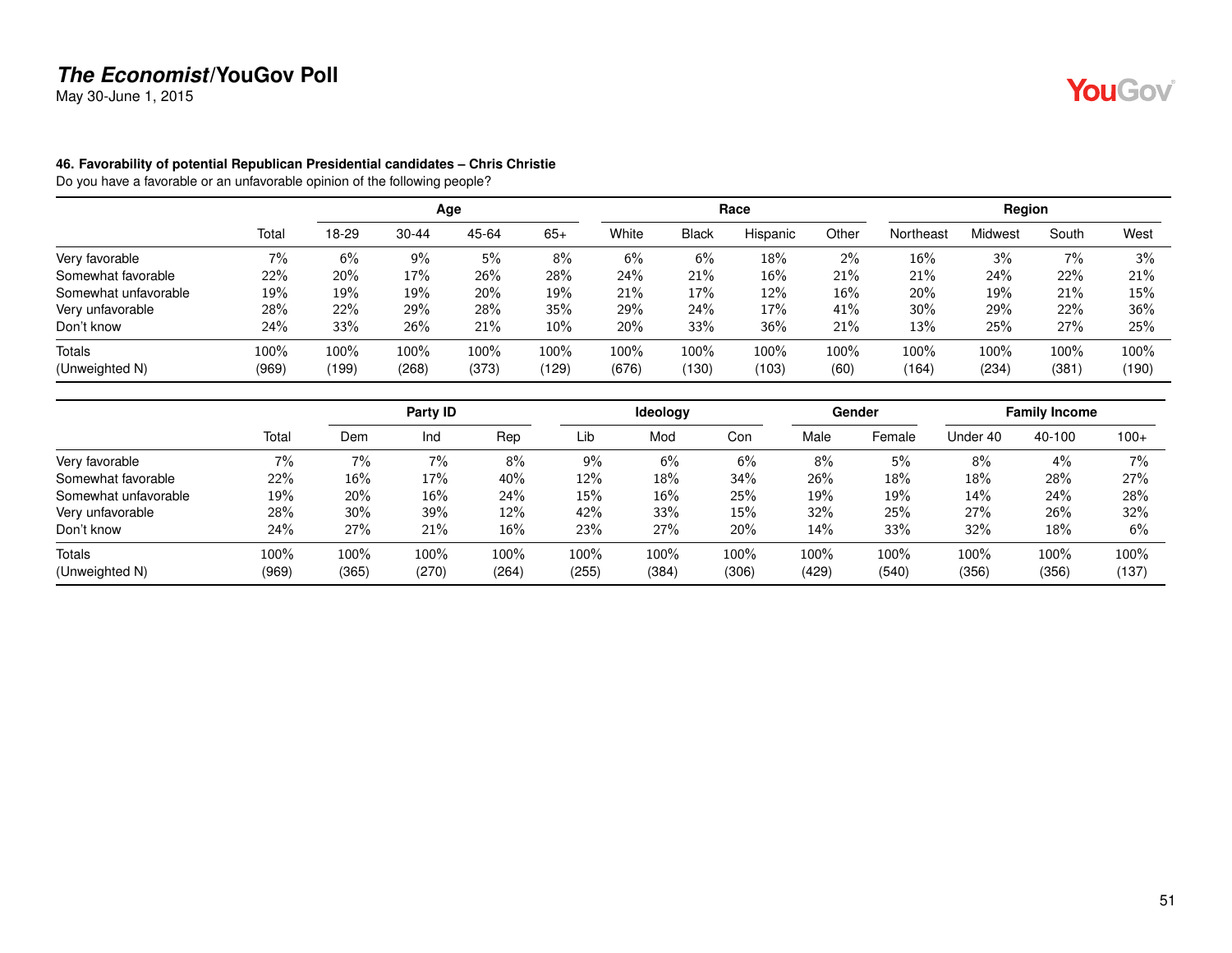May 30-June 1, 2015

#### **46. Favorability of potential Republican Presidential candidates – Chris Christie**

|                      |       |       |           | Age   |       |       |              | Race     |       |           | Region  |       |       |
|----------------------|-------|-------|-----------|-------|-------|-------|--------------|----------|-------|-----------|---------|-------|-------|
|                      | Total | 18-29 | $30 - 44$ | 45-64 | $65+$ | White | <b>Black</b> | Hispanic | Other | Northeast | Midwest | South | West  |
| Very favorable       | 7%    | 6%    | 9%        | 5%    | 8%    | 6%    | 6%           | 18%      | $2\%$ | 16%       | 3%      | 7%    | 3%    |
| Somewhat favorable   | 22%   | 20%   | 17%       | 26%   | 28%   | 24%   | 21%          | 16%      | 21%   | 21%       | 24%     | 22%   | 21%   |
| Somewhat unfavorable | 19%   | 19%   | 19%       | 20%   | 19%   | 21%   | 17%          | 12%      | 16%   | 20%       | 19%     | 21%   | 15%   |
| Very unfavorable     | 28%   | 22%   | 29%       | 28%   | 35%   | 29%   | 24%          | 17%      | 41%   | 30%       | 29%     | 22%   | 36%   |
| Don't know           | 24%   | 33%   | 26%       | 21%   | 10%   | 20%   | 33%          | 36%      | 21%   | 13%       | 25%     | 27%   | 25%   |
| <b>Totals</b>        | 100%  | 100%  | 100%      | 100%  | 100%  | 100%  | 100%         | 100%     | 100%  | 100%      | 100%    | 100%  | 100%  |
| (Unweighted N)       | (969) | (199) | (268)     | (373) | (129) | (676) | (130)        | (103)    | (60)  | (164)     | (234)   | (381) | (190) |

|                      |       |        | Party ID |       |       | <b>Ideology</b> |       |       | Gender |          | <b>Family Income</b> |        |
|----------------------|-------|--------|----------|-------|-------|-----------------|-------|-------|--------|----------|----------------------|--------|
|                      | Total | Dem    | Ind      | Rep   | Lib   | Mod             | Con   | Male  | Female | Under 40 | 40-100               | $100+$ |
| Very favorable       | 7%    | 7%     | 7%       | 8%    | 9%    | 6%              | 6%    | 8%    | 5%     | 8%       | 4%                   | $7\%$  |
| Somewhat favorable   | 22%   | $16\%$ | 17%      | 40%   | 12%   | 18%             | 34%   | 26%   | $18\%$ | 18%      | 28%                  | 27%    |
| Somewhat unfavorable | 19%   | 20%    | $16\%$   | 24%   | 15%   | 16%             | 25%   | 19%   | 19%    | 14%      | 24%                  | 28%    |
| Very unfavorable     | 28%   | 30%    | 39%      | 12%   | 42%   | 33%             | 15%   | 32%   | 25%    | 27%      | 26%                  | 32%    |
| Don't know           | 24%   | 27%    | 21%      | 16%   | 23%   | 27%             | 20%   | 14%   | 33%    | 32%      | 18%                  | 6%     |
| Totals               | 100%  | 100%   | 100%     | 100%  | 100%  | 100%            | 100%  | 100%  | 100%   | 100%     | 100%                 | 100%   |
| (Unweighted N)       | (969) | (365)  | (270)    | (264) | (255) | (384)           | (306) | (429) | (540)  | (356)    | (356)                | (137)  |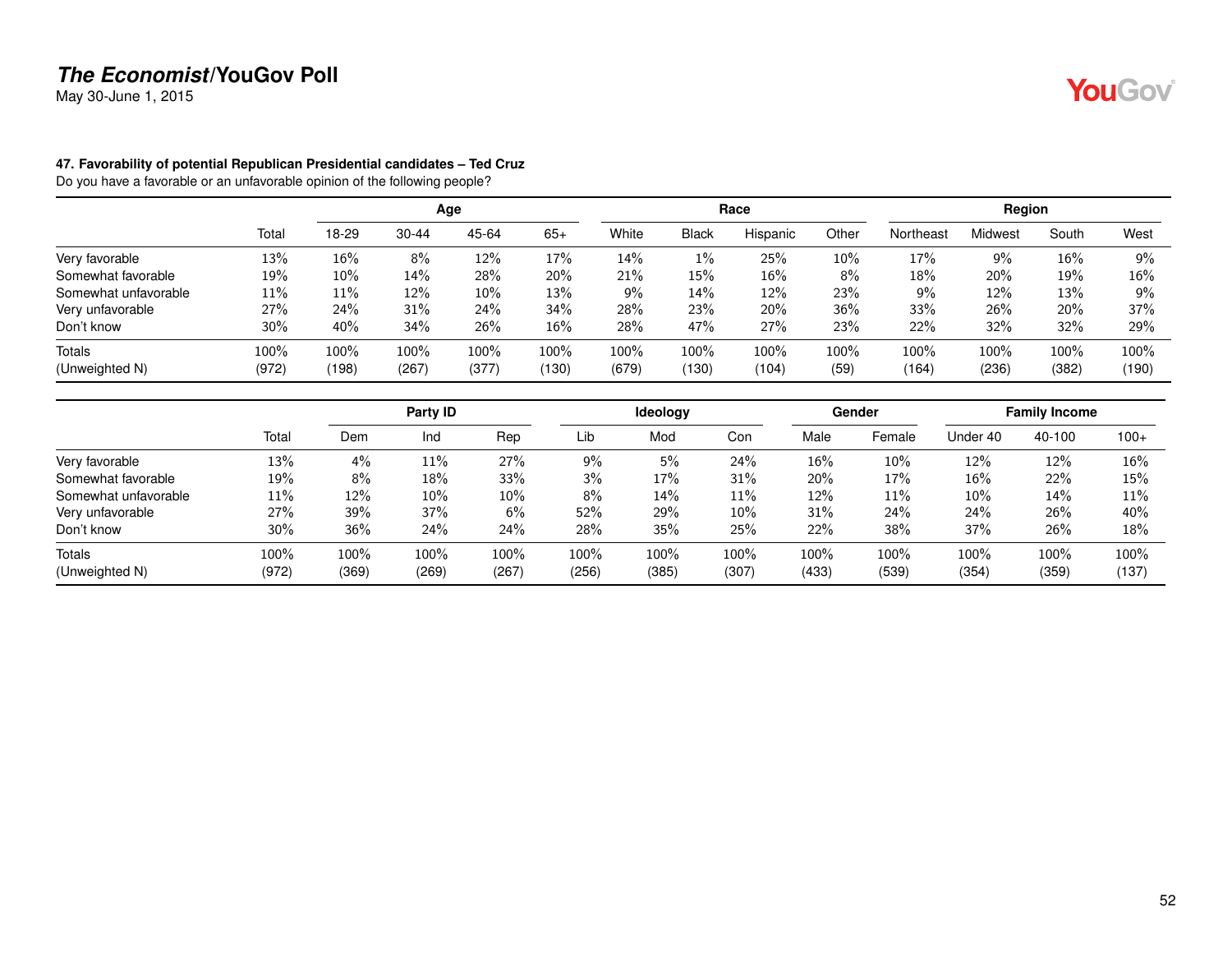May 30-June 1, 2015

#### **47. Favorability of potential Republican Presidential candidates – Ted Cruz**

|                      |       |       |           | Age    |        |       |              | Race     |         |           | Region  |       |       |
|----------------------|-------|-------|-----------|--------|--------|-------|--------------|----------|---------|-----------|---------|-------|-------|
|                      | Total | 18-29 | $30 - 44$ | 45-64  | $65+$  | White | <b>Black</b> | Hispanic | Other   | Northeast | Midwest | South | West  |
| Very favorable       | 13%   | 16%   | 8%        | 12%    | 17%    | 14%   | $1\%$        | 25%      | 10%     | 17%       | 9%      | 16%   | $9\%$ |
| Somewhat favorable   | 19%   | 10%   | 14%       | 28%    | 20%    | 21%   | 15%          | 16%      | 8%      | 18%       | 20%     | 19%   | 16%   |
| Somewhat unfavorable | 11%   | 11%   | 12%       | $10\%$ | 13%    | 9%    | 14%          | 12%      | 23%     | 9%        | 12%     | 13%   | 9%    |
| Very unfavorable     | 27%   | 24%   | 31%       | 24%    | 34%    | 28%   | 23%          | 20%      | 36%     | 33%       | 26%     | 20%   | 37%   |
| Don't know           | 30%   | 40%   | 34%       | 26%    | $16\%$ | 28%   | 47%          | 27%      | 23%     | 22%       | 32%     | 32%   | 29%   |
| Totals               | 100%  | 100%  | 100%      | 100%   | 100%   | 100%  | 100%         | 100%     | $100\%$ | 100%      | 100%    | 100%  | 100%  |
| (Unweighted N)       | (972) | (198) | (267)     | (377)  | (130)  | (679) | (130)        | (104)    | (59)    | (164)     | (236)   | (382) | (190) |

|                      |       |       | Party ID |       |       | Ideology |       |       | Gender |          | <b>Family Income</b> |        |
|----------------------|-------|-------|----------|-------|-------|----------|-------|-------|--------|----------|----------------------|--------|
|                      | Total | Dem   | Ind      | Rep   | Lib   | Mod      | Con   | Male  | Female | Under 40 | 40-100               | $100+$ |
| Very favorable       | 13%   | 4%    | $11\%$   | 27%   | 9%    | 5%       | 24%   | 16%   | 10%    | 12%      | 12%                  | 16%    |
| Somewhat favorable   | 19%   | 8%    | 18%      | 33%   | 3%    | 17%      | 31%   | 20%   | 17%    | 16%      | 22%                  | 15%    |
| Somewhat unfavorable | 11%   | 12%   | 10%      | 10%   | 8%    | 14%      | 11%   | 12%   | 11%    | 10%      | 14%                  | 11%    |
| Very unfavorable     | 27%   | 39%   | 37%      | 6%    | 52%   | 29%      | 10%   | 31%   | 24%    | 24%      | 26%                  | 40%    |
| Don't know           | 30%   | 36%   | 24%      | 24%   | 28%   | 35%      | 25%   | 22%   | 38%    | 37%      | 26%                  | 18%    |
| Totals               | 100%  | 100%  | 100%     | 100%  | 100%  | 100%     | 100%  | 100%  | 100%   | 100%     | 100%                 | 100%   |
| (Unweighted N)       | (972) | (369) | (269)    | (267) | (256) | (385)    | (307) | (433) | (539)  | (354)    | (359)                | (137)  |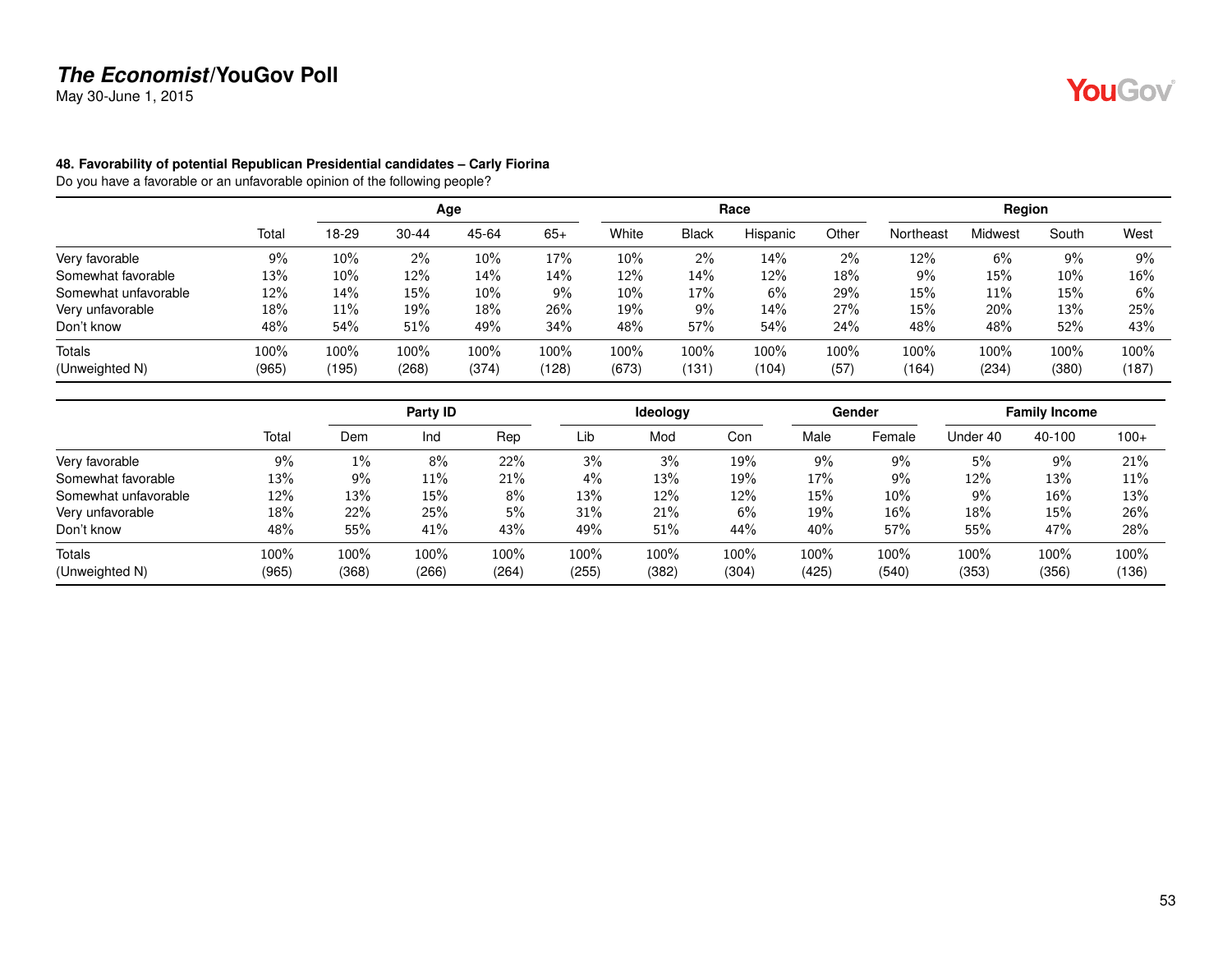May 30-June 1, 2015

#### **48. Favorability of potential Republican Presidential candidates – Carly Fiorina**

|                      |       |       |           | Age   |       |        |              | Race     |       |           | Region         |        |       |
|----------------------|-------|-------|-----------|-------|-------|--------|--------------|----------|-------|-----------|----------------|--------|-------|
|                      | Total | 18-29 | $30 - 44$ | 45-64 | $65+$ | White  | <b>Black</b> | Hispanic | Other | Northeast | <b>Midwest</b> | South  | West  |
| Very favorable       | 9%    | 10%   | 2%        | 10%   | 17%   | 10%    | $2\%$        | 14%      | 2%    | 12%       | 6%             | 9%     | 9%    |
| Somewhat favorable   | 13%   | 10%   | 12%       | 14%   | 14%   | 12%    | 14%          | 12%      | 18%   | 9%        | 15%            | $10\%$ | 16%   |
| Somewhat unfavorable | 12%   | 14%   | 15%       | 10%   | 9%    | $10\%$ | 17%          | 6%       | 29%   | 15%       | 11%            | 15%    | 6%    |
| Very unfavorable     | 18%   | 11%   | 19%       | 18%   | 26%   | 19%    | $9\%$        | 14%      | 27%   | 15%       | 20%            | 13%    | 25%   |
| Don't know           | 48%   | 54%   | 51%       | 49%   | 34%   | 48%    | 57%          | 54%      | 24%   | 48%       | 48%            | 52%    | 43%   |
| <b>Totals</b>        | 100%  | 100%  | 100%      | 100%  | 100%  | 100%   | 100%         | 100%     | 100%  | 100%      | 100%           | 100%   | 100%  |
| (Unweighted N)       | (965) | (195) | (268)     | (374) | (128) | (673)  | (131)        | (104)    | (57)  | (164)     | (234)          | (380)  | (187) |

|                      |       |       | Party ID |       |       | <b>Ideology</b> |       |       | Gender |          | <b>Family Income</b> |        |
|----------------------|-------|-------|----------|-------|-------|-----------------|-------|-------|--------|----------|----------------------|--------|
|                      | Total | Dem   | Ind      | Rep   | Lib   | Mod             | Con   | Male  | Female | Under 40 | 40-100               | $100+$ |
| Very favorable       | 9%    | $1\%$ | 8%       | 22%   | 3%    | 3%              | 19%   | $9\%$ | 9%     | 5%       | 9%                   | 21%    |
| Somewhat favorable   | 13%   | 9%    | $11\%$   | 21%   | 4%    | 13%             | 19%   | 17%   | 9%     | 12%      | 13%                  | 11%    |
| Somewhat unfavorable | 12%   | 13%   | $15\%$   | 8%    | 13%   | 12%             | 12%   | 15%   | 10%    | 9%       | 16%                  | 13%    |
| Very unfavorable     | 18%   | 22%   | 25%      | 5%    | 31%   | 21%             | 6%    | 19%   | 16%    | 18%      | 15%                  | 26%    |
| Don't know           | 48%   | 55%   | 41%      | 43%   | 49%   | 51%             | 44%   | 40%   | 57%    | 55%      | 47%                  | 28%    |
| Totals               | 100%  | 100%  | 100%     | 100%  | 100%  | 100%            | 100%  | 100%  | 100%   | 100%     | 100%                 | 100%   |
| (Unweighted N)       | (965) | (368) | (266)    | (264) | (255) | (382)           | (304) | (425) | (540)  | (353)    | (356)                | (136)  |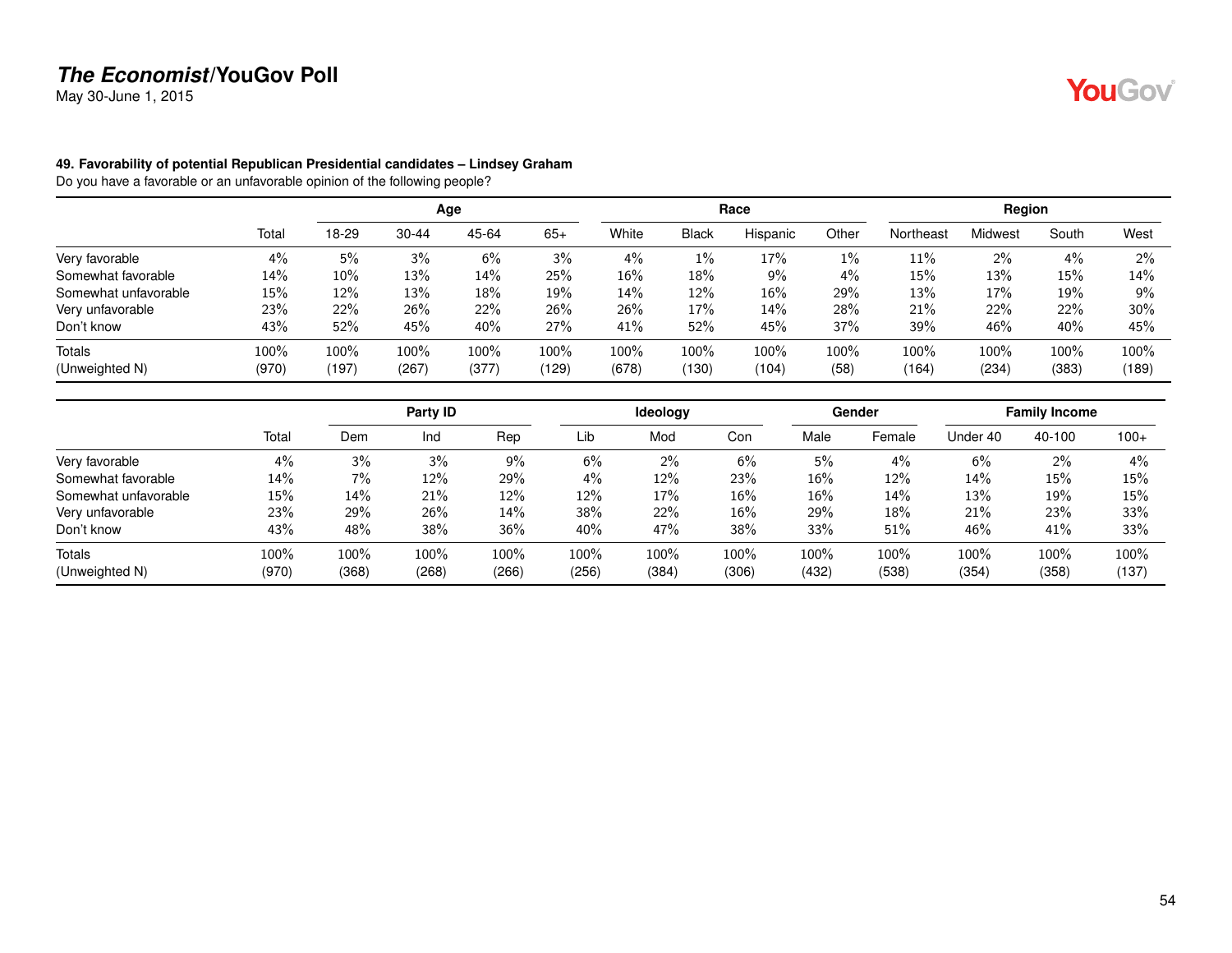May 30-June 1, 2015

#### **49. Favorability of potential Republican Presidential candidates – Lindsey Graham**

Do you have a favorable or an unfavorable opinion of the following people?

|                      |       |       |           | Age   |       |       |              | Race     |       |           | Region         |       |       |
|----------------------|-------|-------|-----------|-------|-------|-------|--------------|----------|-------|-----------|----------------|-------|-------|
|                      | Total | 18-29 | $30 - 44$ | 45-64 | $65+$ | White | <b>Black</b> | Hispanic | Other | Northeast | <b>Midwest</b> | South | West  |
| Very favorable       | 4%    | 5%    | 3%        | 6%    | 3%    | 4%    | $1\%$        | 17%      | $1\%$ | 11%       | 2%             | 4%    | $2\%$ |
| Somewhat favorable   | 14%   | 10%   | 13%       | 14%   | 25%   | 16%   | 18%          | 9%       | $4\%$ | 15%       | 13%            | 15%   | 14%   |
| Somewhat unfavorable | 15%   | 12%   | 13%       | 18%   | 19%   | 14%   | 12%          | 16%      | 29%   | 13%       | 17%            | 19%   | 9%    |
| Very unfavorable     | 23%   | 22%   | 26%       | 22%   | 26%   | 26%   | 17%          | 14%      | 28%   | 21%       | 22%            | 22%   | 30%   |
| Don't know           | 43%   | 52%   | 45%       | 40%   | 27%   | 41%   | 52%          | 45%      | 37%   | 39%       | 46%            | 40%   | 45%   |
| Totals               | 100%  | 100%  | 100%      | 100%  | 100%  | 100%  | 100%         | 100%     | 100%  | 100%      | 100%           | 100%  | 100%  |
| (Unweighted N)       | (970) | (197) | (267)     | (377) | (129) | (678) | (130)        | (104)    | (58)  | (164)     | (234)          | (383) | (189) |

|                      |       |       | Party ID |       |       | <b>Ideology</b> |       |        | Gender |          | <b>Family Income</b> |        |
|----------------------|-------|-------|----------|-------|-------|-----------------|-------|--------|--------|----------|----------------------|--------|
|                      | Total | Dem   | Ind      | Rep   | Lib   | Mod             | Con   | Male   | Female | Under 40 | 40-100               | $100+$ |
| Very favorable       | 4%    | 3%    | 3%       | 9%    | 6%    | 2%              | 6%    | 5%     | 4%     | 6%       | 2%                   | 4%     |
| Somewhat favorable   | 14%   | 7%    | 12%      | 29%   | 4%    | 12%             | 23%   | 16%    | 12%    | 14%      | 15%                  | 15%    |
| Somewhat unfavorable | 15%   | 14%   | 21%      | 12%   | 12%   | 17%             | 16%   | $16\%$ | 14%    | 13%      | 19%                  | 15%    |
| Very unfavorable     | 23%   | 29%   | 26%      | 14%   | 38%   | 22%             | 16%   | 29%    | 18%    | 21%      | 23%                  | 33%    |
| Don't know           | 43%   | 48%   | 38%      | 36%   | 40%   | 47%             | 38%   | 33%    | 51%    | 46%      | 41%                  | 33%    |
| Totals               | 100%  | 100%  | 100%     | 100%  | 100%  | 100%            | 100%  | 100%   | 100%   | 100%     | 100%                 | 100%   |
| (Unweighted N)       | (970) | (368) | (268)    | (266) | (256) | (384)           | (306) | (432)  | (538)  | (354)    | (358)                | (137)  |

YouGov®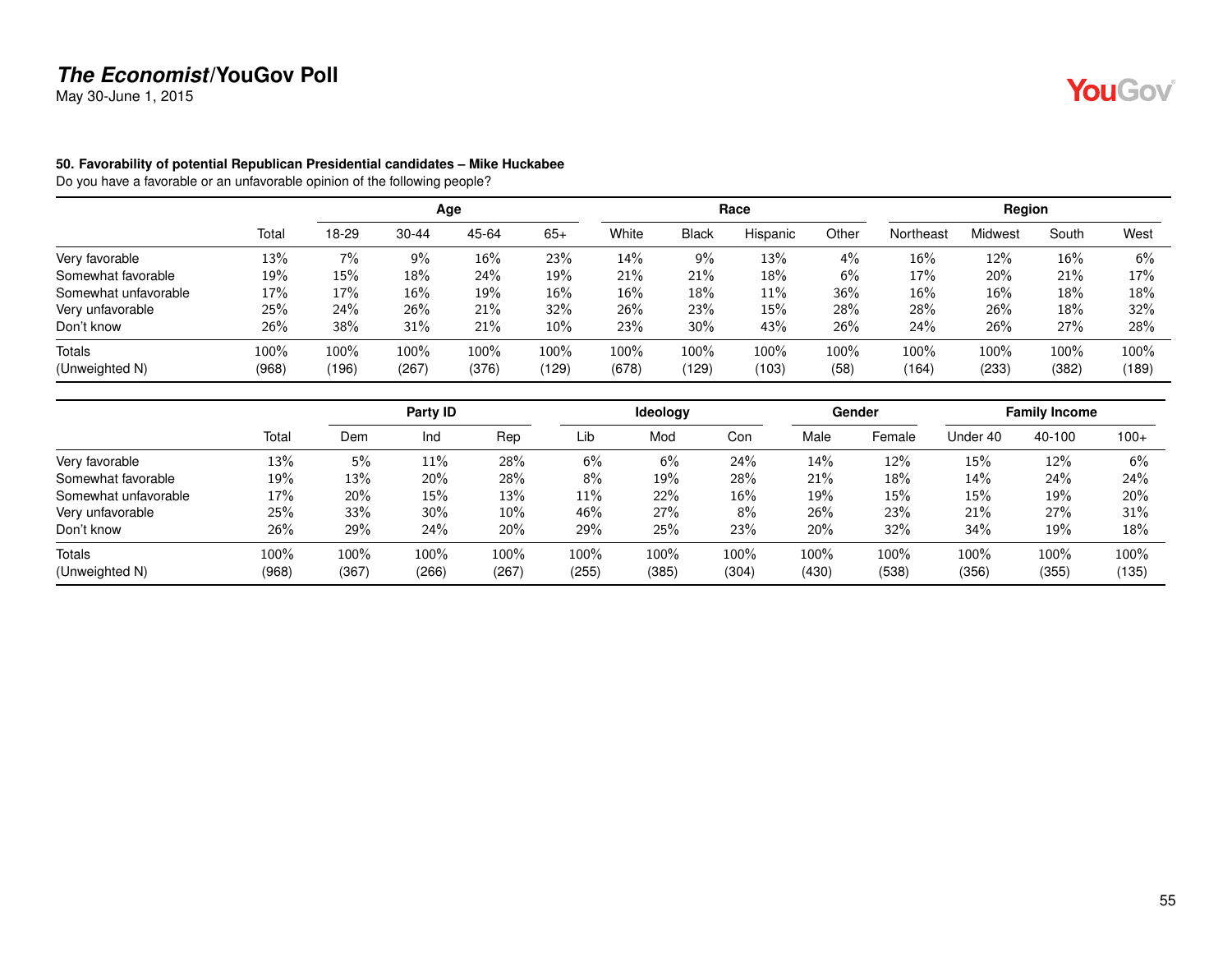May 30-June 1, 2015

#### **50. Favorability of potential Republican Presidential candidates – Mike Huckabee**

Do you have a favorable or an unfavorable opinion of the following people?

|                      |       |       |           | Age     |        |       |              | Race     |       |           | Region  |       |       |
|----------------------|-------|-------|-----------|---------|--------|-------|--------------|----------|-------|-----------|---------|-------|-------|
|                      | Total | 18-29 | $30 - 44$ | 45-64   | $65+$  | White | <b>Black</b> | Hispanic | Other | Northeast | Midwest | South | West  |
| Very favorable       | 13%   | 7%    | 9%        | 16%     | 23%    | 14%   | 9%           | 13%      | $4\%$ | 16%       | 12%     | 16%   | 6%    |
| Somewhat favorable   | 19%   | 15%   | 18%       | 24%     | 19%    | 21%   | 21%          | 18%      | 6%    | 17%       | 20%     | 21%   | 17%   |
| Somewhat unfavorable | 17%   | 17%   | $16\%$    | 19%     | $16\%$ | 16%   | 18%          | 11%      | 36%   | 16%       | 16%     | 18%   | 18%   |
| Very unfavorable     | 25%   | 24%   | 26%       | 21%     | 32%    | 26%   | 23%          | 15%      | 28%   | 28%       | 26%     | 18%   | 32%   |
| Don't know           | 26%   | 38%   | 31%       | 21%     | 10%    | 23%   | 30%          | 43%      | 26%   | 24%       | 26%     | 27%   | 28%   |
| Totals               | 100%  | 100%  | 100%      | $100\%$ | 100%   | 100%  | 100%         | 100%     | 100%  | 100%      | 100%    | 100%  | 100%  |
| (Unweighted N)       | (968) | (196) | (267)     | (376)   | (129)  | (678) | (129)        | (103)    | (58)  | (164)     | (233)   | (382) | (189) |

|                      |       |       | Party ID |       |        | <b>Ideology</b> |       |       | Gender |          | <b>Family Income</b> |        |
|----------------------|-------|-------|----------|-------|--------|-----------------|-------|-------|--------|----------|----------------------|--------|
|                      | Total | Dem   | Ind      | Rep   | Lib    | Mod             | Con   | Male  | Female | Under 40 | 40-100               | $100+$ |
| Very favorable       | 13%   | 5%    | $11\%$   | 28%   | 6%     | 6%              | 24%   | 14%   | 12%    | 15%      | 12%                  | 6%     |
| Somewhat favorable   | 19%   | 13%   | 20%      | 28%   | 8%     | 19%             | 28%   | 21%   | 18%    | 14%      | 24%                  | 24%    |
| Somewhat unfavorable | 17%   | 20%   | $15\%$   | 13%   | $11\%$ | 22%             | 16%   | 19%   | 15%    | 15%      | 19%                  | 20%    |
| Very unfavorable     | 25%   | 33%   | 30%      | 10%   | 46%    | 27%             | 8%    | 26%   | 23%    | 21%      | 27%                  | 31%    |
| Don't know           | 26%   | 29%   | 24%      | 20%   | 29%    | 25%             | 23%   | 20%   | 32%    | 34%      | 19%                  | 18%    |
| Totals               | 100%  | 100%  | 100%     | 100%  | 100%   | 100%            | 100%  | 100%  | 100%   | 100%     | 100%                 | 100%   |
| (Unweighted N)       | (968) | (367) | (266)    | (267) | (255)  | (385)           | (304) | (430) | (538)  | (356)    | (355)                | (135)  |

YouGov®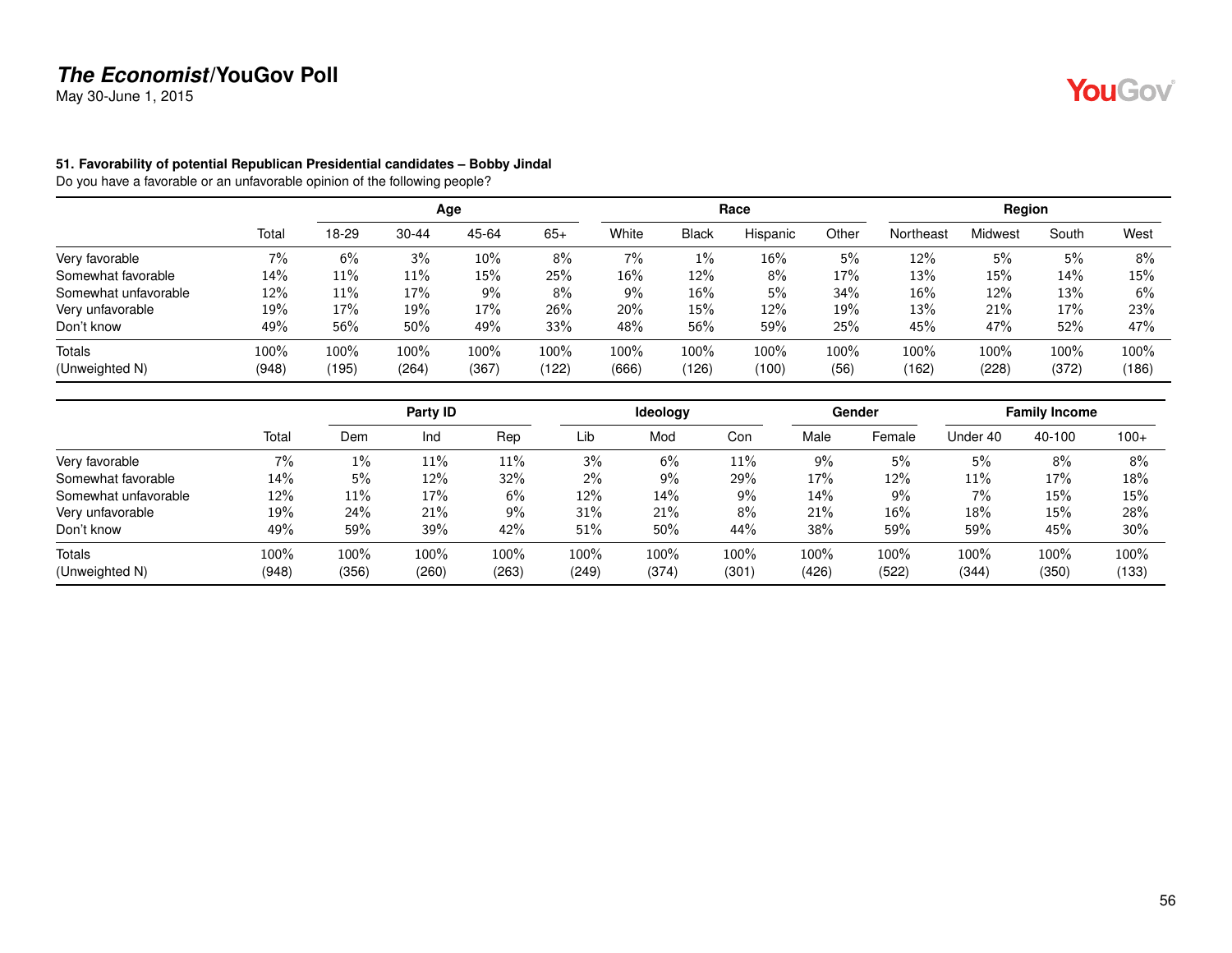May 30-June 1, 2015

#### **51. Favorability of potential Republican Presidential candidates – Bobby Jindal**

|                      |         |       |           | Age   |       |       |              | Race     |       |           | Region  |       |       |
|----------------------|---------|-------|-----------|-------|-------|-------|--------------|----------|-------|-----------|---------|-------|-------|
|                      | Total   | 18-29 | $30 - 44$ | 45-64 | $65+$ | White | <b>Black</b> | Hispanic | Other | Northeast | Midwest | South | West  |
| Very favorable       | $7\%$   | 6%    | 3%        | 10%   | 8%    | 7%    | $1\%$        | 16%      | 5%    | 12%       | 5%      | 5%    | 8%    |
| Somewhat favorable   | 14%     | 11%   | 11%       | 15%   | 25%   | 16%   | 12%          | 8%       | 17%   | 13%       | 15%     | 14%   | 15%   |
| Somewhat unfavorable | 12%     | 11%   | 17%       | $9\%$ | 8%    | 9%    | 16%          | 5%       | 34%   | 16%       | 12%     | 13%   | 6%    |
| Very unfavorable     | 19%     | 17%   | 19%       | 17%   | 26%   | 20%   | 15%          | 12%      | 19%   | 13%       | 21%     | 17%   | 23%   |
| Don't know           | 49%     | 56%   | 50%       | 49%   | 33%   | 48%   | 56%          | 59%      | 25%   | 45%       | 47%     | 52%   | 47%   |
| <b>Totals</b>        | $100\%$ | 100%  | 100%      | 100%  | 100%  | 100%  | 100%         | 100%     | 100%  | 100%      | 100%    | 100%  | 100%  |
| (Unweighted N)       | (948)   | (195) | (264)     | (367) | (122) | (666) | (126)        | (100)    | (56)  | (162)     | (228)   | (372) | (186) |

|                      |       |       | Party ID |       |       | <b>Ideology</b> |        |       | Gender |          | <b>Family Income</b> |        |
|----------------------|-------|-------|----------|-------|-------|-----------------|--------|-------|--------|----------|----------------------|--------|
|                      | Total | Dem   | Ind      | Rep   | Lib   | Mod             | Con    | Male  | Female | Under 40 | 40-100               | $100+$ |
| Very favorable       | 7%    | $1\%$ | $11\%$   | 11%   | 3%    | 6%              | $11\%$ | 9%    | 5%     | 5%       | 8%                   | 8%     |
| Somewhat favorable   | 14%   | 5%    | 12%      | 32%   | $2\%$ | 9%              | 29%    | 17%   | 12%    | 11%      | 17%                  | 18%    |
| Somewhat unfavorable | 12%   | 11%   | 17%      | 6%    | 12%   | 14%             | 9%     | 14%   | 9%     | 7%       | 15%                  | 15%    |
| Very unfavorable     | 19%   | 24%   | 21%      | 9%    | 31%   | 21%             | 8%     | 21%   | 16%    | 18%      | 15%                  | 28%    |
| Don't know           | 49%   | 59%   | 39%      | 42%   | 51%   | 50%             | 44%    | 38%   | 59%    | 59%      | 45%                  | 30%    |
| Totals               | 100%  | 100%  | 100%     | 100%  | 100%  | 100%            | 100%   | 100%  | 100%   | 100%     | 100%                 | 100%   |
| (Unweighted N)       | (948) | (356) | (260)    | (263) | (249) | (374)           | (301)  | (426) | (522)  | (344)    | (350)                | (133)  |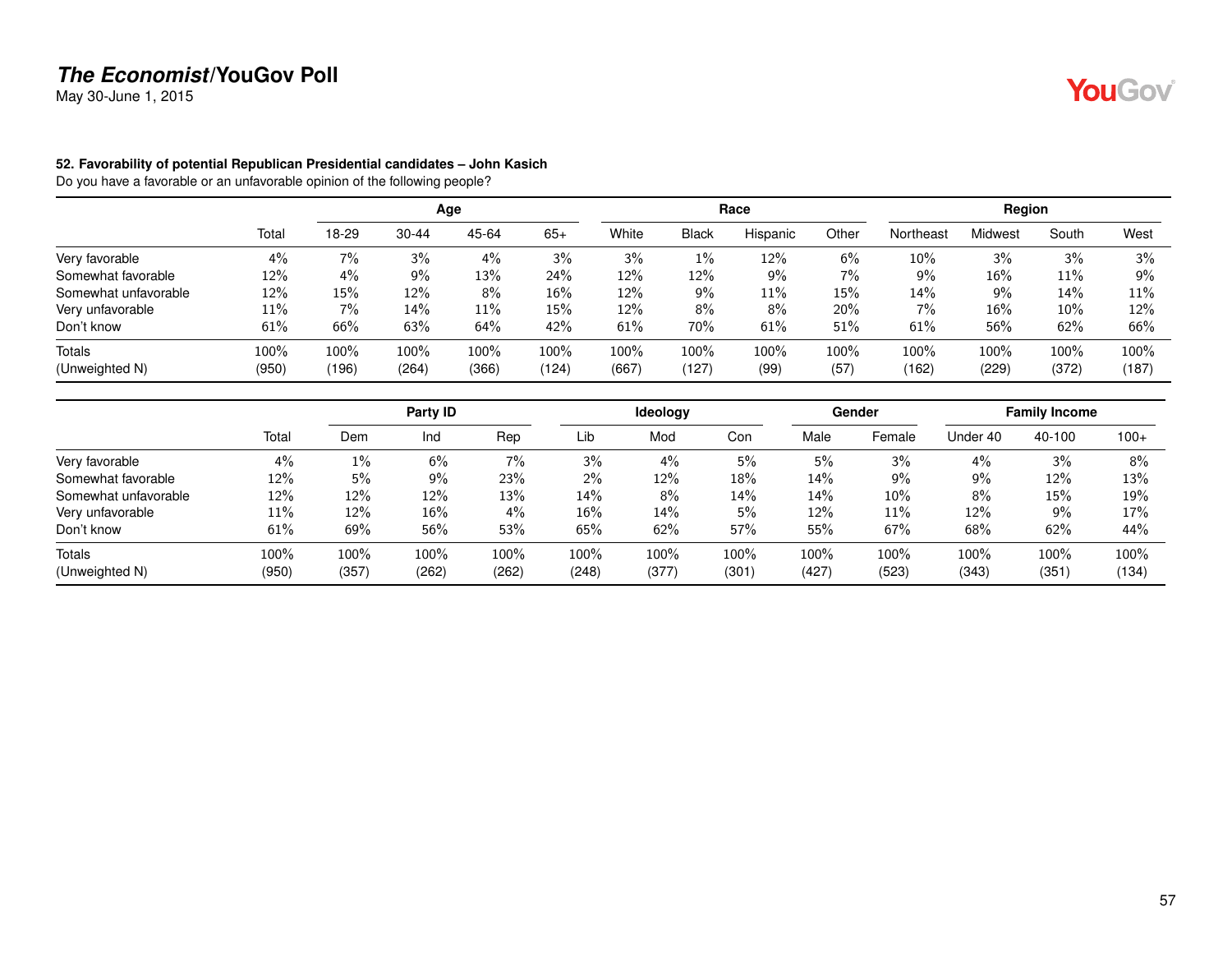May 30-June 1, 2015

#### **52. Favorability of potential Republican Presidential candidates – John Kasich**

|                      |       |       |           | Age   |        |        |              | Race     |       |           | Region         |        |       |
|----------------------|-------|-------|-----------|-------|--------|--------|--------------|----------|-------|-----------|----------------|--------|-------|
|                      | Total | 18-29 | $30 - 44$ | 45-64 | $65+$  | White  | <b>Black</b> | Hispanic | Other | Northeast | <b>Midwest</b> | South  | West  |
| Very favorable       | 4%    | 7%    | 3%        | 4%    | 3%     | 3%     | $1\%$        | 12%      | 6%    | 10%       | 3%             | 3%     | 3%    |
| Somewhat favorable   | 12%   | 4%    | 9%        | 13%   | 24%    | 12%    | 12%          | 9%       | 7%    | 9%        | 16%            | 11%    | 9%    |
| Somewhat unfavorable | 12%   | 15%   | 12%       | 8%    | $16\%$ | 12%    | $9\%$        | 11%      | 15%   | 14%       | 9%             | 14%    | 11%   |
| Very unfavorable     | 11%   | 7%    | 14%       | 11%   | 15%    | $12\%$ | 8%           | 8%       | 20%   | 7%        | 16%            | $10\%$ | 12%   |
| Don't know           | 61%   | 66%   | 63%       | 64%   | 42%    | 61%    | 70%          | 61%      | 51%   | 61%       | 56%            | 62%    | 66%   |
| Totals               | 100%  | 100%  | 100%      | 100%  | 100%   | 100%   | 100%         | 100%     | 100%  | 100%      | 100%           | 100%   | 100%  |
| (Unweighted N)       | (950) | (196) | (264)     | (366) | (124)  | (667)  | (127)        | (99)     | (57)  | (162)     | (229)          | (372)  | (187) |

|                      |       |       | Party ID |       |        | <b>Ideology</b> |       |       | Gender |          | <b>Family Income</b> |        |
|----------------------|-------|-------|----------|-------|--------|-----------------|-------|-------|--------|----------|----------------------|--------|
|                      | Total | Dem   | Ind      | Rep   | Lib    | Mod             | Con   | Male  | Female | Under 40 | 40-100               | $100+$ |
| Very favorable       | 4%    | $1\%$ | 6%       | 7%    | 3%     | 4%              | 5%    | 5%    | 3%     | 4%       | 3%                   | 8%     |
| Somewhat favorable   | 12%   | 5%    | 9%       | 23%   | $2\%$  | 12%             | 18%   | 14%   | 9%     | $9\%$    | 12%                  | 13%    |
| Somewhat unfavorable | 12%   | 12%   | 12%      | 13%   | 14%    | 8%              | 14%   | 14%   | 10%    | 8%       | 15%                  | 19%    |
| Very unfavorable     | 11%   | 12%   | $16\%$   | $4\%$ | $16\%$ | 14%             | 5%    | 12%   | 11%    | 12%      | 9%                   | 17%    |
| Don't know           | 61%   | 69%   | 56%      | 53%   | 65%    | 62%             | 57%   | 55%   | 67%    | 68%      | 62%                  | 44%    |
| Totals               | 100%  | 100%  | 100%     | 100%  | 100%   | 100%            | 100%  | 100%  | 100%   | 100%     | 100%                 | 100%   |
| (Unweighted N)       | (950) | (357) | (262)    | (262) | (248)  | (377)           | (301) | (427) | (523)  | (343)    | (351)                | (134)  |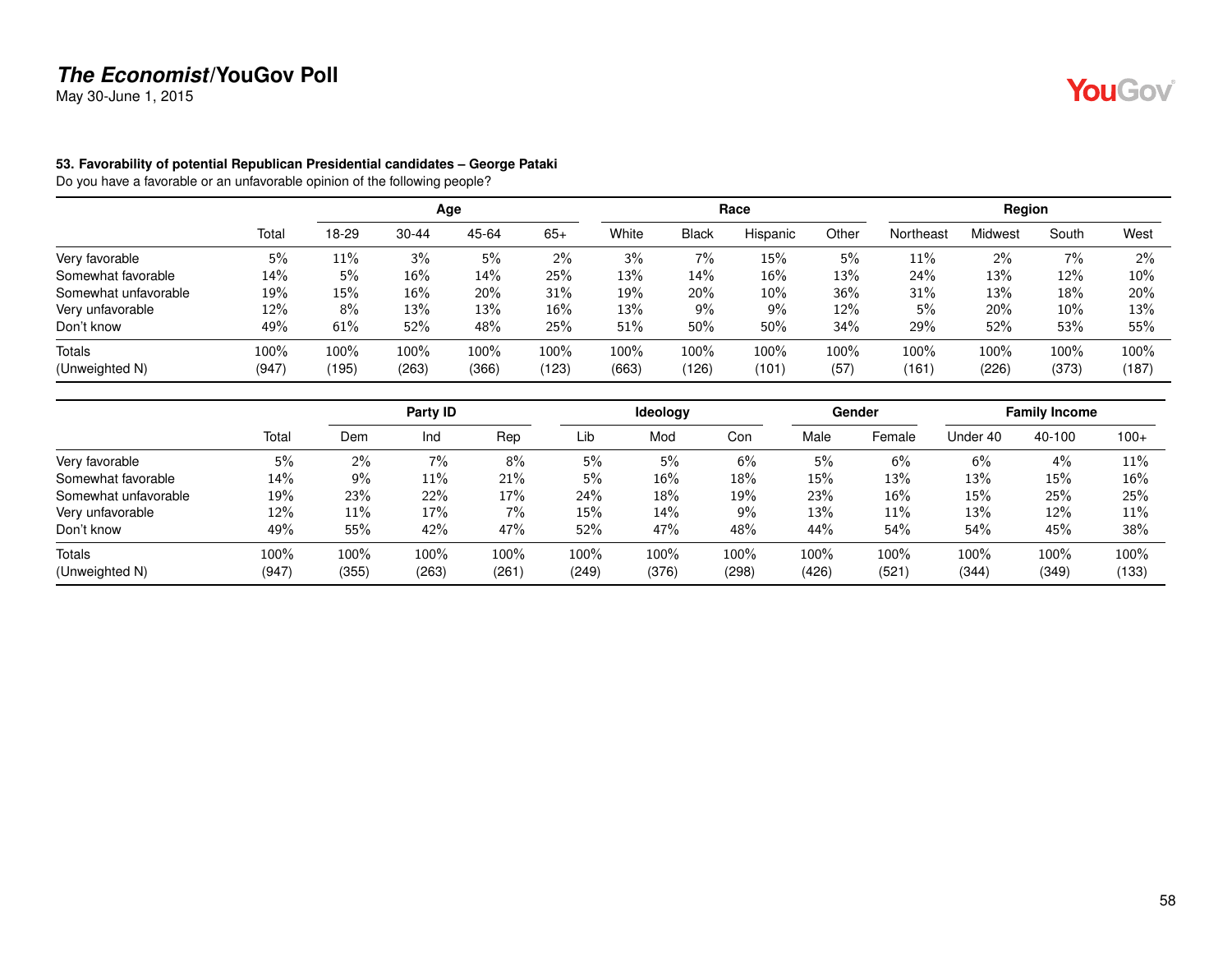May 30-June 1, 2015

#### **53. Favorability of potential Republican Presidential candidates – George Pataki**

|                      |       |       |           | Age     |       |       |              | Race     |       |           | Region  |       |        |
|----------------------|-------|-------|-----------|---------|-------|-------|--------------|----------|-------|-----------|---------|-------|--------|
|                      | Total | 18-29 | $30 - 44$ | 45-64   | $65+$ | White | <b>Black</b> | Hispanic | Other | Northeast | Midwest | South | West   |
| Very favorable       | 5%    | 11%   | 3%        | 5%      | 2%    | 3%    | 7%           | 15%      | 5%    | 11%       | $2\%$   | 7%    | 2%     |
| Somewhat favorable   | 14%   | 5%    | $16\%$    | 14%     | 25%   | 13%   | 14%          | 16%      | 13%   | 24%       | 13%     | 12%   | $10\%$ |
| Somewhat unfavorable | 19%   | 15%   | 16%       | 20%     | 31%   | 19%   | 20%          | 10%      | 36%   | 31%       | 13%     | 18%   | 20%    |
| Very unfavorable     | 12%   | 8%    | 13%       | 13%     | 16%   | 13%   | 9%           | 9%       | 12%   | 5%        | 20%     | 10%   | 13%    |
| Don't know           | 49%   | 61%   | 52%       | 48%     | 25%   | 51%   | 50%          | 50%      | 34%   | 29%       | 52%     | 53%   | 55%    |
| <b>Totals</b>        | 100%  | 100%  | 100%      | $100\%$ | 100%  | 100%  | 100%         | 100%     | 100%  | 100%      | 100%    | 100%  | 100%   |
| (Unweighted N)       | (947) | (195) | (263)     | (366)   | (123) | (663) | (126)        | (101)    | (57)  | (161)     | (226)   | (373) | (187)  |

|                      |       |       | Party ID |       |       | <b>Ideology</b> |       |       | Gender |          | <b>Family Income</b> |        |
|----------------------|-------|-------|----------|-------|-------|-----------------|-------|-------|--------|----------|----------------------|--------|
|                      | Total | Dem   | Ind      | Rep   | Lib   | Mod             | Con   | Male  | Female | Under 40 | 40-100               | $100+$ |
| Very favorable       | 5%    | $2\%$ | 7%       | 8%    | 5%    | 5%              | 6%    | 5%    | 6%     | 6%       | 4%                   | 11%    |
| Somewhat favorable   | 14%   | 9%    | $11\%$   | 21%   | 5%    | 16%             | 18%   | 15%   | 13%    | 13%      | 15%                  | 16%    |
| Somewhat unfavorable | 19%   | 23%   | 22%      | 17%   | 24%   | 18%             | 19%   | 23%   | 16%    | 15%      | 25%                  | 25%    |
| Very unfavorable     | 12%   | 11%   | 17%      | $7\%$ | 15%   | 14%             | 9%    | 13%   | 11%    | 13%      | 12%                  | 11%    |
| Don't know           | 49%   | 55%   | 42%      | 47%   | 52%   | 47%             | 48%   | 44%   | 54%    | 54%      | 45%                  | 38%    |
| Totals               | 100%  | 100%  | 100%     | 100%  | 100%  | 100%            | 100%  | 100%  | 100%   | 100%     | 100%                 | 100%   |
| (Unweighted N)       | (947) | (355) | (263)    | (261) | (249) | (376)           | (298) | (426) | (521)  | (344)    | (349)                | (133)  |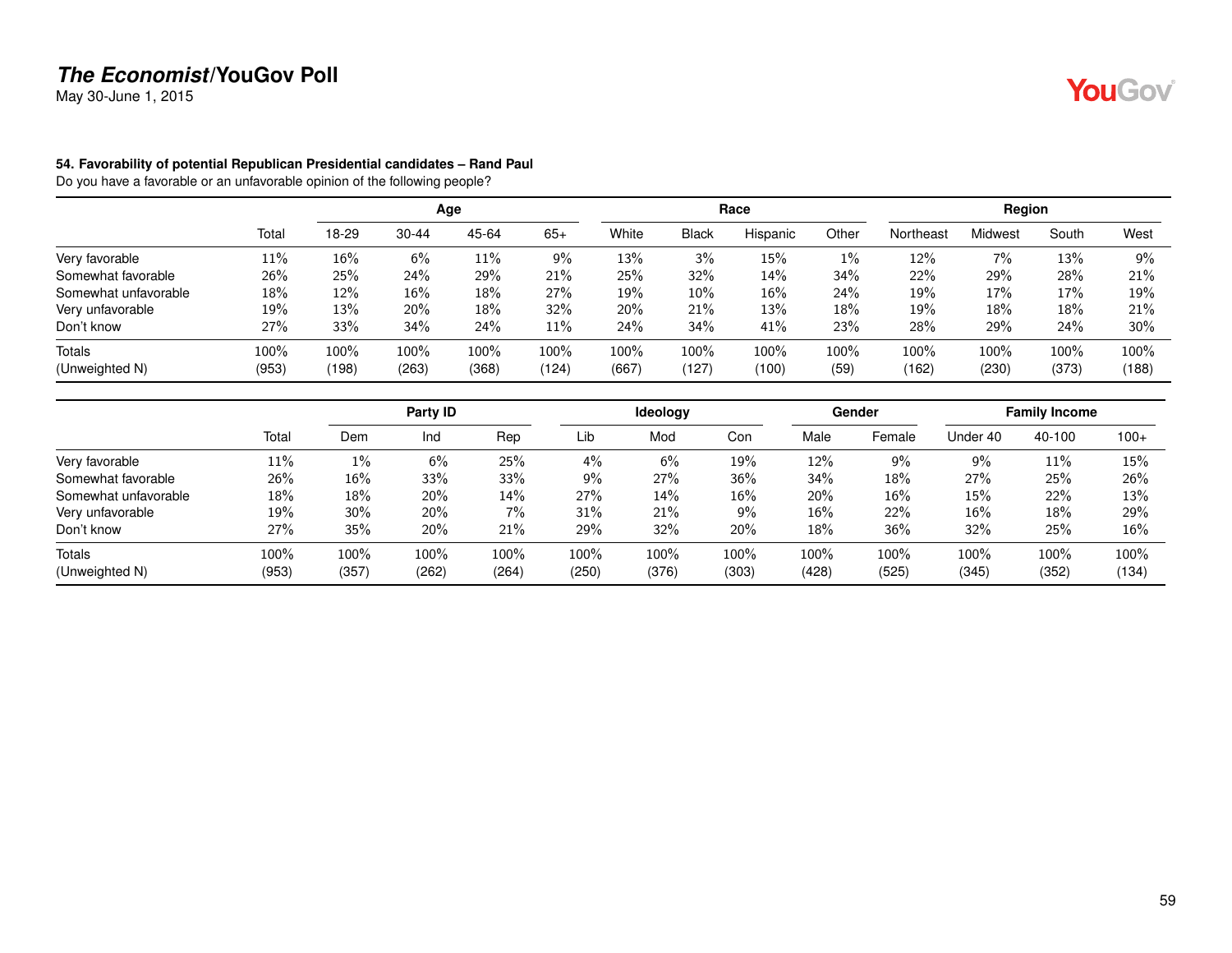May 30-June 1, 2015

#### **54. Favorability of potential Republican Presidential candidates – Rand Paul**

|                      |         |       |           | Age     |        |       |              | Race     |       |           | Region  |       |       |
|----------------------|---------|-------|-----------|---------|--------|-------|--------------|----------|-------|-----------|---------|-------|-------|
|                      | Total   | 18-29 | $30 - 44$ | 45-64   | $65+$  | White | <b>Black</b> | Hispanic | Other | Northeast | Midwest | South | West  |
| Very favorable       | 11%     | 16%   | 6%        | 11%     | 9%     | 13%   | 3%           | 15%      | 1%    | 12%       | 7%      | 13%   | 9%    |
| Somewhat favorable   | 26%     | 25%   | 24%       | 29%     | 21%    | 25%   | 32%          | 14%      | 34%   | 22%       | 29%     | 28%   | 21%   |
| Somewhat unfavorable | 18%     | 12%   | 16%       | 18%     | 27%    | 19%   | 10%          | 16%      | 24%   | 19%       | 17%     | 17%   | 19%   |
| Very unfavorable     | 19%     | 13%   | 20%       | 18%     | 32%    | 20%   | 21%          | 13%      | 18%   | 19%       | 18%     | 18%   | 21%   |
| Don't know           | 27%     | 33%   | 34%       | 24%     | $11\%$ | 24%   | 34%          | 41%      | 23%   | 28%       | 29%     | 24%   | 30%   |
| <b>Totals</b>        | $100\%$ | 100%  | 100%      | $100\%$ | 100%   | 100%  | 100%         | 100%     | 100%  | 100%      | 100%    | 100%  | 100%  |
| (Unweighted N)       | (953)   | (198) | (263)     | (368)   | (124)  | (667) | (127)        | (100)    | (59)  | (162)     | (230)   | (373) | (188) |

|                      |       |       | Party ID |       |       | <b>Ideology</b> |       |       | Gender |          | <b>Family Income</b> |        |
|----------------------|-------|-------|----------|-------|-------|-----------------|-------|-------|--------|----------|----------------------|--------|
|                      | Total | Dem   | Ind      | Rep   | Lib   | Mod             | Con   | Male  | Female | Under 40 | 40-100               | $100+$ |
| Very favorable       | 11%   | $1\%$ | 6%       | 25%   | 4%    | 6%              | 19%   | 12%   | 9%     | 9%       | 11%                  | 15%    |
| Somewhat favorable   | 26%   | 16%   | 33%      | 33%   | 9%    | 27%             | 36%   | 34%   | 18%    | 27%      | 25%                  | 26%    |
| Somewhat unfavorable | 18%   | 18%   | 20%      | 14%   | 27%   | 14%             | 16%   | 20%   | 16%    | 15%      | 22%                  | 13%    |
| Very unfavorable     | 19%   | 30%   | 20%      | $7\%$ | 31%   | 21%             | $9\%$ | 16%   | 22%    | 16%      | 18%                  | 29%    |
| Don't know           | 27%   | 35%   | 20%      | 21%   | 29%   | 32%             | 20%   | 18%   | 36%    | 32%      | 25%                  | 16%    |
| Totals               | 100%  | 100%  | 100%     | 100%  | 100%  | 100%            | 100%  | 100%  | 100%   | 100%     | 100%                 | 100%   |
| (Unweighted N)       | (953) | (357) | (262)    | (264) | (250) | (376)           | (303) | (428) | (525)  | (345)    | (352)                | (134)  |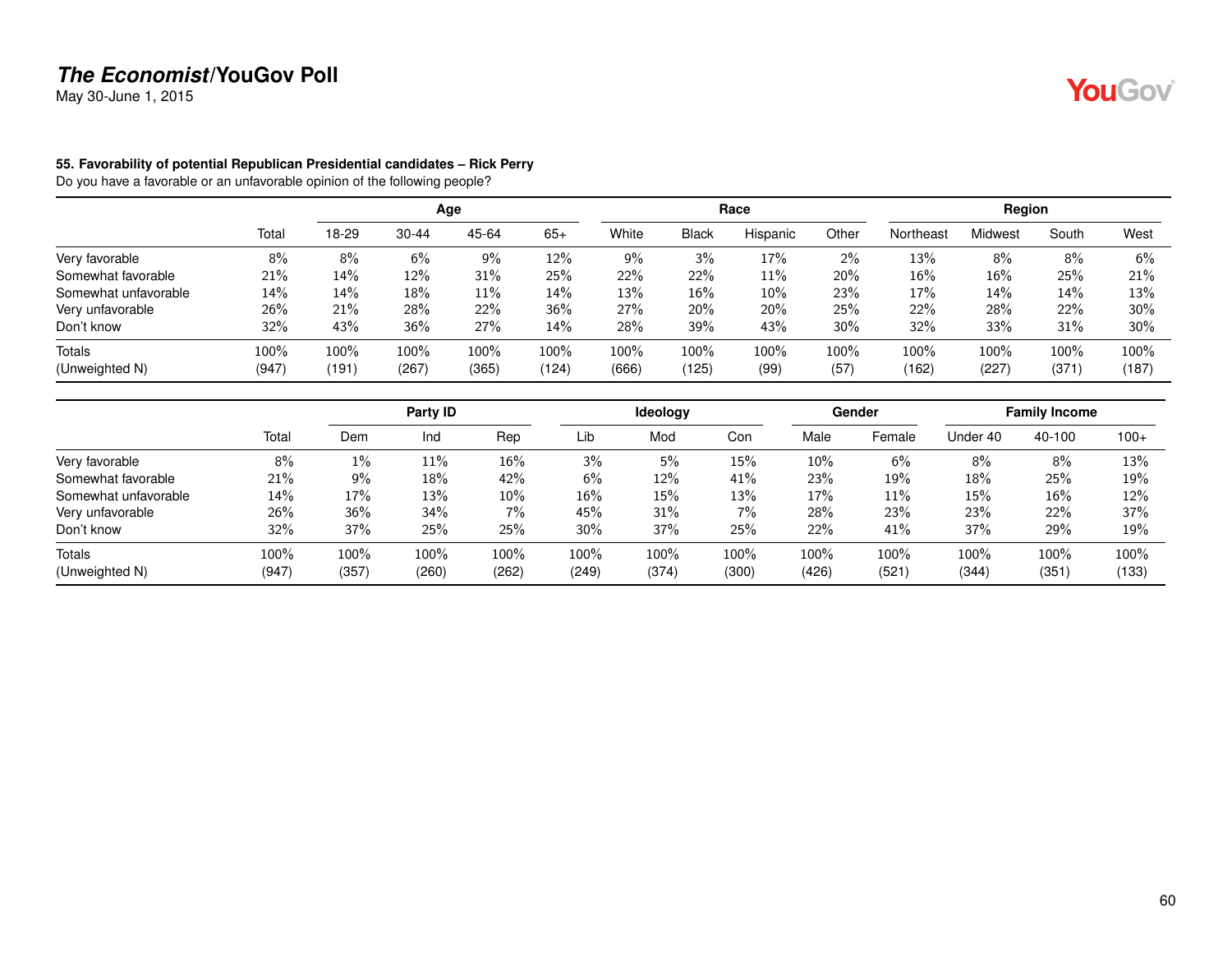May 30-June 1, 2015

#### **55. Favorability of potential Republican Presidential candidates – Rick Perry**

|                      |       |       |           | Age     |       |       |              | Race     |        |           | Region  |       |       |
|----------------------|-------|-------|-----------|---------|-------|-------|--------------|----------|--------|-----------|---------|-------|-------|
|                      | Total | 18-29 | $30 - 44$ | 45-64   | $65+$ | White | <b>Black</b> | Hispanic | Other  | Northeast | Midwest | South | West  |
| Very favorable       | 8%    | 8%    | 6%        | 9%      | 12%   | 9%    | 3%           | 17%      | 2%     | 13%       | 8%      | 8%    | 6%    |
| Somewhat favorable   | 21%   | 14%   | 12%       | 31%     | 25%   | 22%   | 22%          | 11%      | 20%    | 16%       | 16%     | 25%   | 21%   |
| Somewhat unfavorable | 14%   | 14%   | 18%       | $11\%$  | 14%   | 13%   | 16%          | 10%      | 23%    | 17%       | 14%     | 14%   | 13%   |
| Very unfavorable     | 26%   | 21%   | 28%       | 22%     | 36%   | 27%   | 20%          | 20%      | 25%    | 22%       | 28%     | 22%   | 30%   |
| Don't know           | 32%   | 43%   | 36%       | 27%     | 14%   | 28%   | 39%          | 43%      | $30\%$ | 32%       | 33%     | 31%   | 30%   |
| <b>Totals</b>        | 100%  | 100%  | 100%      | $100\%$ | 100%  | 100%  | 100%         | 100%     | 100%   | 100%      | 100%    | 100%  | 100%  |
| (Unweighted N)       | (947) | (191) | (267)     | (365)   | (124) | (666) | (125)        | (99)     | (57)   | (162)     | (227)   | (371) | (187) |

|                      |       |       | Party ID |       |        | <b>Ideology</b> |        |       | Gender |          | <b>Family Income</b> |        |
|----------------------|-------|-------|----------|-------|--------|-----------------|--------|-------|--------|----------|----------------------|--------|
|                      | Total | Dem   | Ind      | Rep   | Lib    | Mod             | Con    | Male  | Female | Under 40 | 40-100               | $100+$ |
| Very favorable       | 8%    | $1\%$ | $11\%$   | 16%   | 3%     | 5%              | $15\%$ | 10%   | 6%     | 8%       | 8%                   | 13%    |
| Somewhat favorable   | 21%   | 9%    | $18\%$   | 42%   | 6%     | 12%             | 41%    | 23%   | 19%    | 18%      | 25%                  | 19%    |
| Somewhat unfavorable | 14%   | 17%   | 13%      | 10%   | $16\%$ | 15%             | 13%    | 17%   | 11%    | 15%      | 16%                  | 12%    |
| Very unfavorable     | 26%   | 36%   | 34%      | $7\%$ | 45%    | 31%             | 7%     | 28%   | 23%    | 23%      | 22%                  | 37%    |
| Don't know           | 32%   | 37%   | 25%      | 25%   | 30%    | 37%             | 25%    | 22%   | 41%    | 37%      | 29%                  | 19%    |
| Totals               | 100%  | 100%  | 100%     | 100%  | 100%   | 100%            | 100%   | 100%  | 100%   | 100%     | 100%                 | 100%   |
| (Unweighted N)       | (947) | (357) | (260)    | (262) | (249)  | (374)           | (300)  | (426) | (521)  | (344)    | (351)                | (133)  |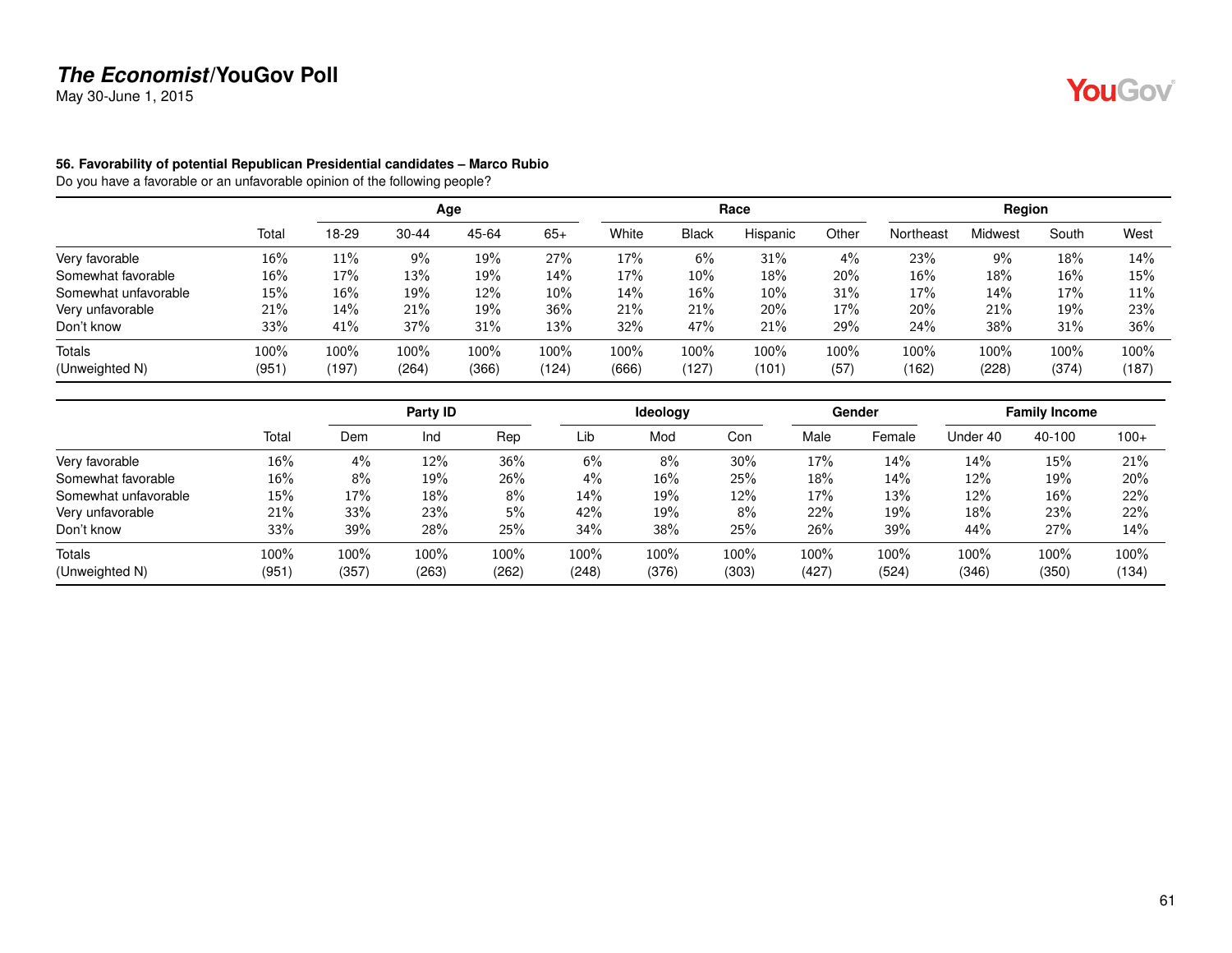May 30-June 1, 2015

#### **56. Favorability of potential Republican Presidential candidates – Marco Rubio**

|                      |       |       |           | Age   |        |       |              | Race     |       |           | Region         |       |       |
|----------------------|-------|-------|-----------|-------|--------|-------|--------------|----------|-------|-----------|----------------|-------|-------|
|                      | Total | 18-29 | $30 - 44$ | 45-64 | $65+$  | White | <b>Black</b> | Hispanic | Other | Northeast | <b>Midwest</b> | South | West  |
| Very favorable       | 16%   | 11%   | 9%        | 19%   | 27%    | 17%   | $6\%$        | 31%      | 4%    | 23%       | $9\%$          | 18%   | 14%   |
| Somewhat favorable   | 16%   | 17%   | 13%       | 19%   | 14%    | 17%   | 10%          | 18%      | 20%   | 16%       | 18%            | 16%   | 15%   |
| Somewhat unfavorable | 15%   | 16%   | 19%       | 12%   | $10\%$ | 14%   | 16%          | 10%      | 31%   | 17%       | 14%            | 17%   | 11%   |
| Very unfavorable     | 21%   | 14%   | 21%       | 19%   | 36%    | 21%   | 21%          | 20%      | 17%   | 20%       | 21%            | 19%   | 23%   |
| Don't know           | 33%   | 41%   | 37%       | 31%   | 13%    | 32%   | 47%          | 21%      | 29%   | 24%       | 38%            | 31%   | 36%   |
| <b>Totals</b>        | 100%  | 100%  | 100%      | 100%  | 100%   | 100%  | 100%         | 100%     | 100%  | 100%      | 100%           | 100%  | 100%  |
| (Unweighted N)       | (951) | (197) | (264)     | (366) | (124)  | (666) | (127)        | (101)    | (57)  | (162)     | (228)          | (374) | (187) |

|                      |       |       | Party ID |       |       | Ideology |       |       | Gender |          | <b>Family Income</b> |        |
|----------------------|-------|-------|----------|-------|-------|----------|-------|-------|--------|----------|----------------------|--------|
|                      | Total | Dem   | Ind      | Rep   | Lib   | Mod      | Con   | Male  | Female | Under 40 | 40-100               | $100+$ |
| Very favorable       | 16%   | 4%    | 12%      | 36%   | 6%    | 8%       | 30%   | 17%   | 14%    | 14%      | 15%                  | 21%    |
| Somewhat favorable   | 16%   | 8%    | 19%      | 26%   | 4%    | 16%      | 25%   | 18%   | 14%    | 12%      | 19%                  | 20%    |
| Somewhat unfavorable | 15%   | 17%   | 18%      | 8%    | 14%   | 19%      | 12%   | 17%   | 13%    | 12%      | 16%                  | 22%    |
| Very unfavorable     | 21%   | 33%   | 23%      | 5%    | 42%   | 19%      | 8%    | 22%   | 19%    | 18%      | 23%                  | 22%    |
| Don't know           | 33%   | 39%   | 28%      | 25%   | 34%   | 38%      | 25%   | 26%   | 39%    | 44%      | 27%                  | 14%    |
| Totals               | 100%  | 100%  | 100%     | 100%  | 100%  | 100%     | 100%  | 100%  | 100%   | 100%     | 100%                 | 100%   |
| (Unweighted N)       | (951) | (357) | (263)    | (262) | (248) | (376)    | (303) | (427) | (524)  | (346)    | (350)                | (134)  |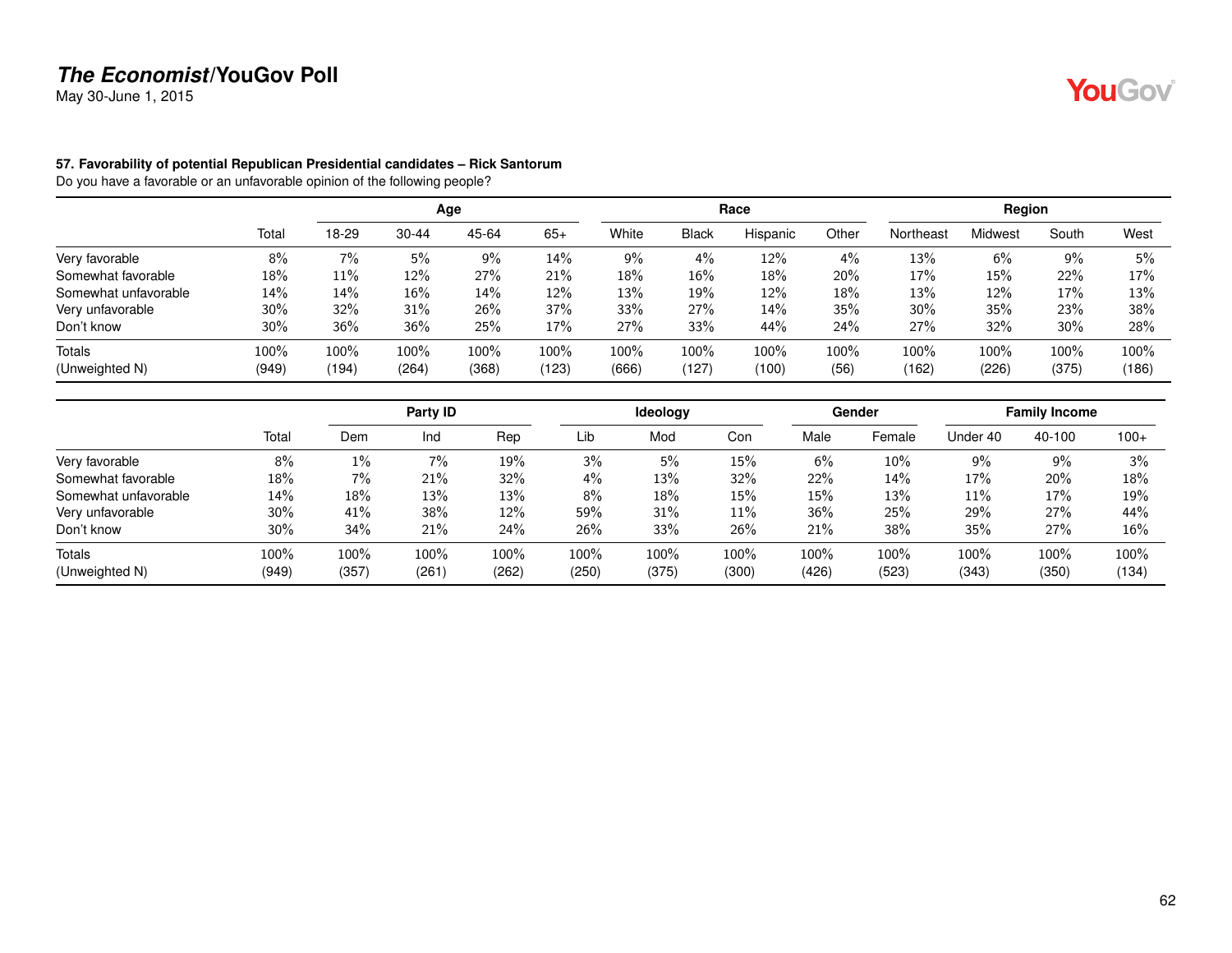May 30-June 1, 2015

#### **57. Favorability of potential Republican Presidential candidates – Rick Santorum**

|                      |       |       |           | Age     |       |       |              | Race     |       |           | Region  |       |       |
|----------------------|-------|-------|-----------|---------|-------|-------|--------------|----------|-------|-----------|---------|-------|-------|
|                      | Total | 18-29 | $30 - 44$ | 45-64   | $65+$ | White | <b>Black</b> | Hispanic | Other | Northeast | Midwest | South | West  |
| Very favorable       | 8%    | 7%    | 5%        | 9%      | 14%   | 9%    | 4%           | 12%      | $4\%$ | 13%       | 6%      | 9%    | 5%    |
| Somewhat favorable   | 18%   | 11%   | 12%       | 27%     | 21%   | 18%   | 16%          | 18%      | 20%   | 17%       | 15%     | 22%   | 17%   |
| Somewhat unfavorable | 14%   | 14%   | 16%       | 14%     | 12%   | 13%   | 19%          | $12\%$   | 18%   | 13%       | 12%     | 17%   | 13%   |
| Very unfavorable     | 30%   | 32%   | 31%       | 26%     | 37%   | 33%   | 27%          | 14%      | 35%   | $30\%$    | 35%     | 23%   | 38%   |
| Don't know           | 30%   | 36%   | 36%       | 25%     | 17%   | 27%   | 33%          | 44%      | 24%   | 27%       | 32%     | 30%   | 28%   |
| <b>Totals</b>        | 100%  | 100%  | 100%      | $100\%$ | 100%  | 100%  | 100%         | 100%     | 100%  | 100%      | 100%    | 100%  | 100%  |
| (Unweighted N)       | (949) | (194) | (264)     | (368)   | (123) | (666) | (127)        | (100)    | (56)  | (162)     | (226)   | (375) | (186) |

|                      |       |       | Party ID |       |       | <b>Ideology</b> |       |       | Gender |          | <b>Family Income</b> |        |
|----------------------|-------|-------|----------|-------|-------|-----------------|-------|-------|--------|----------|----------------------|--------|
|                      | Total | Dem   | Ind      | Rep   | Lib   | Mod             | Con   | Male  | Female | Under 40 | 40-100               | $100+$ |
| Very favorable       | 8%    | 1%    | 7%       | 19%   | 3%    | 5%              | 15%   | 6%    | 10%    | 9%       | 9%                   | 3%     |
| Somewhat favorable   | 18%   | 7%    | 21%      | 32%   | 4%    | 13%             | 32%   | 22%   | 14%    | 17%      | 20%                  | 18%    |
| Somewhat unfavorable | 14%   | 18%   | 13%      | 13%   | 8%    | 18%             | 15%   | 15%   | 13%    | 11%      | 17%                  | 19%    |
| Very unfavorable     | 30%   | 41%   | 38%      | 12%   | 59%   | 31%             | 11%   | 36%   | 25%    | 29%      | 27%                  | 44%    |
| Don't know           | 30%   | 34%   | 21%      | 24%   | 26%   | 33%             | 26%   | 21%   | 38%    | 35%      | 27%                  | 16%    |
| Totals               | 100%  | 100%  | 100%     | 100%  | 100%  | 100%            | 100%  | 100%  | 100%   | 100%     | 100%                 | 100%   |
| (Unweighted N)       | (949) | (357) | (261)    | (262) | (250) | (375)           | (300) | (426) | (523)  | (343)    | (350)                | (134)  |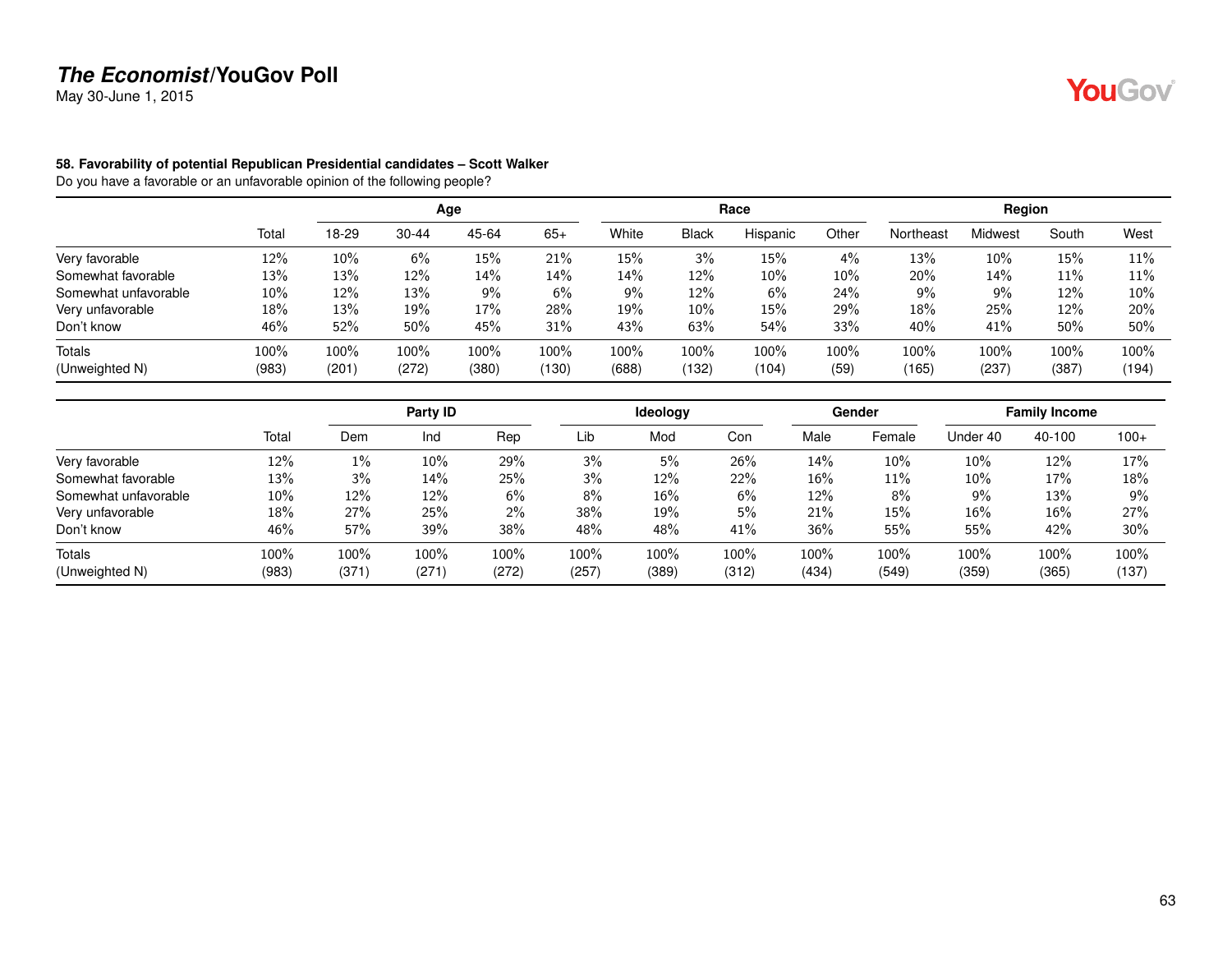May 30-June 1, 2015

#### **58. Favorability of potential Republican Presidential candidates – Scott Walker**

|                      |        |       |           | Age   |       |       |              | Race     |       |           | Region         |       |        |
|----------------------|--------|-------|-----------|-------|-------|-------|--------------|----------|-------|-----------|----------------|-------|--------|
|                      | Total  | 18-29 | $30 - 44$ | 45-64 | $65+$ | White | <b>Black</b> | Hispanic | Other | Northeast | <b>Midwest</b> | South | West   |
| Very favorable       | 12%    | 10%   | 6%        | 15%   | 21%   | 15%   | 3%           | 15%      | 4%    | 13%       | 10%            | 15%   | 11%    |
| Somewhat favorable   | 13%    | 13%   | 12%       | 14%   | 14%   | 14%   | 12%          | 10%      | 10%   | 20%       | 14%            | 11%   | 11%    |
| Somewhat unfavorable | $10\%$ | 12%   | 13%       | 9%    | 6%    | 9%    | 12%          | 6%       | 24%   | 9%        | 9%             | 12%   | $10\%$ |
| Very unfavorable     | 18%    | 13%   | 19%       | 17%   | 28%   | 19%   | 10%          | 15%      | 29%   | 18%       | 25%            | 12%   | 20%    |
| Don't know           | 46%    | 52%   | 50%       | 45%   | 31%   | 43%   | 63%          | 54%      | 33%   | 40%       | 41%            | 50%   | 50%    |
| <b>Totals</b>        | 100%   | 100%  | 100%      | 100%  | 100%  | 100%  | $100\%$      | 100%     | 100%  | 100%      | 100%           | 100%  | 100%   |
| (Unweighted N)       | (983)  | (201) | (272)     | (380) | (130) | (688) | (132)        | (104)    | (59)  | (165)     | (237           | (387) | (194)  |

|                      |       |       | Party ID |       |       | Ideology |       |       | Gender |          | <b>Family Income</b> |        |
|----------------------|-------|-------|----------|-------|-------|----------|-------|-------|--------|----------|----------------------|--------|
|                      | Total | Dem   | Ind      | Rep   | Lib   | Mod      | Con   | Male  | Female | Under 40 | 40-100               | $100+$ |
| Very favorable       | 12%   | 1%    | 10%      | 29%   | 3%    | 5%       | 26%   | 14%   | 10%    | 10%      | 12%                  | 17%    |
| Somewhat favorable   | 13%   | 3%    | 14%      | 25%   | 3%    | 12%      | 22%   | 16%   | 11%    | 10%      | 17%                  | 18%    |
| Somewhat unfavorable | 10%   | 12%   | 12%      | 6%    | 8%    | 16%      | 6%    | 12%   | 8%     | $9\%$    | 13%                  | $9\%$  |
| Very unfavorable     | 18%   | 27%   | 25%      | 2%    | 38%   | 19%      | 5%    | 21%   | 15%    | 16%      | 16%                  | 27%    |
| Don't know           | 46%   | 57%   | 39%      | 38%   | 48%   | 48%      | 41%   | 36%   | 55%    | 55%      | 42%                  | 30%    |
| Totals               | 100%  | 100%  | 100%     | 100%  | 100%  | 100%     | 100%  | 100%  | 100%   | 100%     | 100%                 | 100%   |
| (Unweighted N)       | (983) | (371) | (271)    | (272) | (257) | (389)    | (312) | (434) | (549)  | (359)    | (365)                | (137)  |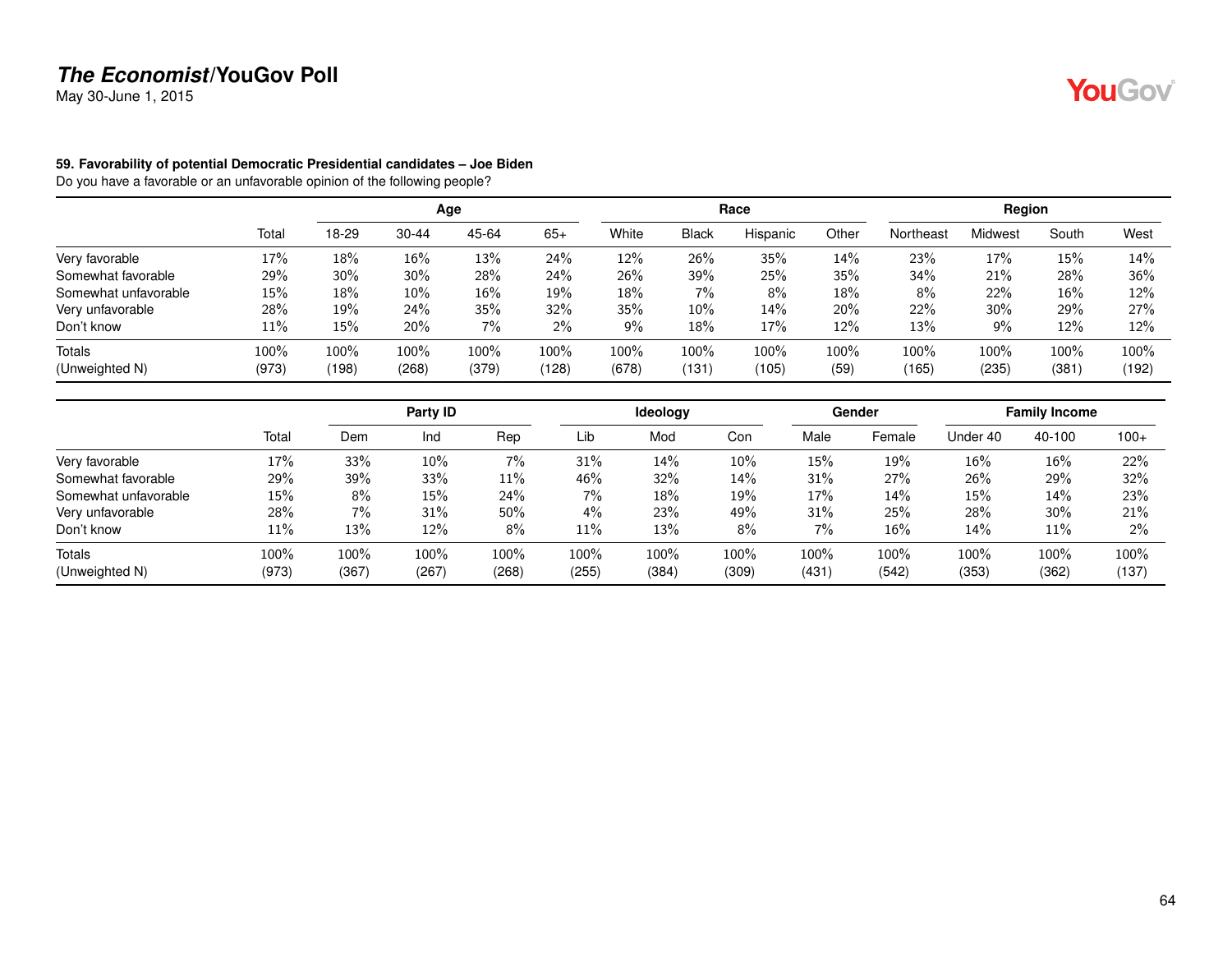May 30-June 1, 2015

#### **59. Favorability of potential Democratic Presidential candidates – Joe Biden**

|                      |       |       |           | Age   |       |       |              | Race     |       |           | Region  |       |       |
|----------------------|-------|-------|-----------|-------|-------|-------|--------------|----------|-------|-----------|---------|-------|-------|
|                      | Total | 18-29 | $30 - 44$ | 45-64 | $65+$ | White | <b>Black</b> | Hispanic | Other | Northeast | Midwest | South | West  |
| Very favorable       | 17%   | 18%   | 16%       | 13%   | 24%   | 12%   | 26%          | 35%      | 14%   | 23%       | 17%     | 15%   | 14%   |
| Somewhat favorable   | 29%   | 30%   | 30%       | 28%   | 24%   | 26%   | 39%          | 25%      | 35%   | 34%       | 21%     | 28%   | 36%   |
| Somewhat unfavorable | 15%   | 18%   | $10\%$    | 16%   | 19%   | 18%   | $7\%$        | 8%       | 18%   | 8%        | 22%     | 16%   | 12%   |
| Very unfavorable     | 28%   | 19%   | 24%       | 35%   | 32%   | 35%   | $10\%$       | 14%      | 20%   | 22%       | 30%     | 29%   | 27%   |
| Don't know           | 11%   | 15%   | 20%       | $7\%$ | 2%    | 9%    | 18%          | 17%      | 12%   | 13%       | $9\%$   | 12%   | 12%   |
| <b>Totals</b>        | 100%  | 100%  | 100%      | 100%  | 100%  | 100%  | $100\%$      | 100%     | 100%  | 100%      | 100%    | 100%  | 100%  |
| (Unweighted N)       | (973) | (198) | (268)     | (379) | (128) | (678) | (131)        | (105)    | (59)  | (165)     | (235)   | (381) | (192) |

|                      |       |       | Party ID |       |       | <b>Ideology</b> |       |       | Gender |          | <b>Family Income</b> |        |
|----------------------|-------|-------|----------|-------|-------|-----------------|-------|-------|--------|----------|----------------------|--------|
|                      | Total | Dem   | Ind      | Rep   | Lib   | Mod             | Con   | Male  | Female | Under 40 | 40-100               | $100+$ |
| Very favorable       | 17%   | 33%   | 10%      | $7\%$ | 31%   | 14%             | 10%   | 15%   | 19%    | 16%      | 16%                  | 22%    |
| Somewhat favorable   | 29%   | 39%   | 33%      | 11%   | 46%   | 32%             | 14%   | 31%   | 27%    | 26%      | 29%                  | 32%    |
| Somewhat unfavorable | 15%   | 8%    | 15%      | 24%   | 7%    | 18%             | 19%   | 17%   | 14%    | 15%      | 14%                  | 23%    |
| Very unfavorable     | 28%   | 7%    | 31%      | 50%   | 4%    | 23%             | 49%   | 31%   | 25%    | 28%      | 30%                  | 21%    |
| Don't know           | 11%   | 13%   | 12%      | 8%    | 11%   | 13%             | 8%    | 7%    | 16%    | 14%      | 11%                  | $2\%$  |
| Totals               | 100%  | 100%  | 100%     | 100%  | 100%  | 100%            | 100%  | 100%  | 100%   | 100%     | 100%                 | 100%   |
| (Unweighted N)       | (973) | (367) | (267)    | (268) | (255) | (384)           | (309) | (431) | (542)  | (353)    | (362)                | (137)  |

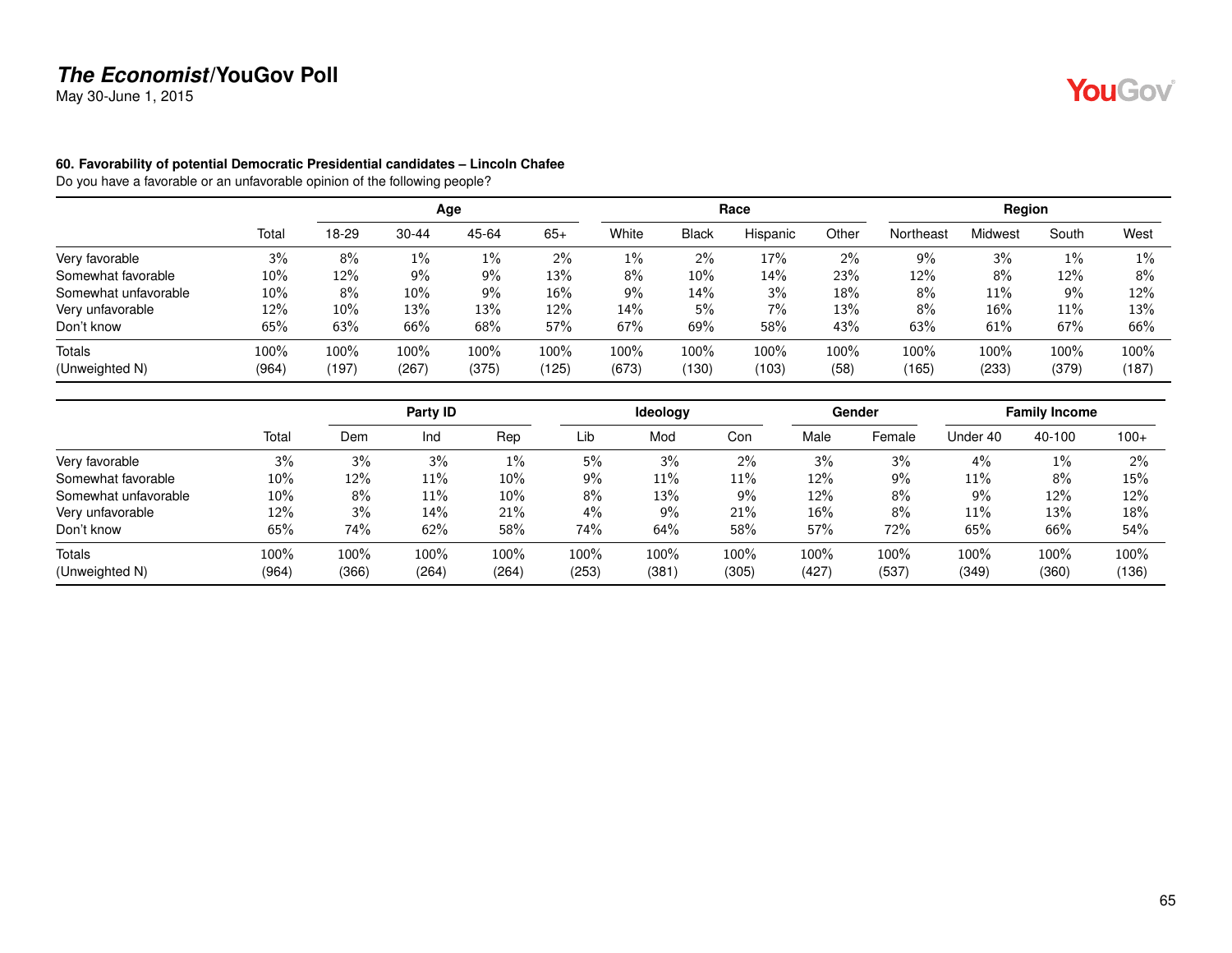May 30-June 1, 2015

#### **60. Favorability of potential Democratic Presidential candidates – Lincoln Chafee**

|                      |        |       |           | Age   |        |       |              | Race     |       |           | Region         |       |       |
|----------------------|--------|-------|-----------|-------|--------|-------|--------------|----------|-------|-----------|----------------|-------|-------|
|                      | Total  | 18-29 | $30 - 44$ | 45-64 | $65+$  | White | <b>Black</b> | Hispanic | Other | Northeast | <b>Midwest</b> | South | West  |
| Very favorable       | 3%     | 8%    | 1%        | 1%    | 2%     | 1%    | 2%           | 17%      | 2%    | 9%        | 3%             | 1%    | $1\%$ |
| Somewhat favorable   | 10%    | 12%   | 9%        | 9%    | 13%    | 8%    | 10%          | 14%      | 23%   | 12%       | 8%             | 12%   | 8%    |
| Somewhat unfavorable | $10\%$ | 8%    | 10%       | 9%    | $16\%$ | $9\%$ | 14%          | 3%       | 18%   | 8%        | 11%            | 9%    | 12%   |
| Very unfavorable     | 12%    | 10%   | 13%       | 13%   | 12%    | 14%   | 5%           | 7%       | 13%   | 8%        | $16\%$         | 11%   | 13%   |
| Don't know           | 65%    | 63%   | 66%       | 68%   | 57%    | 67%   | 69%          | 58%      | 43%   | 63%       | 61%            | 67%   | 66%   |
| Totals               | 100%   | 100%  | 100%      | 100%  | 100%   | 100%  | 100%         | 100%     | 100%  | 100%      | 100%           | 100%  | 100%  |
| (Unweighted N)       | (964)  | (197) | (267)     | (375) | (125)  | (673) | (130)        | (103)    | (58)  | (165)     | (233)          | (379) | (187) |

|                      |       |       | Party ID |       |       | <b>Ideology</b> |       |       | Gender |          | <b>Family Income</b> |        |
|----------------------|-------|-------|----------|-------|-------|-----------------|-------|-------|--------|----------|----------------------|--------|
|                      | Total | Dem   | Ind      | Rep   | Lib   | Mod             | Con   | Male  | Female | Under 40 | 40-100               | $100+$ |
| Very favorable       | 3%    | 3%    | 3%       | 1%    | 5%    | 3%              | 2%    | 3%    | 3%     | 4%       | $1\%$                | $2\%$  |
| Somewhat favorable   | 10%   | 12%   | 11%      | 10%   | 9%    | 11%             | 11%   | 12%   | 9%     | 11%      | 8%                   | 15%    |
| Somewhat unfavorable | 10%   | 8%    | 11%      | 10%   | 8%    | 13%             | $9\%$ | 12%   | 8%     | 9%       | 12%                  | 12%    |
| Very unfavorable     | 12%   | 3%    | 14%      | 21%   | 4%    | 9%              | 21%   | 16%   | 8%     | 11%      | 13%                  | 18%    |
| Don't know           | 65%   | 74%   | 62%      | 58%   | 74%   | 64%             | 58%   | 57%   | 72%    | 65%      | 66%                  | 54%    |
| Totals               | 100%  | 100%  | 100%     | 100%  | 100%  | 100%            | 100%  | 100%  | 100%   | 100%     | 100%                 | 100%   |
| (Unweighted N)       | (964) | (366) | (264)    | (264) | (253) | (381)           | (305) | (427) | (537)  | (349)    | (360)                | (136)  |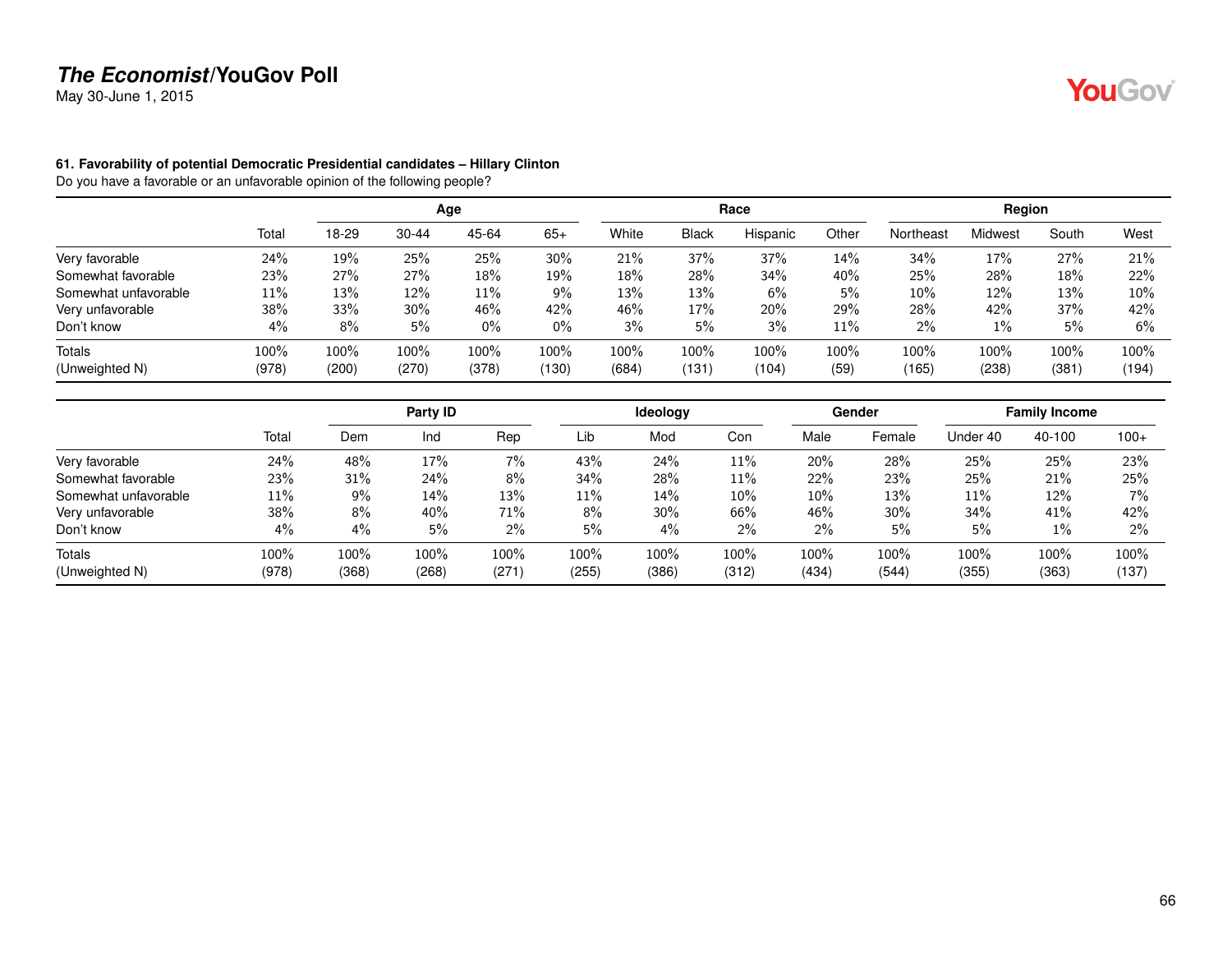May 30-June 1, 2015

#### **61. Favorability of potential Democratic Presidential candidates – Hillary Clinton**

Do you have a favorable or an unfavorable opinion of the following people?

|                      |       |       |           | Age   |       |       |              | Race     |       |           | Region  |       |       |
|----------------------|-------|-------|-----------|-------|-------|-------|--------------|----------|-------|-----------|---------|-------|-------|
|                      | Total | 18-29 | $30 - 44$ | 45-64 | $65+$ | White | <b>Black</b> | Hispanic | Other | Northeast | Midwest | South | West  |
| Very favorable       | 24%   | 19%   | 25%       | 25%   | 30%   | 21%   | 37%          | 37%      | 14%   | 34%       | 17%     | 27%   | 21%   |
| Somewhat favorable   | 23%   | 27%   | 27%       | 18%   | 19%   | 18%   | 28%          | 34%      | 40%   | 25%       | 28%     | 18%   | 22%   |
| Somewhat unfavorable | 11%   | 13%   | 12%       | 11%   | 9%    | 13%   | 13%          | 6%       | 5%    | 10%       | 12%     | 13%   | 10%   |
| Very unfavorable     | 38%   | 33%   | 30%       | 46%   | 42%   | 46%   | 17%          | 20%      | 29%   | 28%       | 42%     | 37%   | 42%   |
| Don't know           | 4%    | 8%    | 5%        | $0\%$ | $0\%$ | 3%    | 5%           | 3%       | 11%   | 2%        | $1\%$   | 5%    | 6%    |
| Totals               | 100%  | 100%  | 100%      | 100%  | 100%  | 100%  | 100%         | 100%     | 100%  | 100%      | 100%    | 100%  | 100%  |
| (Unweighted N)       | (978) | (200) | (270)     | (378) | (130) | (684) | (131)        | (104)    | (59)  | (165)     | (238)   | (381) | (194) |

|                      |       |       | Party ID |       |       | <b>Ideology</b> |       |       | Gender |          | <b>Family Income</b> |        |
|----------------------|-------|-------|----------|-------|-------|-----------------|-------|-------|--------|----------|----------------------|--------|
|                      | Total | Dem   | Ind      | Rep   | Lib   | Mod             | Con   | Male  | Female | Under 40 | 40-100               | $100+$ |
| Very favorable       | 24%   | 48%   | 17%      | $7\%$ | 43%   | 24%             | 11%   | 20%   | 28%    | 25%      | 25%                  | 23%    |
| Somewhat favorable   | 23%   | 31%   | 24%      | 8%    | 34%   | 28%             | 11%   | 22%   | 23%    | 25%      | 21%                  | 25%    |
| Somewhat unfavorable | 11%   | 9%    | 14%      | 13%   | 11%   | 14%             | 10%   | 10%   | 13%    | 11%      | 12%                  | 7%     |
| Very unfavorable     | 38%   | 8%    | 40%      | 71%   | 8%    | $30\%$          | 66%   | 46%   | 30%    | 34%      | 41%                  | 42%    |
| Don't know           | 4%    | 4%    | 5%       | 2%    | 5%    | $4\%$           | 2%    | 2%    | 5%     | 5%       | $1\%$                | 2%     |
| Totals               | 100%  | 100%  | 100%     | 100%  | 100%  | 100%            | 100%  | 100%  | 100%   | 100%     | 100%                 | 100%   |
| (Unweighted N)       | (978) | (368) | (268)    | (271) | (255) | (386)           | (312) | (434) | (544)  | (355)    | (363)                | (137)  |

YouGov®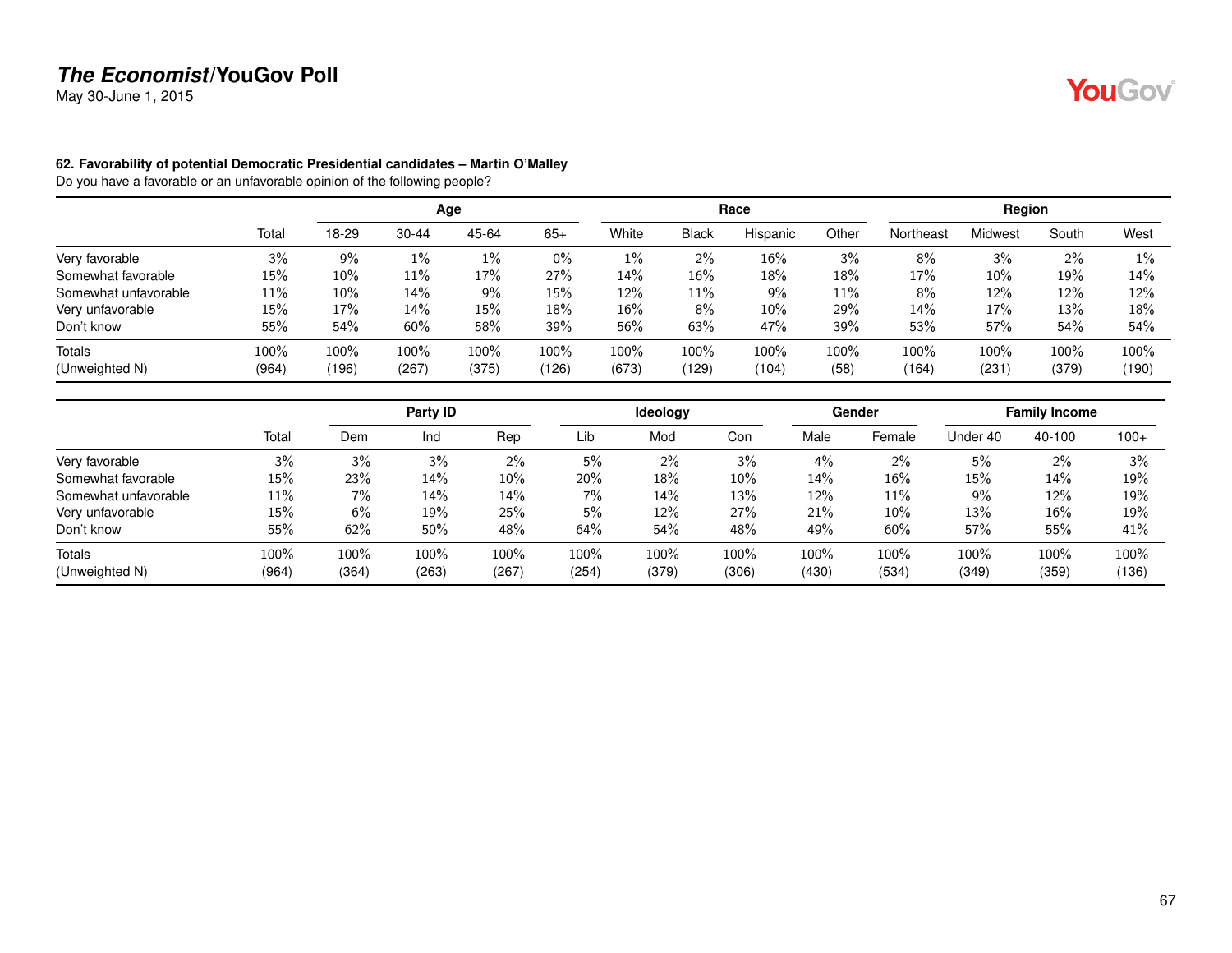May 30-June 1, 2015

#### **62. Favorability of potential Democratic Presidential candidates – Martin O'Malley**

Do you have a favorable or an unfavorable opinion of the following people?

|                      |       |       |           | Age     |       |       |              | Race     |       |           | Region  |       |       |
|----------------------|-------|-------|-----------|---------|-------|-------|--------------|----------|-------|-----------|---------|-------|-------|
|                      | Total | 18-29 | $30 - 44$ | 45-64   | $65+$ | White | <b>Black</b> | Hispanic | Other | Northeast | Midwest | South | West  |
| Very favorable       | 3%    | $9\%$ | 1%        | 1%      | $0\%$ | $1\%$ | 2%           | 16%      | 3%    | 8%        | 3%      | 2%    | $1\%$ |
| Somewhat favorable   | 15%   | 10%   | 11%       | 17%     | 27%   | 14%   | 16%          | 18%      | 18%   | 17%       | 10%     | 19%   | 14%   |
| Somewhat unfavorable | 11%   | 10%   | 14%       | 9%      | 15%   | 12%   | 11%          | 9%       | 11%   | 8%        | 12%     | 12%   | 12%   |
| Very unfavorable     | 15%   | 17%   | 14%       | 15%     | 18%   | 16%   | 8%           | 10%      | 29%   | 14%       | 17%     | 13%   | 18%   |
| Don't know           | 55%   | 54%   | 60%       | 58%     | 39%   | 56%   | 63%          | 47%      | 39%   | 53%       | 57%     | 54%   | 54%   |
| <b>Totals</b>        | 100%  | 100%  | 100%      | $100\%$ | 100%  | 100%  | 100%         | 100%     | 100%  | 100%      | 100%    | 100%  | 100%  |
| (Unweighted N)       | (964) | (196) | (267)     | (375)   | (126) | (673) | (129)        | (104)    | (58)  | (164)     | (231)   | (379) | (190) |

|                      |        |       | Party ID |       |       | <b>Ideology</b> |        |       | Gender |          | <b>Family Income</b> |        |
|----------------------|--------|-------|----------|-------|-------|-----------------|--------|-------|--------|----------|----------------------|--------|
|                      | Total  | Dem   | Ind      | Rep   | Lib   | Mod             | Con    | Male  | Female | Under 40 | 40-100               | $100+$ |
| Very favorable       | 3%     | 3%    | 3%       | $2\%$ | 5%    | 2%              | 3%     | 4%    | $2\%$  | 5%       | 2%                   | 3%     |
| Somewhat favorable   | $15\%$ | 23%   | 14%      | 10%   | 20%   | 18%             | $10\%$ | 14%   | 16%    | 15%      | 14%                  | 19%    |
| Somewhat unfavorable | 11%    | 7%    | 14%      | 14%   | 7%    | 14%             | 13%    | 12%   | 11%    | 9%       | 12%                  | 19%    |
| Very unfavorable     | $15\%$ | 6%    | 19%      | 25%   | 5%    | 12%             | 27%    | 21%   | $10\%$ | 13%      | 16%                  | 19%    |
| Don't know           | 55%    | 62%   | 50%      | 48%   | 64%   | 54%             | 48%    | 49%   | 60%    | 57%      | 55%                  | 41%    |
| Totals               | 100%   | 100%  | 100%     | 100%  | 100%  | 100%            | 100%   | 100%  | 100%   | 100%     | 100%                 | 100%   |
| (Unweighted N)       | (964)  | (364) | (263)    | (267) | (254) | (379)           | (306)  | (430) | (534)  | (349)    | (359)                | (136)  |

YouGov®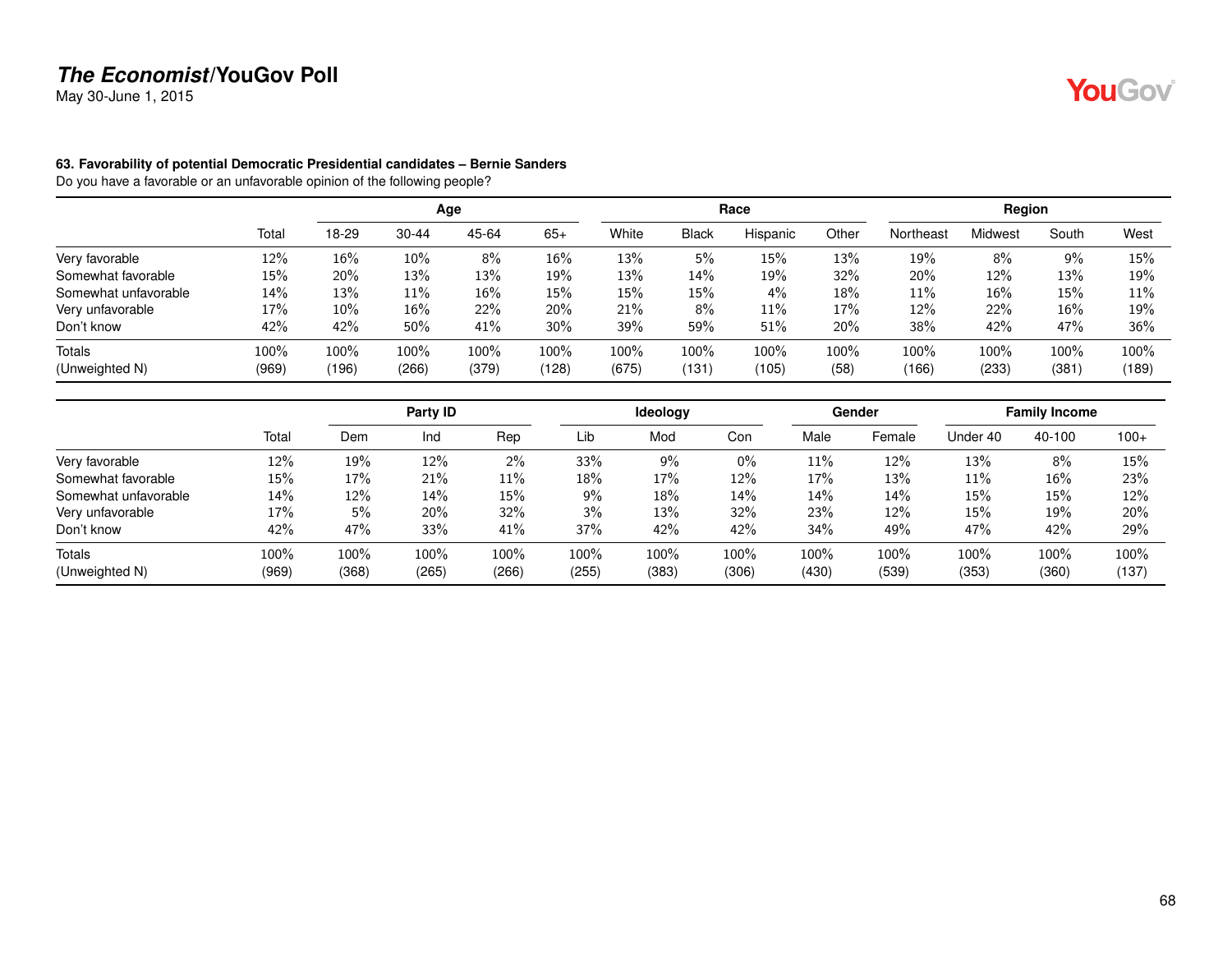May 30-June 1, 2015

#### **63. Favorability of potential Democratic Presidential candidates – Bernie Sanders**

|                      |       | Age    |           |         |        |       |              | Race     |       | Region    |         |       |       |
|----------------------|-------|--------|-----------|---------|--------|-------|--------------|----------|-------|-----------|---------|-------|-------|
|                      | Total | 18-29  | $30 - 44$ | 45-64   | $65+$  | White | <b>Black</b> | Hispanic | Other | Northeast | Midwest | South | West  |
| Very favorable       | 12%   | 16%    | $10\%$    | 8%      | $16\%$ | 13%   | 5%           | 15%      | 13%   | 19%       | 8%      | 9%    | 15%   |
| Somewhat favorable   | 15%   | 20%    | 13%       | 13%     | 19%    | 13%   | 14%          | 19%      | 32%   | 20%       | 12%     | 13%   | 19%   |
| Somewhat unfavorable | 14%   | 13%    | 11%       | 16%     | 15%    | 15%   | 15%          | 4%       | 18%   | 11%       | 16%     | 15%   | 11%   |
| Very unfavorable     | 17%   | $10\%$ | $16\%$    | 22%     | 20%    | 21%   | 8%           | 11%      | 17%   | 12%       | 22%     | 16%   | 19%   |
| Don't know           | 42%   | 42%    | 50%       | 41%     | $30\%$ | 39%   | 59%          | 51%      | 20%   | 38%       | 42%     | 47%   | 36%   |
| <b>Totals</b>        | 100%  | 100%   | 100%      | $100\%$ | 100%   | 100%  | 100%         | 100%     | 100%  | 100%      | 100%    | 100%  | 100%  |
| (Unweighted N)       | (969) | (196)  | (266)     | (379)   | (128)  | (675) | (131)        | (105)    | (58)  | (166)     | (233)   | (381) | (189) |

|                      |       |       | Party ID |       |       | ldeology |       |        | Gender | <b>Family Income</b> |        |        |
|----------------------|-------|-------|----------|-------|-------|----------|-------|--------|--------|----------------------|--------|--------|
|                      | Total | Dem   | Ind      | Rep   | Lib   | Mod      | Con   | Male   | Female | Under 40             | 40-100 | $100+$ |
| Very favorable       | 12%   | 19%   | 12%      | 2%    | 33%   | 9%       | $0\%$ | $11\%$ | 12%    | 13%                  | 8%     | 15%    |
| Somewhat favorable   | 15%   | 17%   | 21%      | 11%   | 18%   | 17%      | 12%   | 17%    | 13%    | 11%                  | 16%    | 23%    |
| Somewhat unfavorable | 14%   | 12%   | 14%      | 15%   | 9%    | 18%      | 14%   | 14%    | 14%    | 15%                  | 15%    | 12%    |
| Very unfavorable     | 17%   | 5%    | 20%      | 32%   | 3%    | 13%      | 32%   | 23%    | $12\%$ | 15%                  | 19%    | 20%    |
| Don't know           | 42%   | 47%   | 33%      | 41%   | 37%   | 42%      | 42%   | 34%    | 49%    | 47%                  | 42%    | 29%    |
| Totals               | 100%  | 100%  | 100%     | 100%  | 100%  | 100%     | 100%  | 100%   | 100%   | 100%                 | 100%   | 100%   |
| (Unweighted N)       | (969) | (368) | (265)    | (266) | (255) | (383)    | (306) | (430)  | (539)  | (353)                | (360)  | (137)  |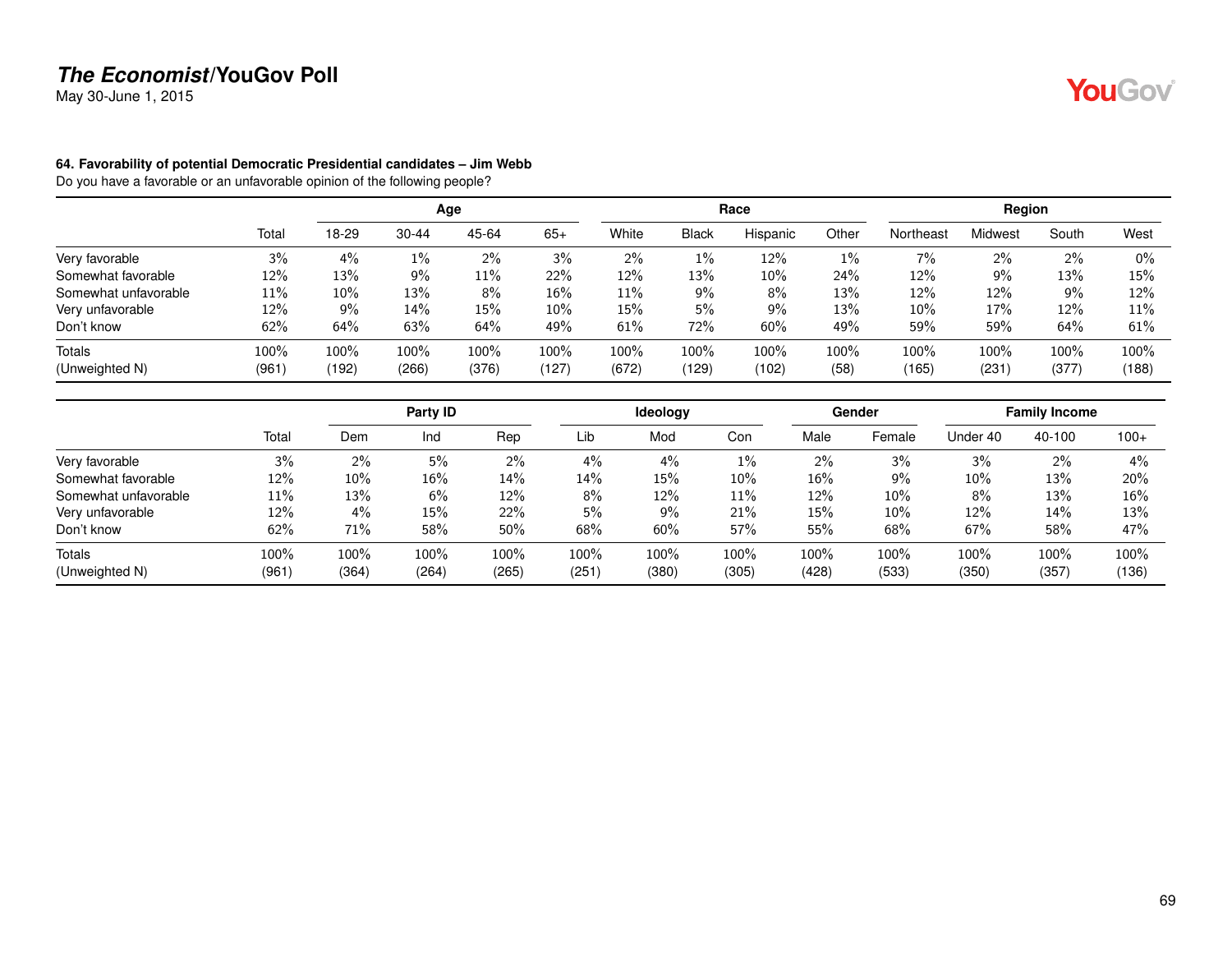May 30-June 1, 2015

#### **64. Favorability of potential Democratic Presidential candidates – Jim Webb**

|                      |       | Age   |           |       |        |        |              | Race     |       | Region    |         |       |       |
|----------------------|-------|-------|-----------|-------|--------|--------|--------------|----------|-------|-----------|---------|-------|-------|
|                      | Total | 18-29 | $30 - 44$ | 45-64 | $65+$  | White  | <b>Black</b> | Hispanic | Other | Northeast | Midwest | South | West  |
| Very favorable       | 3%    | 4%    | 1%        | 2%    | 3%     | 2%     | $1\%$        | 12%      | $1\%$ | 7%        | $2\%$   | 2%    | $0\%$ |
| Somewhat favorable   | 12%   | 13%   | $9\%$     | 11%   | 22%    | 12%    | 13%          | 10%      | 24%   | 12%       | 9%      | 13%   | 15%   |
| Somewhat unfavorable | 11%   | 10%   | 13%       | 8%    | 16%    | $11\%$ | 9%           | 8%       | 13%   | 12%       | 12%     | 9%    | 12%   |
| Very unfavorable     | 12%   | 9%    | 14%       | 15%   | $10\%$ | $15\%$ | 5%           | 9%       | 13%   | 10%       | 17%     | 12%   | 11%   |
| Don't know           | 62%   | 64%   | 63%       | 64%   | 49%    | 61%    | 72%          | 60%      | 49%   | 59%       | 59%     | 64%   | 61%   |
| <b>Totals</b>        | 100%  | 100%  | 100%      | 100%  | 100%   | 100%   | 100%         | 100%     | 100%  | 100%      | 100%    | 100%  | 100%  |
| (Unweighted N)       | (961) | (192) | (266)     | (376) | (127)  | (672)  | (129)        | (102)    | (58)  | (165)     | (231)   | (377) | (188) |

|                      |       | Party ID |        |       |       | <b>Ideology</b> |        |        | Gender | <b>Family Income</b> |        |        |
|----------------------|-------|----------|--------|-------|-------|-----------------|--------|--------|--------|----------------------|--------|--------|
|                      | Total | Dem      | Ind    | Rep   | Lib   | Mod             | Con    | Male   | Female | Under 40             | 40-100 | $100+$ |
| Very favorable       | 3%    | $2\%$    | 5%     | $2\%$ | 4%    | 4%              | $1\%$  | $2\%$  | 3%     | 3%                   | 2%     | 4%     |
| Somewhat favorable   | 12%   | $10\%$   | $16\%$ | 14%   | 14%   | 15%             | $10\%$ | $16\%$ | 9%     | $10\%$               | 13%    | 20%    |
| Somewhat unfavorable | 11%   | 13%      | 6%     | 12%   | 8%    | 12%             | 11%    | 12%    | 10%    | 8%                   | 13%    | 16%    |
| Very unfavorable     | 12%   | 4%       | $15\%$ | 22%   | 5%    | 9%              | 21%    | 15%    | 10%    | 12%                  | 14%    | 13%    |
| Don't know           | 62%   | 71%      | 58%    | 50%   | 68%   | 60%             | 57%    | 55%    | 68%    | 67%                  | 58%    | 47%    |
| Totals               | 100%  | 100%     | 100%   | 100%  | 100%  | 100%            | 100%   | 100%   | 100%   | 100%                 | 100%   | 100%   |
| (Unweighted N)       | (961) | (364)    | (264)  | (265) | (251) | (380)           | (305)  | (428)  | (533)  | (350)                | (357)  | (136)  |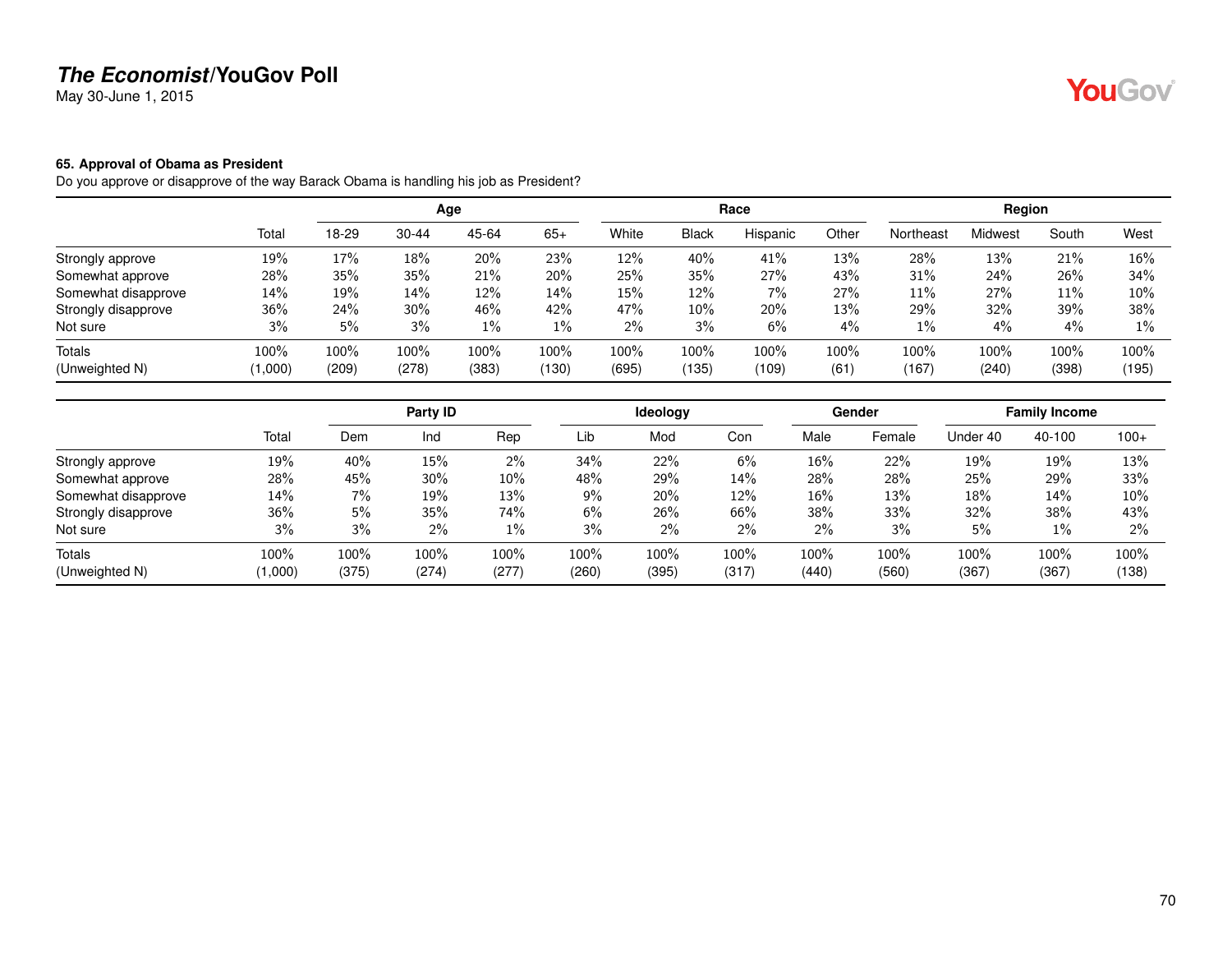May 30-June 1, 2015

#### **65. Approval of Obama as President**

Do you approve or disapprove of the way Barack Obama is handling his job as President?

|                     | Age     |       |           |       |       | Race  |              |          |         | Region    |         |         |        |
|---------------------|---------|-------|-----------|-------|-------|-------|--------------|----------|---------|-----------|---------|---------|--------|
|                     | Total   | 18-29 | $30 - 44$ | 45-64 | $65+$ | White | <b>Black</b> | Hispanic | Other   | Northeast | Midwest | South   | West   |
| Strongly approve    | 19%     | 17%   | 18%       | 20%   | 23%   | 12%   | 40%          | 41%      | 13%     | 28%       | 13%     | 21%     | 16%    |
| Somewhat approve    | 28%     | 35%   | 35%       | 21%   | 20%   | 25%   | 35%          | 27%      | 43%     | 31%       | 24%     | 26%     | 34%    |
| Somewhat disapprove | 14%     | 19%   | 14%       | 12%   | 14%   | 15%   | 12%          | 7%       | 27%     | 11%       | 27%     | 11%     | $10\%$ |
| Strongly disapprove | 36%     | 24%   | 30%       | 46%   | 42%   | 47%   | $10\%$       | 20%      | 13%     | 29%       | 32%     | 39%     | 38%    |
| Not sure            | 3%      | 5%    | 3%        | $1\%$ | $1\%$ | $2\%$ | 3%           | 6%       | 4%      | 1%        | 4%      | 4%      | $1\%$  |
| <b>Totals</b>       | 100%    | 100%  | 100%      | 100%  | 100%  | 100%  | $100\%$      | 100%     | $100\%$ | 100%      | $100\%$ | $100\%$ | 100%   |
| (Unweighted N)      | (1,000) | (209) | (278)     | (383) | (130) | (695) | (135)        | (109)    | (61)    | (167)     | (240)   | (398)   | (195)  |

|                     |         | Party ID |        |       |       | <b>Ideology</b> |       |       | Gender | <b>Family Income</b> |        |        |
|---------------------|---------|----------|--------|-------|-------|-----------------|-------|-------|--------|----------------------|--------|--------|
|                     | Total   | Dem      | Ind    | Rep   | Lib   | Mod             | Con   | Male  | Female | Under 40             | 40-100 | $100+$ |
| Strongly approve    | 19%     | 40%      | $15\%$ | $2\%$ | 34%   | 22%             | 6%    | 16%   | 22%    | 19%                  | 19%    | 13%    |
| Somewhat approve    | 28%     | 45%      | 30%    | 10%   | 48%   | 29%             | 14%   | 28%   | 28%    | 25%                  | 29%    | 33%    |
| Somewhat disapprove | 14%     | 7%       | 19%    | 13%   | 9%    | 20%             | 12%   | 16%   | 13%    | 18%                  | 14%    | 10%    |
| Strongly disapprove | 36%     | 5%       | 35%    | 74%   | 6%    | 26%             | 66%   | 38%   | 33%    | 32%                  | 38%    | 43%    |
| Not sure            | 3%      | 3%       | 2%     | $1\%$ | 3%    | 2%              | 2%    | 2%    | 3%     | 5%                   | $1\%$  | $2\%$  |
| Totals              | 100%    | 100%     | 100%   | 100%  | 100%  | 100%            | 100%  | 100%  | 100%   | 100%                 | 100%   | 100%   |
| (Unweighted N)      | (1,000) | (375)    | (274)  | (277) | (260) | (395)           | (317) | (440) | (560)  | (367)                | (367)  | (138)  |

YouGov®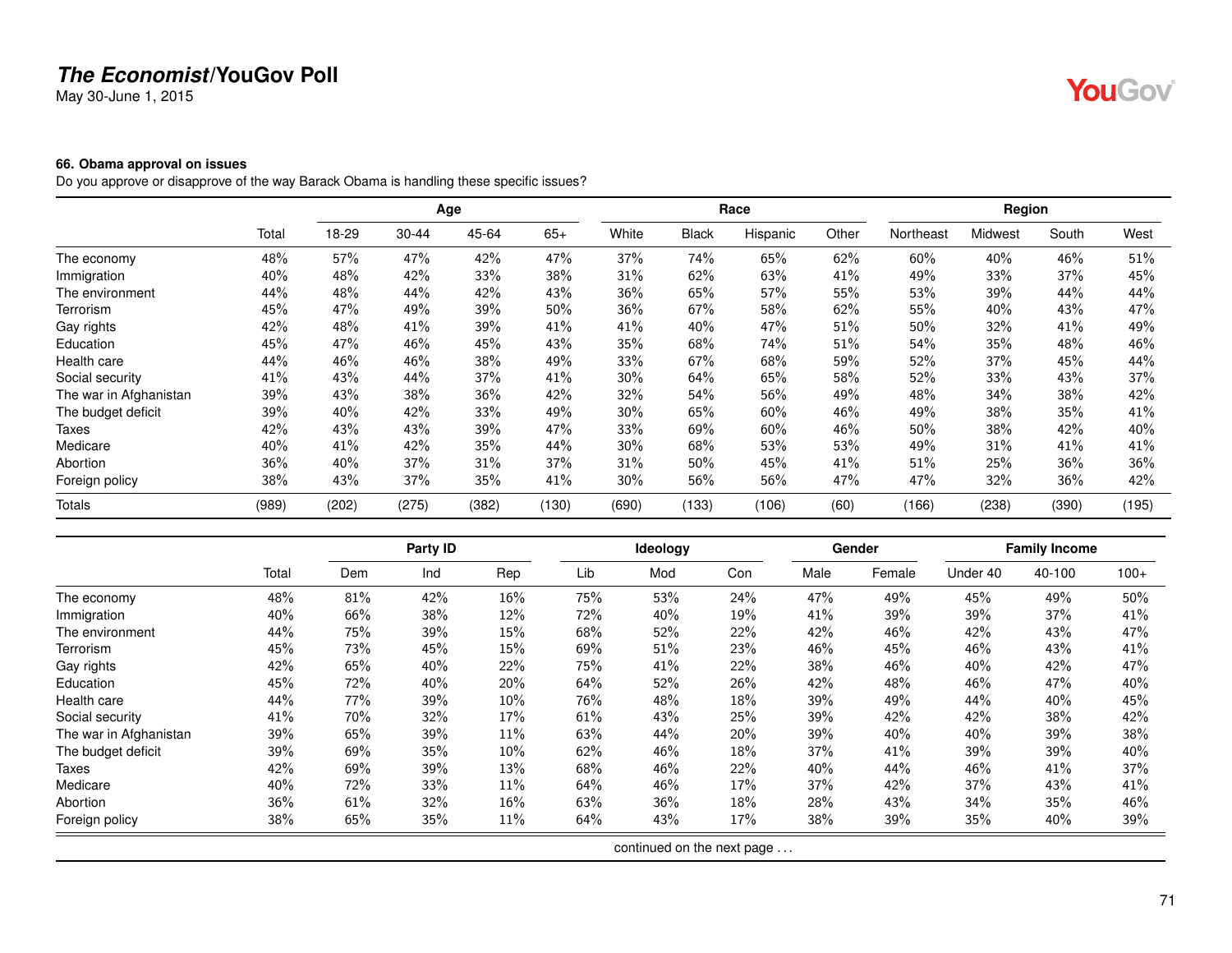May 30-June 1, 2015

# YouGov®

#### **66. Obama approval on issues**

Do you approve or disapprove of the way Barack Obama is handling these specific issues?

|                        |       | Age   |           |       |       |        |              | Race     |       | Region    |         |       |       |
|------------------------|-------|-------|-----------|-------|-------|--------|--------------|----------|-------|-----------|---------|-------|-------|
|                        | Total | 18-29 | $30 - 44$ | 45-64 | $65+$ | White  | <b>Black</b> | Hispanic | Other | Northeast | Midwest | South | West  |
| The economy            | 48%   | 57%   | 47%       | 42%   | 47%   | 37%    | 74%          | 65%      | 62%   | 60%       | 40%     | 46%   | 51%   |
| Immigration            | 40%   | 48%   | 42%       | 33%   | 38%   | 31%    | 62%          | 63%      | 41%   | 49%       | 33%     | 37%   | 45%   |
| The environment        | 44%   | 48%   | 44%       | 42%   | 43%   | 36%    | 65%          | 57%      | 55%   | 53%       | 39%     | 44%   | 44%   |
| Terrorism              | 45%   | 47%   | 49%       | 39%   | 50%   | 36%    | 67%          | 58%      | 62%   | 55%       | 40%     | 43%   | 47%   |
| Gay rights             | 42%   | 48%   | 41%       | 39%   | 41%   | 41%    | 40%          | 47%      | 51%   | 50%       | 32%     | 41%   | 49%   |
| Education              | 45%   | 47%   | 46%       | 45%   | 43%   | 35%    | 68%          | 74%      | 51%   | 54%       | 35%     | 48%   | 46%   |
| Health care            | 44%   | 46%   | 46%       | 38%   | 49%   | 33%    | 67%          | 68%      | 59%   | 52%       | 37%     | 45%   | 44%   |
| Social security        | 41%   | 43%   | 44%       | 37%   | 41%   | $30\%$ | 64%          | 65%      | 58%   | 52%       | 33%     | 43%   | 37%   |
| The war in Afghanistan | 39%   | 43%   | 38%       | 36%   | 42%   | 32%    | 54%          | 56%      | 49%   | 48%       | 34%     | 38%   | 42%   |
| The budget deficit     | 39%   | 40%   | 42%       | 33%   | 49%   | 30%    | 65%          | 60%      | 46%   | 49%       | 38%     | 35%   | 41%   |
| Taxes                  | 42%   | 43%   | 43%       | 39%   | 47%   | 33%    | 69%          | 60%      | 46%   | 50%       | 38%     | 42%   | 40%   |
| Medicare               | 40%   | 41%   | 42%       | 35%   | 44%   | 30%    | 68%          | 53%      | 53%   | 49%       | 31%     | 41%   | 41%   |
| Abortion               | 36%   | 40%   | 37%       | 31%   | 37%   | 31%    | 50%          | 45%      | 41%   | 51%       | 25%     | 36%   | 36%   |
| Foreign policy         | 38%   | 43%   | 37%       | 35%   | 41%   | 30%    | 56%          | 56%      | 47%   | 47%       | 32%     | 36%   | 42%   |
| <b>Totals</b>          | (989) | (202) | (275)     | (382) | (130) | (690)  | (133)        | (106)    | (60)  | (166)     | (238)   | (390) | (195) |

|                        |       |     | Party ID |     |     | Ideology                   |     |      | Gender |          | <b>Family Income</b> |        |
|------------------------|-------|-----|----------|-----|-----|----------------------------|-----|------|--------|----------|----------------------|--------|
|                        | Total | Dem | Ind      | Rep | Lib | Mod                        | Con | Male | Female | Under 40 | 40-100               | $100+$ |
| The economy            | 48%   | 81% | 42%      | 16% | 75% | 53%                        | 24% | 47%  | 49%    | 45%      | 49%                  | 50%    |
| Immigration            | 40%   | 66% | 38%      | 12% | 72% | 40%                        | 19% | 41%  | 39%    | 39%      | 37%                  | 41%    |
| The environment        | 44%   | 75% | 39%      | 15% | 68% | 52%                        | 22% | 42%  | 46%    | 42%      | 43%                  | 47%    |
| Terrorism              | 45%   | 73% | 45%      | 15% | 69% | 51%                        | 23% | 46%  | 45%    | 46%      | 43%                  | 41%    |
| Gay rights             | 42%   | 65% | 40%      | 22% | 75% | 41%                        | 22% | 38%  | 46%    | 40%      | 42%                  | 47%    |
| Education              | 45%   | 72% | 40%      | 20% | 64% | 52%                        | 26% | 42%  | 48%    | 46%      | 47%                  | 40%    |
| Health care            | 44%   | 77% | 39%      | 10% | 76% | 48%                        | 18% | 39%  | 49%    | 44%      | 40%                  | 45%    |
| Social security        | 41%   | 70% | 32%      | 17% | 61% | 43%                        | 25% | 39%  | 42%    | 42%      | 38%                  | 42%    |
| The war in Afghanistan | 39%   | 65% | 39%      | 11% | 63% | 44%                        | 20% | 39%  | 40%    | 40%      | 39%                  | 38%    |
| The budget deficit     | 39%   | 69% | 35%      | 10% | 62% | 46%                        | 18% | 37%  | 41%    | 39%      | 39%                  | 40%    |
| Taxes                  | 42%   | 69% | 39%      | 13% | 68% | 46%                        | 22% | 40%  | 44%    | 46%      | 41%                  | 37%    |
| Medicare               | 40%   | 72% | 33%      | 11% | 64% | 46%                        | 17% | 37%  | 42%    | 37%      | 43%                  | 41%    |
| Abortion               | 36%   | 61% | 32%      | 16% | 63% | 36%                        | 18% | 28%  | 43%    | 34%      | 35%                  | 46%    |
| Foreign policy         | 38%   | 65% | 35%      | 11% | 64% | 43%                        | 17% | 38%  | 39%    | 35%      | 40%                  | 39%    |
|                        |       |     |          |     |     | continued on the next page |     |      |        |          |                      |        |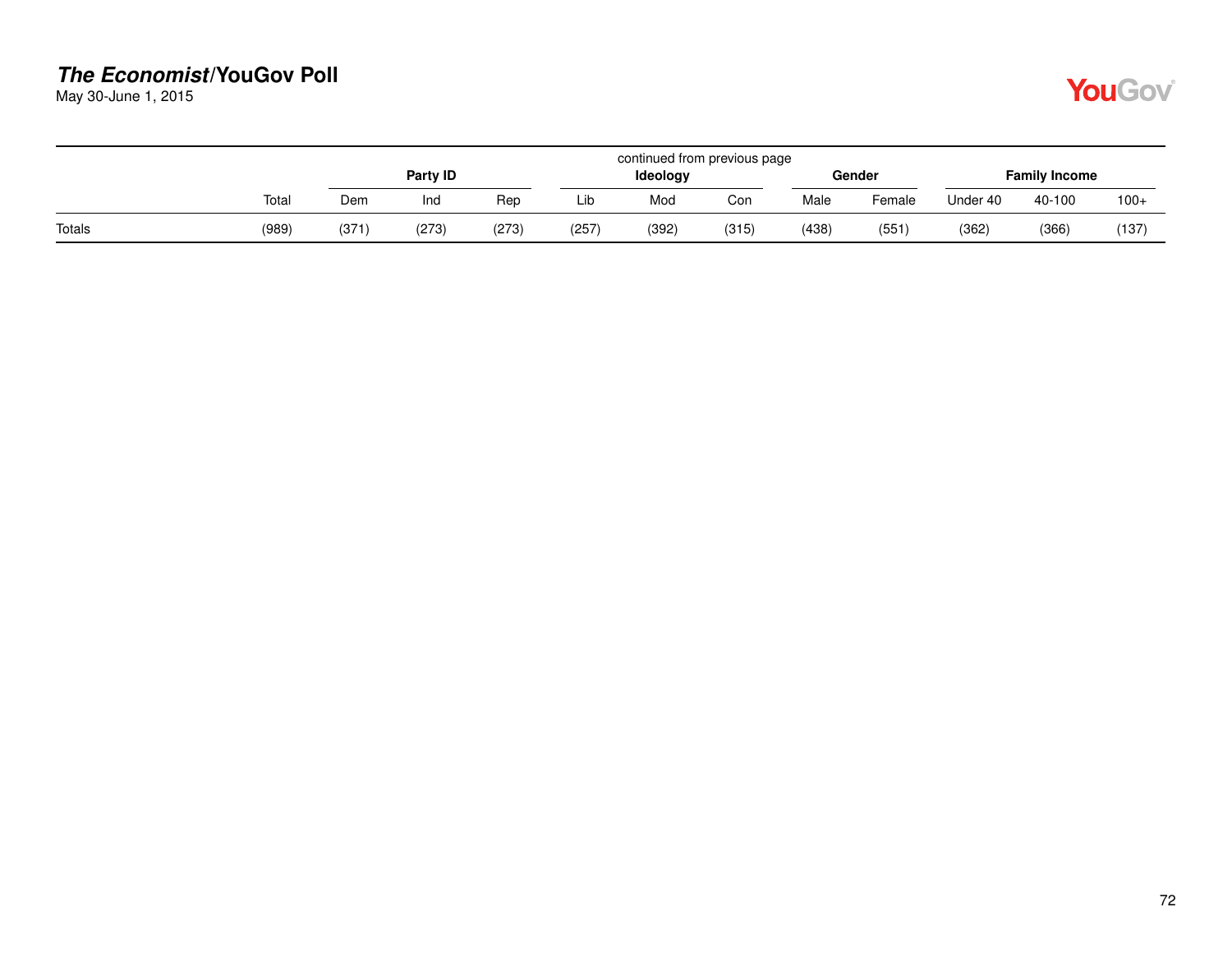May 30-June 1, 2015

|        |       | continued from previous page |          |       |       |          |       |       |        |                      |        |        |  |  |
|--------|-------|------------------------------|----------|-------|-------|----------|-------|-------|--------|----------------------|--------|--------|--|--|
|        |       |                              | Party ID |       |       | Ideology |       |       | Gender | <b>Family Income</b> |        |        |  |  |
|        | Total | Dem                          | Ind      | Rep   | Lib   | Mod      | Con   | Male  | Female | Under 40             | 40-100 | $100+$ |  |  |
| Totals | (989) | (371                         | (273)    | (273) | (257) | (392)    | (315) | (438) | (551   | (362)                | (366)  | (137)  |  |  |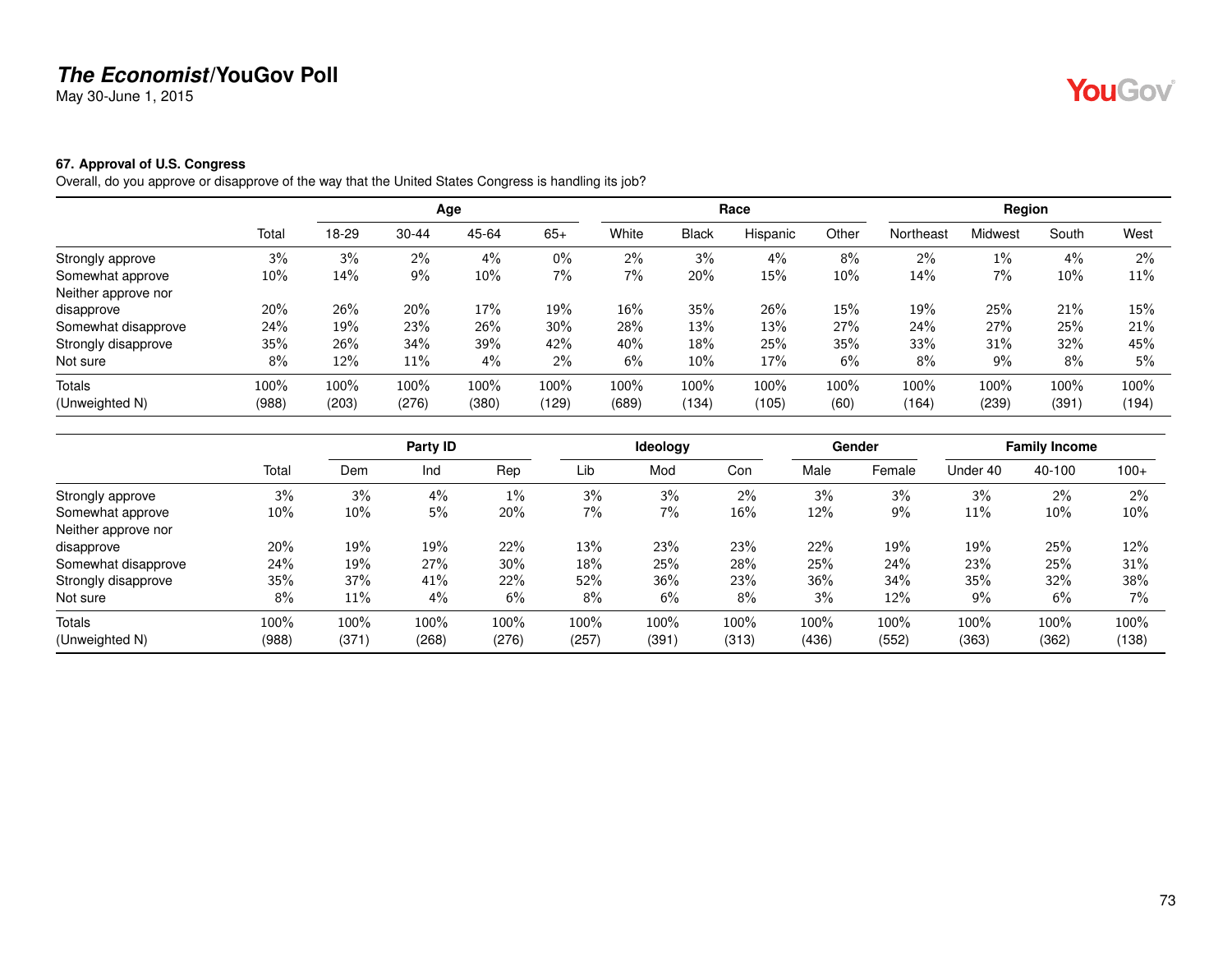May 30-June 1, 2015

# YouGov®

#### **67. Approval of U.S. Congress**

Overall, do you approve or disapprove of the way that the United States Congress is handling its job?

|                     |        |       |           | Age   |       |       |              | Race     |        |           | Region         |       |       |
|---------------------|--------|-------|-----------|-------|-------|-------|--------------|----------|--------|-----------|----------------|-------|-------|
|                     | Total  | 18-29 | $30 - 44$ | 45-64 | $65+$ | White | <b>Black</b> | Hispanic | Other  | Northeast | <b>Midwest</b> | South | West  |
| Strongly approve    | 3%     | 3%    | $2\%$     | $4\%$ | $0\%$ | 2%    | 3%           | 4%       | 8%     | 2%        | $1\%$          | 4%    | $2\%$ |
| Somewhat approve    | $10\%$ | 14%   | 9%        | 10%   | $7\%$ | 7%    | 20%          | 15%      | $10\%$ | 14%       | $7\%$          | 10%   | 11%   |
| Neither approve nor |        |       |           |       |       |       |              |          |        |           |                |       |       |
| disapprove          | 20%    | 26%   | 20%       | 17%   | 19%   | 16%   | 35%          | 26%      | 15%    | 19%       | 25%            | 21%   | 15%   |
| Somewhat disapprove | 24%    | 19%   | 23%       | 26%   | 30%   | 28%   | 13%          | 13%      | 27%    | 24%       | 27%            | 25%   | 21%   |
| Strongly disapprove | 35%    | 26%   | 34%       | 39%   | 42%   | 40%   | 18%          | 25%      | 35%    | 33%       | 31%            | 32%   | 45%   |
| Not sure            | 8%     | 12%   | $11\%$    | 4%    | $2\%$ | 6%    | 10%          | 17%      | 6%     | 8%        | 9%             | 8%    | 5%    |
| Totals              | 100%   | 100%  | 100%      | 100%  | 100%  | 100%  | 100%         | 100%     | 100%   | 100%      | 100%           | 100%  | 100%  |
| (Unweighted N)      | (988)  | (203) | (276)     | (380) | (129) | (689) | (134)        | (105)    | (60)   | (164)     | (239)          | (391) | (194) |

|                     |       |       | Party ID |        |       | Ideology |       |       | Gender |          | <b>Family Income</b> |        |
|---------------------|-------|-------|----------|--------|-------|----------|-------|-------|--------|----------|----------------------|--------|
|                     | Total | Dem   | Ind      | Rep    | Lib   | Mod      | Con   | Male  | Female | Under 40 | 40-100               | $100+$ |
| Strongly approve    | 3%    | 3%    | 4%       | $1\%$  | 3%    | 3%       | 2%    | 3%    | 3%     | 3%       | 2%                   | $2\%$  |
| Somewhat approve    | 10%   | 10%   | 5%       | 20%    | 7%    | 7%       | 16%   | 12%   | 9%     | 11%      | 10%                  | $10\%$ |
| Neither approve nor |       |       |          |        |       |          |       |       |        |          |                      |        |
| disapprove          | 20%   | 19%   | 19%      | 22%    | 13%   | 23%      | 23%   | 22%   | 19%    | 19%      | 25%                  | 12%    |
| Somewhat disapprove | 24%   | 19%   | 27%      | $30\%$ | 18%   | 25%      | 28%   | 25%   | 24%    | 23%      | 25%                  | 31%    |
| Strongly disapprove | 35%   | 37%   | 41%      | 22%    | 52%   | 36%      | 23%   | 36%   | 34%    | 35%      | 32%                  | 38%    |
| Not sure            | 8%    | 11%   | 4%       | 6%     | 8%    | 6%       | 8%    | 3%    | 12%    | 9%       | 6%                   | $7\%$  |
| Totals              | 100%  | 100%  | 100%     | 100%   | 100%  | 100%     | 100%  | 100%  | 100%   | 100%     | 100%                 | 100%   |
| (Unweighted N)      | (988) | (371) | (268)    | (276)  | (257) | (391)    | (313) | (436) | (552)  | (363)    | (362)                | (138)  |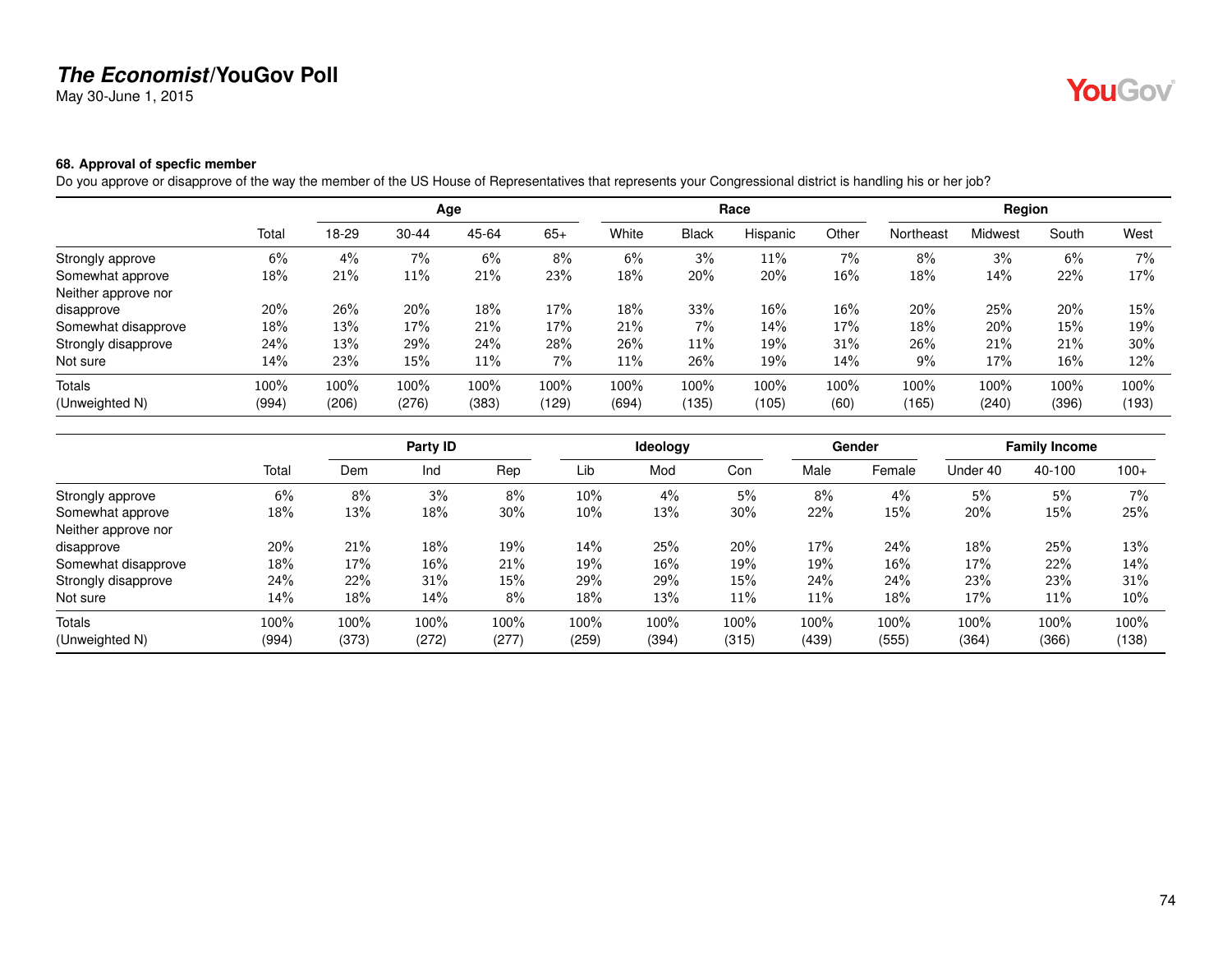May 30-June 1, 2015

# YouGov®

#### **68. Approval of specfic member**

Do you approve or disapprove of the way the member of the US House of Representatives that represents your Congressional district is handling his or her job?

|                     |       |       |           | Age   |       |       |              | Race     |       |           | Region  |       |        |
|---------------------|-------|-------|-----------|-------|-------|-------|--------------|----------|-------|-----------|---------|-------|--------|
|                     | Total | 18-29 | $30 - 44$ | 45-64 | $65+$ | White | <b>Black</b> | Hispanic | Other | Northeast | Midwest | South | West   |
| Strongly approve    | 6%    | 4%    | 7%        | 6%    | 8%    | 6%    | 3%           | 11%      | 7%    | 8%        | 3%      | 6%    | $7\%$  |
| Somewhat approve    | 18%   | 21%   | $11\%$    | 21%   | 23%   | 18%   | 20%          | 20%      | 16%   | 18%       | 14%     | 22%   | 17%    |
| Neither approve nor |       |       |           |       |       |       |              |          |       |           |         |       |        |
| disapprove          | 20%   | 26%   | 20%       | 18%   | 17%   | 18%   | 33%          | 16%      | 16%   | 20%       | 25%     | 20%   | 15%    |
| Somewhat disapprove | 18%   | 13%   | 17%       | 21%   | 17%   | 21%   | $7\%$        | 14%      | 17%   | 18%       | 20%     | 15%   | 19%    |
| Strongly disapprove | 24%   | 13%   | 29%       | 24%   | 28%   | 26%   | 11%          | 19%      | 31%   | 26%       | 21%     | 21%   | $30\%$ |
| Not sure            | 14%   | 23%   | 15%       | 11%   | $7\%$ | 11%   | 26%          | 19%      | 14%   | 9%        | 17%     | 16%   | 12%    |
| Totals              | 100%  | 100%  | 100%      | 100%  | 100%  | 100%  | 100%         | 100%     | 100%  | 100%      | 100%    | 100%  | 100%   |
| (Unweighted N)      | (994) | (206) | (276)     | (383) | (129) | (694) | (135)        | (105)    | (60)  | (165)     | (240)   | (396) | (193)  |

|                     |       |       | Party ID |       |       | Ideology |       |       | Gender |          | <b>Family Income</b> |        |
|---------------------|-------|-------|----------|-------|-------|----------|-------|-------|--------|----------|----------------------|--------|
|                     | Total | Dem   | Ind      | Rep   | Lib   | Mod      | Con   | Male  | Female | Under 40 | 40-100               | $100+$ |
| Strongly approve    | 6%    | 8%    | 3%       | 8%    | 10%   | 4%       | 5%    | 8%    | 4%     | 5%       | 5%                   | 7%     |
| Somewhat approve    | 18%   | 13%   | 18%      | 30%   | 10%   | 13%      | 30%   | 22%   | 15%    | 20%      | 15%                  | 25%    |
| Neither approve nor |       |       |          |       |       |          |       |       |        |          |                      |        |
| disapprove          | 20%   | 21%   | 18%      | 19%   | 14%   | 25%      | 20%   | 17%   | 24%    | 18%      | 25%                  | 13%    |
| Somewhat disapprove | 18%   | 17%   | $16\%$   | 21%   | 19%   | 16%      | 19%   | 19%   | 16%    | 17%      | 22%                  | 14%    |
| Strongly disapprove | 24%   | 22%   | 31%      | 15%   | 29%   | 29%      | 15%   | 24%   | 24%    | 23%      | 23%                  | 31%    |
| Not sure            | 14%   | 18%   | 14%      | 8%    | 18%   | 13%      | 11%   | 11%   | 18%    | 17%      | 11%                  | 10%    |
| Totals              | 100%  | 100%  | 100%     | 100%  | 100%  | 100%     | 100%  | 100%  | 100%   | 100%     | 100%                 | 100%   |
| (Unweighted N)      | (994) | (373) | (272)    | (277) | (259) | (394)    | (315) | (439) | (555)  | (364)    | (366)                | (138)  |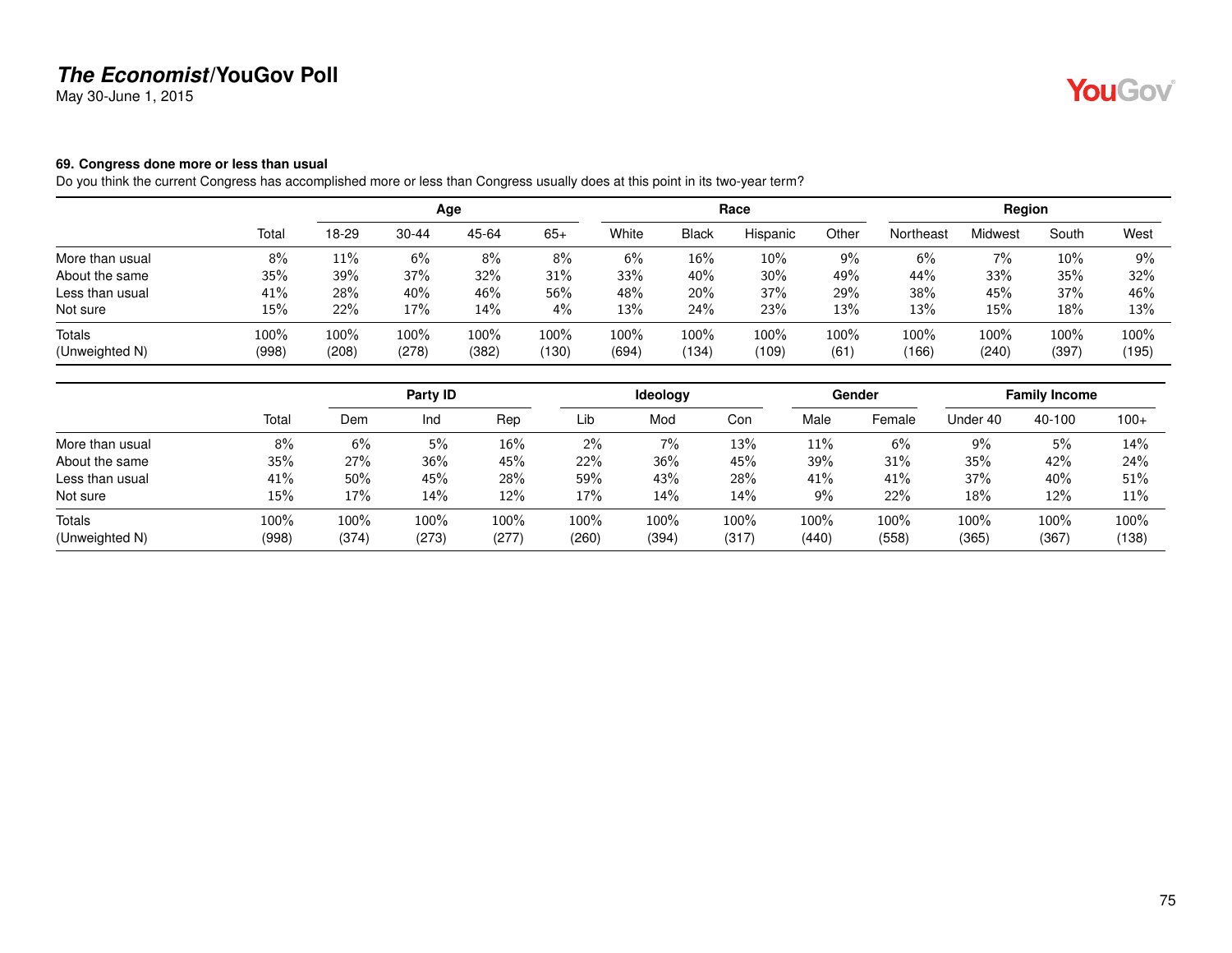May 30-June 1, 2015

#### **69. Congress done more or less than usual**

Do you think the current Congress has accomplished more or less than Congress usually does at this point in its two-year term?

|                          |               |               |               | Age           |               |               |                  | Race          |              |               | Region        |                  |               |
|--------------------------|---------------|---------------|---------------|---------------|---------------|---------------|------------------|---------------|--------------|---------------|---------------|------------------|---------------|
|                          | Total         | 18-29         | $30 - 44$     | 45-64         | $65+$         | White         | <b>Black</b>     | Hispanic      | Other        | Northeast     | Midwest       | South            | West          |
| More than usual          | 8%            | 11%           | 6%            | 8%            | 8%            | 6%            | 16%              | 10%           | 9%           | 6%            | 7%            | $10\%$           | 9%            |
| About the same           | 35%           | 39%           | 37%           | 32%           | 31%           | 33%           | 40%              | 30%           | 49%          | 44%           | 33%           | 35%              | 32%           |
| Less than usual          | 41%           | 28%           | 40%           | 46%           | 56%           | 48%           | 20%              | 37%           | 29%          | 38%           | 45%           | 37%              | 46%           |
| Not sure                 | 15%           | 22%           | 17%           | 14%           | 4%            | 13%           | 24%              | 23%           | 13%          | 13%           | 15%           | 18%              | 13%           |
| Totals<br>(Unweighted N) | 100%<br>(998) | 100%<br>(208) | 100%<br>(278) | 100%<br>(382) | 100%<br>(130) | 100%<br>(694) | $100\%$<br>(134) | 100%<br>(109) | 100%<br>(61) | 100%<br>(166) | 100%<br>(240) | $100\%$<br>(397) | 100%<br>(195) |

|                 |       |       | Party ID |       |       | ldeology |       |       | Gender |          | <b>Family Income</b> |        |
|-----------------|-------|-------|----------|-------|-------|----------|-------|-------|--------|----------|----------------------|--------|
|                 | Total | Dem   | Ind      | Rep   | Lib   | Mod      | Con   | Male  | Female | Under 40 | 40-100               | $100+$ |
| More than usual | 8%    | 6%    | 5%       | 16%   | 2%    | 7%       | 13%   | 11%   | 6%     | $9\%$    | 5%                   | 14%    |
| About the same  | 35%   | 27%   | 36%      | 45%   | 22%   | 36%      | 45%   | 39%   | 31%    | 35%      | 42%                  | 24%    |
| Less than usual | 41%   | 50%   | 45%      | 28%   | 59%   | 43%      | 28%   | 41%   | 41%    | 37%      | 40%                  | 51%    |
| Not sure        | 15%   | 17%   | 14%      | 12%   | 17%   | 14%      | 14%   | 9%    | 22%    | 18%      | 12%                  | 11%    |
| Totals          | 100%  | 100%  | 100%     | 100%  | 100%  | 100%     | 100%  | 100%  | 100%   | 100%     | 100%                 | 100%   |
| (Unweighted N)  | (998) | (374) | (273)    | (277) | (260) | (394)    | (317) | (440) | (558)  | (365)    | (367)                | (138)  |

75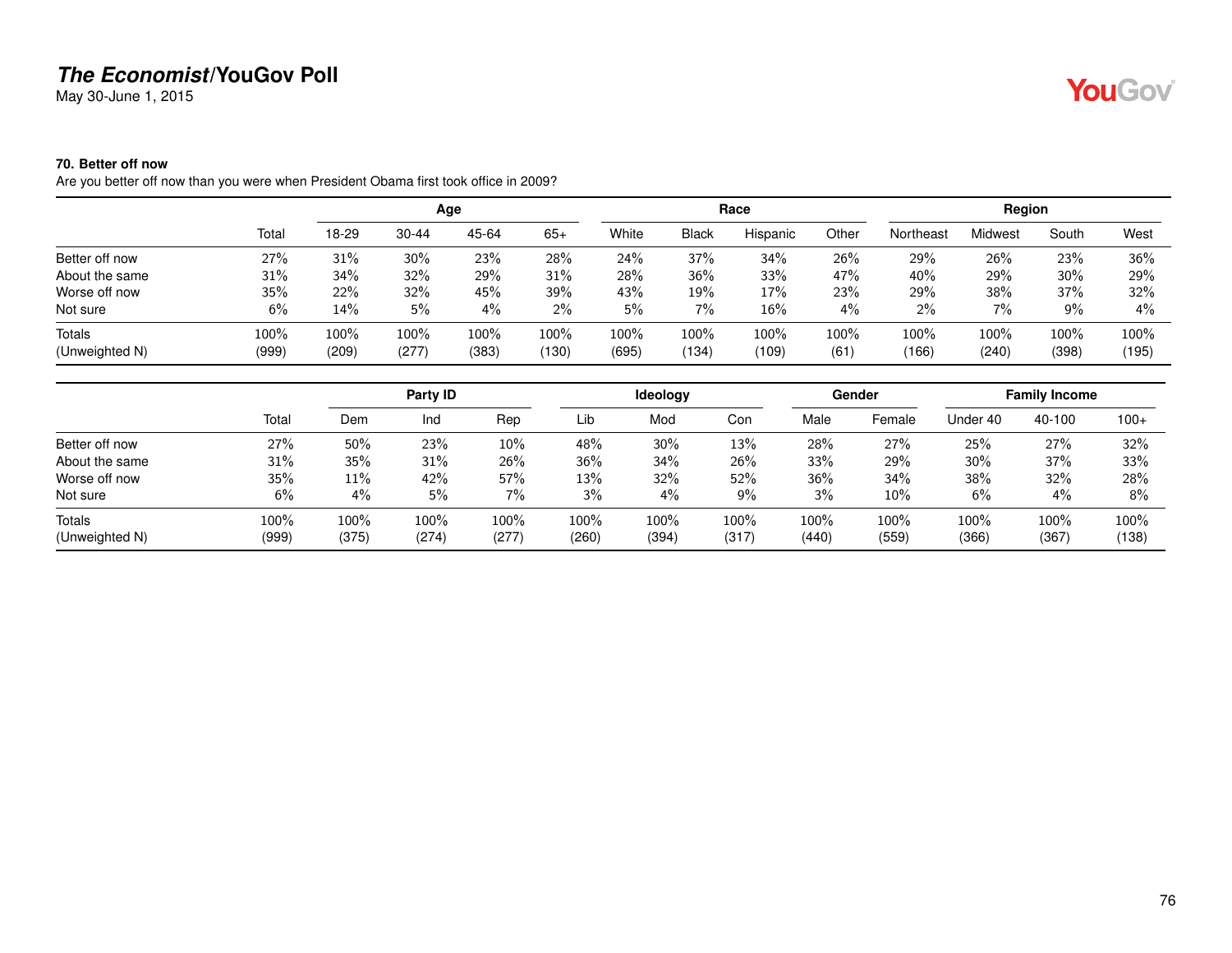May 30-June 1, 2015

#### **70. Better off now**

Are you better off now than you were when President Obama first took office in 2009?

|                |       |       |       | Age   |       |       |              | Race     |         |           | Region  |       |        |
|----------------|-------|-------|-------|-------|-------|-------|--------------|----------|---------|-----------|---------|-------|--------|
|                | Total | 18-29 | 30-44 | 45-64 | $65+$ | White | <b>Black</b> | Hispanic | Other   | Northeast | Midwest | South | West   |
| Better off now | 27%   | 31%   | 30%   | 23%   | 28%   | 24%   | 37%          | 34%      | 26%     | 29%       | 26%     | 23%   | $36\%$ |
| About the same | 31%   | 34%   | 32%   | 29%   | 31%   | 28%   | 36%          | 33%      | 47%     | 40%       | 29%     | 30%   | 29%    |
| Worse off now  | 35%   | 22%   | 32%   | 45%   | 39%   | 43%   | 19%          | 17%      | 23%     | 29%       | 38%     | 37%   | 32%    |
| Not sure       | 6%    | 14%   | 5%    | 4%    | $2\%$ | 5%    | 7%           | 16%      | 4%      | 2%        | $7\%$   | 9%    | $4\%$  |
| Totals         | 100%  | 100%  | 100%  | 100%  | 100%  | 100%  | 100%         | 100%     | $100\%$ | 100%      | 100%    | 100%  | 100%   |
| (Unweighted N) | (999) | (209) | (277) | (383) | (130) | (695) | (134)        | (109)    | (61)    | (166)     | (240)   | (398) | (195)  |

|                |       |       | Party ID |       |       | <b>Ideology</b> |       |       | Gender |          | <b>Family Income</b> |         |
|----------------|-------|-------|----------|-------|-------|-----------------|-------|-------|--------|----------|----------------------|---------|
|                | Total | Dem   | Ind      | Rep   | Lib   | Mod             | Con   | Male  | Female | Under 40 | 40-100               | $100+$  |
| Better off now | 27%   | 50%   | 23%      | 10%   | 48%   | 30%             | 13%   | 28%   | 27%    | 25%      | 27%                  | 32%     |
| About the same | 31%   | 35%   | 31%      | 26%   | 36%   | 34%             | 26%   | 33%   | 29%    | $30\%$   | 37%                  | 33%     |
| Worse off now  | 35%   | 11%   | 42%      | 57%   | 13%   | 32%             | 52%   | 36%   | 34%    | 38%      | 32%                  | 28%     |
| Not sure       | 6%    | $4\%$ | 5%       | $7\%$ | 3%    | $4\%$           | $9\%$ | 3%    | 10%    | 6%       | 4%                   | 8%      |
| Totals         | 100%  | 100%  | 100%     | 100%  | 100%  | 100%            | 100%  | 100%  | 100%   | 100%     | 100%                 | $100\%$ |
| (Unweighted N) | (999) | (375) | (274)    | (277) | (260) | (394)           | (317) | (440) | (559)  | (366)    | (367)                | (138)   |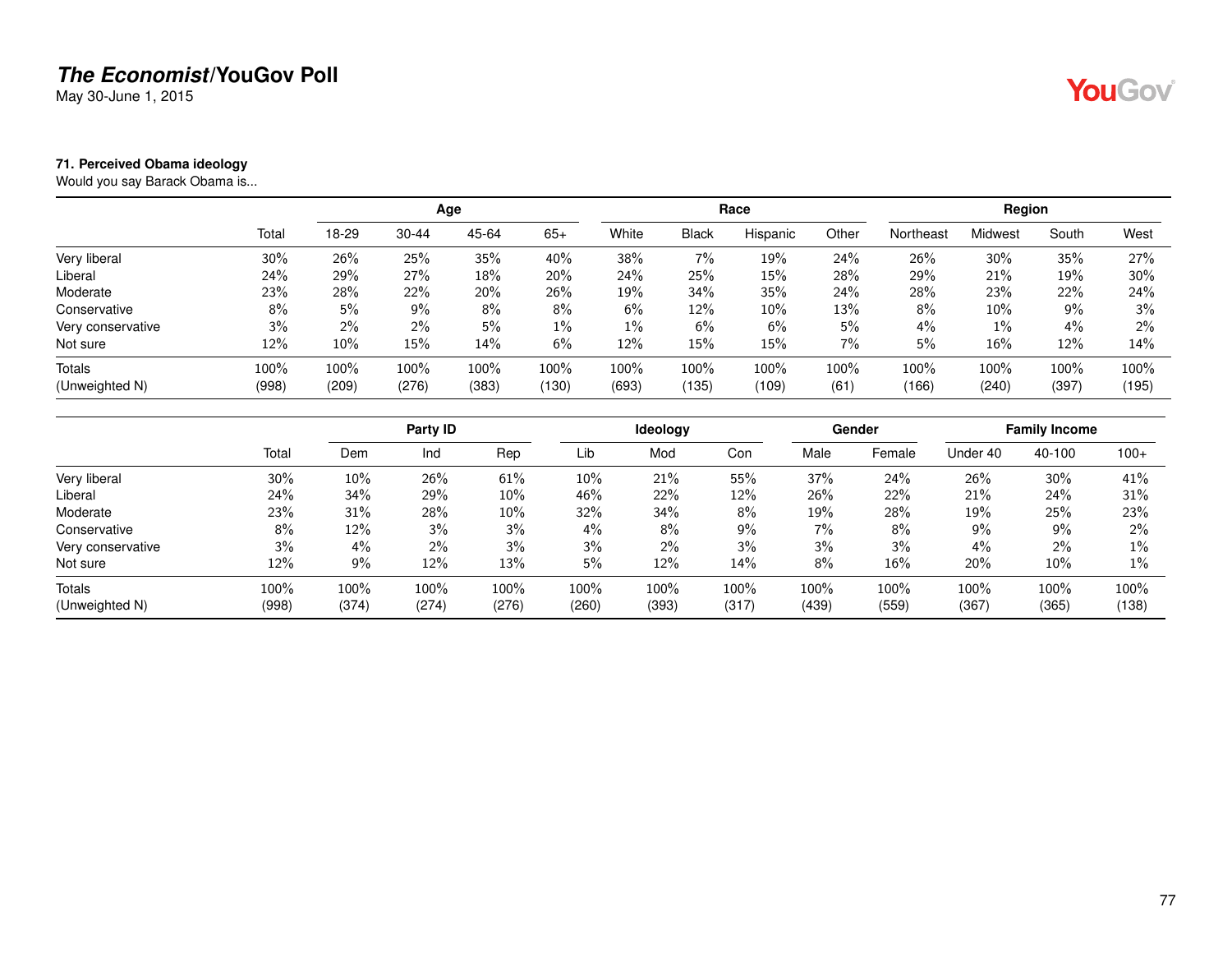May 30-June 1, 2015

#### **71. Perceived Obama ideology**

Would you say Barack Obama is...

|                   |       |       |           | Age   |       |       |              | Race     |       |           | Region  |       |       |
|-------------------|-------|-------|-----------|-------|-------|-------|--------------|----------|-------|-----------|---------|-------|-------|
|                   | Total | 18-29 | $30 - 44$ | 45-64 | $65+$ | White | <b>Black</b> | Hispanic | Other | Northeast | Midwest | South | West  |
| Very liberal      | 30%   | 26%   | 25%       | 35%   | 40%   | 38%   | 7%           | 19%      | 24%   | 26%       | 30%     | 35%   | 27%   |
| Liberal           | 24%   | 29%   | 27%       | 18%   | 20%   | 24%   | 25%          | 15%      | 28%   | 29%       | 21%     | 19%   | 30%   |
| Moderate          | 23%   | 28%   | 22%       | 20%   | 26%   | 19%   | 34%          | 35%      | 24%   | 28%       | 23%     | 22%   | 24%   |
| Conservative      | 8%    | 5%    | 9%        | 8%    | 8%    | 6%    | 12%          | 10%      | 13%   | 8%        | 10%     | 9%    | 3%    |
| Very conservative | 3%    | 2%    | $2\%$     | 5%    | 1%    | $1\%$ | 6%           | 6%       | 5%    | 4%        | $1\%$   | 4%    | $2\%$ |
| Not sure          | 12%   | 10%   | 15%       | 14%   | 6%    | 12%   | 15%          | 15%      | 7%    | 5%        | 16%     | 12%   | 14%   |
| Totals            | 100%  | 100%  | 100%      | 100%  | 100%  | 100%  | 100%         | 100%     | 100%  | 100%      | 100%    | 100%  | 100%  |
| (Unweighted N)    | (998) | (209) | (276)     | (383) | (130) | (693) | (135)        | (109)    | (61)  | (166)     | (240)   | (397) | (195) |

|                   |       |        | Party ID |        |       | <b>Ideology</b> |       |       | Gender |          | <b>Family Income</b> |        |
|-------------------|-------|--------|----------|--------|-------|-----------------|-------|-------|--------|----------|----------------------|--------|
|                   | Total | Dem    | Ind      | Rep    | Lib   | Mod             | Con   | Male  | Female | Under 40 | 40-100               | $100+$ |
| Very liberal      | 30%   | $10\%$ | 26%      | 61%    | 10%   | 21%             | 55%   | 37%   | 24%    | 26%      | 30%                  | 41%    |
| Liberal           | 24%   | 34%    | 29%      | 10%    | 46%   | 22%             | 12%   | 26%   | 22%    | 21%      | 24%                  | 31%    |
| Moderate          | 23%   | 31%    | 28%      | $10\%$ | 32%   | 34%             | 8%    | 19%   | 28%    | 19%      | 25%                  | 23%    |
| Conservative      | 8%    | 12%    | 3%       | 3%     | 4%    | 8%              | $9\%$ | 7%    | 8%     | 9%       | 9%                   | 2%     |
| Very conservative | 3%    | $4\%$  | 2%       | 3%     | 3%    | 2%              | 3%    | 3%    | 3%     | 4%       | $2\%$                | $1\%$  |
| Not sure          | 12%   | 9%     | 12%      | 13%    | 5%    | 12%             | 14%   | 8%    | 16%    | 20%      | $10\%$               | 1%     |
| Totals            | 100%  | 100%   | 100%     | 100%   | 100%  | 100%            | 100%  | 100%  | 100%   | 100%     | 100%                 | 100%   |
| (Unweighted N)    | (998) | (374)  | (274)    | (276)  | (260) | (393)           | (317) | (439) | (559)  | (367)    | (365)                | (138)  |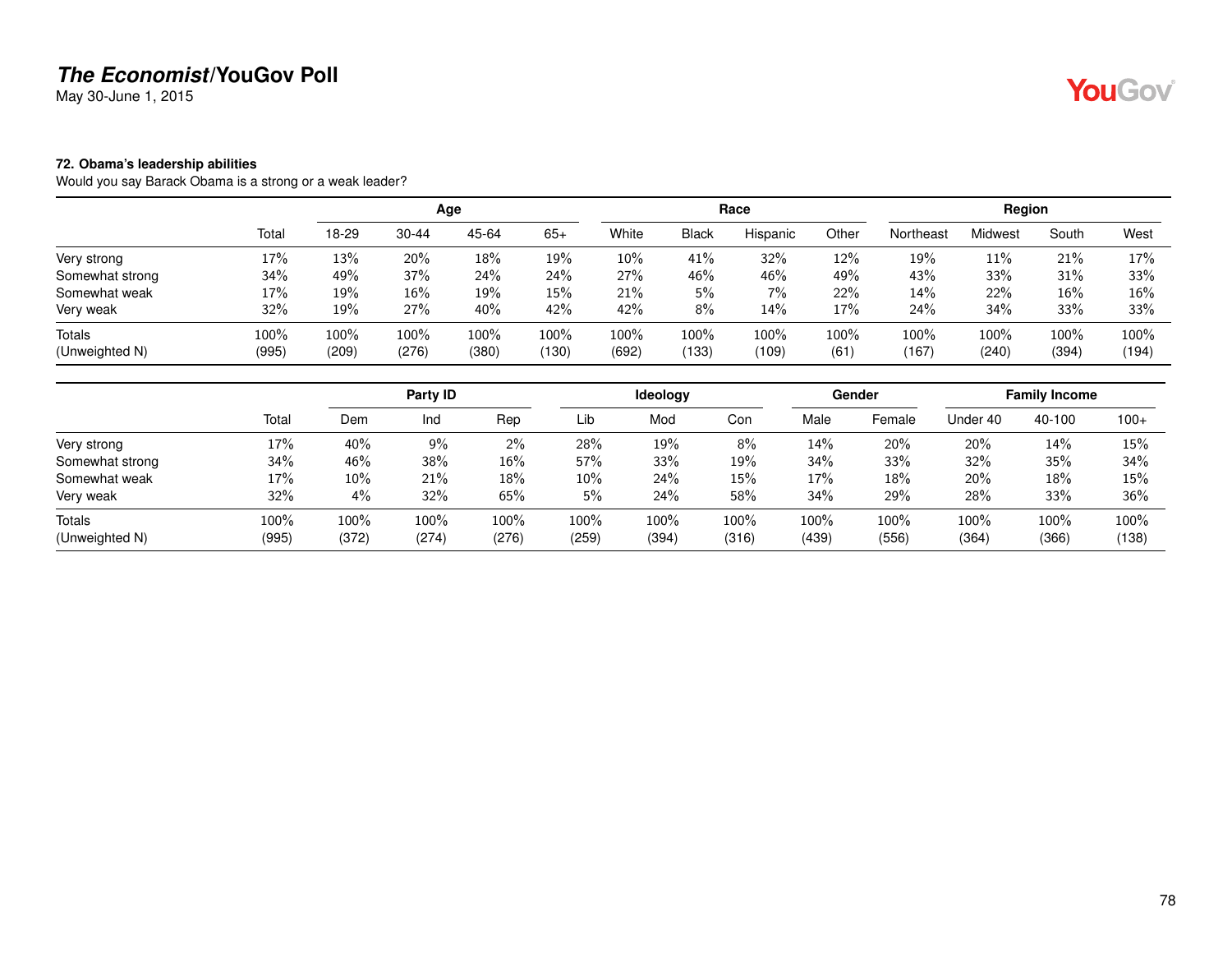May 30-June 1, 2015

#### **72. Obama's leadership abilities**

Would you say Barack Obama is a strong or a weak leader?

|                          |               |               |               | Age           |               |               |               | Race          |              |               | Region        |               |               |
|--------------------------|---------------|---------------|---------------|---------------|---------------|---------------|---------------|---------------|--------------|---------------|---------------|---------------|---------------|
|                          | Total         | 18-29         | $30 - 44$     | 45-64         | $65+$         | White         | <b>Black</b>  | Hispanic      | Other        | Northeast     | Midwest       | South         | West          |
| Very strong              | 17%           | 13%           | 20%           | 18%           | 19%           | 10%           | 41%           | 32%           | 12%          | 19%           | 11%           | 21%           | 17%           |
| Somewhat strong          | 34%           | 49%           | 37%           | 24%           | 24%           | 27%           | 46%           | 46%           | 49%          | 43%           | 33%           | 31%           | 33%           |
| Somewhat weak            | 17%           | 19%           | 16%           | 19%           | 15%           | 21%           | 5%            | 7%            | 22%          | 14%           | 22%           | 16%           | 16%           |
| Very weak                | 32%           | 19%           | 27%           | 40%           | 42%           | 42%           | 8%            | 14%           | 17%          | 24%           | 34%           | 33%           | 33%           |
| Totals<br>(Unweighted N) | 100%<br>(995) | 100%<br>(209) | 100%<br>(276) | 100%<br>(380) | 100%<br>(130) | 100%<br>(692) | 100%<br>(133) | 100%<br>(109) | 100%<br>(61) | 100%<br>(167) | 100%<br>(240) | 100%<br>(394) | 100%<br>(194) |

|                 |       |       | Party ID |       |       | Ideology |       |       | Gender |          | <b>Family Income</b> |        |
|-----------------|-------|-------|----------|-------|-------|----------|-------|-------|--------|----------|----------------------|--------|
|                 | Total | Dem   | Ind      | Rep   | Lib   | Mod      | Con   | Male  | Female | Under 40 | 40-100               | $100+$ |
| Very strong     | 17%   | 40%   | 9%       | 2%    | 28%   | 19%      | 8%    | 14%   | 20%    | 20%      | 14%                  | 15%    |
| Somewhat strong | 34%   | 46%   | 38%      | 16%   | 57%   | 33%      | 19%   | 34%   | 33%    | 32%      | 35%                  | 34%    |
| Somewhat weak   | 17%   | 10%   | 21%      | 18%   | 10%   | 24%      | 15%   | 17%   | 18%    | 20%      | 18%                  | 15%    |
| Very weak       | 32%   | 4%    | 32%      | 65%   | 5%    | 24%      | 58%   | 34%   | 29%    | 28%      | 33%                  | 36%    |
| Totals          | 100%  | 100%  | 100%     | 100%  | 100%  | 100%     | 100%  | 100%  | 100%   | 100%     | 100%                 | 100%   |
| (Unweighted N)  | (995) | (372) | (274)    | (276) | (259) | (394)    | (316) | (439) | (556)  | (364)    | (366)                | (138)  |

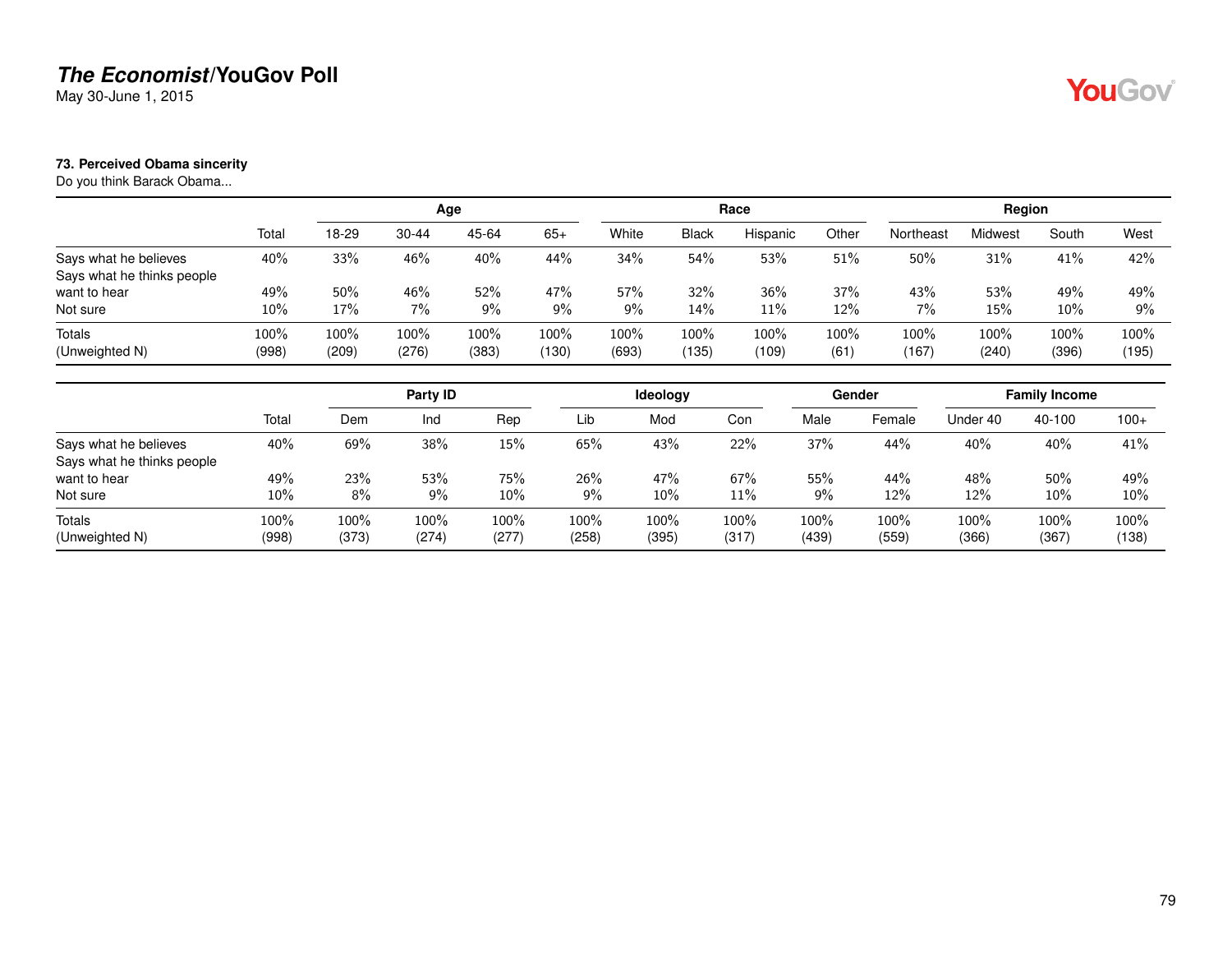May 30-June 1, 2015

#### **73. Perceived Obama sincerity**

Do you think Barack Obama...

|                            |       |       |           | Age   |       |       |              | Race     |         |           | Region  |        |       |
|----------------------------|-------|-------|-----------|-------|-------|-------|--------------|----------|---------|-----------|---------|--------|-------|
|                            | Total | 18-29 | $30 - 44$ | 45-64 | $65+$ | White | <b>Black</b> | Hispanic | Other   | Northeast | Midwest | South  | West  |
| Says what he believes      | 40%   | 33%   | 46%       | 40%   | 44%   | 34%   | 54%          | 53%      | 51%     | 50%       | 31%     | 41%    | 42%   |
| Says what he thinks people |       |       |           |       |       |       |              |          |         |           |         |        |       |
| want to hear               | 49%   | 50%   | 46%       | 52%   | 47%   | 57%   | 32%          | 36%      | 37%     | 43%       | 53%     | 49%    | 49%   |
| Not sure                   | 10%   | 17%   | 7%        | 9%    | 9%    | 9%    | 14%          | 11%      | 12%     | 7%        | 15%     | $10\%$ | $9\%$ |
| Totals                     | 100%  | 100%  | 100%      | 100%  | 100%  | 100%  | 100%         | 100%     | $100\%$ | 100%      | 100%    | 100%   | 100%  |
| (Unweighted N)             | (998) | (209) | (276)     | (383) | (130) | (693) | (135)        | (109)    | (61)    | (167)     | (240)   | (396)  | (195) |

|                                                     |               |               | Party ID      |               |               | Ideology      |               |               | Gender        |               | <b>Family Income</b> |               |
|-----------------------------------------------------|---------------|---------------|---------------|---------------|---------------|---------------|---------------|---------------|---------------|---------------|----------------------|---------------|
|                                                     | Total         | Dem           | Ind           | Rep           | Lib           | Mod           | Con           | Male          | Female        | Under 40      | 40-100               | $100+$        |
| Says what he believes<br>Says what he thinks people | 40%           | 69%           | 38%           | 15%           | 65%           | 43%           | 22%           | 37%           | 44%           | 40%           | 40%                  | 41%           |
| want to hear                                        | 49%           | 23%           | 53%           | 75%           | 26%           | 47%           | 67%           | 55%           | 44%           | 48%           | 50%                  | 49%           |
| Not sure                                            | 10%           | $8\%$         | $9\%$         | 10%           | 9%            | 10%           | 11%           | 9%            | 12%           | 12%           | 10%                  | 10%           |
| Totals<br>(Unweighted N)                            | 100%<br>(998) | 100%<br>(373) | 100%<br>(274) | 100%<br>(277) | 100%<br>(258) | 100%<br>(395) | 100%<br>(317) | 100%<br>(439) | 100%<br>(559) | 100%<br>(366) | 100%<br>(367)        | 100%<br>(138) |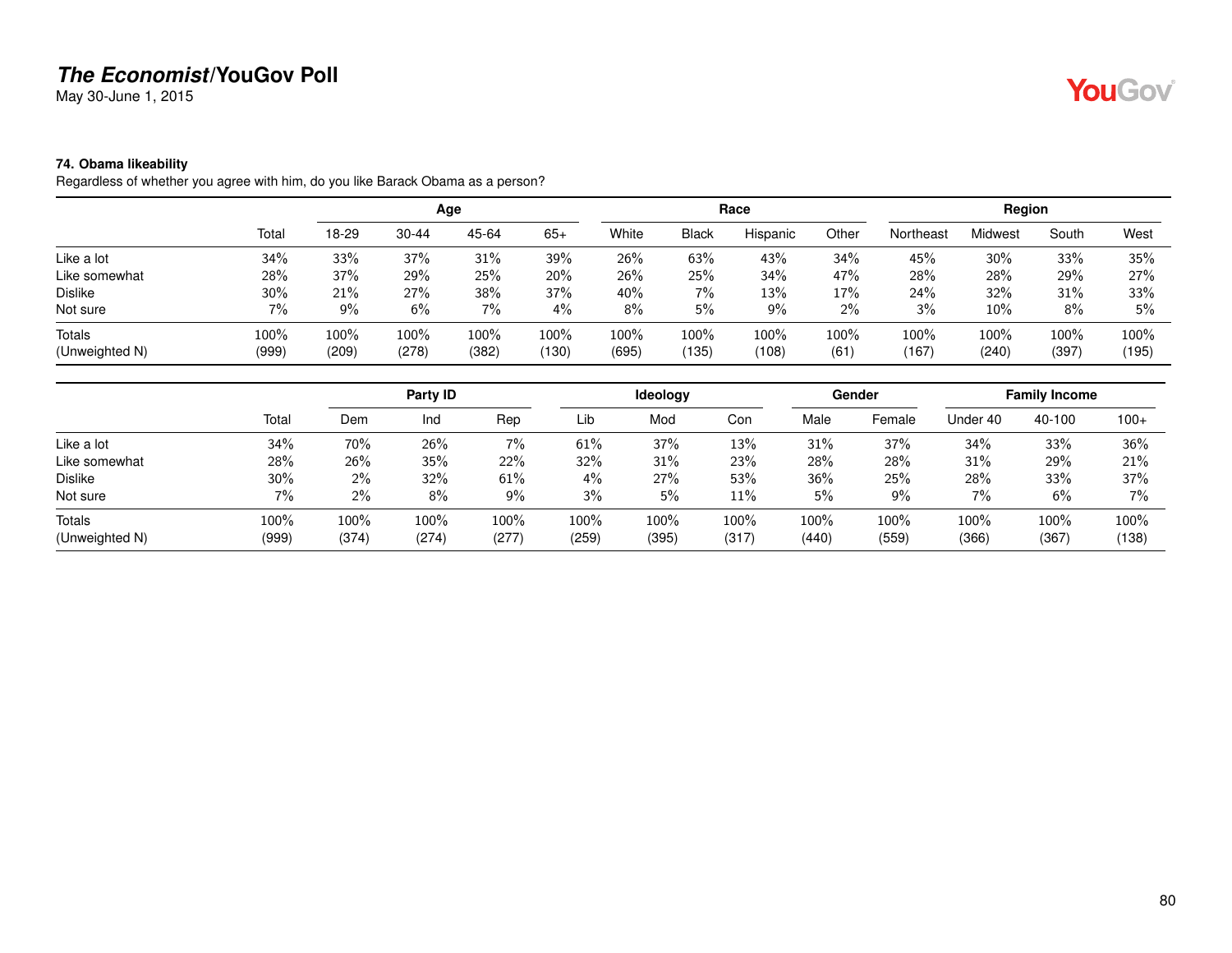May 30-June 1, 2015

### **74. Obama likeability**

Regardless of whether you agree with him, do you like Barack Obama as a person?

|                |       |       |           | Age   |       |       |              | Race     |       |           | Region  |       |       |
|----------------|-------|-------|-----------|-------|-------|-------|--------------|----------|-------|-----------|---------|-------|-------|
|                | Total | 18-29 | $30 - 44$ | 45-64 | $65+$ | White | <b>Black</b> | Hispanic | Other | Northeast | Midwest | South | West  |
| Like a lot     | 34%   | 33%   | 37%       | 31%   | 39%   | 26%   | 63%          | 43%      | 34%   | 45%       | 30%     | 33%   | 35%   |
| Like somewhat  | 28%   | 37%   | 29%       | 25%   | 20%   | 26%   | 25%          | 34%      | 47%   | 28%       | 28%     | 29%   | 27%   |
| <b>Dislike</b> | 30%   | 21%   | 27%       | 38%   | 37%   | 40%   | 7%           | 13%      | 17%   | 24%       | 32%     | 31%   | 33%   |
| Not sure       | 7%    | 9%    | 6%        | 7%    | 4%    | 8%    | 5%           | 9%       | 2%    | 3%        | 10%     | 8%    | 5%    |
| <b>Totals</b>  | 100%  | 100%  | 100%      | 100%  | 100%  | 100%  | $100\%$      | 100%     | 100%  | 100%      | 100%    | 100%  | 100%  |
| (Unweighted N) | (999) | (209) | (278)     | (382) | (130) | (695) | (135)        | (108)    | (61)  | (167)     | (240)   | (397) | (195) |

|                |       |       | Party ID |       |       | Ideology |       |       | <b>Gender</b> |          | <b>Family Income</b> |        |
|----------------|-------|-------|----------|-------|-------|----------|-------|-------|---------------|----------|----------------------|--------|
|                | Total | Dem   | Ind      | Rep   | Lib   | Mod      | Con   | Male  | Female        | Under 40 | 40-100               | $100+$ |
| Like a lot     | 34%   | 70%   | 26%      | $7\%$ | 61%   | 37%      | 13%   | 31%   | 37%           | 34%      | 33%                  | 36%    |
| Like somewhat  | 28%   | 26%   | 35%      | 22%   | 32%   | 31%      | 23%   | 28%   | 28%           | 31%      | 29%                  | 21%    |
| Dislike        | 30%   | $2\%$ | 32%      | 61%   | 4%    | 27%      | 53%   | 36%   | 25%           | 28%      | 33%                  | 37%    |
| Not sure       | 7%    | 2%    | 8%       | 9%    | 3%    | 5%       | 11%   | 5%    | 9%            | 7%       | 6%                   | 7%     |
| Totals         | 100%  | 100%  | 100%     | 100%  | 100%  | 100%     | 100%  | 100%  | 100%          | 100%     | 100%                 | 100%   |
| (Unweighted N) | (999) | (374) | (274)    | (277) | (259) | (395)    | (317) | (440) | (559)         | (366)    | (367)                | (138)  |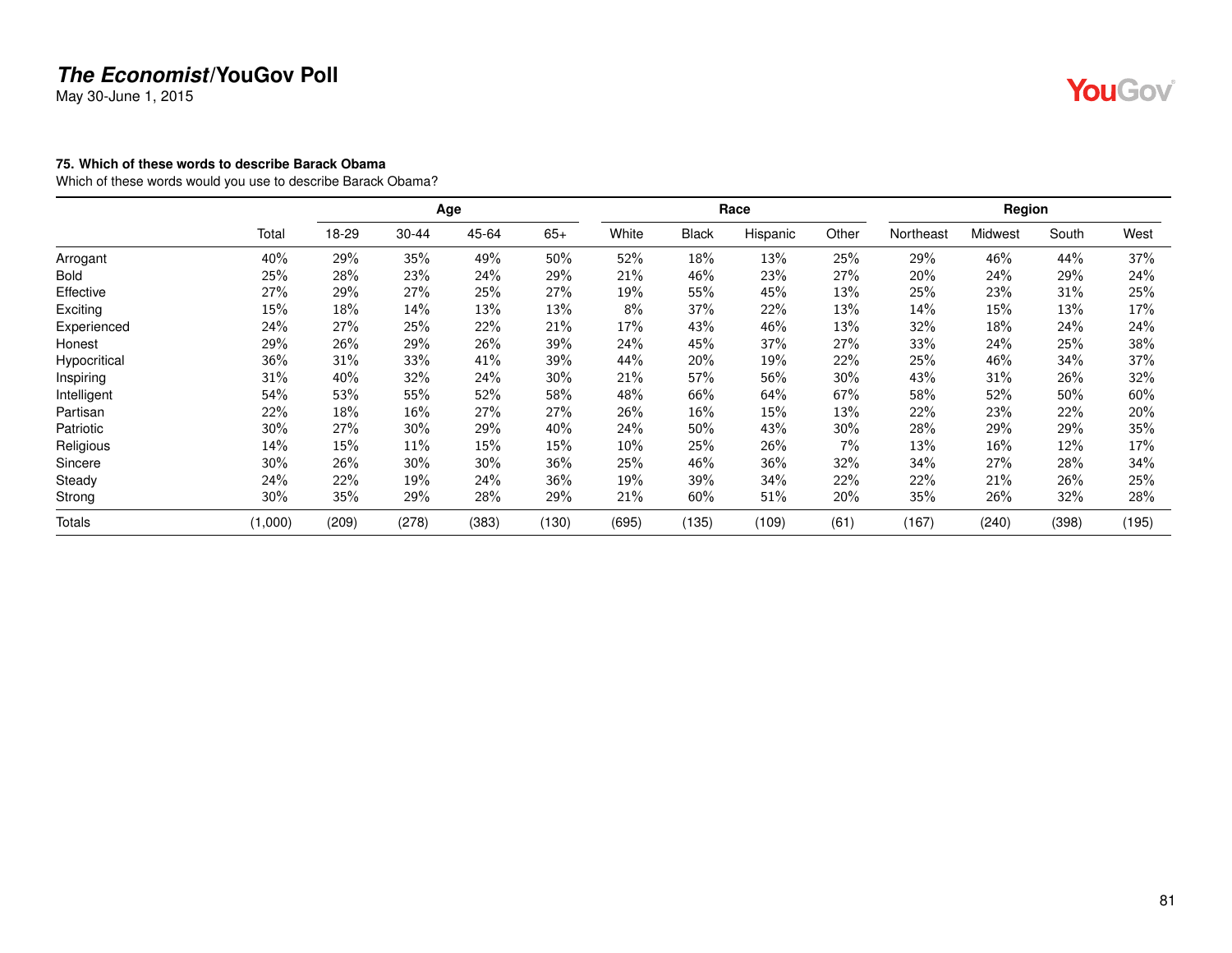May 30-June 1, 2015

#### **75. Which of these words to describe Barack Obama**

Which of these words would you use to describe Barack Obama?

|               |         |       |       | Age   |       |        |              | Race     |       |           | Region  |       |       |
|---------------|---------|-------|-------|-------|-------|--------|--------------|----------|-------|-----------|---------|-------|-------|
|               | Total   | 18-29 | 30-44 | 45-64 | $65+$ | White  | <b>Black</b> | Hispanic | Other | Northeast | Midwest | South | West  |
| Arrogant      | 40%     | 29%   | 35%   | 49%   | 50%   | 52%    | 18%          | 13%      | 25%   | 29%       | 46%     | 44%   | 37%   |
| Bold          | 25%     | 28%   | 23%   | 24%   | 29%   | 21%    | 46%          | 23%      | 27%   | 20%       | 24%     | 29%   | 24%   |
| Effective     | 27%     | 29%   | 27%   | 25%   | 27%   | 19%    | 55%          | 45%      | 13%   | 25%       | 23%     | 31%   | 25%   |
| Exciting      | 15%     | 18%   | 14%   | 13%   | 13%   | 8%     | 37%          | 22%      | 13%   | 14%       | 15%     | 13%   | 17%   |
| Experienced   | 24%     | 27%   | 25%   | 22%   | 21%   | 17%    | 43%          | 46%      | 13%   | 32%       | 18%     | 24%   | 24%   |
| Honest        | 29%     | 26%   | 29%   | 26%   | 39%   | 24%    | 45%          | 37%      | 27%   | 33%       | 24%     | 25%   | 38%   |
| Hypocritical  | 36%     | 31%   | 33%   | 41%   | 39%   | 44%    | 20%          | 19%      | 22%   | 25%       | 46%     | 34%   | 37%   |
| Inspiring     | 31%     | 40%   | 32%   | 24%   | 30%   | 21%    | 57%          | 56%      | 30%   | 43%       | 31%     | 26%   | 32%   |
| Intelligent   | 54%     | 53%   | 55%   | 52%   | 58%   | 48%    | 66%          | 64%      | 67%   | 58%       | 52%     | 50%   | 60%   |
| Partisan      | 22%     | 18%   | 16%   | 27%   | 27%   | 26%    | 16%          | 15%      | 13%   | 22%       | 23%     | 22%   | 20%   |
| Patriotic     | 30%     | 27%   | 30%   | 29%   | 40%   | 24%    | 50%          | 43%      | 30%   | 28%       | 29%     | 29%   | 35%   |
| Religious     | 14%     | 15%   | 11%   | 15%   | 15%   | $10\%$ | 25%          | 26%      | 7%    | 13%       | 16%     | 12%   | 17%   |
| Sincere       | 30%     | 26%   | 30%   | 30%   | 36%   | 25%    | 46%          | 36%      | 32%   | 34%       | 27%     | 28%   | 34%   |
| Steady        | 24%     | 22%   | 19%   | 24%   | 36%   | 19%    | 39%          | 34%      | 22%   | 22%       | 21%     | 26%   | 25%   |
| Strong        | 30%     | 35%   | 29%   | 28%   | 29%   | 21%    | 60%          | 51%      | 20%   | 35%       | 26%     | 32%   | 28%   |
| <b>Totals</b> | (1,000) | (209) | (278) | (383) | (130) | (695)  | (135)        | (109)    | (61)  | (167)     | (240)   | (398) | (195) |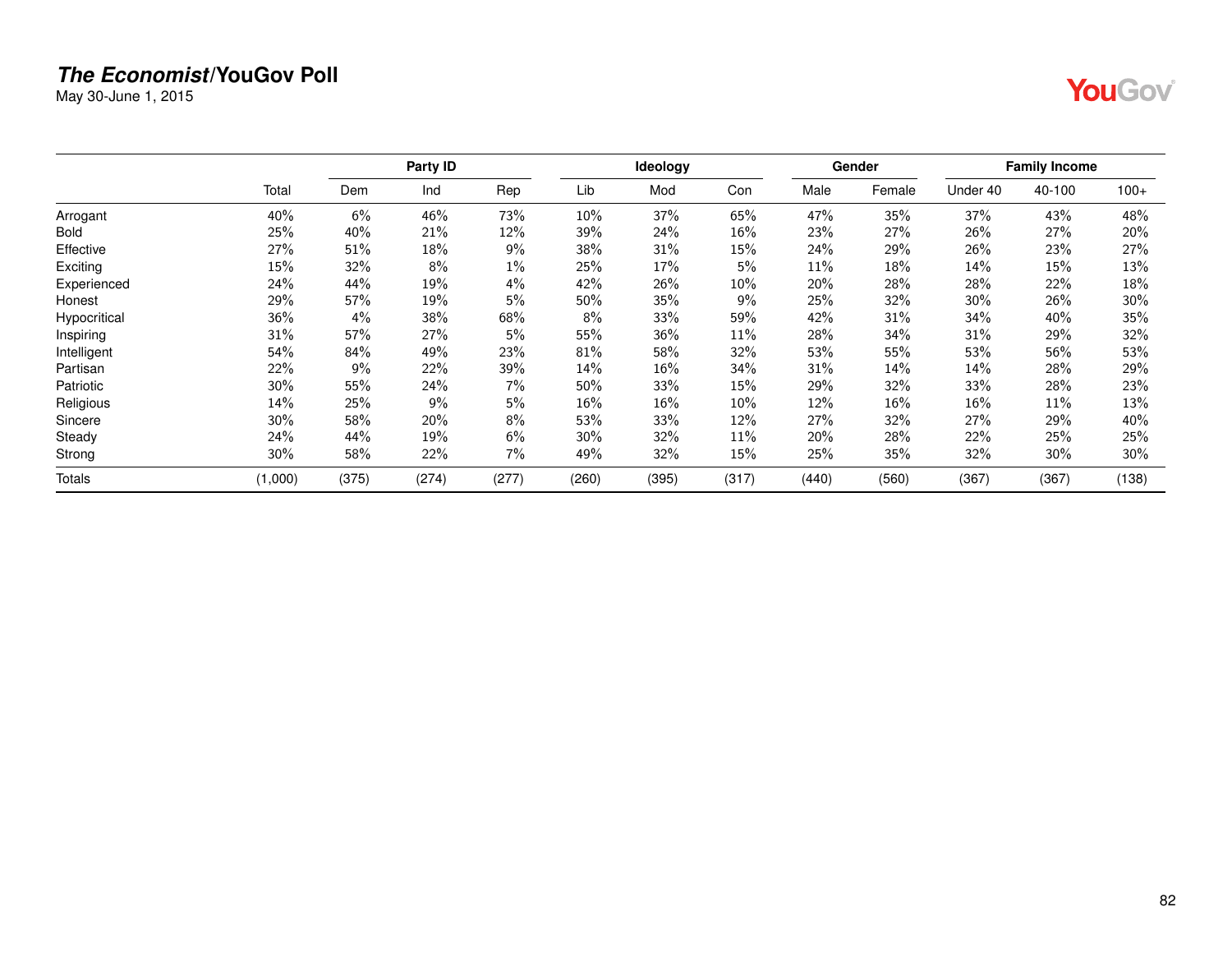May 30-June 1, 2015

|--|--|

|              |         |       | Party ID |       |       | Ideology |        |       | Gender |          | <b>Family Income</b> |        |
|--------------|---------|-------|----------|-------|-------|----------|--------|-------|--------|----------|----------------------|--------|
|              | Total   | Dem   | Ind      | Rep   | Lib   | Mod      | Con    | Male  | Female | Under 40 | 40-100               | $100+$ |
| Arrogant     | 40%     | 6%    | 46%      | 73%   | 10%   | 37%      | 65%    | 47%   | 35%    | 37%      | 43%                  | 48%    |
| <b>Bold</b>  | 25%     | 40%   | 21%      | 12%   | 39%   | 24%      | $16\%$ | 23%   | 27%    | 26%      | 27%                  | 20%    |
| Effective    | 27%     | 51%   | 18%      | $9\%$ | 38%   | 31%      | 15%    | 24%   | 29%    | 26%      | 23%                  | 27%    |
| Exciting     | 15%     | 32%   | 8%       | $1\%$ | 25%   | 17%      | 5%     | 11%   | 18%    | 14%      | 15%                  | 13%    |
| Experienced  | 24%     | 44%   | 19%      | 4%    | 42%   | 26%      | 10%    | 20%   | 28%    | 28%      | 22%                  | 18%    |
| Honest       | 29%     | 57%   | 19%      | 5%    | 50%   | 35%      | 9%     | 25%   | 32%    | 30%      | 26%                  | 30%    |
| Hypocritical | 36%     | 4%    | 38%      | 68%   | 8%    | 33%      | 59%    | 42%   | 31%    | 34%      | 40%                  | 35%    |
| Inspiring    | 31%     | 57%   | 27%      | 5%    | 55%   | 36%      | 11%    | 28%   | 34%    | 31%      | 29%                  | 32%    |
| Intelligent  | 54%     | 84%   | 49%      | 23%   | 81%   | 58%      | $32\%$ | 53%   | 55%    | 53%      | 56%                  | 53%    |
| Partisan     | 22%     | 9%    | 22%      | 39%   | 14%   | 16%      | 34%    | 31%   | 14%    | 14%      | 28%                  | 29%    |
| Patriotic    | 30%     | 55%   | 24%      | $7\%$ | 50%   | 33%      | 15%    | 29%   | 32%    | 33%      | 28%                  | 23%    |
| Religious    | 14%     | 25%   | 9%       | 5%    | 16%   | 16%      | $10\%$ | 12%   | 16%    | 16%      | 11%                  | 13%    |
| Sincere      | 30%     | 58%   | 20%      | 8%    | 53%   | 33%      | 12%    | 27%   | 32%    | 27%      | 29%                  | 40%    |
| Steady       | 24%     | 44%   | 19%      | 6%    | 30%   | 32%      | 11%    | 20%   | 28%    | 22%      | 25%                  | 25%    |
| Strong       | 30%     | 58%   | 22%      | 7%    | 49%   | 32%      | 15%    | 25%   | 35%    | 32%      | 30%                  | 30%    |
| Totals       | (1,000) | (375) | (274)    | (277) | (260) | (395)    | (317)  | (440) | (560)  | (367)    | (367)                | (138)  |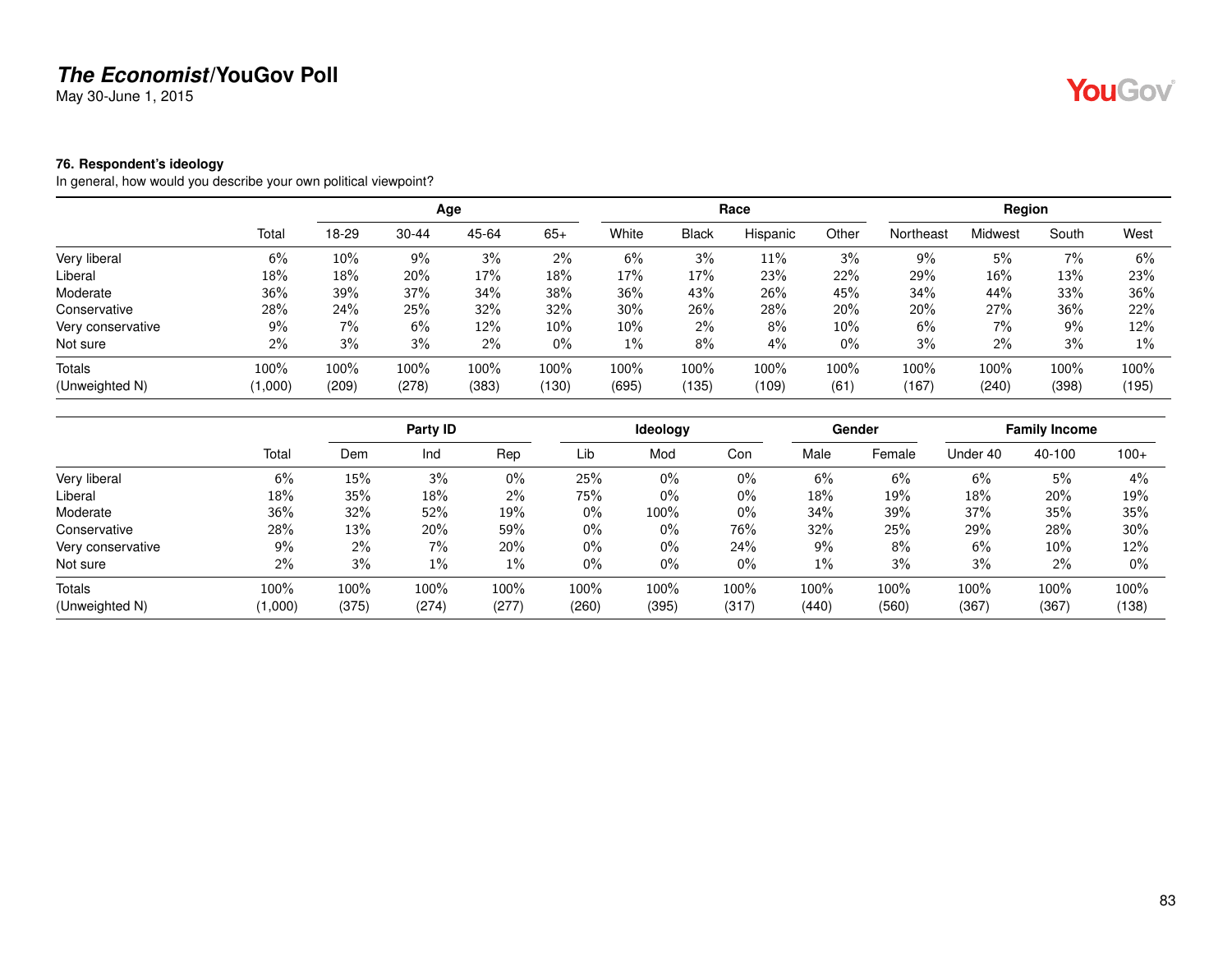May 30-June 1, 2015

#### **76. Respondent's ideology**

In general, how would you describe your own political viewpoint?

|                   |         |       |           | Age   |       |        |              | Race     |       |           | Region  |       |       |
|-------------------|---------|-------|-----------|-------|-------|--------|--------------|----------|-------|-----------|---------|-------|-------|
|                   | Total   | 18-29 | $30 - 44$ | 45-64 | $65+$ | White  | <b>Black</b> | Hispanic | Other | Northeast | Midwest | South | West  |
| Very liberal      | 6%      | 10%   | 9%        | 3%    | 2%    | 6%     | 3%           | $11\%$   | 3%    | $9\%$     | 5%      | 7%    | 6%    |
| Liberal           | 18%     | 18%   | 20%       | 17%   | 18%   | 17%    | 17%          | 23%      | 22%   | 29%       | 16%     | 13%   | 23%   |
| Moderate          | 36%     | 39%   | 37%       | 34%   | 38%   | 36%    | 43%          | 26%      | 45%   | 34%       | 44%     | 33%   | 36%   |
| Conservative      | 28%     | 24%   | 25%       | 32%   | 32%   | 30%    | 26%          | 28%      | 20%   | 20%       | 27%     | 36%   | 22%   |
| Very conservative | 9%      | 7%    | 6%        | 12%   | 10%   | $10\%$ | 2%           | 8%       | 10%   | 6%        | 7%      | 9%    | 12%   |
| Not sure          | 2%      | 3%    | 3%        | 2%    | $0\%$ | $1\%$  | 8%           | 4%       | $0\%$ | 3%        | 2%      | 3%    | $1\%$ |
| Totals            | 100%    | 100%  | 100%      | 100%  | 100%  | 100%   | 100%         | 100%     | 100%  | 100%      | 100%    | 100%  | 100%  |
| (Unweighted N)    | (1,000) | (209) | (278)     | (383) | (130) | (695)  | (135)        | (109)    | (61)  | (167)     | (240)   | (398) | (195) |

|                   |         |        | Party ID |       |       | Ideology |       |       | Gender |          | <b>Family Income</b> |        |
|-------------------|---------|--------|----------|-------|-------|----------|-------|-------|--------|----------|----------------------|--------|
|                   | Total   | Dem    | Ind      | Rep   | Lib   | Mod      | Con   | Male  | Female | Under 40 | 40-100               | $100+$ |
| Very liberal      | 6%      | $15\%$ | 3%       | 0%    | 25%   | $0\%$    | $0\%$ | 6%    | 6%     | 6%       | 5%                   | 4%     |
| Liberal           | 18%     | 35%    | 18%      | 2%    | 75%   | 0%       | $0\%$ | 18%   | 19%    | 18%      | 20%                  | 19%    |
| Moderate          | 36%     | 32%    | 52%      | 19%   | $0\%$ | 100%     | $0\%$ | 34%   | 39%    | 37%      | 35%                  | 35%    |
| Conservative      | 28%     | 13%    | 20%      | 59%   | $0\%$ | $0\%$    | 76%   | 32%   | 25%    | 29%      | 28%                  | 30%    |
| Very conservative | 9%      | $2\%$  | 7%       | 20%   | 0%    | $0\%$    | 24%   | 9%    | 8%     | 6%       | 10%                  | 12%    |
| Not sure          | 2%      | 3%     | 1%       | $1\%$ | $0\%$ | $0\%$    | $0\%$ | $1\%$ | 3%     | 3%       | 2%                   | $0\%$  |
| Totals            | 100%    | 100%   | 100%     | 100%  | 100%  | 100%     | 100%  | 100%  | 100%   | 100%     | 100%                 | 100%   |
| (Unweighted N)    | (1,000) | (375)  | (274)    | (277) | (260) | (395)    | (317) | (440) | (560)  | (367)    | (367)                | (138)  |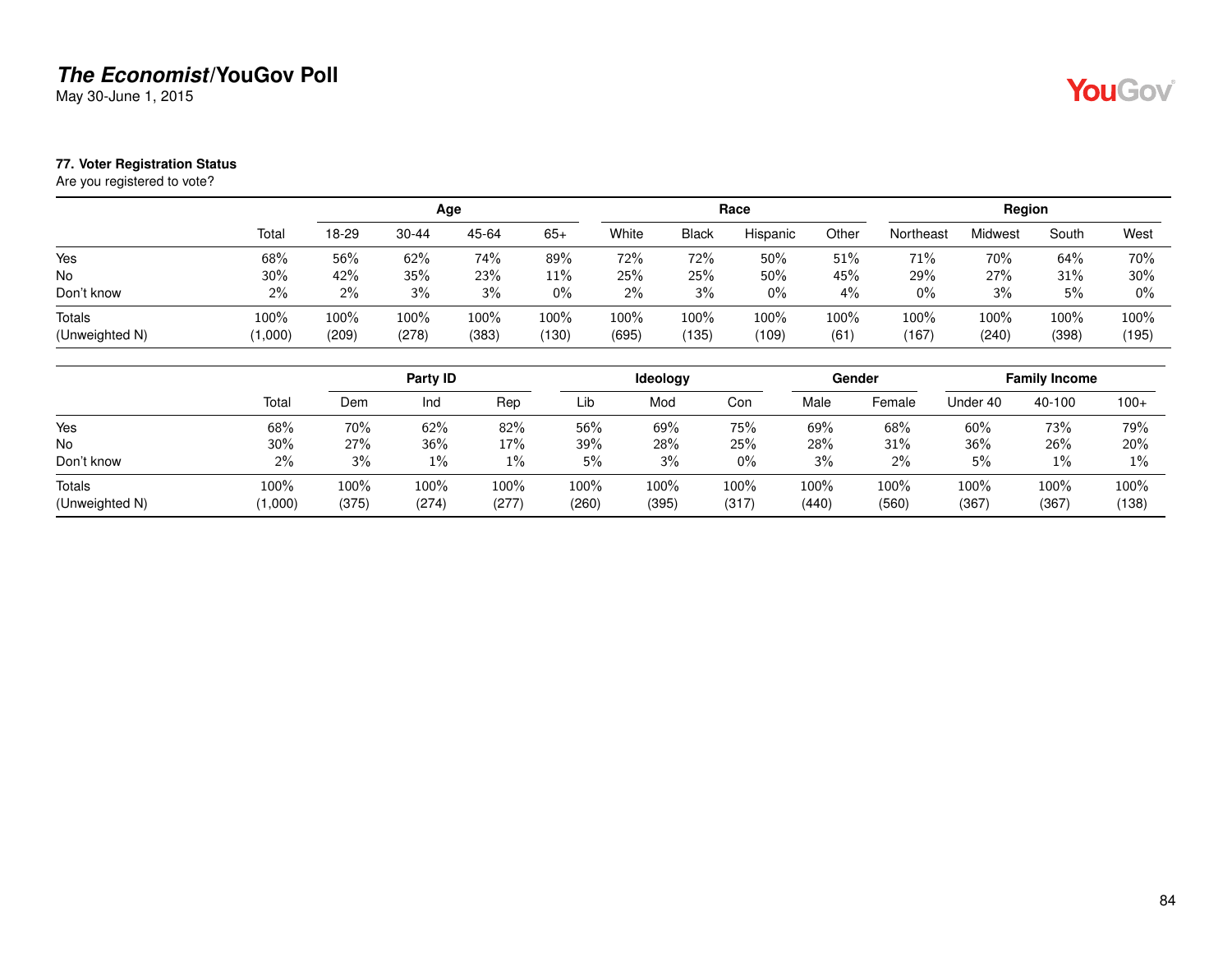May 30-June 1, 2015

#### **77. Voter Registration Status**

Are you registered to vote?

|                |       |       |           | Age   |       |       |              | Race     |       |           | Region  |       |       |
|----------------|-------|-------|-----------|-------|-------|-------|--------------|----------|-------|-----------|---------|-------|-------|
|                | Total | 18-29 | $30 - 44$ | 45-64 | $65+$ | White | <b>Black</b> | Hispanic | Other | Northeast | Midwest | South | West  |
| Yes            | 68%   | 56%   | 62%       | 74%   | 89%   | 72%   | 72%          | 50%      | 51%   | 71%       | 70%     | 64%   | 70%   |
| <b>No</b>      | 30%   | 42%   | 35%       | 23%   | 11%   | 25%   | 25%          | 50%      | 45%   | 29%       | 27%     | 31%   | 30%   |
| Don't know     | $2\%$ | 2%    | 3%        | 3%    | $0\%$ | 2%    | 3%           | $0\%$    | 4%    | $0\%$     | 3%      | 5%    | $0\%$ |
| Totals         | 100%  | 100%  | 100%      | 100%  | 100%  | 100%  | 100%         | 100%     | 100%  | 100%      | 100%    | 100%  | 100%  |
| (Unweighted N) | 1,000 | (209) | (278)     | (383) | (130) | (695) | (135)        | (109)    | (61)  | (167)     | (240)   | (398) | (195) |

|                          |                |               | Party ID      |               |               | Ideology      |               |               | Gender        |               | <b>Family Income</b> |               |
|--------------------------|----------------|---------------|---------------|---------------|---------------|---------------|---------------|---------------|---------------|---------------|----------------------|---------------|
|                          | Total          | Dem           | Ind           | Rep           | Lib           | Mod           | Con           | Male          | Female        | Under 40      | 40-100               | $100+$        |
| Yes                      | 68%            | 70%           | 62%           | 82%           | 56%           | 69%           | 75%           | 69%           | 68%           | 60%           | 73%                  | 79%           |
| No                       | 30%            | 27%           | 36%           | 17%           | 39%           | 28%           | 25%           | 28%           | 31%           | 36%           | 26%                  | 20%           |
| Don't know               | 2%             | 3%            | $1\%$         | 1%            | 5%            | 3%            | $0\%$         | 3%            | 2%            | 5%            | $1\%$                | $1\%$         |
| Totals<br>(Unweighted N) | 100%<br>1,000) | 100%<br>(375) | 100%<br>(274) | 100%<br>(277) | 100%<br>(260) | 100%<br>(395) | 100%<br>(317) | 100%<br>(440) | 100%<br>(560) | 100%<br>(367) | 100%<br>(367)        | 100%<br>(138) |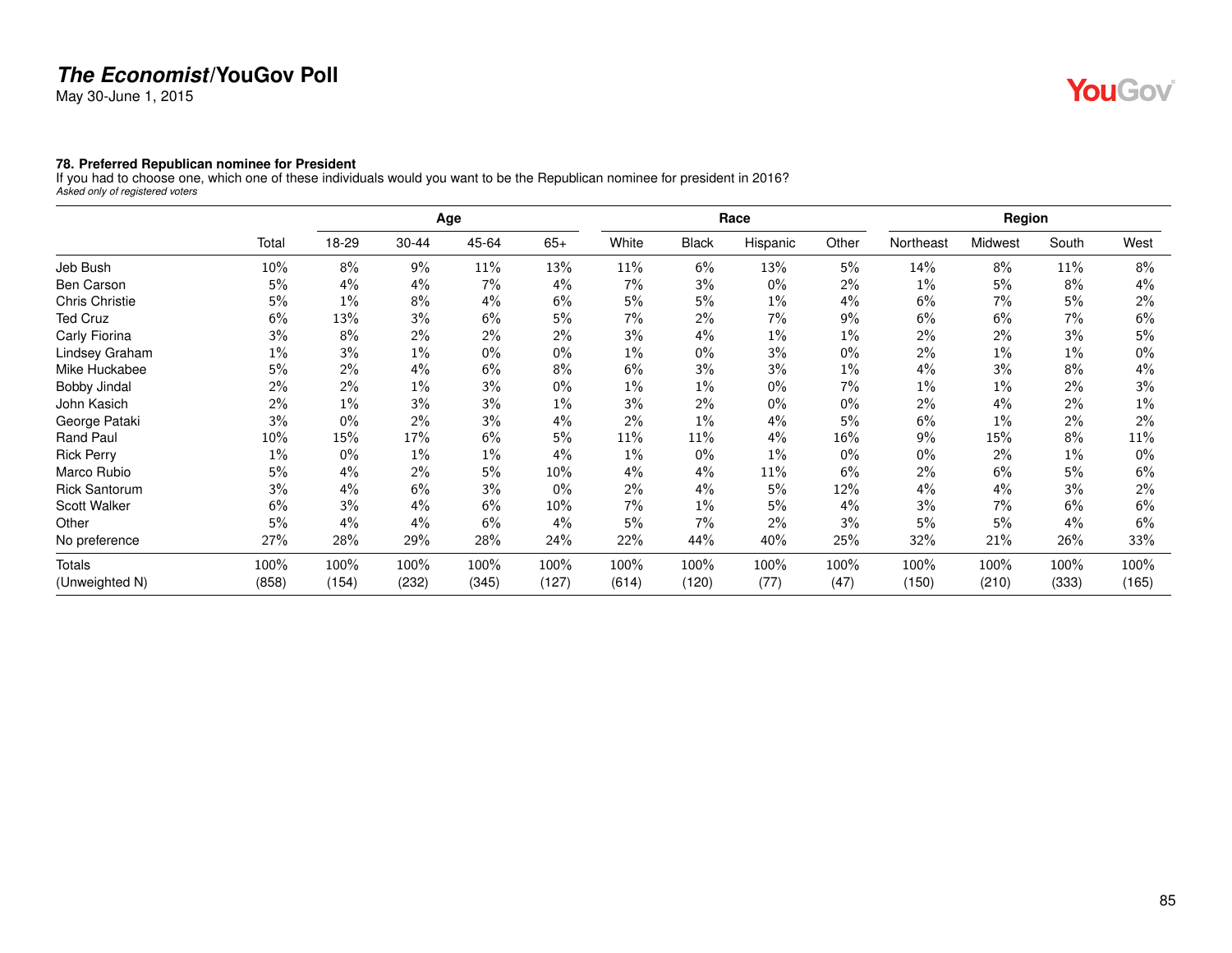May 30-June 1, 2015

# YouGov®

#### **78. Preferred Republican nominee for President**

If you had to choose one, which one of these individuals would you want to be the Republican nominee for president in 2016? *Asked only of registered voters*

|                       |       |       |       | Age    |       |       |              | Race     |       |           | Region  |       |       |
|-----------------------|-------|-------|-------|--------|-------|-------|--------------|----------|-------|-----------|---------|-------|-------|
|                       | Total | 18-29 | 30-44 | 45-64  | $65+$ | White | <b>Black</b> | Hispanic | Other | Northeast | Midwest | South | West  |
| Jeb Bush              | 10%   | 8%    | 9%    | $11\%$ | 13%   | 11%   | 6%           | 13%      | 5%    | 14%       | $8\%$   | 11%   | 8%    |
| <b>Ben Carson</b>     | 5%    | 4%    | 4%    | 7%     | 4%    | 7%    | 3%           | $0\%$    | $2\%$ | $1\%$     | 5%      | 8%    | 4%    |
| <b>Chris Christie</b> | 5%    | 1%    | 8%    | 4%     | 6%    | 5%    | 5%           | 1%       | 4%    | 6%        | 7%      | 5%    | 2%    |
| <b>Ted Cruz</b>       | 6%    | 13%   | 3%    | 6%     | 5%    | 7%    | 2%           | 7%       | 9%    | 6%        | 6%      | 7%    | 6%    |
| Carly Fiorina         | 3%    | 8%    | 2%    | 2%     | 2%    | 3%    | 4%           | 1%       | 1%    | 2%        | $2\%$   | 3%    | 5%    |
| Lindsey Graham        | 1%    | 3%    | $1\%$ | 0%     | $0\%$ | $1\%$ | $0\%$        | 3%       | $0\%$ | 2%        | 1%      | $1\%$ | $0\%$ |
| Mike Huckabee         | 5%    | 2%    | 4%    | 6%     | 8%    | 6%    | 3%           | 3%       | $1\%$ | 4%        | 3%      | 8%    | $4\%$ |
| Bobby Jindal          | 2%    | 2%    | $1\%$ | 3%     | $0\%$ | $1\%$ | $1\%$        | $0\%$    | 7%    | $1\%$     | $1\%$   | 2%    | $3\%$ |
| John Kasich           | 2%    | 1%    | 3%    | 3%     | $1\%$ | 3%    | 2%           | $0\%$    | $0\%$ | 2%        | 4%      | 2%    | $1\%$ |
| George Pataki         | 3%    | 0%    | 2%    | 3%     | 4%    | 2%    | $1\%$        | 4%       | 5%    | 6%        | $1\%$   | 2%    | $2\%$ |
| Rand Paul             | 10%   | 15%   | 17%   | 6%     | 5%    | 11%   | 11%          | 4%       | 16%   | 9%        | 15%     | 8%    | 11%   |
| <b>Rick Perry</b>     | $1\%$ | 0%    | $1\%$ | $1\%$  | 4%    | 1%    | $0\%$        | 1%       | $0\%$ | 0%        | $2\%$   | $1\%$ | $0\%$ |
| Marco Rubio           | 5%    | 4%    | 2%    | 5%     | 10%   | 4%    | 4%           | 11%      | 6%    | 2%        | 6%      | 5%    | 6%    |
| <b>Rick Santorum</b>  | 3%    | 4%    | 6%    | 3%     | $0\%$ | 2%    | 4%           | 5%       | 12%   | 4%        | 4%      | 3%    | 2%    |
| Scott Walker          | 6%    | 3%    | 4%    | 6%     | 10%   | 7%    | $1\%$        | 5%       | 4%    | 3%        | 7%      | 6%    | 6%    |
| Other                 | 5%    | 4%    | 4%    | 6%     | 4%    | 5%    | 7%           | 2%       | 3%    | 5%        | 5%      | 4%    | 6%    |
| No preference         | 27%   | 28%   | 29%   | 28%    | 24%   | 22%   | 44%          | 40%      | 25%   | 32%       | 21%     | 26%   | 33%   |
| <b>Totals</b>         | 100%  | 100%  | 100%  | 100%   | 100%  | 100%  | 100%         | 100%     | 100%  | 100%      | 100%    | 100%  | 100%  |
| (Unweighted N)        | (858) | (154) | (232) | (345)  | (127) | (614) | (120)        | (77)     | (47)  | (150)     | (210)   | (333) | (165) |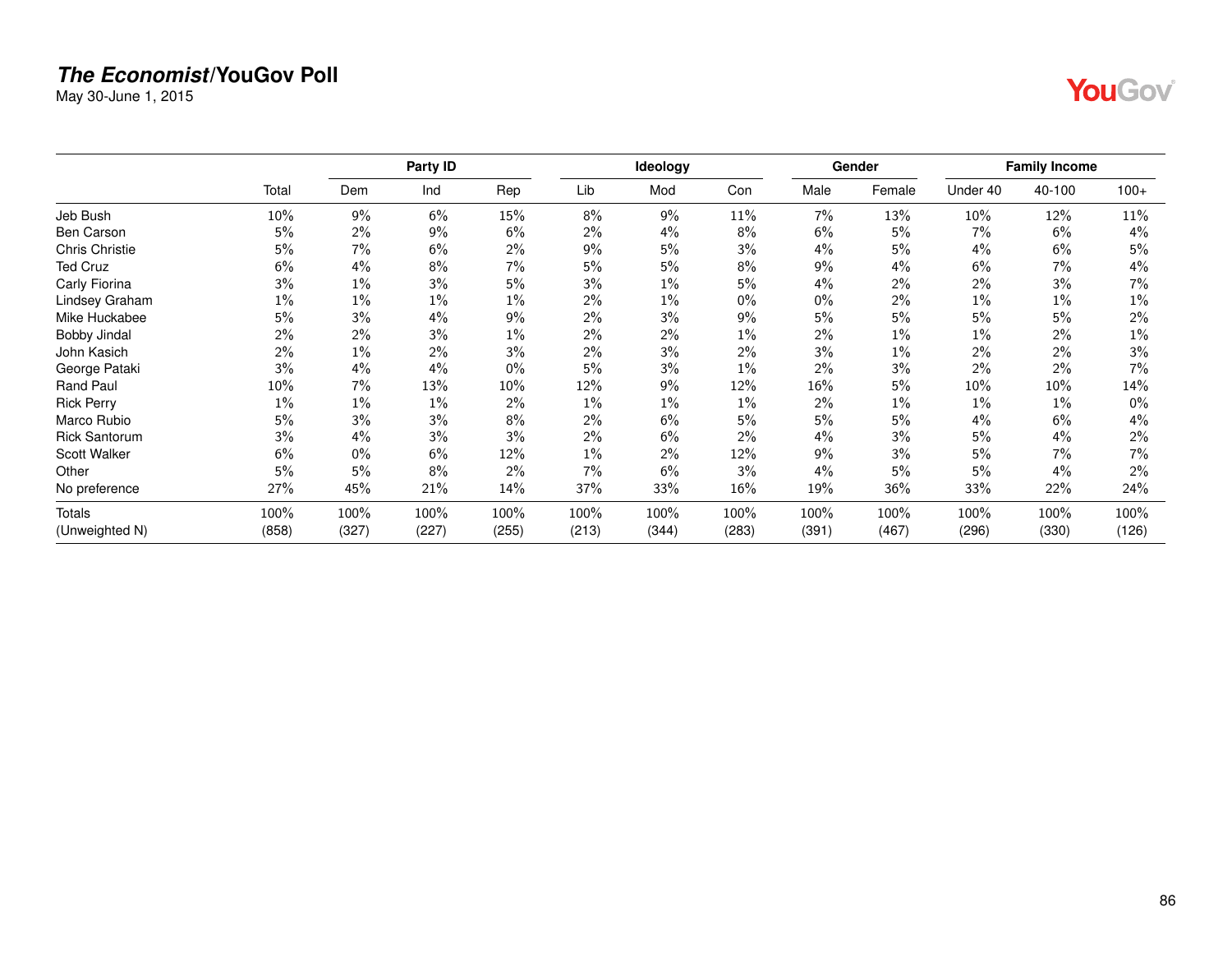May 30-June 1, 2015

| M. |
|----|
|    |

|                       |        |       | Party ID |       |       | Ideology |       |        | Gender |          | <b>Family Income</b> |        |
|-----------------------|--------|-------|----------|-------|-------|----------|-------|--------|--------|----------|----------------------|--------|
|                       | Total  | Dem   | Ind      | Rep   | Lib   | Mod      | Con   | Male   | Female | Under 40 | 40-100               | $100+$ |
| Jeb Bush              | 10%    | 9%    | 6%       | 15%   | 8%    | 9%       | 11%   | 7%     | 13%    | 10%      | 12%                  | 11%    |
| <b>Ben Carson</b>     | 5%     | 2%    | 9%       | 6%    | 2%    | 4%       | 8%    | 6%     | 5%     | 7%       | 6%                   | 4%     |
| <b>Chris Christie</b> | 5%     | 7%    | 6%       | 2%    | 9%    | 5%       | 3%    | 4%     | 5%     | 4%       | 6%                   | 5%     |
| <b>Ted Cruz</b>       | 6%     | 4%    | 8%       | 7%    | 5%    | 5%       | 8%    | 9%     | 4%     | 6%       | $7\%$                | 4%     |
| Carly Fiorina         | 3%     | 1%    | 3%       | 5%    | 3%    | 1%       | 5%    | 4%     | 2%     | 2%       | 3%                   | 7%     |
| Lindsey Graham        | $1\%$  | 1%    | $1\%$    | $1\%$ | 2%    | 1%       | $0\%$ | $0\%$  | 2%     | 1%       | 1%                   | $1\%$  |
| Mike Huckabee         | 5%     | 3%    | 4%       | 9%    | 2%    | 3%       | 9%    | 5%     | 5%     | 5%       | 5%                   | 2%     |
| Bobby Jindal          | 2%     | $2\%$ | 3%       | $1\%$ | 2%    | 2%       | 1%    | $2\%$  | $1\%$  | $1\%$    | 2%                   | $1\%$  |
| John Kasich           | 2%     | 1%    | 2%       | 3%    | 2%    | 3%       | $2\%$ | 3%     | 1%     | 2%       | $2\%$                | 3%     |
| George Pataki         | 3%     | 4%    | 4%       | $0\%$ | 5%    | 3%       | 1%    | 2%     | 3%     | 2%       | 2%                   | 7%     |
| Rand Paul             | $10\%$ | 7%    | 13%      | 10%   | 12%   | 9%       | 12%   | $16\%$ | 5%     | 10%      | 10%                  | 14%    |
| <b>Rick Perry</b>     | $1\%$  | 1%    | $1\%$    | 2%    | 1%    | $1\%$    | 1%    | $2\%$  | $1\%$  | 1%       | 1%                   | $0\%$  |
| Marco Rubio           | 5%     | 3%    | 3%       | 8%    | 2%    | 6%       | 5%    | 5%     | 5%     | 4%       | 6%                   | $4\%$  |
| <b>Rick Santorum</b>  | 3%     | 4%    | 3%       | 3%    | 2%    | 6%       | 2%    | 4%     | 3%     | 5%       | 4%                   | 2%     |
| <b>Scott Walker</b>   | 6%     | $0\%$ | 6%       | 12%   | $1\%$ | 2%       | 12%   | 9%     | 3%     | 5%       | 7%                   | 7%     |
| Other                 | 5%     | 5%    | 8%       | 2%    | 7%    | 6%       | 3%    | 4%     | 5%     | 5%       | 4%                   | 2%     |
| No preference         | 27%    | 45%   | 21%      | 14%   | 37%   | 33%      | 16%   | 19%    | 36%    | 33%      | 22%                  | 24%    |
| Totals                | 100%   | 100%  | 100%     | 100%  | 100%  | 100%     | 100%  | 100%   | 100%   | 100%     | 100%                 | 100%   |
| (Unweighted N)        | (858)  | (327) | (227)    | (255) | (213) | (344)    | (283) | (391)  | (467)  | (296)    | (330)                | (126)  |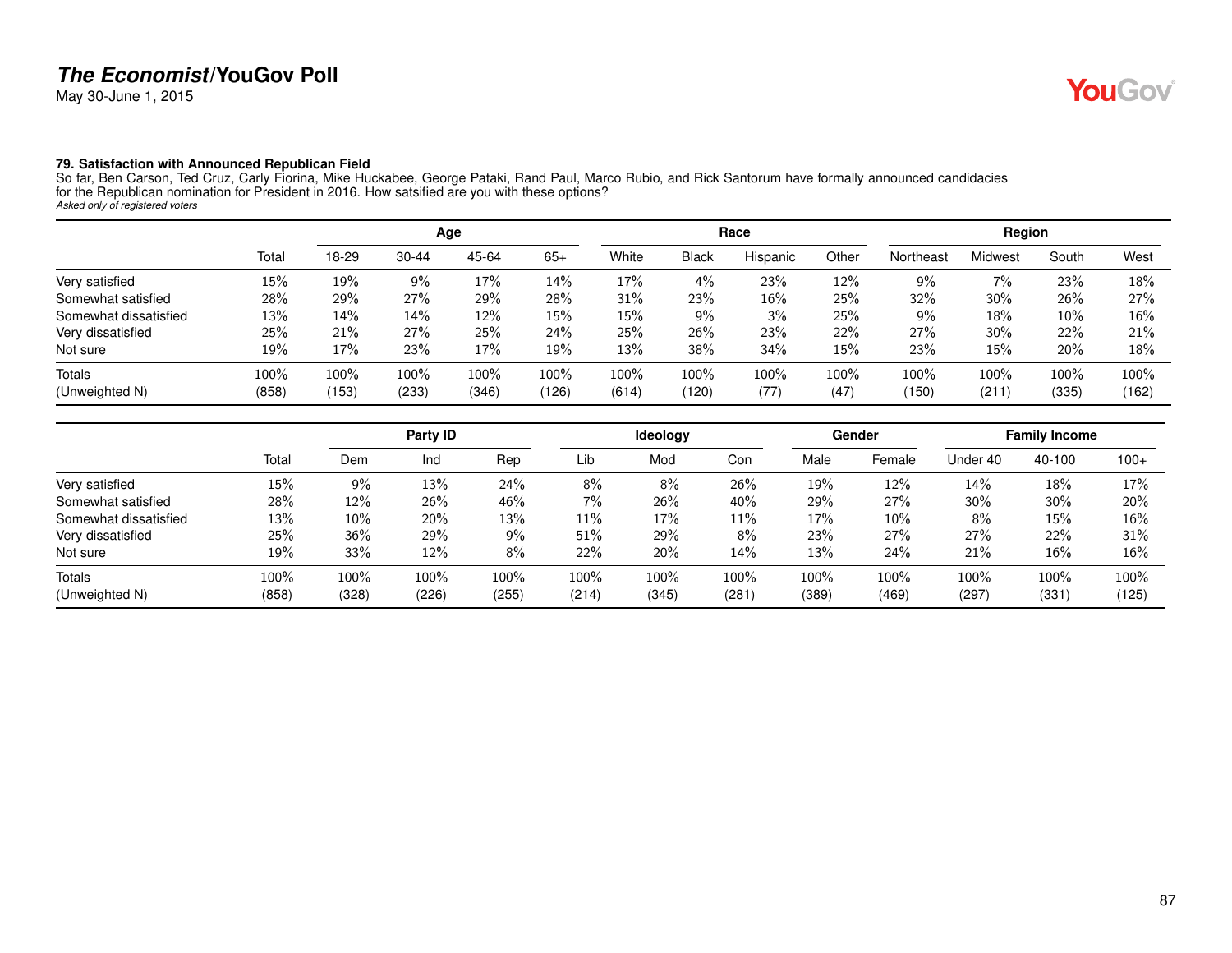May 30-June 1, 2015

#### **79. Satisfaction with Announced Republican Field**

So far, Ben Carson, Ted Cruz, Carly Fiorina, Mike Huckabee, George Pataki, Rand Paul, Marco Rubio, and Rick Santorum have formally announced candidacies for the Republican nomination for President in 2016. How satsified are you with these options? *Asked only of registered voters*

|                       |       |       |           | Age   |       |       |       | Race     |         |           | Region         |       |       |
|-----------------------|-------|-------|-----------|-------|-------|-------|-------|----------|---------|-----------|----------------|-------|-------|
|                       | Total | 18-29 | $30 - 44$ | 45-64 | $65+$ | White | Black | Hispanic | Other   | Northeast | <b>Midwest</b> | South | West  |
| Very satisfied        | 15%   | 19%   | 9%        | 17%   | 14%   | 17%   | 4%    | 23%      | 12%     | 9%        | $7\%$          | 23%   | 18%   |
| Somewhat satisfied    | 28%   | 29%   | 27%       | 29%   | 28%   | 31%   | 23%   | 16%      | 25%     | 32%       | 30%            | 26%   | 27%   |
| Somewhat dissatisfied | 13%   | 14%   | 14%       | 12%   | 15%   | 15%   | 9%    | 3%       | 25%     | $9\%$     | 18%            | 10%   | 16%   |
| Very dissatisfied     | 25%   | 21%   | 27%       | 25%   | 24%   | 25%   | 26%   | 23%      | 22%     | 27%       | 30%            | 22%   | 21%   |
| Not sure              | 19%   | 17%   | 23%       | 17%   | 19%   | 13%   | 38%   | 34%      | 15%     | 23%       | 15%            | 20%   | 18%   |
| Totals                | 100%  | 100%  | 100%      | 100%  | 100%  | 100%  | 100%  | 100%     | $100\%$ | 100%      | 100%           | 100%  | 100%  |
| (Unweighted N)        | (858) | (153) | (233)     | (346) | (126) | (614) | (120) | (77)     | (47)    | (150)     | (211)          | (335) | (162) |

|                       |       |        | Party ID |       |       | <b>Ideology</b> |       |       | Gender |          | <b>Family Income</b> |        |
|-----------------------|-------|--------|----------|-------|-------|-----------------|-------|-------|--------|----------|----------------------|--------|
|                       | Total | Dem    | Ind      | Rep   | Lib   | Mod             | Con   | Male  | Female | Under 40 | 40-100               | $100+$ |
| Very satisfied        | 15%   | 9%     | 13%      | 24%   | 8%    | 8%              | 26%   | 19%   | 12%    | 14%      | 18%                  | 17%    |
| Somewhat satisfied    | 28%   | 12%    | 26%      | 46%   | 7%    | 26%             | 40%   | 29%   | 27%    | 30%      | 30%                  | 20%    |
| Somewhat dissatisfied | 13%   | $10\%$ | 20%      | 13%   | 11%   | 17%             | 11%   | 17%   | 10%    | 8%       | 15%                  | 16%    |
| Very dissatisfied     | 25%   | 36%    | 29%      | 9%    | 51%   | 29%             | 8%    | 23%   | 27%    | 27%      | 22%                  | 31%    |
| Not sure              | 19%   | 33%    | 12%      | 8%    | 22%   | 20%             | 14%   | 13%   | 24%    | 21%      | 16%                  | 16%    |
| Totals                | 100%  | 100%   | 100%     | 100%  | 100%  | $100\%$         | 100%  | 100%  | 100%   | 100%     | 100%                 | 100%   |
| (Unweighted N)        | (858) | (328)  | (226)    | (255) | (214) | (345)           | (281) | (389) | (469)  | (297)    | (331)                | (125)  |

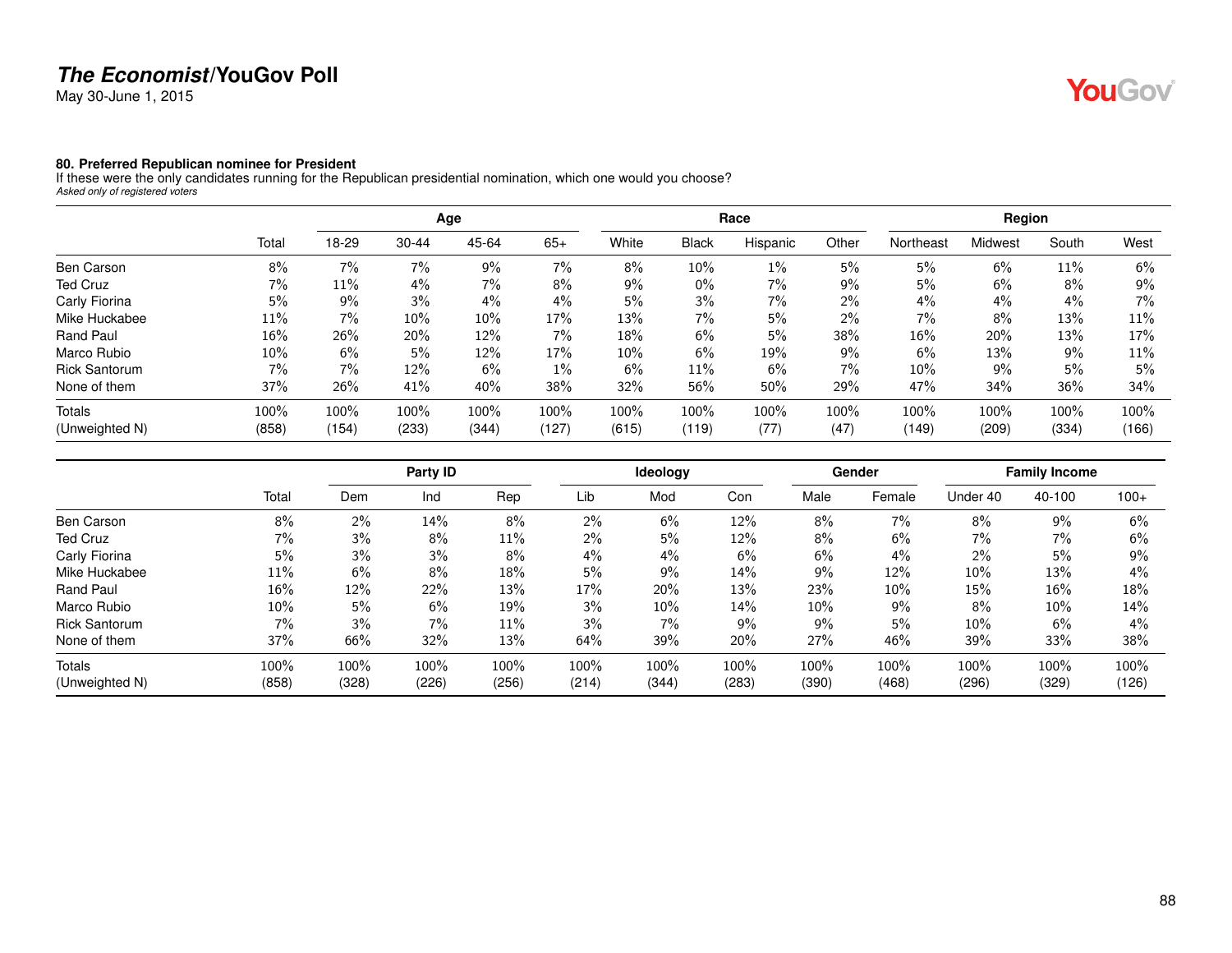May 30-June 1, 2015

# **YouGov**

#### **80. Preferred Republican nominee for President**

If these were the only candidates running for the Republican presidential nomination, which one would you choose? *Asked only of registered voters*

|                      |       |       |           | Age   |       |       |              | Race     |       |           | Region  |       |        |
|----------------------|-------|-------|-----------|-------|-------|-------|--------------|----------|-------|-----------|---------|-------|--------|
|                      | Total | 18-29 | $30 - 44$ | 45-64 | $65+$ | White | <b>Black</b> | Hispanic | Other | Northeast | Midwest | South | West   |
| Ben Carson           | 8%    | 7%    | 7%        | 9%    | $7\%$ | 8%    | 10%          | $1\%$    | 5%    | 5%        | 6%      | 11%   | 6%     |
| Ted Cruz             | $7\%$ | 11%   | 4%        | 7%    | $8\%$ | 9%    | $0\%$        | 7%       | 9%    | 5%        | 6%      | 8%    | $9\%$  |
| Carly Fiorina        | 5%    | $9\%$ | 3%        | 4%    | 4%    | 5%    | 3%           | 7%       | $2\%$ | 4%        | $4\%$   | 4%    | $7\%$  |
| Mike Huckabee        | 11%   | 7%    | $10\%$    | 10%   | 17%   | 13%   | $7\%$        | 5%       | $2\%$ | 7%        | 8%      | 13%   | 11%    |
| Rand Paul            | 16%   | 26%   | 20%       | 12%   | $7\%$ | 18%   | 6%           | 5%       | 38%   | 16%       | 20%     | 13%   | 17%    |
| Marco Rubio          | 10%   | 6%    | 5%        | 12%   | 17%   | 10%   | 6%           | 19%      | 9%    | 6%        | 13%     | 9%    | 11%    |
| <b>Rick Santorum</b> | $7\%$ | 7%    | 12%       | 6%    | $1\%$ | 6%    | 11%          | 6%       | $7\%$ | 10%       | 9%      | 5%    | 5%     |
| None of them         | 37%   | 26%   | 41%       | 40%   | 38%   | 32%   | 56%          | 50%      | 29%   | 47%       | 34%     | 36%   | $34\%$ |
| Totals               | 100%  | 100%  | 100%      | 100%  | 100%  | 100%  | 100%         | 100%     | 100%  | 100%      | 100%    | 100%  | 100%   |
| (Unweighted N)       | (858) | (154) | (233)     | (344) | (127) | (615) | (119)        | (77)     | (47)  | (149)     | (209)   | (334) | (166)  |

|                      |        |       | Party ID |       |       | Ideology |       |       | Gender |          | <b>Family Income</b> |        |
|----------------------|--------|-------|----------|-------|-------|----------|-------|-------|--------|----------|----------------------|--------|
|                      | Total  | Dem   | Ind      | Rep   | Lib   | Mod      | Con   | Male  | Female | Under 40 | 40-100               | $100+$ |
| Ben Carson           | 8%     | 2%    | 14%      | 8%    | 2%    | 6%       | 12%   | 8%    | 7%     | 8%       | $9\%$                | 6%     |
| Ted Cruz             | 7%     | 3%    | 8%       | 11%   | 2%    | 5%       | 12%   | 8%    | 6%     | 7%       | 7%                   | 6%     |
| Carly Fiorina        | 5%     | 3%    | 3%       | 8%    | 4%    | 4%       | 6%    | 6%    | $4\%$  | 2%       | 5%                   | 9%     |
| Mike Huckabee        | 11%    | 6%    | 8%       | 18%   | 5%    | 9%       | 14%   | 9%    | 12%    | 10%      | 13%                  | 4%     |
| Rand Paul            | 16%    | 12%   | 22%      | 13%   | 17%   | 20%      | 13%   | 23%   | 10%    | 15%      | 16%                  | 18%    |
| Marco Rubio          | $10\%$ | 5%    | 6%       | 19%   | 3%    | 10%      | 14%   | 10%   | $9\%$  | 8%       | $10\%$               | 14%    |
| <b>Rick Santorum</b> | 7%     | 3%    | $7\%$    | 11%   | 3%    | 7%       | 9%    | 9%    | 5%     | 10%      | 6%                   | 4%     |
| None of them         | 37%    | 66%   | 32%      | 13%   | 64%   | 39%      | 20%   | 27%   | 46%    | 39%      | 33%                  | 38%    |
| Totals               | 100%   | 100%  | 100%     | 100%  | 100%  | 100%     | 100%  | 100%  | 100%   | 100%     | 100%                 | 100%   |
| (Unweighted N)       | (858)  | (328) | (226)    | (256) | (214) | (344)    | (283) | (390) | (468)  | (296)    | (329)                | (126)  |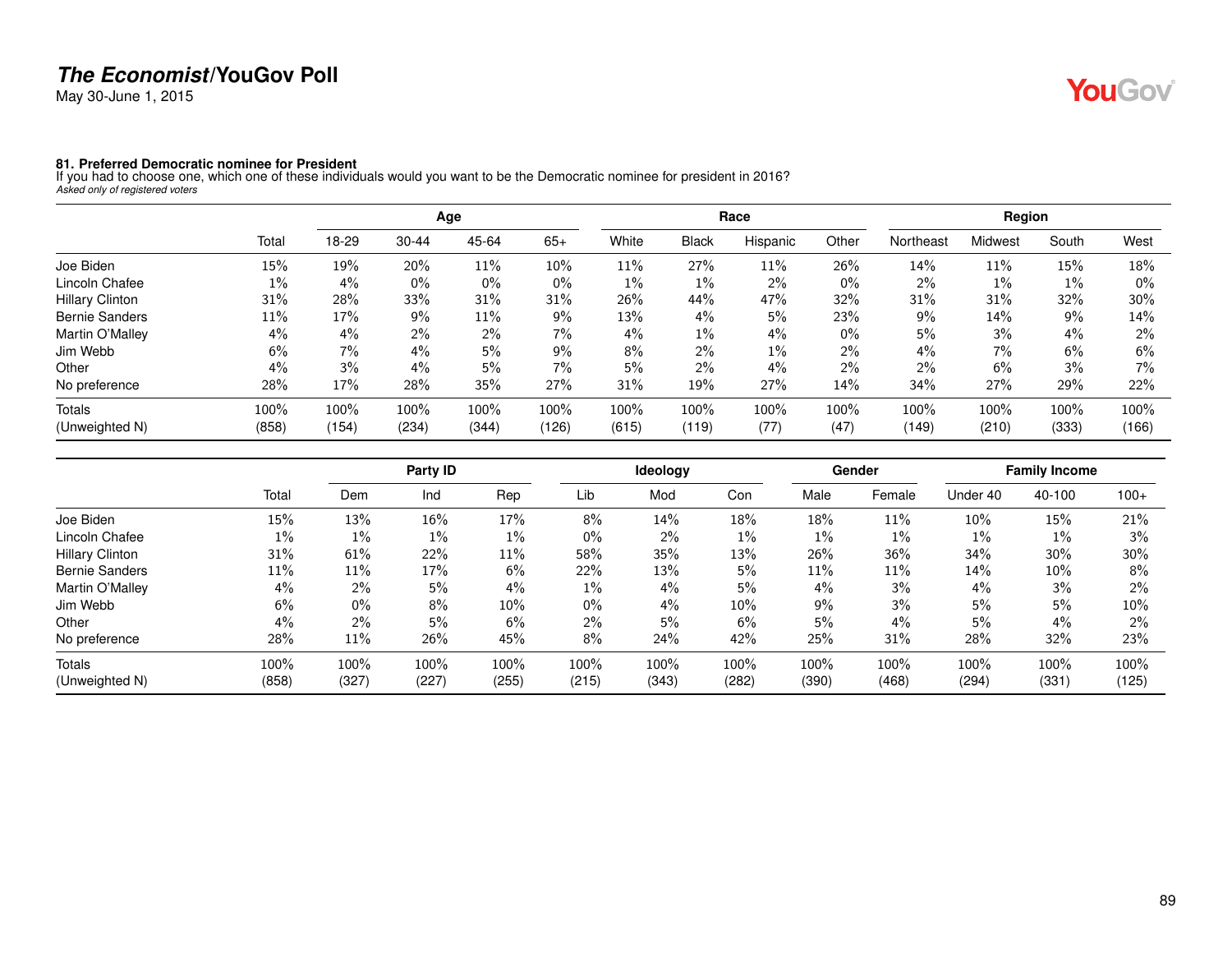May 30-June 1, 2015

# YouGov®

**81. Preferred Democratic nominee for President** If you had to choose one, which one of these individuals would you want to be the Democratic nominee for president in 2016? *Asked only of registered voters*

|                        |       |       |           | Age   |       |       |              | Race     |       |           | Region  |       |        |
|------------------------|-------|-------|-----------|-------|-------|-------|--------------|----------|-------|-----------|---------|-------|--------|
|                        | Total | 18-29 | $30 - 44$ | 45-64 | $65+$ | White | <b>Black</b> | Hispanic | Other | Northeast | Midwest | South | West   |
| Joe Biden              | 15%   | 19%   | 20%       | 11%   | 10%   | 11%   | 27%          | $11\%$   | 26%   | 14%       | 11%     | 15%   | 18%    |
| Lincoln Chafee         | $1\%$ | 4%    | $0\%$     | $0\%$ | $0\%$ | $1\%$ | $1\%$        | 2%       | $0\%$ | 2%        | $1\%$   | $1\%$ | $0\%$  |
| <b>Hillary Clinton</b> | 31%   | 28%   | 33%       | 31%   | 31%   | 26%   | 44%          | 47%      | 32%   | 31%       | 31%     | 32%   | $30\%$ |
| <b>Bernie Sanders</b>  | 11%   | 17%   | 9%        | 11%   | $9\%$ | 13%   | 4%           | 5%       | 23%   | 9%        | 14%     | $9\%$ | 14%    |
| Martin O'Malley        | 4%    | 4%    | $2\%$     | $2\%$ | 7%    | $4\%$ | $1\%$        | 4%       | $0\%$ | 5%        | 3%      | 4%    | $2\%$  |
| Jim Webb               | 6%    | 7%    | 4%        | 5%    | $9\%$ | 8%    | 2%           | $1\%$    | $2\%$ | 4%        | 7%      | 6%    | 6%     |
| Other                  | 4%    | 3%    | $4\%$     | $5\%$ | $7\%$ | 5%    | 2%           | 4%       | $2\%$ | 2%        | 6%      | 3%    | 7%     |
| No preference          | 28%   | 17%   | 28%       | 35%   | 27%   | 31%   | 19%          | 27%      | 14%   | 34%       | 27%     | 29%   | 22%    |
| Totals                 | 100%  | 100%  | 100%      | 100%  | 100%  | 100%  | 100%         | 100%     | 100%  | 100%      | 100%    | 100%  | 100%   |
| (Unweighted N)         | (858) | (154) | (234)     | (344) | (126) | (615) | (119)        | (77)     | (47)  | (149)     | (210)   | (333) | (166)  |

|                        |       |       | Party ID |       |       | Ideology |       |       | Gender |          | <b>Family Income</b> |        |
|------------------------|-------|-------|----------|-------|-------|----------|-------|-------|--------|----------|----------------------|--------|
|                        | Total | Dem   | Ind      | Rep   | Lib   | Mod      | Con   | Male  | Female | Under 40 | 40-100               | $100+$ |
| Joe Biden              | 15%   | 13%   | 16%      | 17%   | 8%    | 14%      | 18%   | 18%   | 11%    | 10%      | 15%                  | 21%    |
| Lincoln Chafee         | $1\%$ | 1%    | $1\%$    | $1\%$ | 0%    | 2%       | $1\%$ | $1\%$ | $1\%$  | 1%       | $1\%$                | 3%     |
| <b>Hillary Clinton</b> | 31%   | 61%   | 22%      | 11%   | 58%   | 35%      | 13%   | 26%   | 36%    | 34%      | 30%                  | 30%    |
| <b>Bernie Sanders</b>  | 11%   | 11%   | 17%      | 6%    | 22%   | 13%      | 5%    | 11%   | 11%    | 14%      | $10\%$               | 8%     |
| Martin O'Malley        | 4%    | $2\%$ | 5%       | $4\%$ | 1%    | 4%       | 5%    | 4%    | 3%     | 4%       | 3%                   | $2\%$  |
| Jim Webb               | 6%    | 0%    | 8%       | 10%   | 0%    | 4%       | 10%   | 9%    | 3%     | 5%       | 5%                   | 10%    |
| Other                  | 4%    | $2\%$ | 5%       | 6%    | 2%    | 5%       | 6%    | 5%    | $4\%$  | 5%       | 4%                   | $2\%$  |
| No preference          | 28%   | 11%   | 26%      | 45%   | 8%    | 24%      | 42%   | 25%   | 31%    | 28%      | 32%                  | 23%    |
| Totals                 | 100%  | 100%  | 100%     | 100%  | 100%  | 100%     | 100%  | 100%  | 100%   | 100%     | 100%                 | 100%   |
| (Unweighted N)         | (858) | (327) | (227)    | (255) | (215) | (343)    | (282) | (390) | (468)  | (294)    | (331)                | (125)  |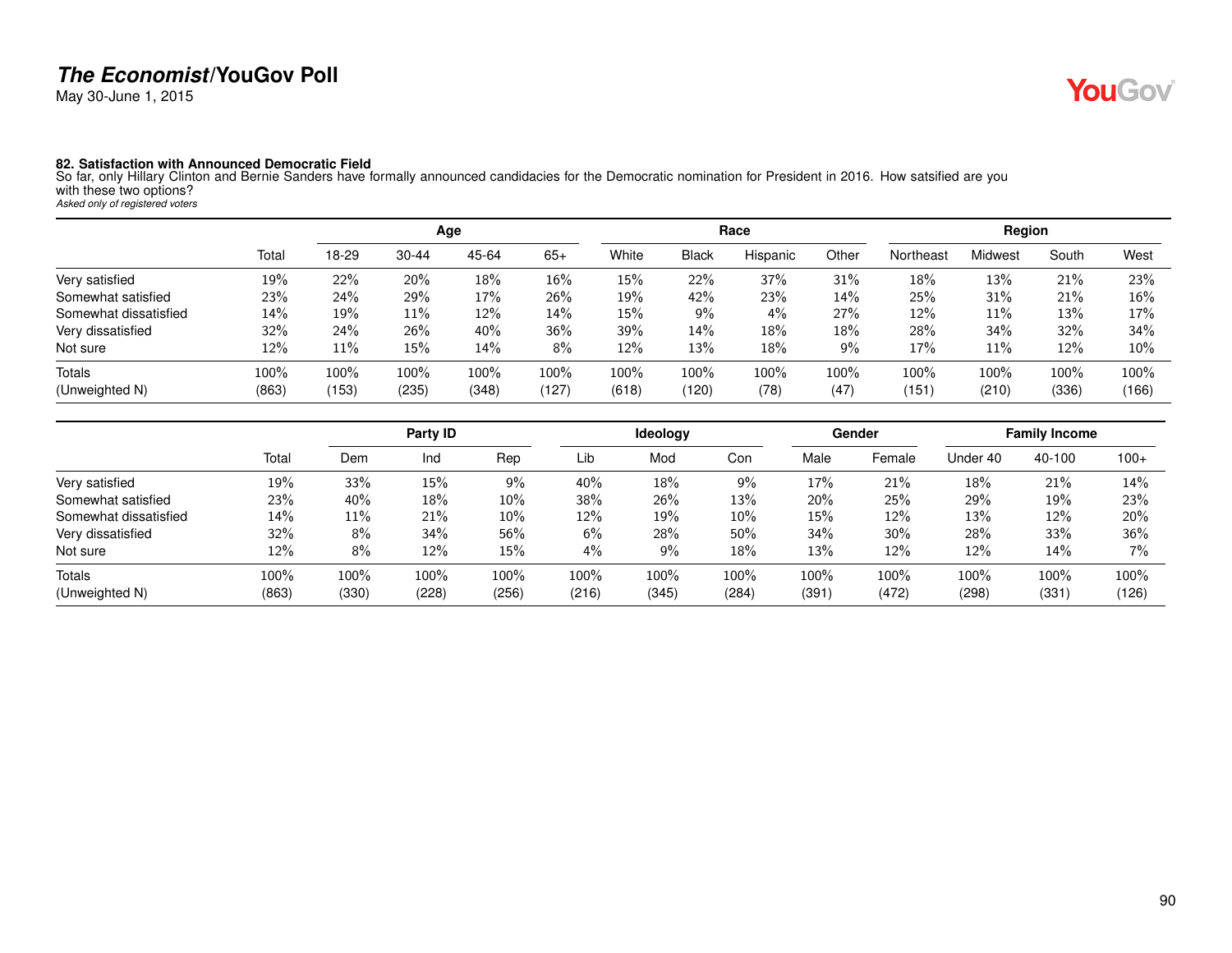May 30-June 1, 2015

**82. Satisfaction with Announced Democratic Field**<br>So far, only Hillary Clinton and Bernie Sanders have formally announced candidacies for the Democratic nomination for President in 2016. How satsified are you with these two options? *Asked only of registered voters*

|                       |       |       |           | Age   |         |       |              | Race     |       |           | Region  |       |       |
|-----------------------|-------|-------|-----------|-------|---------|-------|--------------|----------|-------|-----------|---------|-------|-------|
|                       | Total | 18-29 | $30 - 44$ | 45-64 | $65+$   | White | <b>Black</b> | Hispanic | Other | Northeast | Midwest | South | West  |
| Very satisfied        | 19%   | 22%   | 20%       | 18%   | 16%     | 15%   | 22%          | 37%      | 31%   | 18%       | 13%     | 21%   | 23%   |
| Somewhat satisfied    | 23%   | 24%   | 29%       | 17%   | 26%     | 19%   | 42%          | 23%      | 14%   | 25%       | 31%     | 21%   | 16%   |
| Somewhat dissatisfied | 14%   | 19%   | 11%       | 12%   | 14%     | 15%   | $9\%$        | 4%       | 27%   | 12%       | 11%     | 13%   | 17%   |
| Very dissatisfied     | 32%   | 24%   | 26%       | 40%   | 36%     | 39%   | 14%          | 18%      | 18%   | 28%       | 34%     | 32%   | 34%   |
| Not sure              | 12%   | 11%   | 15%       | 14%   | 8%      | 12%   | 13%          | 18%      | $9\%$ | 17%       | 11%     | 12%   | 10%   |
| <b>Totals</b>         | 100%  | 100%  | 100%      | 100%  | $100\%$ | 100%  | 100%         | 100%     | 100%  | 100%      | 100%    | 100%  | 100%  |
| (Unweighted N)        | (863) | (153) | (235)     | (348) | (127)   | (618) | (120)        | (78)     | (47)  | (151)     | (210)   | (336) | (166) |

|                       |       |       | Party ID |         |       | <b>Ideology</b> |       |       | Gender |          | <b>Family Income</b> |         |
|-----------------------|-------|-------|----------|---------|-------|-----------------|-------|-------|--------|----------|----------------------|---------|
|                       | Total | Dem   | Ind      | Rep     | Lib   | Mod             | Con   | Male  | Female | Under 40 | 40-100               | $100+$  |
| Very satisfied        | 19%   | 33%   | 15%      | $9\%$   | 40%   | 18%             | $9\%$ | 17%   | 21%    | 18%      | 21%                  | 14%     |
| Somewhat satisfied    | 23%   | 40%   | 18%      | 10%     | 38%   | 26%             | 13%   | 20%   | 25%    | 29%      | 19%                  | 23%     |
| Somewhat dissatisfied | 14%   | 11%   | 21%      | 10%     | 12%   | 19%             | 10%   | 15%   | 12%    | 13%      | 12%                  | 20%     |
| Very dissatisfied     | 32%   | 8%    | 34%      | 56%     | 6%    | 28%             | 50%   | 34%   | 30%    | 28%      | 33%                  | 36%     |
| Not sure              | 12%   | 8%    | 12%      | 15%     | 4%    | 9%              | 18%   | 13%   | 12%    | 12%      | 14%                  | $7\%$   |
| Totals                | 100%  | 100%  | 100%     | $100\%$ | 100%  | 100%            | 100%  | 100%  | 100%   | 100%     | 100%                 | $100\%$ |
| (Unweighted N)        | (863) | (330) | (228)    | (256)   | (216) | (345)           | (284) | (391) | (472)  | (298)    | (331)                | (126)   |

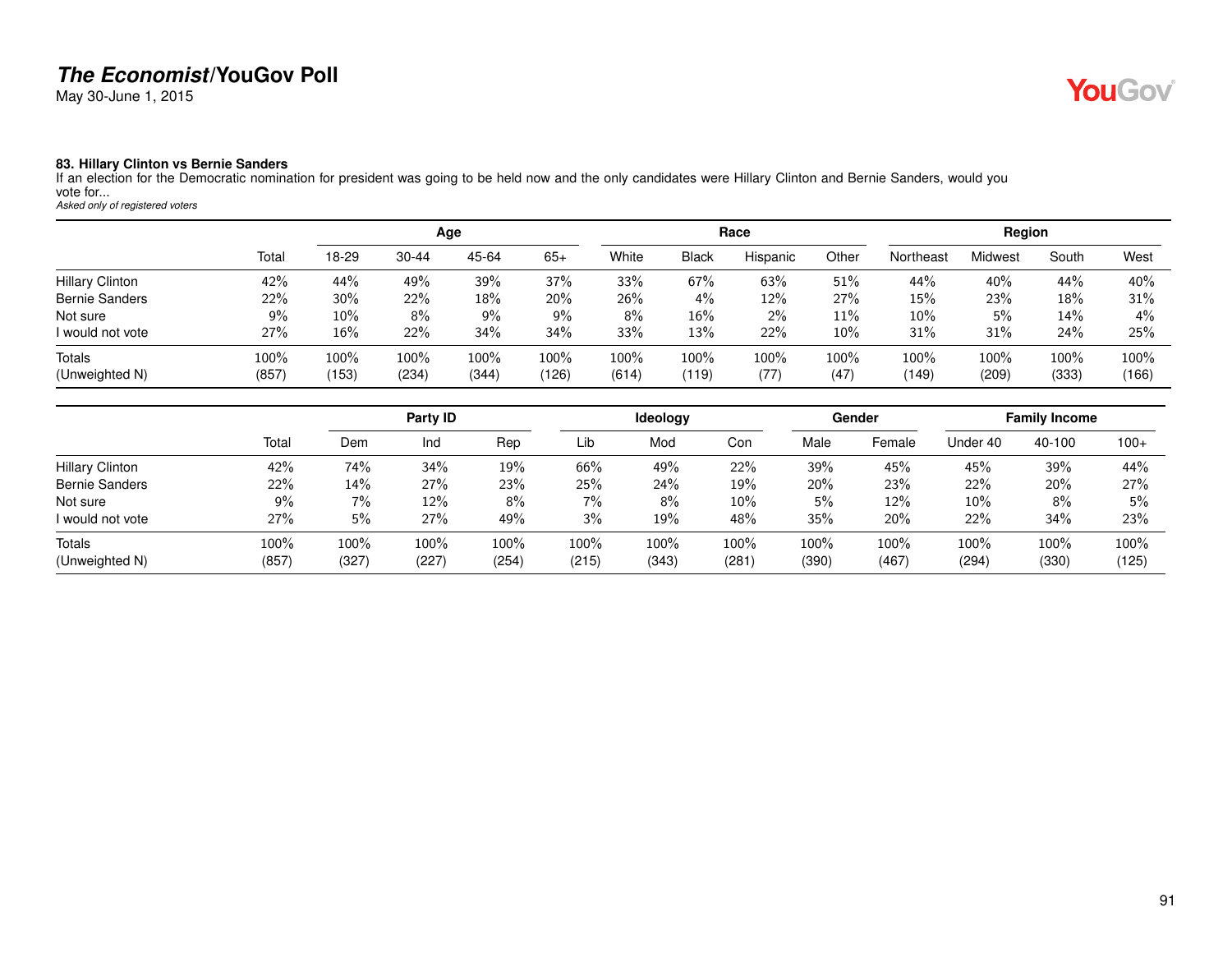May 30-June 1, 2015

# YouGov®

#### **83. Hillary Clinton vs Bernie Sanders**

If an election for the Democratic nomination for president was going to be held now and the only candidates were Hillary Clinton and Bernie Sanders, would you vote for... *Asked only of registered voters*

|                        |         |       |           | Age   |       |       |              | Race     |       |           | Region  |       |       |
|------------------------|---------|-------|-----------|-------|-------|-------|--------------|----------|-------|-----------|---------|-------|-------|
|                        | Total   | 18-29 | $30 - 44$ | 45-64 | $65+$ | White | <b>Black</b> | Hispanic | Other | Northeast | Midwest | South | West  |
| <b>Hillary Clinton</b> | 42%     | 44%   | 49%       | 39%   | 37%   | 33%   | 67%          | 63%      | 51%   | 44%       | 40%     | 44%   | 40%   |
| <b>Bernie Sanders</b>  | 22%     | 30%   | 22%       | 18%   | 20%   | 26%   | $4\%$        | 12%      | 27%   | 15%       | 23%     | 18%   | 31%   |
| Not sure               | 9%      | 10%   | 8%        | 9%    | $9\%$ | $8\%$ | 16%          | 2%       | 11%   | 10%       | 5%      | 14%   | $4\%$ |
| I would not vote       | 27%     | 16%   | 22%       | 34%   | 34%   | 33%   | 13%          | 22%      | 10%   | 31%       | 31%     | 24%   | 25%   |
| Totals                 | $100\%$ | 100%  | 100%      | 100%  | 100%  | 100%  | 100%         | 100%     | 100%  | 100%      | 100%    | 100%  | 100%  |
| (Unweighted N)         | (857)   | (153) | (234)     | (344) | (126) | (614) | (119)        | (77)     | (47)  | (149)     | (209)   | (333) | (166) |

|                        |       |       | Party ID |       |       | <b>Ideology</b> |       |       | Gender |          | <b>Family Income</b> |        |
|------------------------|-------|-------|----------|-------|-------|-----------------|-------|-------|--------|----------|----------------------|--------|
|                        | Total | Dem   | Ind      | Rep   | Lib   | Mod             | Con   | Male  | Female | Under 40 | 40-100               | $100+$ |
| <b>Hillary Clinton</b> | 42%   | 74%   | 34%      | 19%   | 66%   | 49%             | 22%   | 39%   | 45%    | 45%      | 39%                  | 44%    |
| <b>Bernie Sanders</b>  | 22%   | 14%   | 27%      | 23%   | 25%   | 24%             | 19%   | 20%   | 23%    | 22%      | 20%                  | 27%    |
| Not sure               | 9%    | 7%    | 12%      | 8%    | 7%    | 8%              | 10%   | 5%    | 12%    | 10%      | 8%                   | 5%     |
| I would not vote       | 27%   | 5%    | 27%      | 49%   | 3%    | 19%             | 48%   | 35%   | 20%    | 22%      | 34%                  | 23%    |
| Totals                 | 100%  | 100%  | 100%     | 100%  | 100%  | 100%            | 100%  | 100%  | 100%   | 100%     | 100%                 | 100%   |
| (Unweighted N)         | (857) | (327) | (227)    | (254) | (215) | (343)           | (281) | (390) | (467)  | (294)    | (330)                | (125)  |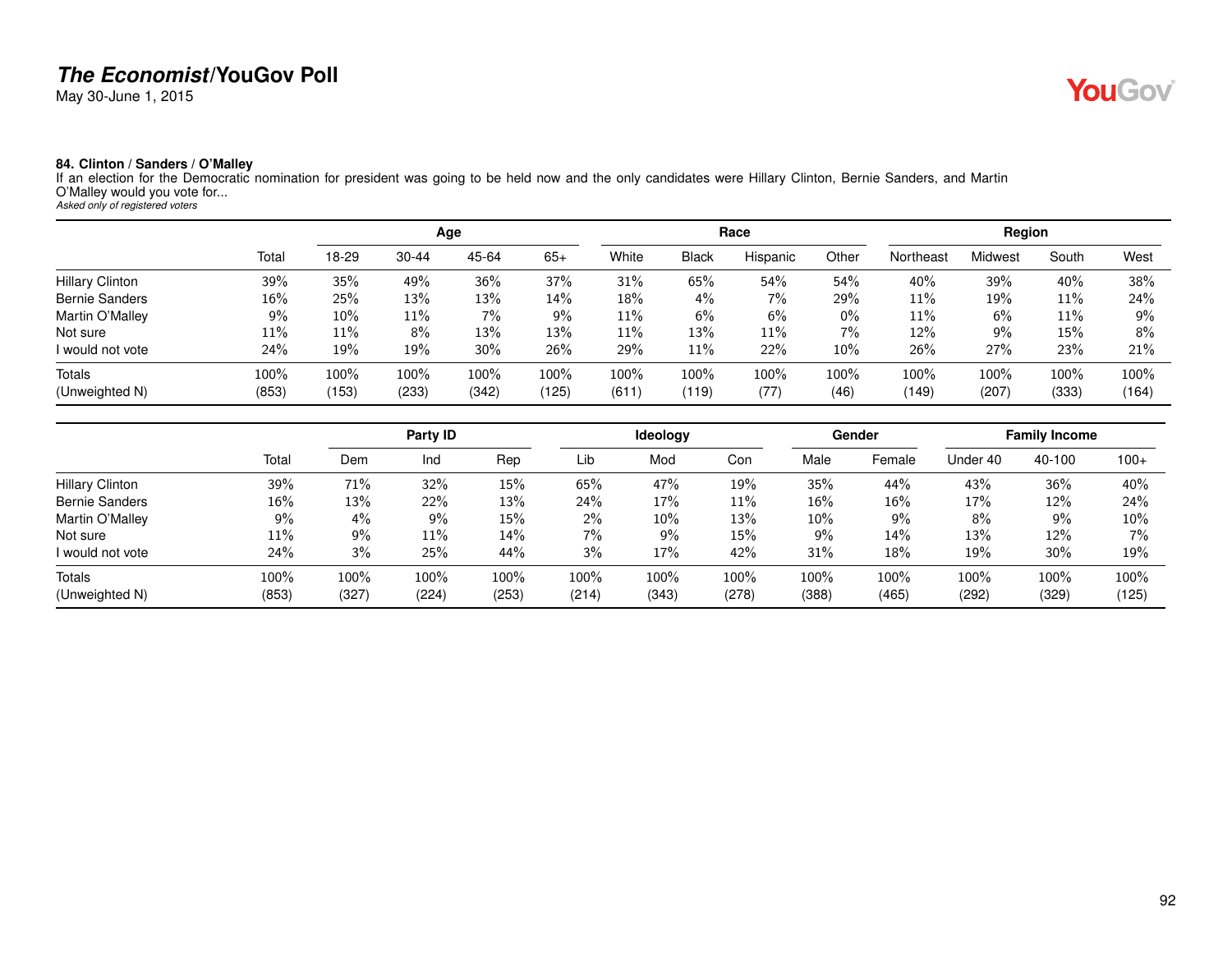May 30-June 1, 2015

# **YouGov**

#### **84. Clinton / Sanders / O'Malley**

If an election for the Democratic nomination for president was going to be held now and the only candidates were Hillary Clinton, Bernie Sanders, and Martin O'Malley would you vote for... *Asked only of registered voters*

|                        |       |       |           | Age   |        |       |              | Race     |       |           | Region  |       |         |
|------------------------|-------|-------|-----------|-------|--------|-------|--------------|----------|-------|-----------|---------|-------|---------|
|                        | Total | 18-29 | $30 - 44$ | 45-64 | $65+$  | White | <b>Black</b> | Hispanic | Other | Northeast | Midwest | South | West    |
| <b>Hillary Clinton</b> | 39%   | 35%   | 49%       | 36%   | 37%    | 31%   | 65%          | 54%      | 54%   | 40%       | 39%     | 40%   | 38%     |
| <b>Bernie Sanders</b>  | 16%   | 25%   | 13%       | 13%   | $14\%$ | 18%   | 4%           | 7%       | 29%   | 11%       | 19%     | 11%   | 24%     |
| Martin O'Malley        | 9%    | 10%   | $11\%$    | 7%    | $9\%$  | 11%   | 6%           | 6%       | $0\%$ | 11%       | 6%      | 11%   | 9%      |
| Not sure               | 11%   | 11%   | 8%        | 13%   | 13%    | 11%   | 13%          | 11%      | 7%    | 12%       | 9%      | 15%   | 8%      |
| I would not vote       | 24%   | 19%   | 19%       | 30%   | 26%    | 29%   | 11%          | 22%      | 10%   | 26%       | 27%     | 23%   | 21%     |
| Totals                 | 100%  | 100%  | 100%      | 100%  | 100%   | 100%  | 100%         | 100%     | 100%  | 100%      | 100%    | 100%  | $100\%$ |
| (Unweighted N)         | (853) | (153) | (233)     | (342) | (125)  | (611) | (119)        | (77)     | (46)  | (149)     | (207)   | (333) | (164)   |

|                        |       |       | Party ID |       |       | <b>Ideology</b> |       |        | <b>Gender</b> |          | <b>Family Income</b> |        |
|------------------------|-------|-------|----------|-------|-------|-----------------|-------|--------|---------------|----------|----------------------|--------|
|                        | Total | Dem   | Ind      | Rep   | Lib   | Mod             | Con   | Male   | Female        | Under 40 | 40-100               | $100+$ |
| <b>Hillary Clinton</b> | 39%   | 71%   | 32%      | 15%   | 65%   | 47%             | 19%   | 35%    | 44%           | 43%      | 36%                  | 40%    |
| <b>Bernie Sanders</b>  | 16%   | 13%   | 22%      | 13%   | 24%   | 17%             | 11%   | 16%    | 16%           | 17%      | 12%                  | 24%    |
| Martin O'Malley        | 9%    | 4%    | 9%       | 15%   | $2\%$ | 10%             | 13%   | $10\%$ | 9%            | 8%       | $9\%$                | $10\%$ |
| Not sure               | 11%   | 9%    | $11\%$   | 14%   | 7%    | 9%              | 15%   | $9\%$  | 14%           | 13%      | 12%                  | 7%     |
| I would not vote       | 24%   | 3%    | 25%      | 44%   | 3%    | 17%             | 42%   | 31%    | 18%           | 19%      | 30%                  | 19%    |
| Totals                 | 100%  | 100%  | 100%     | 100%  | 100%  | 100%            | 100%  | 100%   | 100%          | 100%     | 100%                 | 100%   |
| (Unweighted N)         | (853) | (327) | (224)    | (253) | (214) | (343)           | (278) | (388)  | (465)         | (292)    | (329)                | (125)  |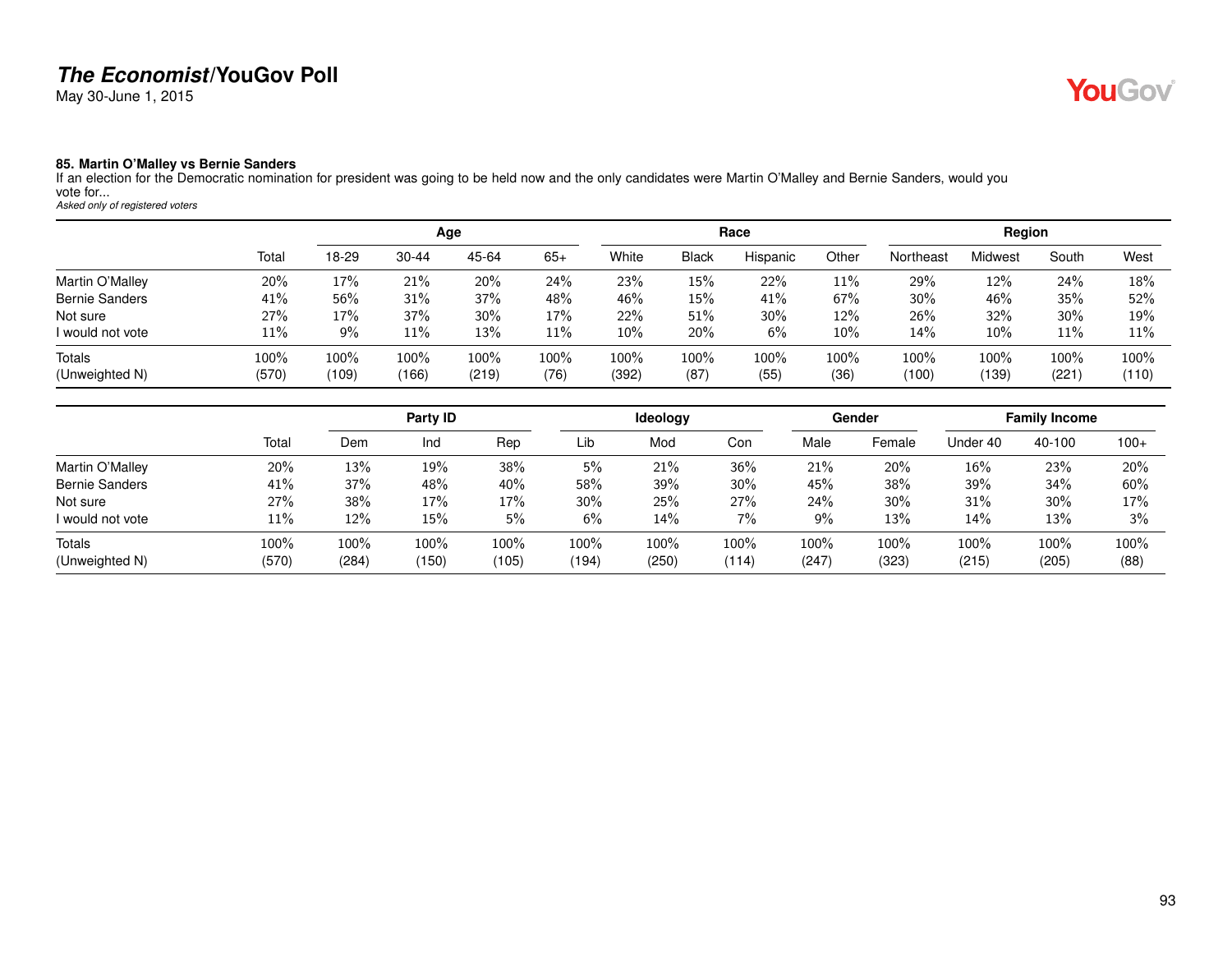May 30-June 1, 2015

#### **85. Martin O'Malley vs Bernie Sanders**

If an election for the Democratic nomination for president was going to be held now and the only candidates were Martin O'Malley and Bernie Sanders, would you vote for... *Asked only of registered voters*

|                       |       |         |           | Age   |       |       |              | Race     |        |           | Region  |        |       |
|-----------------------|-------|---------|-----------|-------|-------|-------|--------------|----------|--------|-----------|---------|--------|-------|
|                       | Total | 18-29   | $30 - 44$ | 45-64 | $65+$ | White | <b>Black</b> | Hispanic | Other  | Northeast | Midwest | South  | West  |
| Martin O'Malley       | 20%   | 17%     | 21%       | 20%   | 24%   | 23%   | 15%          | 22%      | 11%    | 29%       | 12%     | 24%    | 18%   |
| <b>Bernie Sanders</b> | 41%   | 56%     | 31%       | 37%   | 48%   | 46%   | 15%          | 41%      | 67%    | 30%       | 46%     | 35%    | 52%   |
| Not sure              | 27%   | 17%     | 37%       | 30%   | 17%   | 22%   | 51%          | $30\%$   | 12%    | 26%       | 32%     | $30\%$ | 19%   |
| I would not vote      | 11%   | 9%      | 11%       | 13%   | 11%   | 10%   | 20%          | 6%       | $10\%$ | 14%       | 10%     | $11\%$ | 11%   |
| <b>Totals</b>         | 100%  | $100\%$ | 100%      | 100%  | 100%  | 100%  | 100%         | 100%     | 100%   | 100%      | 100%    | 100%   | 100%  |
| (Unweighted N)        | (570) | (109)   | (166)     | (219) | (76)  | (392) | (87)         | (55)     | (36)   | (100)     | (139)   | (221)  | (110) |

|                       |       |       | Party ID |       |       | <b>Ideology</b> |       |       | Gender |          | <b>Family Income</b> |        |
|-----------------------|-------|-------|----------|-------|-------|-----------------|-------|-------|--------|----------|----------------------|--------|
|                       | Total | Dem   | Ind      | Rep   | Lib   | Mod             | Con   | Male  | Female | Under 40 | 40-100               | $100+$ |
| Martin O'Malley       | 20%   | 13%   | 19%      | 38%   | 5%    | 21%             | 36%   | 21%   | 20%    | 16%      | 23%                  | 20%    |
| <b>Bernie Sanders</b> | 41%   | 37%   | 48%      | 40%   | 58%   | 39%             | 30%   | 45%   | 38%    | 39%      | 34%                  | 60%    |
| Not sure              | 27%   | 38%   | 17%      | 17%   | 30%   | 25%             | 27%   | 24%   | 30%    | 31%      | 30%                  | 17%    |
| I would not vote      | 11%   | 12%   | 15%      | 5%    | 6%    | 14%             | 7%    | $9\%$ | 13%    | 14%      | 13%                  | 3%     |
| Totals                | 100%  | 100%  | $100\%$  | 100%  | 100%  | $100\%$         | 100%  | 100%  | 100%   | 100%     | $100\%$              | 100%   |
| (Unweighted N)        | (570) | (284) | (150)    | (105) | (194) | (250)           | (114) | (247) | (323)  | (215)    | (205)                | (88)   |

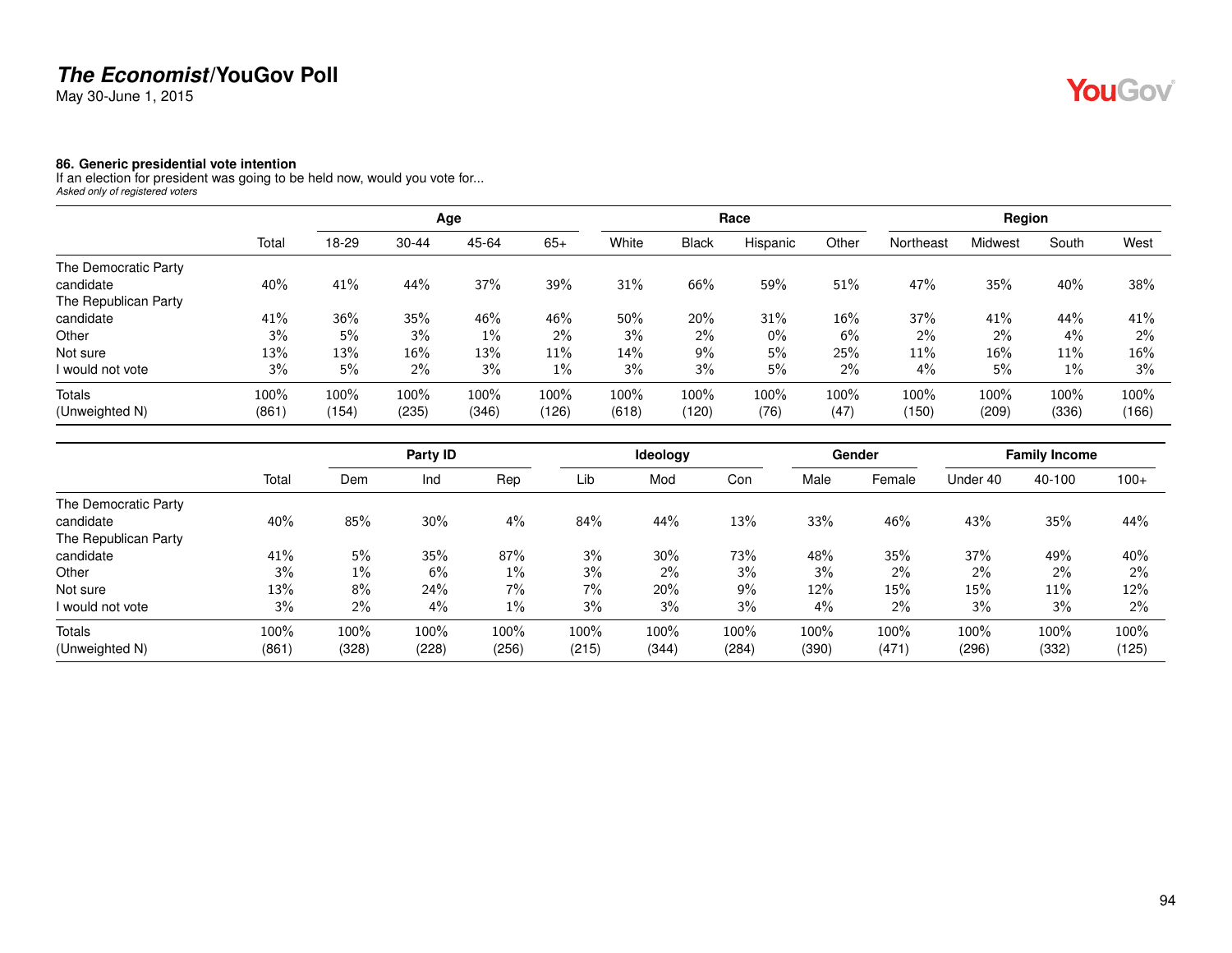May 30-June 1, 2015

#### **86. Generic presidential vote intention**

If an election for president was going to be held now, would you vote for... *Asked only of registered voters*

|                      |       |       |           | Age   |       |       |              | Race     |       |           | Region  |       |       |
|----------------------|-------|-------|-----------|-------|-------|-------|--------------|----------|-------|-----------|---------|-------|-------|
|                      | Total | 18-29 | $30 - 44$ | 45-64 | $65+$ | White | <b>Black</b> | Hispanic | Other | Northeast | Midwest | South | West  |
| The Democratic Party |       |       |           |       |       |       |              |          |       |           |         |       |       |
| candidate            | 40%   | 41%   | 44%       | 37%   | 39%   | 31%   | 66%          | 59%      | 51%   | 47%       | 35%     | 40%   | 38%   |
| The Republican Party |       |       |           |       |       |       |              |          |       |           |         |       |       |
| candidate            | 41%   | 36%   | 35%       | 46%   | 46%   | 50%   | 20%          | 31%      | 16%   | 37%       | 41%     | 44%   | 41%   |
| Other                | 3%    | 5%    | 3%        | $1\%$ | $2\%$ | 3%    | 2%           | $0\%$    | 6%    | 2%        | $2\%$   | 4%    | $2\%$ |
| Not sure             | 13%   | 13%   | 16%       | 13%   | 11%   | 14%   | 9%           | 5%       | 25%   | 11%       | 16%     | 11%   | 16%   |
| I would not vote     | 3%    | 5%    | $2\%$     | 3%    | $1\%$ | 3%    | 3%           | 5%       | 2%    | 4%        | 5%      | $1\%$ | 3%    |
| <b>Totals</b>        | 100%  | 100%  | 100%      | 100%  | 100%  | 100%  | 100%         | 100%     | 100%  | 100%      | 100%    | 100%  | 100%  |
| (Unweighted N)       | (861) | (154) | (235)     | (346) | (126) | (618) | (120)        | (76)     | (47)  | (150)     | (209)   | (336) | (166) |

|                      |       |       | Party ID |       |       | Ideology |       |       | Gender |          | <b>Family Income</b> |        |
|----------------------|-------|-------|----------|-------|-------|----------|-------|-------|--------|----------|----------------------|--------|
|                      | Total | Dem   | Ind      | Rep   | Lib   | Mod      | Con   | Male  | Female | Under 40 | 40-100               | $100+$ |
| The Democratic Party |       |       |          |       |       |          |       |       |        |          |                      |        |
| candidate            | 40%   | 85%   | 30%      | 4%    | 84%   | 44%      | 13%   | 33%   | 46%    | 43%      | 35%                  | 44%    |
| The Republican Party |       |       |          |       |       |          |       |       |        |          |                      |        |
| candidate            | 41%   | 5%    | 35%      | 87%   | 3%    | 30%      | 73%   | 48%   | 35%    | 37%      | 49%                  | 40%    |
| Other                | 3%    | $1\%$ | 6%       | $1\%$ | 3%    | 2%       | 3%    | 3%    | $2\%$  | 2%       | $2\%$                | 2%     |
| Not sure             | 13%   | 8%    | 24%      | $7\%$ | 7%    | 20%      | 9%    | 12%   | 15%    | 15%      | 11%                  | 12%    |
| I would not vote     | 3%    | 2%    | 4%       | $1\%$ | 3%    | 3%       | 3%    | 4%    | $2\%$  | 3%       | 3%                   | $2\%$  |
| Totals               | 100%  | 100%  | 100%     | 100%  | 100%  | 100%     | 100%  | 100%  | 100%   | 100%     | 100%                 | 100%   |
| (Unweighted N)       | (861) | (328) | (228)    | (256) | (215) | (344)    | (284) | (390) | (471)  | (296)    | (332)                | (125)  |

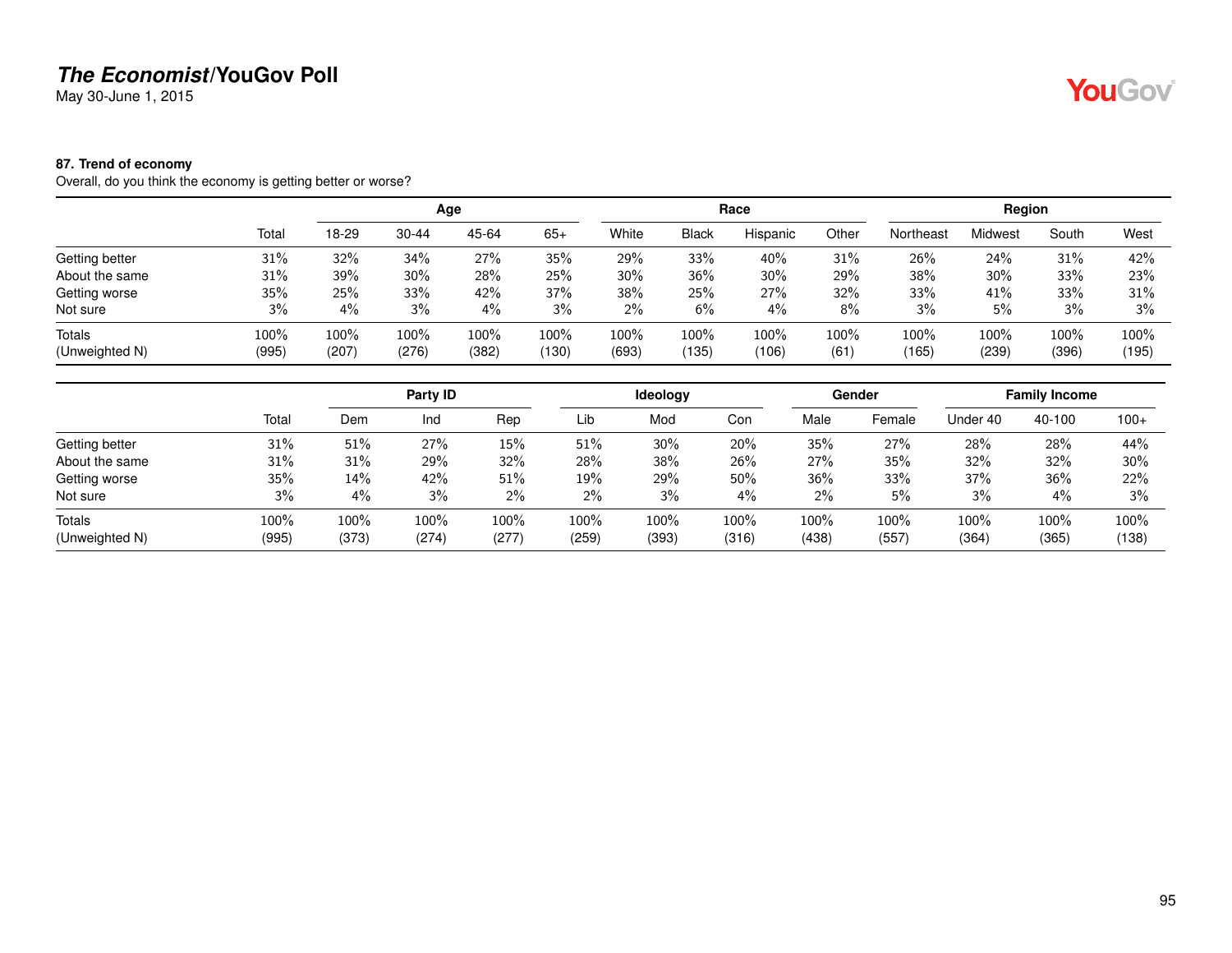May 30-June 1, 2015

#### **87. Trend of economy**

Overall, do you think the economy is getting better or worse?

|                                 |               |                 |               | Age           |                  |               |               | Race          |              |               | Region         |               |               |
|---------------------------------|---------------|-----------------|---------------|---------------|------------------|---------------|---------------|---------------|--------------|---------------|----------------|---------------|---------------|
|                                 | Total         | 18-29           | $30 - 44$     | 45-64         | $65+$            | White         | <b>Black</b>  | Hispanic      | Other        | Northeast     | <b>Midwest</b> | South         | West          |
| Getting better                  | 31%           | 32%             | 34%           | 27%           | 35%              | 29%           | 33%           | 40%           | 31%          | 26%           | 24%            | 31%           | 42%           |
| About the same                  | 31%           | 39%             | 30%           | 28%           | 25%              | 30%           | 36%           | 30%           | 29%          | 38%           | 30%            | 33%           | 23%           |
| Getting worse                   | 35%           | 25%             | 33%           | 42%           | 37%              | 38%           | 25%           | 27%           | 32%          | 33%           | 41%            | 33%           | 31%           |
| Not sure                        | 3%            | 4%              | 3%            | $4\%$         | 3%               | 2%            | 6%            | 4%            | 8%           | 3%            | 5%             | 3%            | 3%            |
| <b>Totals</b><br>(Unweighted N) | 100%<br>(995) | $100\%$<br>(207 | 100%<br>(276) | 100%<br>(382) | $100\%$<br>(130) | 100%<br>(693) | 100%<br>(135) | 100%<br>(106) | 100%<br>(61) | 100%<br>(165) | 100%<br>(239)  | 100%<br>(396) | 100%<br>(195) |

|                |       |       | Party ID |       |       | <b>Ideology</b> |       |       | Gender |          | <b>Family Income</b> |         |
|----------------|-------|-------|----------|-------|-------|-----------------|-------|-------|--------|----------|----------------------|---------|
|                | Total | Dem   | Ind      | Rep   | Lib   | Mod             | Con   | Male  | Female | Under 40 | 40-100               | $100+$  |
| Getting better | 31%   | 51%   | 27%      | 15%   | 51%   | 30%             | 20%   | 35%   | 27%    | 28%      | 28%                  | 44%     |
| About the same | 31%   | 31%   | 29%      | 32%   | 28%   | 38%             | 26%   | 27%   | 35%    | 32%      | 32%                  | 30%     |
| Getting worse  | 35%   | 14%   | 42%      | 51%   | 19%   | 29%             | 50%   | 36%   | 33%    | 37%      | 36%                  | 22%     |
| Not sure       | 3%    | 4%    | 3%       | 2%    | 2%    | 3%              | 4%    | 2%    | 5%     | 3%       | 4%                   | 3%      |
| <b>Totals</b>  | 100%  | 100%  | 100%     | 100%  | 100%  | 100%            | 100%  | 100%  | 100%   | 100%     | 100%                 | $100\%$ |
| (Unweighted N) | (995) | (373) | (274)    | (277) | (259) | (393)           | (316) | (438) | (557)  | (364)    | (365)                | (138)   |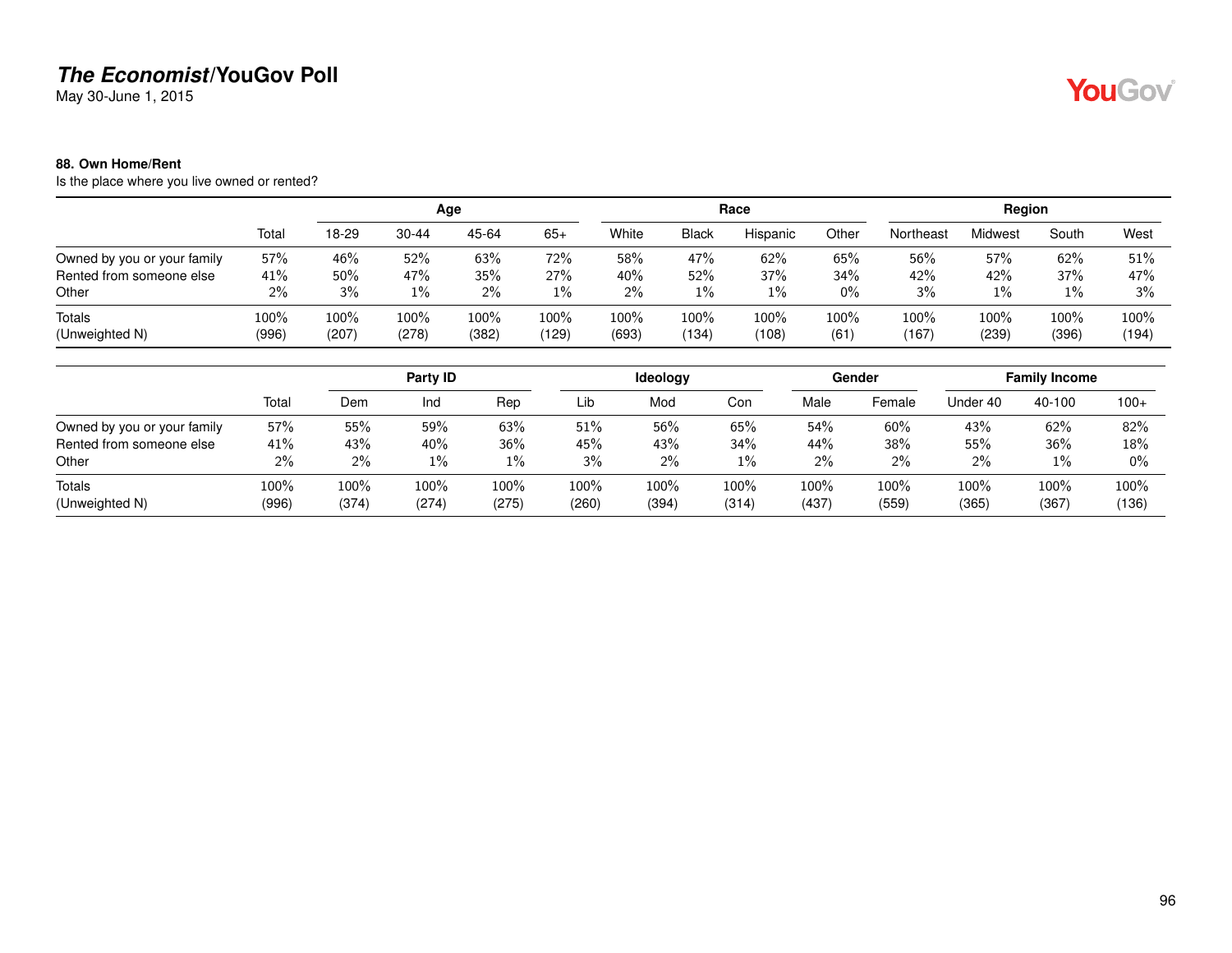May 30-June 1, 2015

#### **88. Own Home/Rent**

Is the place where you live owned or rented?

|                             |               |               |               | Age              |               |               |               | Race          |                 |               | Region        |               |               |
|-----------------------------|---------------|---------------|---------------|------------------|---------------|---------------|---------------|---------------|-----------------|---------------|---------------|---------------|---------------|
|                             | Total         | 18-29         | 30-44         | 45-64            | $65+$         | White         | <b>Black</b>  | Hispanic      | Other           | Northeast     | Midwest       | South         | West          |
| Owned by you or your family | 57%           | 46%           | 52%           | 63%              | 72%           | 58%           | 47%           | 62%           | 65%             | 56%           | 57%           | 62%           | 51%           |
| Rented from someone else    | 41%           | 50%           | 47%           | 35%              | 27%           | 40%           | 52%           | 37%           | 34%             | 42%           | 42%           | 37%           | 47%           |
| Other                       | 2%            | 3%            | $1\%$         | $2\%$            | $1\%$         | $2\%$         | 1%            | 1%            | 0%              | 3%            | 1%            | $1\%$         | 3%            |
| Totals<br>(Unweighted N)    | 100%<br>(996) | 100%<br>(207) | 100%<br>(278) | $100\%$<br>(382) | 100%<br>(129) | 100%<br>(693) | 100%<br>(134) | 100%<br>(108) | $100\%$<br>(61) | 100%<br>(167) | 100%<br>(239) | 100%<br>(396) | 100%<br>(194) |

|                             |       |       | Party ID |       |       | <b>Ideology</b> |       |       | Gender |          | <b>Family Income</b> |        |
|-----------------------------|-------|-------|----------|-------|-------|-----------------|-------|-------|--------|----------|----------------------|--------|
|                             | Total | Dem   | Ind      | Rep   | Lib   | Mod             | Con   | Male  | Female | Under 40 | 40-100               | $100+$ |
| Owned by you or your family | 57%   | 55%   | 59%      | 63%   | 51%   | 56%             | 65%   | 54%   | 60%    | 43%      | 62%                  | 82%    |
| Rented from someone else    | 41%   | 43%   | 40%      | 36%   | 45%   | 43%             | 34%   | 44%   | 38%    | 55%      | 36%                  | 18%    |
| Other                       | $2\%$ | $2\%$ | $1\%$    | $1\%$ | 3%    | $2\%$           | $1\%$ | $2\%$ | 2%     | 2%       | $1\%$                | $0\%$  |
| Totals                      | 100%  | 100%  | 100%     | 100%  | 100%  | 100%            | 100%  | 100%  | 100%   | 100%     | 100%                 | 100%   |
| (Unweighted N)              | (996) | (374) | (274)    | (275) | (260) | (394)           | (314) | (437) | (559)  | (365)    | (367)                | (136)  |

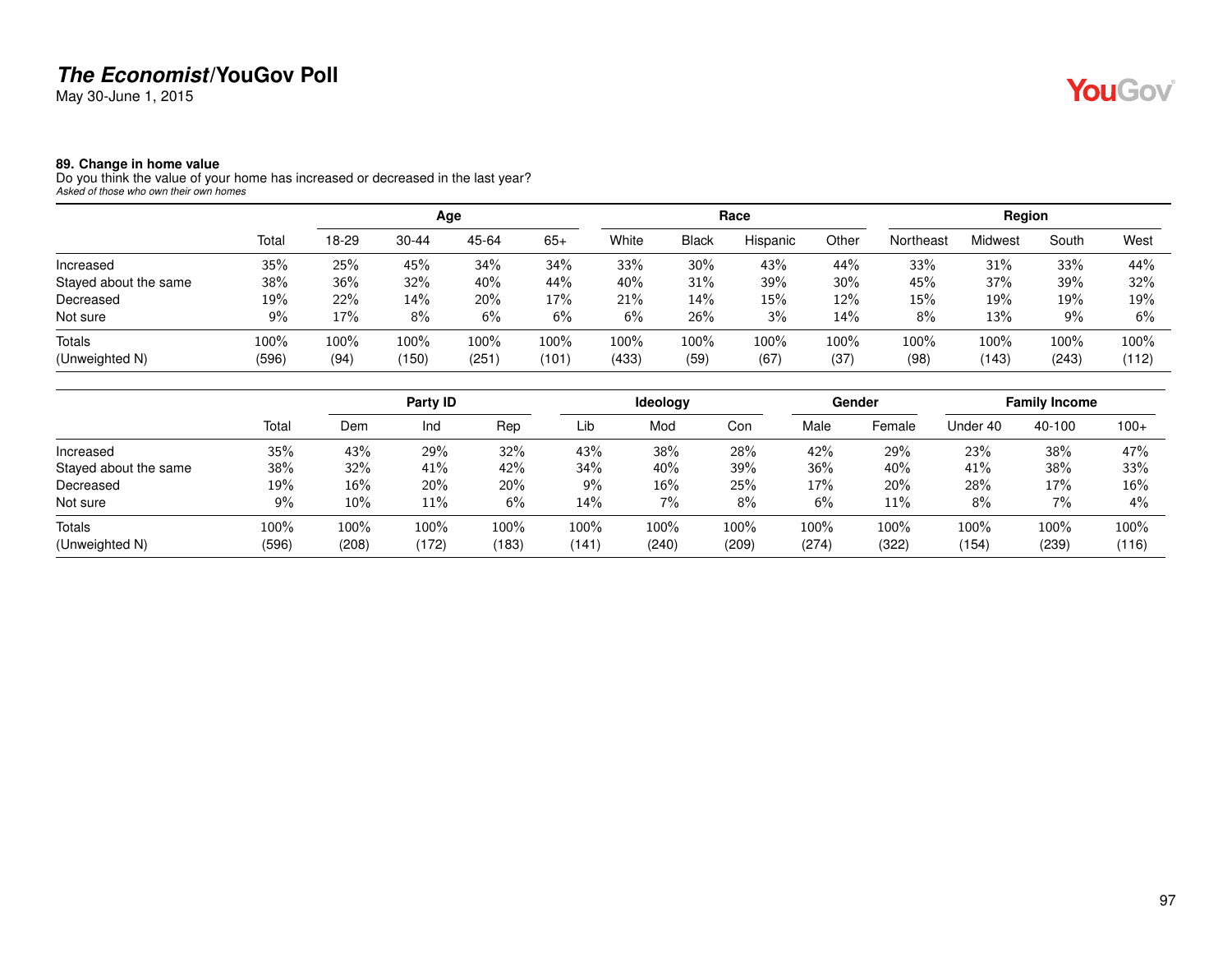May 30-June 1, 2015

# YouGov®

#### **89. Change in home value**

Do you think the value of your home has increased or decreased in the last year? *Asked of those who own their own homes*

|                       |       |       |           | Age   |       |       |              | Race     |        |           | Region  |       |       |
|-----------------------|-------|-------|-----------|-------|-------|-------|--------------|----------|--------|-----------|---------|-------|-------|
|                       | Total | 18-29 | $30 - 44$ | 45-64 | $65+$ | White | <b>Black</b> | Hispanic | Other  | Northeast | Midwest | South | West  |
| Increased             | 35%   | 25%   | 45%       | 34%   | 34%   | 33%   | 30%          | 43%      | 44%    | 33%       | 31%     | 33%   | 44%   |
| Stayed about the same | 38%   | 36%   | 32%       | 40%   | 44%   | 40%   | 31%          | 39%      | $30\%$ | 45%       | 37%     | 39%   | 32%   |
| Decreased             | 19%   | 22%   | 14%       | 20%   | 17%   | 21%   | 14%          | 15%      | 12%    | 15%       | 19%     | 19%   | 19%   |
| Not sure              | 9%    | 17%   | 8%        | 6%    | 6%    | 6%    | 26%          | 3%       | 14%    | 8%        | 13%     | 9%    | 6%    |
| Totals                | 100%  | 100%  | 100%      | 100%  | 100%  | 100%  | 100%         | 100%     | 100%   | 100%      | 100%    | 100%  | 100%  |
| (Unweighted N)        | (596) | (94)  | (150)     | (251) | (101) | (433) | (59)         | (67)     | (37)   | (98)      | (143)   | (243) | (112) |

|                       |       |       | Party ID |       |       | ldeology |       |       | Gender |          | <b>Family Income</b> |        |
|-----------------------|-------|-------|----------|-------|-------|----------|-------|-------|--------|----------|----------------------|--------|
|                       | Total | Dem   | Ind      | Rep   | Lib   | Mod      | Con   | Male  | Female | Under 40 | 40-100               | $100+$ |
| Increased             | 35%   | 43%   | 29%      | 32%   | 43%   | 38%      | 28%   | 42%   | 29%    | 23%      | 38%                  | 47%    |
| Stayed about the same | 38%   | 32%   | 41%      | 42%   | 34%   | 40%      | 39%   | 36%   | 40%    | 41%      | 38%                  | 33%    |
| Decreased             | 19%   | 16%   | 20%      | 20%   | 9%    | $16\%$   | 25%   | 17%   | 20%    | 28%      | 17%                  | 16%    |
| Not sure              | 9%    | 10%   | 11%      | 6%    | 14%   | 7%       | 8%    | 6%    | 11%    | 8%       | 7%                   | $4\%$  |
| <b>Totals</b>         | 100%  | 100%  | 100%     | 100%  | 100%  | 100%     | 100%  | 100%  | 100%   | 100%     | 100%                 | 100%   |
| (Unweighted N)        | (596) | (208) | (172)    | (183) | (141) | (240)    | (209) | (274) | (322)  | (154)    | (239)                | (116)  |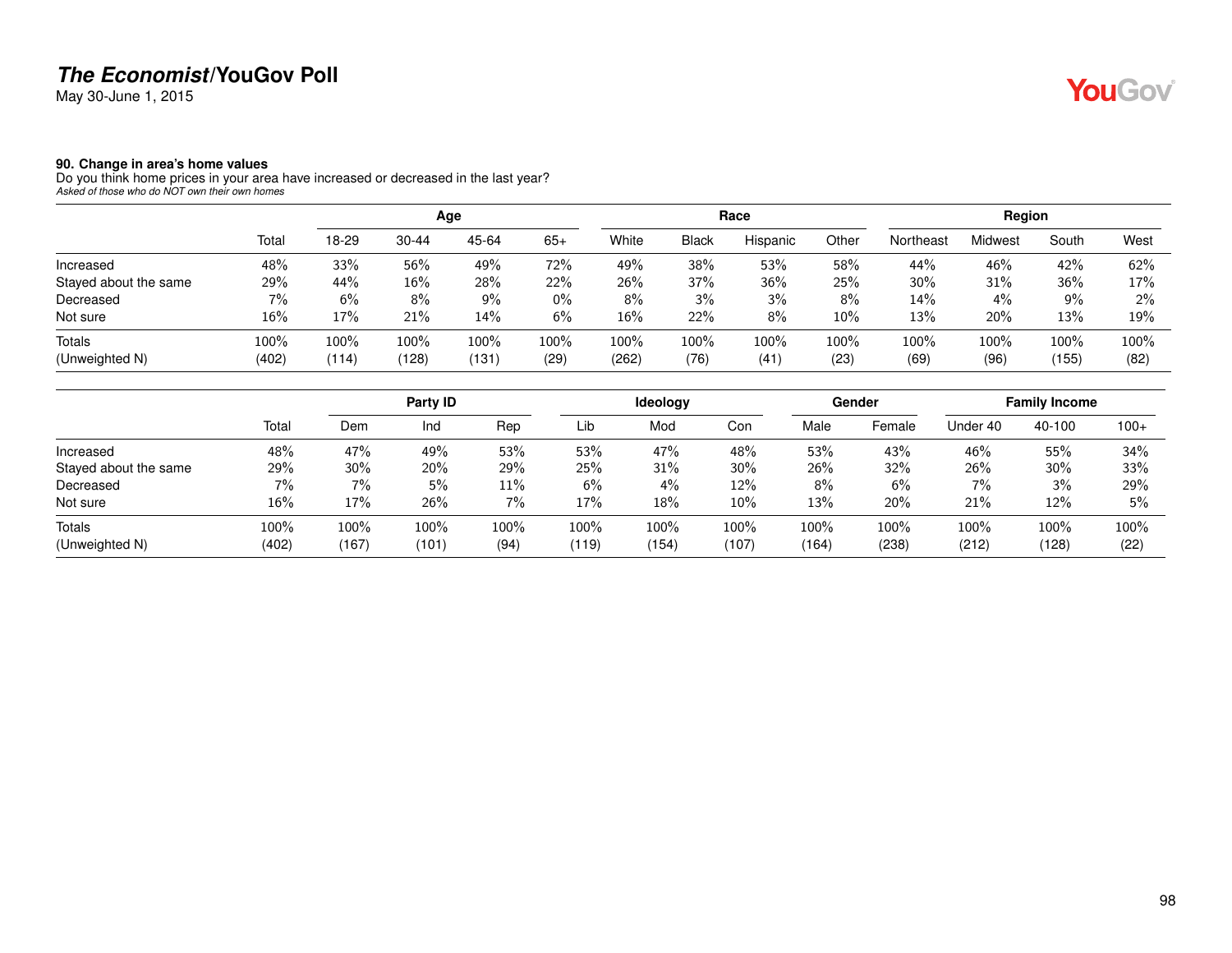May 30-June 1, 2015

#### **90. Change in area's home values**

Do you think home prices in your area have increased or decreased in the last year? *Asked of those who do NOT own their own homes*

|                       |       |       |       | Age   |         |       |              | Race     |       |           | Region  |       |      |
|-----------------------|-------|-------|-------|-------|---------|-------|--------------|----------|-------|-----------|---------|-------|------|
|                       | Total | 18-29 | 30-44 | 45-64 | $65+$   | White | <b>Black</b> | Hispanic | Other | Northeast | Midwest | South | West |
| Increased             | 48%   | 33%   | 56%   | 49%   | 72%     | 49%   | 38%          | 53%      | 58%   | 44%       | 46%     | 42%   | 62%  |
| Stayed about the same | 29%   | 44%   | 16%   | 28%   | 22%     | 26%   | 37%          | 36%      | 25%   | 30%       | 31%     | 36%   | 17%  |
| Decreased             | 7%    | 6%    | 8%    | 9%    | $0\%$   | $8\%$ | 3%           | 3%       | 8%    | 14%       | 4%      | 9%    | 2%   |
| Not sure              | 16%   | 17%   | 21%   | 14%   | 6%      | 16%   | 22%          | 8%       | 10%   | 13%       | 20%     | 13%   | 19%  |
| <b>Totals</b>         | 100%  | 100%  | 100%  | 100%  | $100\%$ | 100%  | 100%         | 100%     | 100%  | 100%      | 100%    | 100%  | 100% |
| (Unweighted N)        | (402) | (114) | (128) | (131) | (29)    | (262) | (76)         | (41)     | (23)  | (69)      | (96)    | (155) | (82) |

|                       |       |       | Party ID |       |       | Ideology |       |       | Gender |          | <b>Family Income</b> |         |
|-----------------------|-------|-------|----------|-------|-------|----------|-------|-------|--------|----------|----------------------|---------|
|                       | Total | Dem   | Ind      | Rep   | Lib   | Mod      | Con   | Male  | Female | Under 40 | 40-100               | $100+$  |
| Increased             | 48%   | 47%   | 49%      | 53%   | 53%   | 47%      | 48%   | 53%   | 43%    | 46%      | 55%                  | 34%     |
| Stayed about the same | 29%   | 30%   | 20%      | 29%   | 25%   | 31%      | 30%   | 26%   | 32%    | 26%      | 30%                  | 33%     |
| Decreased             | 7%    | 7%    | 5%       | 11%   | 6%    | 4%       | 12%   | 8%    | 6%     | $7\%$    | 3%                   | 29%     |
| Not sure              | 16%   | 17%   | 26%      | $7\%$ | 17%   | 18%      | 10%   | 13%   | 20%    | 21%      | 12%                  | 5%      |
| Totals                | 100%  | 100%  | $100\%$  | 100%  | 100%  | 100%     | 100%  | 100%  | 100%   | 100%     | 100%                 | $100\%$ |
| (Unweighted N)        | (402) | (167) | (101)    | (94)  | (119) | (154)    | (107) | (164) | (238)  | (212)    | (128)                | (22)    |

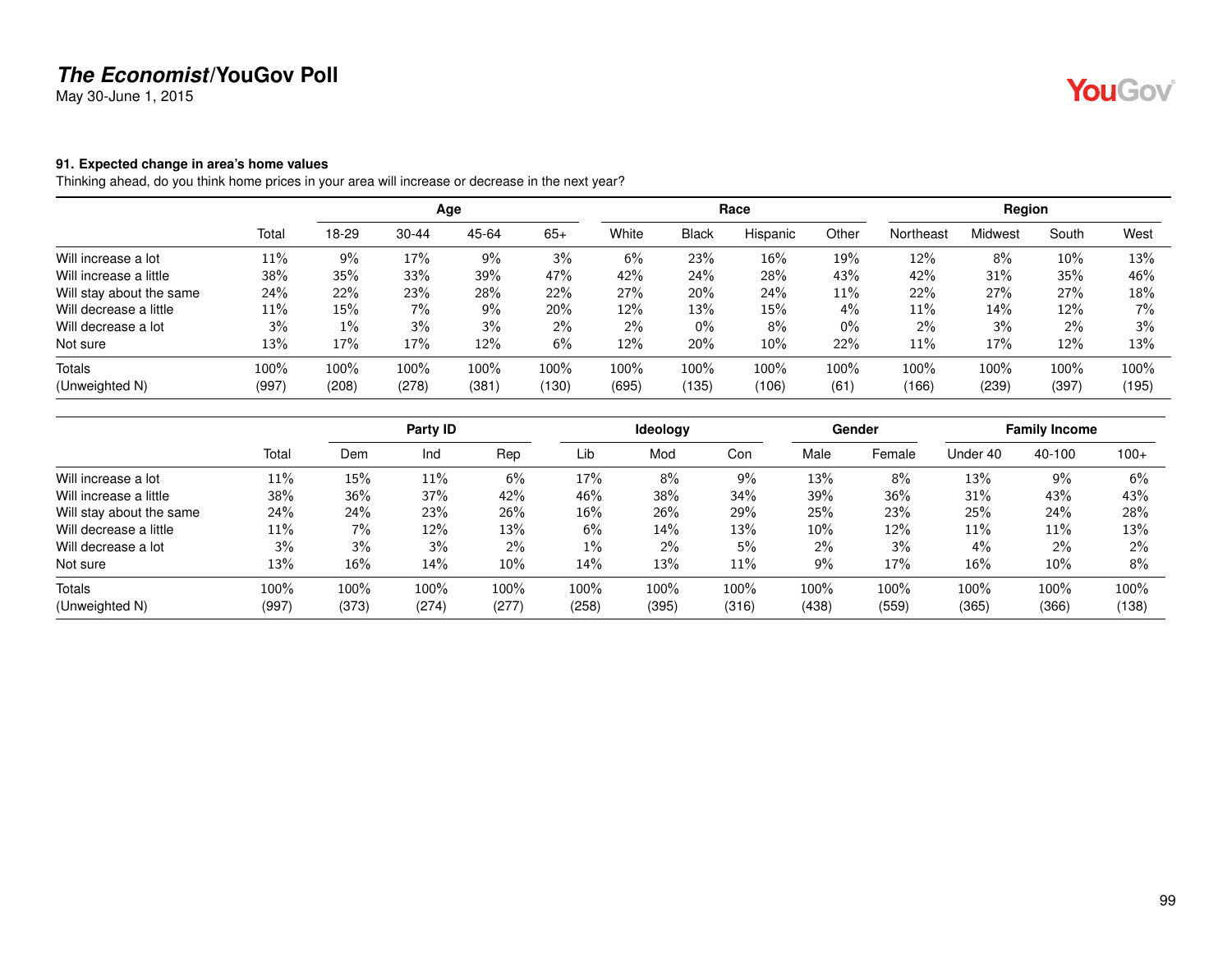May 30-June 1, 2015

#### **91. Expected change in area's home values**

Thinking ahead, do you think home prices in your area will increase or decrease in the next year?

|                          |       |       |       | Age   |       |       |              | Race     |       |           | Region  |       |       |
|--------------------------|-------|-------|-------|-------|-------|-------|--------------|----------|-------|-----------|---------|-------|-------|
|                          | Total | 18-29 | 30-44 | 45-64 | $65+$ | White | <b>Black</b> | Hispanic | Other | Northeast | Midwest | South | West  |
| Will increase a lot      | 11%   | $9\%$ | 17%   | 9%    | 3%    | 6%    | 23%          | 16%      | 19%   | 12%       | 8%      | 10%   | 13%   |
| Will increase a little   | 38%   | 35%   | 33%   | 39%   | 47%   | 42%   | 24%          | 28%      | 43%   | 42%       | 31%     | 35%   | 46%   |
| Will stay about the same | 24%   | 22%   | 23%   | 28%   | 22%   | 27%   | 20%          | 24%      | 11%   | 22%       | 27%     | 27%   | 18%   |
| Will decrease a little   | 11%   | 15%   | 7%    | 9%    | 20%   | 12%   | 13%          | 15%      | 4%    | 11%       | 14%     | 12%   | $7\%$ |
| Will decrease a lot      | 3%    | $1\%$ | 3%    | 3%    | $2\%$ | $2\%$ | $0\%$        | 8%       | 0%    | $2\%$     | 3%      | $2\%$ | 3%    |
| Not sure                 | 13%   | 17%   | 17%   | 12%   | 6%    | 12%   | 20%          | 10%      | 22%   | 11%       | 17%     | 12%   | 13%   |
| <b>Totals</b>            | 100%  | 100%  | 100%  | 100%  | 100%  | 100%  | 100%         | 100%     | 100%  | 100%      | 100%    | 100%  | 100%  |
| (Unweighted N)           | (997) | (208) | (278) | (381) | (130) | (695) | (135)        | (106)    | (61)  | (166)     | (239)   | (397) | (195) |

|                          |       |       | Party ID |       |       | Ideology |       |       | Gender |          | <b>Family Income</b> |        |
|--------------------------|-------|-------|----------|-------|-------|----------|-------|-------|--------|----------|----------------------|--------|
|                          | Total | Dem   | Ind      | Rep   | Lib   | Mod      | Con   | Male  | Female | Under 40 | 40-100               | $100+$ |
| Will increase a lot      | 11%   | 15%   | 11%      | 6%    | 17%   | 8%       | 9%    | 13%   | 8%     | 13%      | 9%                   | 6%     |
| Will increase a little   | 38%   | 36%   | 37%      | 42%   | 46%   | 38%      | 34%   | 39%   | 36%    | 31%      | 43%                  | 43%    |
| Will stay about the same | 24%   | 24%   | 23%      | 26%   | 16%   | 26%      | 29%   | 25%   | 23%    | 25%      | 24%                  | 28%    |
| Will decrease a little   | 11%   | 7%    | 12%      | 13%   | 6%    | 14%      | 13%   | 10%   | 12%    | 11%      | 11%                  | 13%    |
| Will decrease a lot      | 3%    | 3%    | 3%       | $2\%$ | $1\%$ | $2\%$    | 5%    | $2\%$ | 3%     | $4\%$    | $2\%$                | $2\%$  |
| Not sure                 | 13%   | 16%   | 14%      | 10%   | 14%   | 13%      | 11%   | 9%    | 17%    | 16%      | 10%                  | 8%     |
| Totals                   | 100%  | 100%  | 100%     | 100%  | 100%  | 100%     | 100%  | 100%  | 100%   | 100%     | 100%                 | 100%   |
| (Unweighted N)           | (997) | (373) | (274)    | (277) | (258) | (395)    | (316) | (438) | (559)  | (365)    | (366)                | (138)  |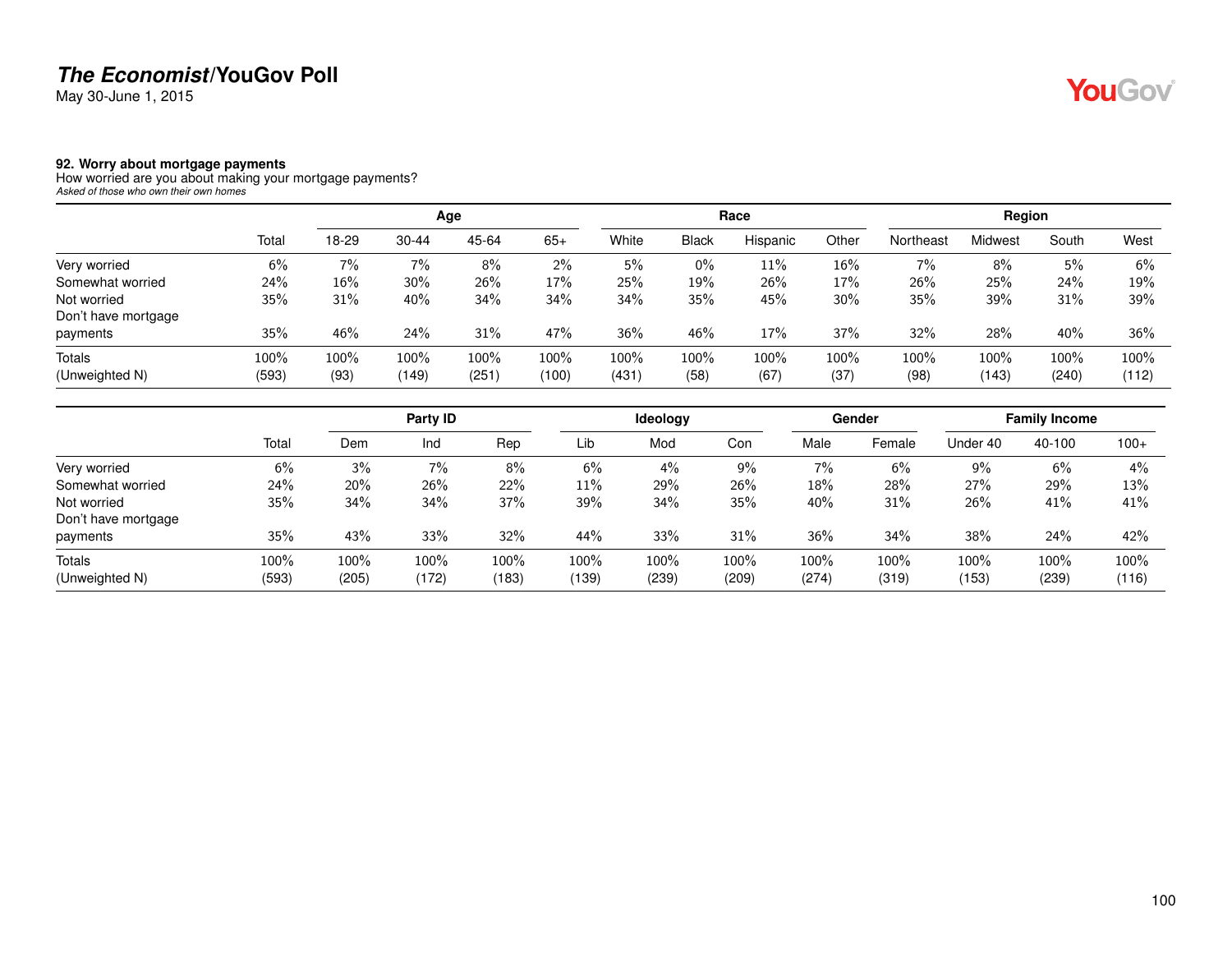May 30-June 1, 2015

#### **92. Worry about mortgage payments**

How worried are you about making your mortgage payments? *Asked of those who own their own homes*

|                     |       |       |           | Age   |       |       |              | Race     |       |           | Region  |       |       |
|---------------------|-------|-------|-----------|-------|-------|-------|--------------|----------|-------|-----------|---------|-------|-------|
|                     | Total | 18-29 | $30 - 44$ | 45-64 | $65+$ | White | <b>Black</b> | Hispanic | Other | Northeast | Midwest | South | West  |
| Very worried        | 6%    | 7%    | 7%        | 8%    | 2%    | 5%    | $0\%$        | 11%      | 16%   | 7%        | 8%      | 5%    | 6%    |
| Somewhat worried    | 24%   | 16%   | 30%       | 26%   | 17%   | 25%   | 19%          | 26%      | 17%   | 26%       | 25%     | 24%   | 19%   |
| Not worried         | 35%   | 31%   | 40%       | 34%   | 34%   | 34%   | 35%          | 45%      | 30%   | 35%       | 39%     | 31%   | 39%   |
| Don't have mortgage |       |       |           |       |       |       |              |          |       |           |         |       |       |
| payments            | 35%   | 46%   | 24%       | 31%   | 47%   | 36%   | 46%          | 17%      | 37%   | 32%       | 28%     | 40%   | 36%   |
| <b>Totals</b>       | 100%  | 100%  | 100%      | 100%  | 100%  | 100%  | 100%         | 100%     | 100%  | 100%      | 100%    | 100%  | 100%  |
| (Unweighted N)      | (593) | (93)  | (149)     | (251) | (100) | (431) | (58)         | (67)     | (37)  | (98)      | (143)   | (240) | (112) |

|                     |       |       | Party ID |       |       | Ideology |       |       | Gender |          | <b>Family Income</b> |        |
|---------------------|-------|-------|----------|-------|-------|----------|-------|-------|--------|----------|----------------------|--------|
|                     | Total | Dem   | Ind      | Rep   | Lib   | Mod      | Con   | Male  | Female | Under 40 | 40-100               | $100+$ |
| Very worried        | 6%    | 3%    | 7%       | 8%    | 6%    | 4%       | $9\%$ | 7%    | 6%     | 9%       | 6%                   | $4\%$  |
| Somewhat worried    | 24%   | 20%   | 26%      | 22%   | 11%   | 29%      | 26%   | 18%   | 28%    | 27%      | 29%                  | 13%    |
| Not worried         | 35%   | 34%   | 34%      | 37%   | 39%   | 34%      | 35%   | 40%   | 31%    | 26%      | 41%                  | 41%    |
| Don't have mortgage |       |       |          |       |       |          |       |       |        |          |                      |        |
| payments            | 35%   | 43%   | 33%      | 32%   | 44%   | 33%      | 31%   | 36%   | 34%    | 38%      | 24%                  | 42%    |
| Totals              | 100%  | 100%  | 100%     | 100%  | 100%  | 100%     | 100%  | 100%  | 100%   | 100%     | 100%                 | 100%   |
| (Unweighted N)      | (593) | (205) | (172)    | (183) | (139) | (239)    | (209) | (274) | (319)  | (153)    | (239)                | (116)  |

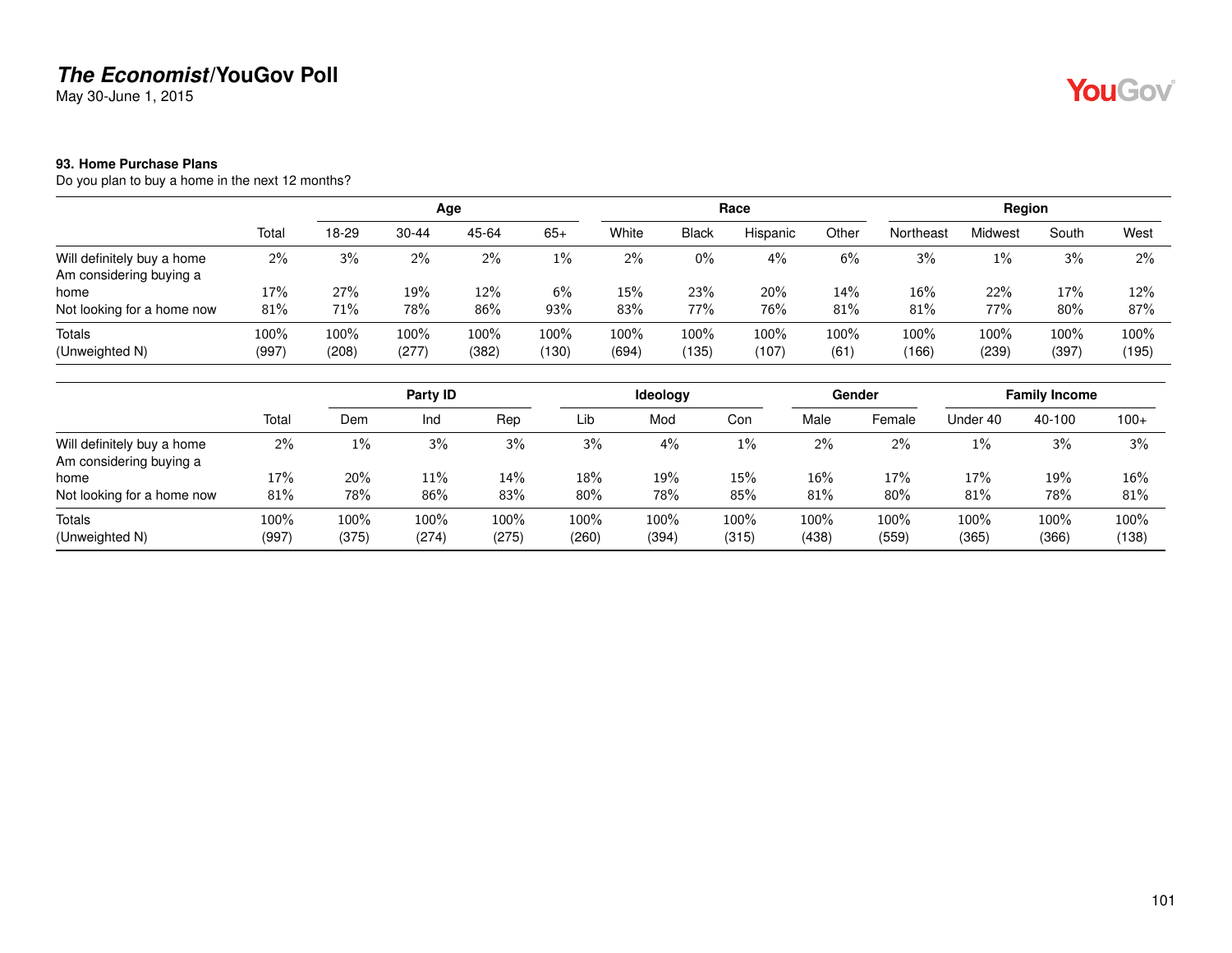May 30-June 1, 2015

### **93. Home Purchase Plans**

Do you plan to buy a home in the next 12 months?

|                                                       |               | Age           |               |               |               |               |               | Race          |              |               | Region        |               |               |
|-------------------------------------------------------|---------------|---------------|---------------|---------------|---------------|---------------|---------------|---------------|--------------|---------------|---------------|---------------|---------------|
|                                                       | Total         | 18-29         | $30 - 44$     | 45-64         | $65+$         | White         | <b>Black</b>  | Hispanic      | Other        | Northeast     | Midwest       | South         | West          |
| Will definitely buy a home<br>Am considering buying a | $2\%$         | 3%            | 2%            | 2%            | $1\%$         | 2%            | 0%            | 4%            | 6%           | 3%            | $1\%$         | 3%            | 2%            |
| home<br>Not looking for a home now                    | 17%<br>81%    | 27%<br>71%    | 19%<br>78%    | $12\%$<br>86% | 6%<br>93%     | 15%<br>83%    | 23%<br>77%    | 20%<br>76%    | 14%<br>81%   | 16%<br>81%    | 22%<br>77%    | 17%<br>80%    | 12%<br>87%    |
| Totals<br>(Unweighted N)                              | 100%<br>(997) | 100%<br>(208) | 100%<br>(277) | 100%<br>(382) | 100%<br>(130) | 100%<br>(694) | 100%<br>(135) | 100%<br>(107) | 100%<br>(61) | 100%<br>(166) | 100%<br>(239) | 100%<br>(397) | 100%<br>(195) |

|                                                       |               |               | Party ID      |               |               | <b>Ideology</b> |               |               | Gender        |               | <b>Family Income</b> |               |
|-------------------------------------------------------|---------------|---------------|---------------|---------------|---------------|-----------------|---------------|---------------|---------------|---------------|----------------------|---------------|
|                                                       | Total         | Dem           | Ind           | Rep           | Lib           | Mod             | Con           | Male          | Female        | Under 40      | 40-100               | $100+$        |
| Will definitely buy a home<br>Am considering buying a | 2%            | $1\%$         | 3%            | 3%            | 3%            | 4%              | $1\%$         | $2\%$         | $2\%$         | $1\%$         | 3%                   | 3%            |
| home                                                  | 17%           | 20%           | 11%           | 14%           | 18%           | 19%             | 15%           | 16%           | 17%           | 17%           | 19%                  | 16%           |
| Not looking for a home now                            | 81%           | 78%           | 86%           | 83%           | 80%           | 78%             | 85%           | 81%           | 80%           | 81%           | 78%                  | 81%           |
| Totals<br>(Unweighted N)                              | 100%<br>(997) | 100%<br>(375) | 100%<br>(274) | 100%<br>(275) | 100%<br>(260) | 100%<br>(394)   | 100%<br>(315) | 100%<br>(438) | 100%<br>(559) | 100%<br>(365) | 100%<br>(366)        | 100%<br>(138) |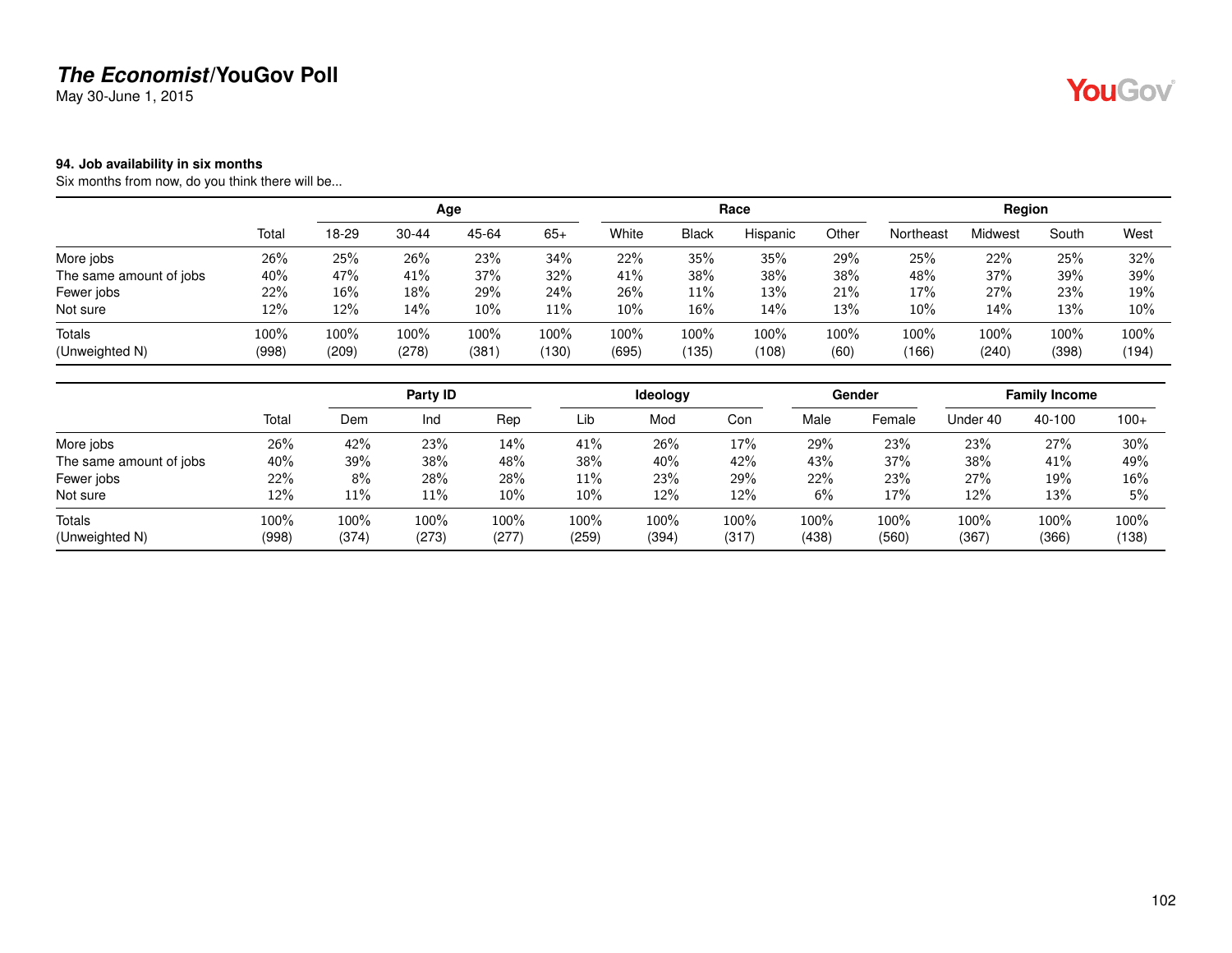May 30-June 1, 2015

#### **94. Job availability in six months**

Six months from now, do you think there will be...

|                         |       |         |           | Age     |       |       |              | Race     |       |           | Region  |       |        |
|-------------------------|-------|---------|-----------|---------|-------|-------|--------------|----------|-------|-----------|---------|-------|--------|
|                         | Total | 18-29   | $30 - 44$ | 45-64   | $65+$ | White | <b>Black</b> | Hispanic | Other | Northeast | Midwest | South | West   |
| More jobs               | 26%   | 25%     | 26%       | 23%     | 34%   | 22%   | 35%          | 35%      | 29%   | 25%       | 22%     | 25%   | 32%    |
| The same amount of jobs | 40%   | 47%     | 41%       | 37%     | 32%   | 41%   | 38%          | 38%      | 38%   | 48%       | 37%     | 39%   | 39%    |
| Fewer jobs              | 22%   | 16%     | 18%       | 29%     | 24%   | 26%   | 11%          | 13%      | 21%   | 17%       | 27%     | 23%   | 19%    |
| Not sure                | 12%   | 12%     | 14%       | $10\%$  | 11%   | 10%   | $16\%$       | 14%      | 13%   | 10%       | 14%     | 13%   | $10\%$ |
| Totals                  | 100%  | $100\%$ | 100%      | $100\%$ | 100%  | 100%  | 100%         | 100%     | 100%  | 100%      | 100%    | 100%  | 100%   |
| (Unweighted N)          | (998) | (209)   | (278)     | (381)   | (130) | (695) | (135)        | (108)    | (60)  | (166)     | (240)   | (398) | (194)  |

|                         |       |       | Party ID |       |        | <b>Ideology</b> |       |       | Gender |          | <b>Family Income</b> |        |
|-------------------------|-------|-------|----------|-------|--------|-----------------|-------|-------|--------|----------|----------------------|--------|
|                         | Total | Dem   | Ind      | Rep   | Lib    | Mod             | Con   | Male  | Female | Under 40 | 40-100               | $100+$ |
| More jobs               | 26%   | 42%   | 23%      | 14%   | 41%    | 26%             | 17%   | 29%   | 23%    | 23%      | 27%                  | 30%    |
| The same amount of jobs | 40%   | 39%   | 38%      | 48%   | 38%    | 40%             | 42%   | 43%   | 37%    | 38%      | 41%                  | 49%    |
| Fewer jobs              | 22%   | 8%    | 28%      | 28%   | $11\%$ | 23%             | 29%   | 22%   | 23%    | 27%      | 19%                  | 16%    |
| Not sure                | 12%   | 11%   | 11%      | 10%   | 10%    | 12%             | 12%   | 6%    | 17%    | 12%      | 13%                  | 5%     |
| Totals                  | 100%  | 100%  | 100%     | 100%  | 100%   | 100%            | 100%  | 100%  | 100%   | 100%     | 100%                 | 100%   |
| (Unweighted N)          | (998) | (374) | (273)    | (277) | (259)  | (394)           | (317) | (438) | (560)  | (367)    | (366)                | (138)  |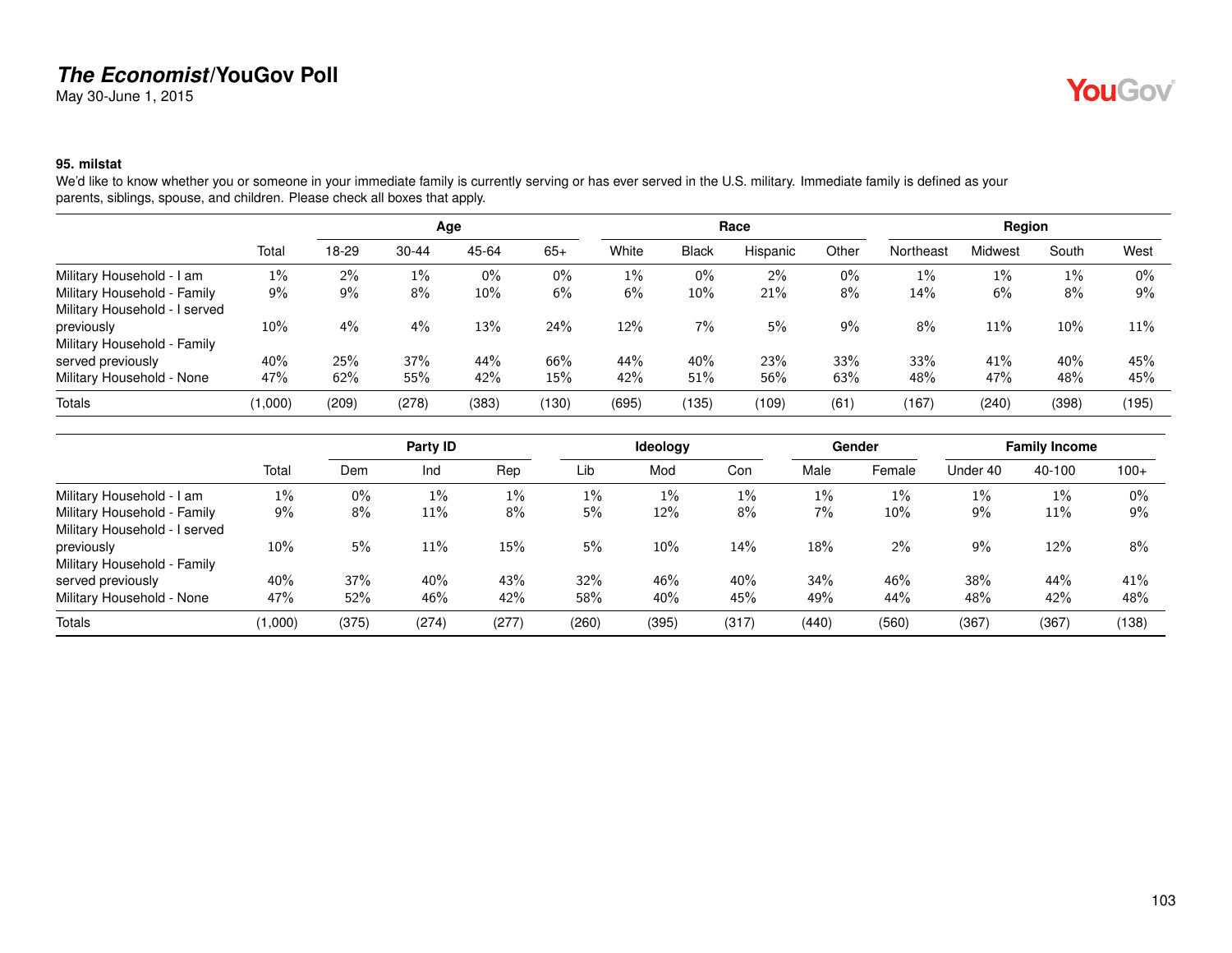May 30-June 1, 2015

# **YouGov**

#### **95. milstat**

We'd like to know whether you or someone in your immediate family is currently serving or has ever served in the U.S. military. Immediate family is defined as your parents, siblings, spouse, and children. Please check all boxes that apply.

|                               |         |       |           | Age    |       |       |              | Race     |       |           | Region  |       |        |
|-------------------------------|---------|-------|-----------|--------|-------|-------|--------------|----------|-------|-----------|---------|-------|--------|
|                               | Total   | 18-29 | $30 - 44$ | 45-64  | $65+$ | White | <b>Black</b> | Hispanic | Other | Northeast | Midwest | South | West   |
| Military Household - I am     | $1\%$   | $2\%$ | $1\%$     | $0\%$  | $0\%$ | $1\%$ | 0%           | 2%       | $0\%$ | $1\%$     | 1%      | $1\%$ | $0\%$  |
| Military Household - Family   | 9%      | 9%    | 8%        | $10\%$ | 6%    | 6%    | 10%          | 21%      | 8%    | 14%       | 6%      | 8%    | 9%     |
| Military Household - I served |         |       |           |        |       |       |              |          |       |           |         |       |        |
| previously                    | 10%     | 4%    | 4%        | 13%    | 24%   | 12%   | 7%           | 5%       | 9%    | 8%        | 11%     | 10%   | $11\%$ |
| Military Household - Family   |         |       |           |        |       |       |              |          |       |           |         |       |        |
| served previously             | 40%     | 25%   | 37%       | 44%    | 66%   | 44%   | 40%          | 23%      | 33%   | 33%       | 41%     | 40%   | 45%    |
| Military Household - None     | 47%     | 62%   | 55%       | 42%    | 15%   | 42%   | 51%          | 56%      | 63%   | 48%       | 47%     | 48%   | 45%    |
| Totals                        | (1,000) | (209) | (278)     | (383)  | (130) | (695) | (135)        | (109)    | (61)  | (167)     | (240)   | (398) | (195)  |

|                               |         |       | Party ID |       |       | Ideology |       |        | Gender |          | <b>Family Income</b> |        |
|-------------------------------|---------|-------|----------|-------|-------|----------|-------|--------|--------|----------|----------------------|--------|
|                               | Total   | Dem   | Ind      | Rep   | Lib   | Mod      | Con   | Male   | Female | Under 40 | 40-100               | $100+$ |
| Military Household - I am     | $1\%$   | 0%    | 1%       | $1\%$ | 1%    | $1\%$    | $1\%$ | $1\%$  | 1%     | 1%       | $1\%$                | $0\%$  |
| Military Household - Family   | $9\%$   | 8%    | 11%      | $8\%$ | 5%    | 12%      | 8%    | 7%     | 10%    | 9%       | 11%                  | 9%     |
| Military Household - I served |         |       |          |       |       |          |       |        |        |          |                      |        |
| previously                    | 10%     | 5%    | 11%      | 15%   | 5%    | $10\%$   | 14%   | 18%    | $2\%$  | 9%       | 12%                  | 8%     |
| Military Household - Family   |         |       |          |       |       |          |       |        |        |          |                      |        |
| served previously             | 40%     | 37%   | 40%      | 43%   | 32%   | 46%      | 40%   | $34\%$ | 46%    | 38%      | 44%                  | 41%    |
| Military Household - None     | 47%     | 52%   | 46%      | 42%   | 58%   | 40%      | 45%   | 49%    | 44%    | 48%      | 42%                  | 48%    |
| Totals                        | (1,000) | (375) | (274)    | (277) | (260) | (395)    | (317) | (440)  | (560)  | (367)    | (367)                | (138)  |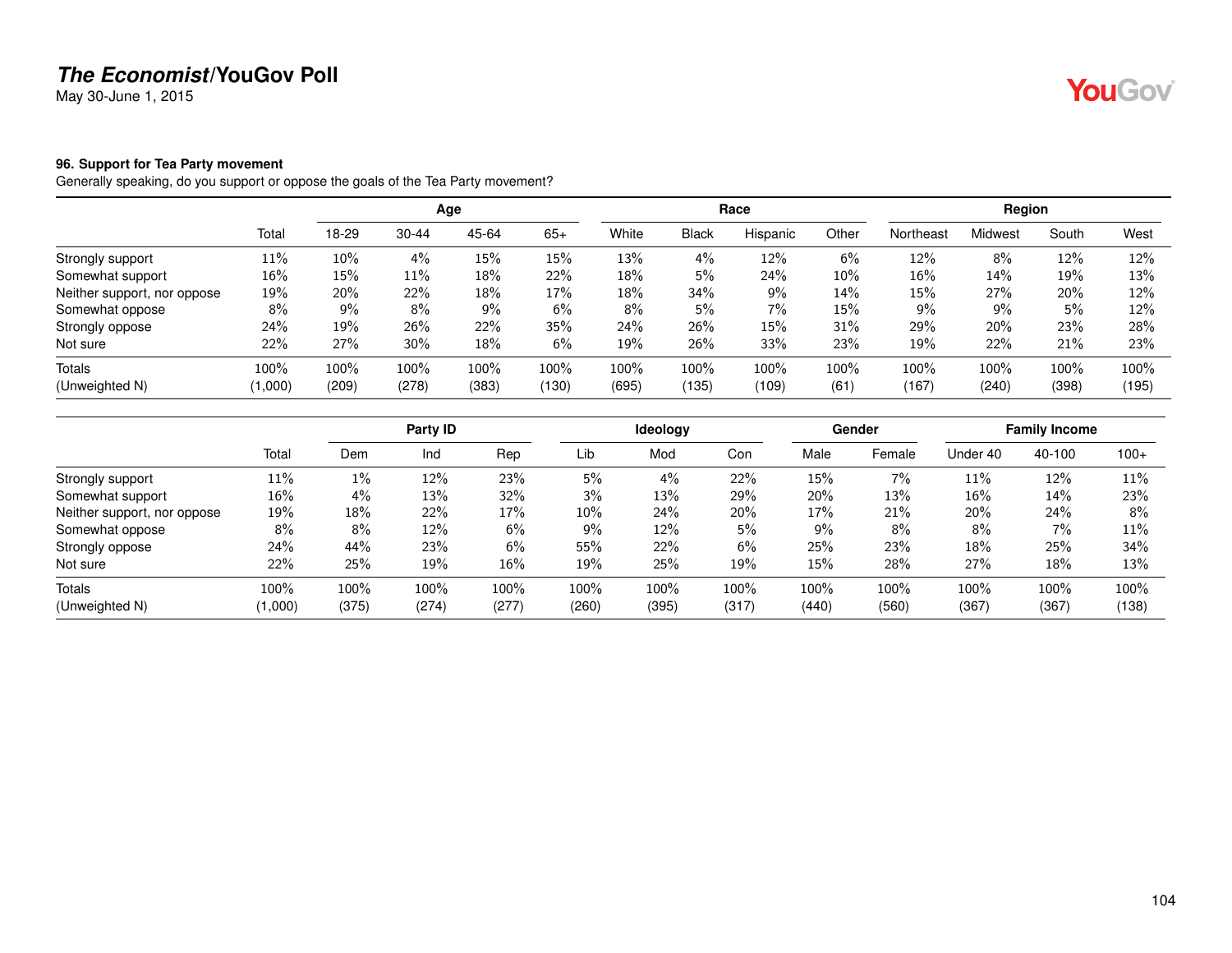May 30-June 1, 2015

#### **96. Support for Tea Party movement**

Generally speaking, do you support or oppose the goals of the Tea Party movement?

|                             |         |       |           | Age   |       |       |              | Race     |       | Region    |         |       |       |
|-----------------------------|---------|-------|-----------|-------|-------|-------|--------------|----------|-------|-----------|---------|-------|-------|
|                             | Total   | 18-29 | $30 - 44$ | 45-64 | $65+$ | White | <b>Black</b> | Hispanic | Other | Northeast | Midwest | South | West  |
| Strongly support            | 11%     | 10%   | 4%        | 15%   | 15%   | 13%   | 4%           | 12%      | 6%    | 12%       | 8%      | 12%   | 12%   |
| Somewhat support            | 16%     | 15%   | 11%       | 18%   | 22%   | 18%   | 5%           | 24%      | 10%   | 16%       | 14%     | 19%   | 13%   |
| Neither support, nor oppose | 19%     | 20%   | 22%       | 18%   | 17%   | 18%   | 34%          | 9%       | 14%   | 15%       | 27%     | 20%   | 12%   |
| Somewhat oppose             | 8%      | 9%    | $8\%$     | 9%    | 6%    | 8%    | 5%           | 7%       | 15%   | $9\%$     | 9%      | 5%    | 12%   |
| Strongly oppose             | 24%     | 19%   | 26%       | 22%   | 35%   | 24%   | 26%          | 15%      | 31%   | 29%       | 20%     | 23%   | 28%   |
| Not sure                    | 22%     | 27%   | 30%       | 18%   | 6%    | 19%   | 26%          | 33%      | 23%   | 19%       | 22%     | 21%   | 23%   |
| Totals                      | 100%    | 100%  | 100%      | 100%  | 100%  | 100%  | 100%         | 100%     | 100%  | 100%      | 100%    | 100%  | 100%  |
| (Unweighted N)              | (1,000) | (209) | (278)     | (383) | (130) | (695) | (135)        | (109)    | (61)  | (167)     | (240)   | (398) | (195) |

|                             |         |       | Party ID |       |        | <b>Ideology</b> |       |       | Gender |          | <b>Family Income</b> |        |
|-----------------------------|---------|-------|----------|-------|--------|-----------------|-------|-------|--------|----------|----------------------|--------|
|                             | Total   | Dem   | Ind      | Rep   | Lib    | Mod             | Con   | Male  | Female | Under 40 | 40-100               | $100+$ |
| Strongly support            | 11%     | 1%    | 12%      | 23%   | 5%     | 4%              | 22%   | 15%   | 7%     | 11%      | 12%                  | 11%    |
| Somewhat support            | 16%     | 4%    | 13%      | 32%   | 3%     | 13%             | 29%   | 20%   | 13%    | 16%      | 14%                  | 23%    |
| Neither support, nor oppose | 19%     | 18%   | 22%      | 17%   | $10\%$ | 24%             | 20%   | 17%   | 21%    | 20%      | 24%                  | 8%     |
| Somewhat oppose             | 8%      | 8%    | 12%      | 6%    | $9\%$  | 12%             | 5%    | 9%    | 8%     | 8%       | 7%                   | 11%    |
| Strongly oppose             | 24%     | 44%   | 23%      | $6\%$ | 55%    | 22%             | 6%    | 25%   | 23%    | 18%      | 25%                  | 34%    |
| Not sure                    | 22%     | 25%   | 19%      | 16%   | 19%    | 25%             | 19%   | 15%   | 28%    | 27%      | 18%                  | 13%    |
| Totals                      | 100%    | 100%  | 100%     | 100%  | 100%   | 100%            | 100%  | 100%  | 100%   | 100%     | 100%                 | 100%   |
| (Unweighted N)              | (1,000) | (375) | (274)    | (277) | (260)  | (395)           | (317) | (440) | (560)  | (367)    | (367)                | (138)  |

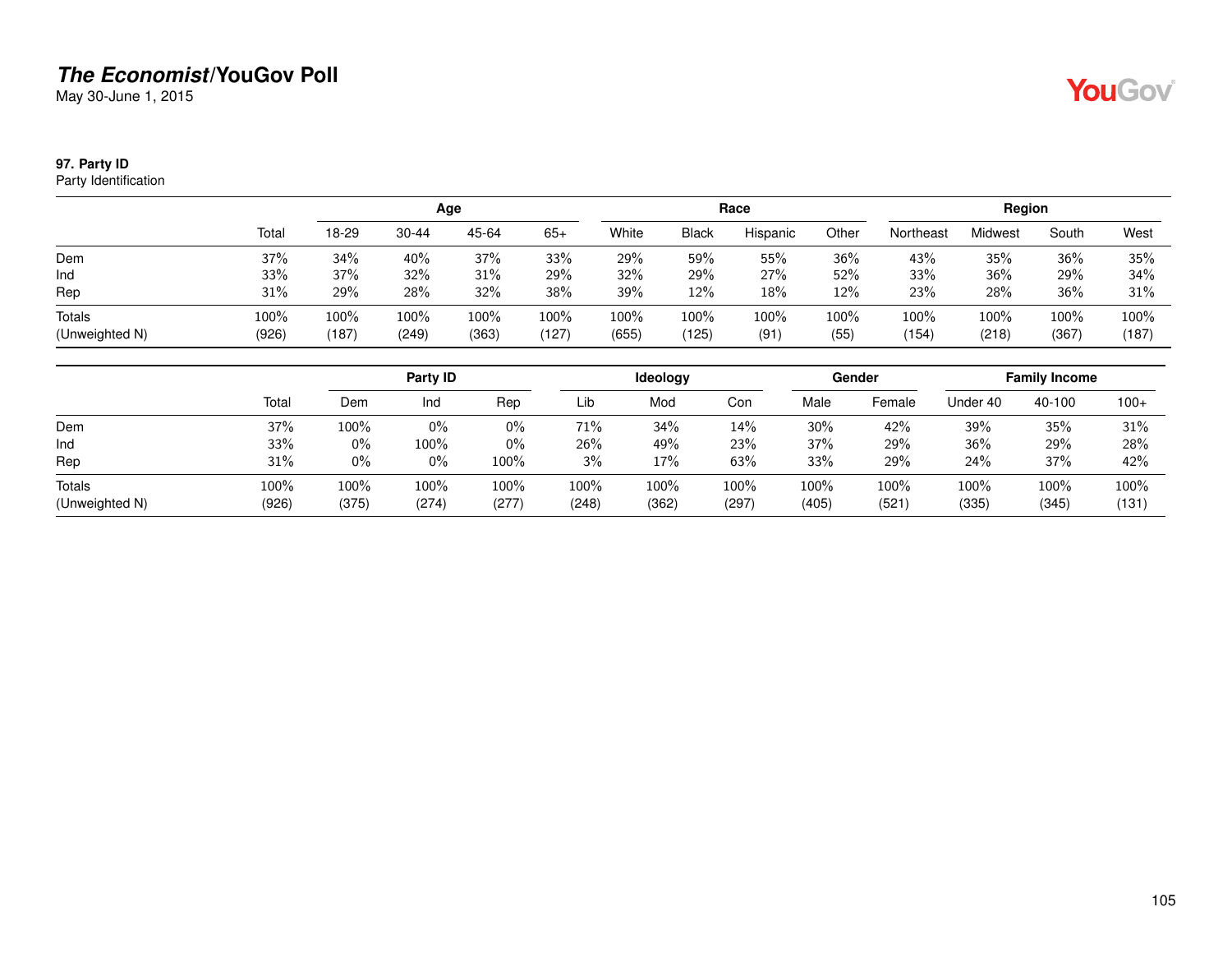May 30-June 1, 2015

### **97. Party ID**

Party Identification

|                          |               |               |               | Age              |               | Race          |               |              |              | Region        |               |               |               |
|--------------------------|---------------|---------------|---------------|------------------|---------------|---------------|---------------|--------------|--------------|---------------|---------------|---------------|---------------|
|                          | Total         | 18-29         | $30 - 44$     | 45-64            | $65+$         | White         | <b>Black</b>  | Hispanic     | Other        | Northeast     | Midwest       | South         | West          |
| Dem                      | 37%           | 34%           | 40%           | 37%              | 33%           | 29%           | 59%           | 55%          | 36%          | 43%           | 35%           | 36%           | 35%           |
| Ind                      | 33%           | 37%           | 32%           | 31%              | 29%           | 32%           | 29%           | 27%          | 52%          | 33%           | 36%           | 29%           | 34%           |
| Rep                      | 31%           | 29%           | 28%           | 32%              | 38%           | 39%           | 12%           | 18%          | 12%          | 23%           | 28%           | 36%           | 31%           |
| Totals<br>(Unweighted N) | 100%<br>(926) | 100%<br>(187) | 100%<br>(249) | $100\%$<br>(363) | 100%<br>(127) | 100%<br>(655) | 100%<br>(125) | 100%<br>(91) | 100%<br>(55) | 100%<br>(154) | 100%<br>(218) | 100%<br>(367) | 100%<br>(187) |

|                          |               |               | Party ID      |               |               | Ideology      |               |               | Gender        | <b>Family Income</b> |               |               |
|--------------------------|---------------|---------------|---------------|---------------|---------------|---------------|---------------|---------------|---------------|----------------------|---------------|---------------|
|                          | Total         | Dem           | Ind           | Rep           | Lib           | Mod           | Con           | Male          | Female        | Under 40             | 40-100        | $100+$        |
| Dem                      | 37%           | 100%          | 0%            | 0%            | 71%           | 34%           | 14%           | 30%           | 42%           | 39%                  | 35%           | 31%           |
| Ind                      | 33%           | $0\%$         | $100\%$       | $0\%$         | 26%           | 49%           | 23%           | 37%           | 29%           | 36%                  | 29%           | 28%           |
| Rep                      | 31%           | 0%            | $0\%$         | 100%          | 3%            | 17%           | 63%           | 33%           | 29%           | 24%                  | 37%           | 42%           |
| Totals<br>(Unweighted N) | 100%<br>(926) | 100%<br>(375) | 100%<br>(274) | 100%<br>(277) | 100%<br>(248) | 100%<br>(362) | 100%<br>(297) | 100%<br>(405) | 100%<br>(521) | 100%<br>(335)        | 100%<br>(345) | 100%<br>(131) |